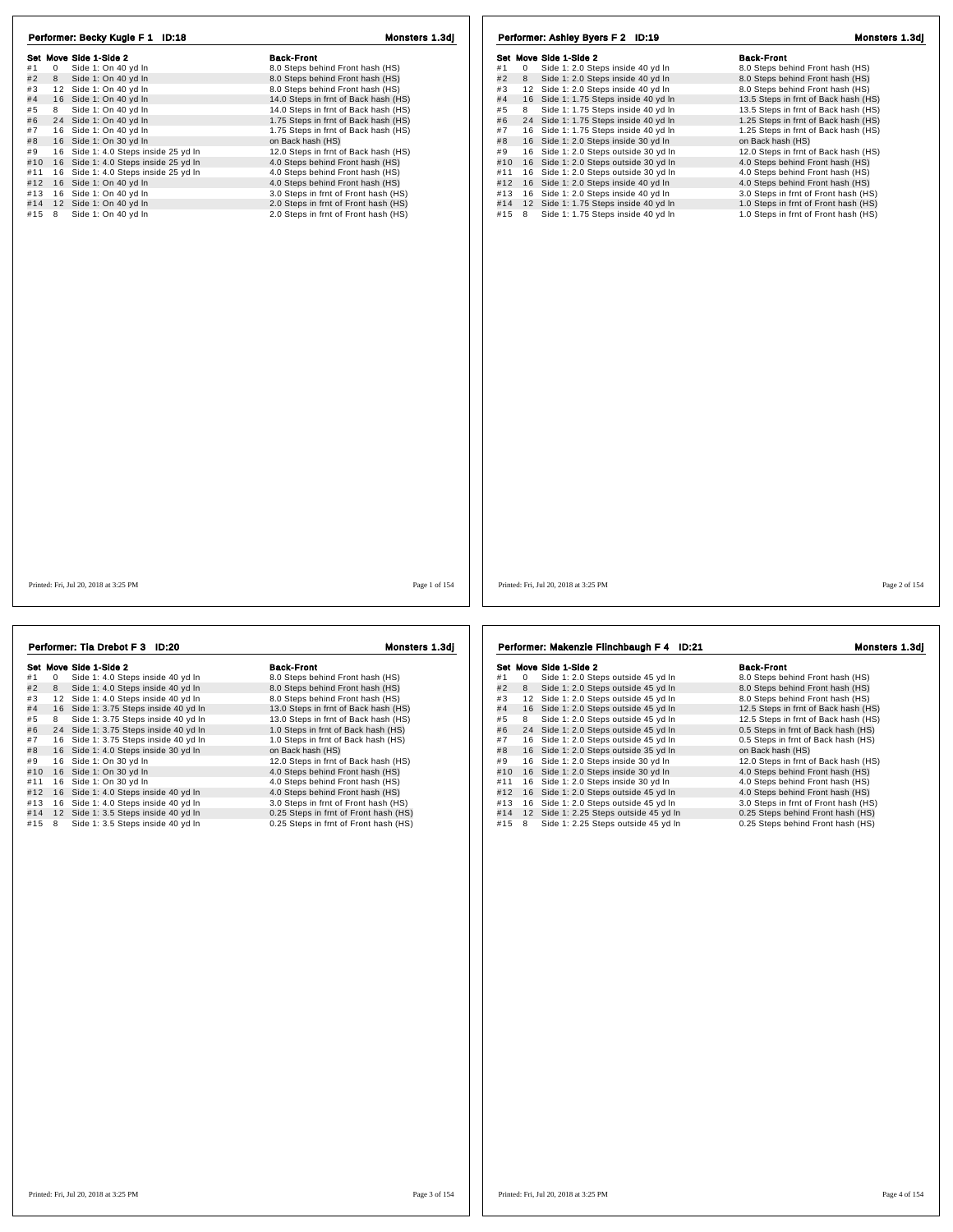| Performer: Becky Kugle F 1 ID:18<br>Set Move Side 1-Side 2<br>Side 1: On 40 yd In<br>#1<br>0<br>#2<br>8<br>Side 1: On 40 yd In<br>12 Side 1: On 40 yd In<br>#3<br>#4<br>16 Side 1: On 40 yd In<br>Side 1: On 40 vd In<br>8<br>#5<br>#6<br>24 Side 1: On 40 yd In<br>#7<br>16 Side 1: On 40 yd In<br>#8<br>16 Side 1: On 30 yd In<br>#9<br>16 Side 1: 4.0 Steps inside 25 yd In<br>16 Side 1: 4.0 Steps inside 25 yd In<br>#10<br>16 Side 1: 4.0 Steps inside 25 yd In<br>#11<br>16 Side 1: On 40 yd In<br>#12<br>16 Side 1: On 40 yd In<br>#13<br>#14<br>12 Side 1: On 40 yd In<br>Side 1: On 40 yd In<br>#15<br>8 | Monsters 1.3dj<br><b>Back-Front</b><br>8.0 Steps behind Front hash (HS)<br>8.0 Steps behind Front hash (HS)<br>8.0 Steps behind Front hash (HS)<br>14.0 Steps in frnt of Back hash (HS)<br>14.0 Steps in frnt of Back hash (HS)<br>1.75 Steps in frnt of Back hash (HS)<br>1.75 Steps in frnt of Back hash (HS)<br>on Back hash (HS)<br>12.0 Steps in frnt of Back hash (HS)<br>4.0 Steps behind Front hash (HS)<br>4.0 Steps behind Front hash (HS)<br>4.0 Steps behind Front hash (HS)<br>3.0 Steps in frnt of Front hash (HS)<br>2.0 Steps in frnt of Front hash (HS)<br>2.0 Steps in frnt of Front hash (HS) | Performer: Ashley Byers F 2 ID:19<br>Set Move Side 1-Side 2<br>Side 1: 2.0 Steps inside 40 yd In<br>#1<br>0<br>Side 1: 2.0 Steps inside 40 yd In<br>#2<br>8<br>12 Side 1: 2.0 Steps inside 40 yd In<br>#3<br>#4<br>16 Side 1: 1.75 Steps inside 40 yd In<br>Side 1: 1.75 Steps inside 40 yd In<br>#5<br>8<br>24 Side 1: 1.75 Steps inside 40 yd In<br>#6<br>16 Side 1: 1.75 Steps inside 40 yd In<br>#7<br>16 Side 1: 2.0 Steps inside 30 yd In<br>#8<br>16 Side 1: 2.0 Steps outside 30 yd In<br>#9<br>16 Side 1: 2.0 Steps outside 30 yd In<br>#10<br>16 Side 1: 2.0 Steps outside 30 yd In<br>#11<br>#12 16 Side 1: 2.0 Steps inside 40 yd In<br>#13 16 Side 1: 2.0 Steps inside 40 yd In<br>12 Side 1: 1.75 Steps inside 40 yd In<br>#14<br>Side 1: 1.75 Steps inside 40 yd In<br>#15 8 | Monsters 1.3dj<br><b>Back-Front</b><br>8.0 Steps behind Front hash (HS)<br>8.0 Steps behind Front hash (HS)<br>8.0 Steps behind Front hash (HS)<br>13.5 Steps in frnt of Back hash (HS)<br>13.5 Steps in frnt of Back hash (HS)<br>1.25 Steps in frnt of Back hash (HS)<br>1.25 Steps in frnt of Back hash (HS)<br>on Back hash (HS)<br>12.0 Steps in frnt of Back hash (HS)<br>4.0 Steps behind Front hash (HS)<br>4.0 Steps behind Front hash (HS)<br>4.0 Steps behind Front hash (HS)<br>3.0 Steps in frnt of Front hash (HS)<br>1.0 Steps in frnt of Front hash (HS)<br>1.0 Steps in frnt of Front hash (HS) |
|--------------------------------------------------------------------------------------------------------------------------------------------------------------------------------------------------------------------------------------------------------------------------------------------------------------------------------------------------------------------------------------------------------------------------------------------------------------------------------------------------------------------------------------------------------------------------------------------------------------------|------------------------------------------------------------------------------------------------------------------------------------------------------------------------------------------------------------------------------------------------------------------------------------------------------------------------------------------------------------------------------------------------------------------------------------------------------------------------------------------------------------------------------------------------------------------------------------------------------------------|---------------------------------------------------------------------------------------------------------------------------------------------------------------------------------------------------------------------------------------------------------------------------------------------------------------------------------------------------------------------------------------------------------------------------------------------------------------------------------------------------------------------------------------------------------------------------------------------------------------------------------------------------------------------------------------------------------------------------------------------------------------------------------------------|------------------------------------------------------------------------------------------------------------------------------------------------------------------------------------------------------------------------------------------------------------------------------------------------------------------------------------------------------------------------------------------------------------------------------------------------------------------------------------------------------------------------------------------------------------------------------------------------------------------|
| Printed: Fri. Jul 20, 2018 at 3:25 PM                                                                                                                                                                                                                                                                                                                                                                                                                                                                                                                                                                              | Page 1 of 154                                                                                                                                                                                                                                                                                                                                                                                                                                                                                                                                                                                                    | Printed: Fri. Jul 20, 2018 at 3:25 PM                                                                                                                                                                                                                                                                                                                                                                                                                                                                                                                                                                                                                                                                                                                                                       | Page 2 of 154                                                                                                                                                                                                                                                                                                                                                                                                                                                                                                                                                                                                    |

|     |   | Performer: Tia Drebot F 3 ID:20       | Monsters 1.3di                        |
|-----|---|---------------------------------------|---------------------------------------|
|     |   | Set Move Side 1-Side 2                | <b>Back-Front</b>                     |
| #1  | 0 | Side 1: 4.0 Steps inside 40 yd In     | 8.0 Steps behind Front hash (HS)      |
| #2  | 8 | Side 1: 4.0 Steps inside 40 yd In     | 8.0 Steps behind Front hash (HS)      |
| #3  |   | 12 Side 1: 4.0 Steps inside 40 yd In  | 8.0 Steps behind Front hash (HS)      |
| #4  |   | 16 Side 1: 3.75 Steps inside 40 yd In | 13.0 Steps in frnt of Back hash (HS)  |
| #5  | 8 | Side 1: 3.75 Steps inside 40 yd In    | 13.0 Steps in frnt of Back hash (HS)  |
| #6  |   | 24 Side 1: 3.75 Steps inside 40 yd In | 1.0 Steps in frnt of Back hash (HS)   |
| #7  |   | 16 Side 1: 3.75 Steps inside 40 yd In | 1.0 Steps in frnt of Back hash (HS)   |
| #8  |   | 16 Side 1: 4.0 Steps inside 30 yd In  | on Back hash (HS)                     |
| #9  |   | 16 Side 1: On 30 yd In                | 12.0 Steps in frnt of Back hash (HS)  |
| #10 |   | 16 Side 1: On 30 yd In                | 4.0 Steps behind Front hash (HS)      |
| #11 |   | 16 Side 1: On 30 yd In                | 4.0 Steps behind Front hash (HS)      |
| #12 |   | 16 Side 1: 4.0 Steps inside 40 yd In  | 4.0 Steps behind Front hash (HS)      |
| #13 |   | 16 Side 1: 4.0 Steps inside 40 yd In  | 3.0 Steps in frnt of Front hash (HS)  |
| #14 |   | 12 Side 1: 3.5 Steps inside 40 yd In  | 0.25 Steps in frnt of Front hash (HS) |
| #15 | 8 | Side 1: 3.5 Steps inside 40 yd In     | 0.25 Steps in frnt of Front hash (HS) |
|     |   |                                       |                                       |
|     |   |                                       |                                       |
|     |   |                                       |                                       |
|     |   |                                       |                                       |

Set Move Side 1-Side 2<br>
#1 0 Side 1: 2.0 Steps outside 45 yd In 8.0 Steps behind Front hash (HS)<br>
#2 8 Side 1: 2.0 Steps outside 45 yd In 8.0 Steps behind Front hash (HS) **Survey Show Show Show Steps outside 45 yd ln and Steps behind Front hash (HS)**<br># 3 8 Side 1: 2.0 Steps outside 45 yd ln 8.0 Steps behind Front hash (HS)<br># 3 1 2 Side 1: 2.0 Steps outside 45 yd ln 8.0 Steps behind Front h # 4 1 6 Side 1: 2.0 Steps outside 45 yd ln 12.5 Steps in frnt of Back hash (HS) # 5 <sup>8</sup> Side 1: 2.0 Steps outside 45 yd ln 12.5 Steps in frnt of Back hash (HS) + 6 3 Sue 1: 2.0 Steps outside 45 yd in 19 12.5 Steps in frint of Back hash (HS)<br># 7 1 6 Side 1: 2.0 Steps outside 45 yd ln 1 0.5 Steps in frnt of Back hash (HS) # 8 1 6 Side 1: 2.0 Steps outside 35 yd ln on Back hash (HS) # 9 1 6 Side 1: 2.0 Steps inside 30 yd ln 12.0 Steps in frnt of Back hash (HS) #10 16 Side 1: 2.0 Steps outside 35 yd ln and the same on Back hash (HS)<br>#9 16 Side 1: 2.0 Steps inside 30 yd ln 4.0 Steps behind Front hash (HS)<br>#11 16 Side 1: 2.0 Steps inside 30 yd ln 4.0 Steps behind Front hash (HS)<br>#1 #11 1 6 Side 1: 2.0 Steps inside 30 yd ln 4.0 Steps behind Front hash (HS) #12 1 6 Side 1: 2.0 Steps outside 45 yd ln 4.0 Steps behind Front hash (HS) #13 1 6 Side 1: 2.0 Steps outside 45 yd ln 3.0 Steps in frnt of Front hash (HS) #14 1 2 Side 1: 2.25 Steps outside 45 yd ln 0.25 Steps behind Front hash (HS) #15 8 Side 1: 2.25 Steps outside 45 yd In 0.25 Steps behind Front hash (HS) Performer: Makenzie Flinchbaugh F 4 ID:21 Monsters 1.3dj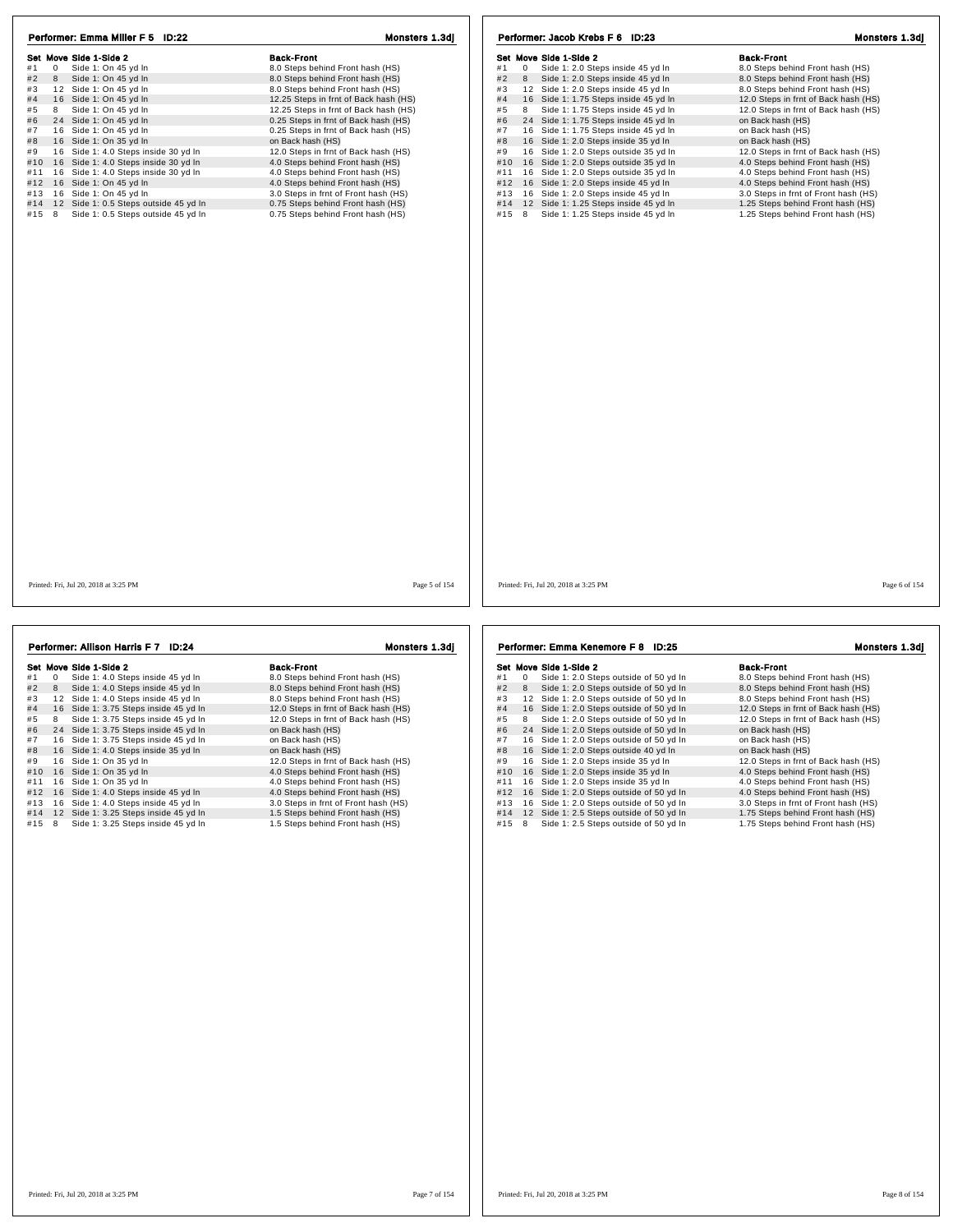| Performer: Emma Miller F 5 ID:22             | Monsters 1.3dj                        | Performer: Jacob Krebs F 6 ID:23                          | Monsters 1.3dj                       |
|----------------------------------------------|---------------------------------------|-----------------------------------------------------------|--------------------------------------|
| Set Move Side 1-Side 2                       | <b>Back-Front</b>                     | Set Move Side 1-Side 2                                    | <b>Back-Front</b>                    |
| Side 1: On 45 yd In<br>$\overline{0}$<br>#1  | 8.0 Steps behind Front hash (HS)      | $\overline{0}$<br>Side 1: 2.0 Steps inside 45 yd In<br>#1 | 8.0 Steps behind Front hash (HS)     |
| #2<br>8<br>Side 1: On 45 yd In               | 8.0 Steps behind Front hash (HS)      | #2<br>8<br>Side 1: 2.0 Steps inside 45 yd In              | 8.0 Steps behind Front hash (HS)     |
| #3<br>12 Side 1: On 45 yd In                 | 8.0 Steps behind Front hash (HS)      | 12 Side 1: 2.0 Steps inside 45 yd In<br>#3                | 8.0 Steps behind Front hash (HS)     |
| #4<br>16 Side 1: On 45 yd In                 | 12.25 Steps in frnt of Back hash (HS) | 16 Side 1: 1.75 Steps inside 45 yd In<br>#4               | 12.0 Steps in frnt of Back hash (HS) |
| #5<br>8<br>Side 1: On 45 yd In               | 12.25 Steps in frnt of Back hash (HS) | Side 1: 1.75 Steps inside 45 yd In<br>#5<br>8             | 12.0 Steps in frnt of Back hash (HS) |
| 24 Side 1: On 45 yd In<br>#6                 | 0.25 Steps in frnt of Back hash (HS)  | 24 Side 1: 1.75 Steps inside 45 yd In<br>#6               | on Back hash (HS)                    |
| #7<br>16 Side 1: On 45 yd In                 | 0.25 Steps in frnt of Back hash (HS)  | #7<br>16 Side 1: 1.75 Steps inside 45 yd In               | on Back hash (HS)                    |
| #8<br>16 Side 1: On 35 yd In                 | on Back hash (HS)                     | 16 Side 1: 2.0 Steps inside 35 yd In<br>#8                | on Back hash (HS)                    |
| #9<br>16 Side 1: 4.0 Steps inside 30 yd In   | 12.0 Steps in frnt of Back hash (HS)  | 16 Side 1: 2.0 Steps outside 35 yd In<br>#9               | 12.0 Steps in frnt of Back hash (HS) |
| 16 Side 1: 4.0 Steps inside 30 yd In<br>#10  | 4.0 Steps behind Front hash (HS)      | #10 16 Side 1: 2.0 Steps outside 35 yd In                 | 4.0 Steps behind Front hash (HS)     |
| 16 Side 1: 4.0 Steps inside 30 yd In<br>#11  | 4.0 Steps behind Front hash (HS)      | 16 Side 1: 2.0 Steps outside 35 yd In<br>#11              | 4.0 Steps behind Front hash (HS)     |
| 16 Side 1: On 45 yd In<br>#12                | 4.0 Steps behind Front hash (HS)      | #12 16 Side 1: 2.0 Steps inside 45 yd In                  | 4.0 Steps behind Front hash (HS)     |
| 16 Side 1: On 45 yd In<br>#13                | 3.0 Steps in frnt of Front hash (HS)  | 16 Side 1: 2.0 Steps inside 45 yd In<br>#13               | 3.0 Steps in frnt of Front hash (HS) |
| #14<br>12 Side 1: 0.5 Steps outside 45 yd In | 0.75 Steps behind Front hash (HS)     | #14 12 Side 1: 1.25 Steps inside 45 yd In                 | 1.25 Steps behind Front hash (HS)    |
| #15 8<br>Side 1: 0.5 Steps outside 45 yd In  | 0.75 Steps behind Front hash (HS)     | Side 1: 1.25 Steps inside 45 yd In<br>#15 8               | 1.25 Steps behind Front hash (HS)    |
|                                              |                                       |                                                           |                                      |
| Printed: Fri. Jul 20, 2018 at 3:25 PM        | Page 5 of 154                         | Printed: Fri. Jul 20, 2018 at 3:25 PM                     | Page 6 of 154                        |

|     |    | Set Move Side 1-Side 2                | <b>Back-Front</b>                    |
|-----|----|---------------------------------------|--------------------------------------|
| #1  | 0  | Side 1: 4.0 Steps inside 45 yd In     | 8.0 Steps behind Front hash (HS)     |
| #2  | 8  | Side 1: 4.0 Steps inside 45 yd In     | 8.0 Steps behind Front hash (HS)     |
| #3  | 12 | Side 1: 4.0 Steps inside 45 vd In     | 8.0 Steps behind Front hash (HS)     |
| #4  | 16 | Side 1: 3.75 Steps inside 45 yd In    | 12.0 Steps in frnt of Back hash (HS) |
| #5  | 8  | Side 1: 3.75 Steps inside 45 yd In    | 12.0 Steps in frnt of Back hash (HS) |
| #6  |    | 24 Side 1: 3.75 Steps inside 45 yd In | on Back hash (HS)                    |
| #7  |    | 16 Side 1: 3.75 Steps inside 45 yd In | on Back hash (HS)                    |
| #8  |    | 16 Side 1: 4.0 Steps inside 35 yd In  | on Back hash (HS)                    |
| #9  |    | 16 Side 1: On 35 yd In                | 12.0 Steps in frnt of Back hash (HS) |
| #10 |    | 16 Side 1: On 35 yd In                | 4.0 Steps behind Front hash (HS)     |
| #11 |    | 16 Side 1: On 35 yd In                | 4.0 Steps behind Front hash (HS)     |
| #12 |    | 16 Side 1: 4.0 Steps inside 45 yd In  | 4.0 Steps behind Front hash (HS)     |
| #13 |    | 16 Side 1: 4.0 Steps inside 45 yd In  | 3.0 Steps in frnt of Front hash (HS) |
| #14 |    | 12 Side 1: 3.25 Steps inside 45 yd In | 1.5 Steps behind Front hash (HS)     |
| #15 | 8  | Side 1: 3.25 Steps inside 45 yd In    | 1.5 Steps behind Front hash (HS)     |
|     |    |                                       |                                      |
|     |    |                                       |                                      |

Performer: Allison Harris F 7 ID:24 Monsters 1.3dj

991 Move Side 1-Side 2<br>
#1 0 Side 1:2.0 Steps outside of 50 yd In 8.0 Steps behind Front hash (HS)<br>
#2 8 Side 1:2.0 Steps outside of 50 yd In 8.0 Steps behind Front hash (HS)<br>
#3 12 Side 1:2.0 Steps outside of 50 yd In 8.0 #4 16 Side 1: 2.0 Steps outside of 50 yd in 8.0 Steps benind Front nash (HS)<br>
#4 16 Side 1: 2.0 Steps outside of 50 yd in 12.0 Steps in fm t of Back hash (HS)<br>
#6 24 Side 1: 2.0 Steps outside of 50 yd in 12.0 Steps in fm

## Performer: Emma Kenemore F 8 ID:25 Monsters 1.3dj

|     |    | Set Move Side 1-Side 2                   | <b>Back-Front</b>                    |
|-----|----|------------------------------------------|--------------------------------------|
| #1  | 0  | Side 1: 2.0 Steps outside of 50 yd In    | 8.0 Steps behind Front hash (HS)     |
| #2  | 8  | Side 1: 2.0 Steps outside of 50 yd In    | 8.0 Steps behind Front hash (HS)     |
| #3  | 12 | Side 1: 2.0 Steps outside of 50 vd In    | 8.0 Steps behind Front hash (HS)     |
| #4  | 16 | Side 1: 2.0 Steps outside of 50 yd In    | 12.0 Steps in frnt of Back hash (HS) |
| #5  | 8  | Side 1: 2.0 Steps outside of 50 yd In    | 12.0 Steps in frnt of Back hash (HS) |
| #6  |    | 24 Side 1: 2.0 Steps outside of 50 yd In | on Back hash (HS)                    |
| #7  | 16 | Side 1: 2.0 Steps outside of 50 yd In    | on Back hash (HS)                    |
| #8  |    | 16 Side 1: 2.0 Steps outside 40 yd In    | on Back hash (HS)                    |
| #9  |    | 16 Side 1: 2.0 Steps inside 35 yd In     | 12.0 Steps in frnt of Back hash (HS) |
| #10 |    | 16 Side 1: 2.0 Steps inside 35 yd In     | 4.0 Steps behind Front hash (HS)     |
| #11 | 16 | Side 1: 2.0 Steps inside 35 yd In        | 4.0 Steps behind Front hash (HS)     |
| #12 | 16 | Side 1: 2.0 Steps outside of 50 yd In    | 4.0 Steps behind Front hash (HS)     |
| #13 | 16 | Side 1: 2.0 Steps outside of 50 yd In    | 3.0 Steps in frnt of Front hash (HS) |
| #14 | 12 | Side 1: 2.5 Steps outside of 50 yd In    | 1.75 Steps behind Front hash (HS)    |
| #15 | 8  | Side 1: 2.5 Steps outside of 50 yd In    | 1.75 Steps behind Front hash (HS)    |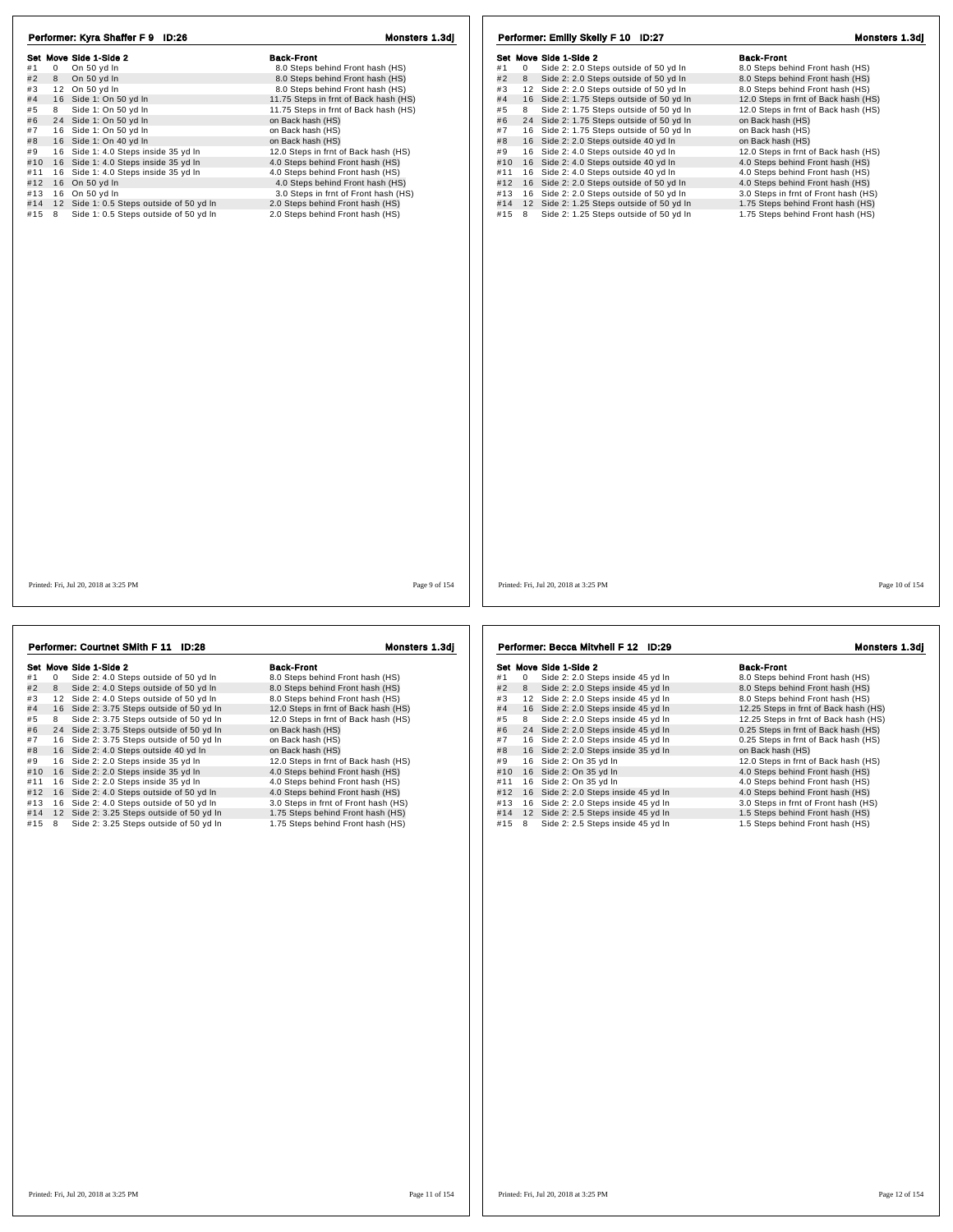| Performer: Kyra Shaffer F 9 ID:26               | Monsters 1.3dj                        | Performer: Emilly Skelly F 10 ID:27                         | Monsters 1.3dj                       |
|-------------------------------------------------|---------------------------------------|-------------------------------------------------------------|--------------------------------------|
| Set Move Side 1-Side 2                          | <b>Back-Front</b>                     | Set Move Side 1-Side 2                                      | <b>Back-Front</b>                    |
| #1<br>$\overline{0}$<br>On 50 yd In             | 8.0 Steps behind Front hash (HS)      | #1<br>$\mathbf{0}$<br>Side 2: 2.0 Steps outside of 50 yd In | 8.0 Steps behind Front hash (HS)     |
| #2<br>On 50 yd In<br>8                          | 8.0 Steps behind Front hash (HS)      | Side 2: 2.0 Steps outside of 50 yd In<br>#2<br>8            | 8.0 Steps behind Front hash (HS)     |
| #3<br>12 On 50 yd In                            | 8.0 Steps behind Front hash (HS)      | 12 Side 2: 2.0 Steps outside of 50 yd In<br>#3              | 8.0 Steps behind Front hash (HS)     |
| #4<br>16 Side 1: On 50 yd In                    | 11.75 Steps in frnt of Back hash (HS) | 16 Side 2: 1.75 Steps outside of 50 yd In<br>#4             | 12.0 Steps in frnt of Back hash (HS) |
| Side 1: On 50 yd In<br>#5<br>8                  | 11.75 Steps in frnt of Back hash (HS) | Side 2: 1.75 Steps outside of 50 yd In<br>#5<br>8           | 12.0 Steps in frnt of Back hash (HS) |
| #6<br>24 Side 1: On 50 yd In                    | on Back hash (HS)                     | 24 Side 2: 1.75 Steps outside of 50 yd In<br>#6             | on Back hash (HS)                    |
| #7<br>16 Side 1: On 50 yd In                    | on Back hash (HS)                     | 16 Side 2: 1.75 Steps outside of 50 yd In<br>#7             | on Back hash (HS)                    |
| 16 Side 1: On 40 yd In<br>#8                    | on Back hash (HS)                     | 16 Side 2: 2.0 Steps outside 40 yd In<br>#8                 | on Back hash (HS)                    |
| #9<br>16 Side 1: 4.0 Steps inside 35 yd In      | 12.0 Steps in frnt of Back hash (HS)  | #9<br>16 Side 2: 4.0 Steps outside 40 yd In                 | 12.0 Steps in frnt of Back hash (HS) |
| #10 16 Side 1: 4.0 Steps inside 35 yd In        | 4.0 Steps behind Front hash (HS)      | #10 16 Side 2: 4.0 Steps outside 40 yd In                   | 4.0 Steps behind Front hash (HS)     |
| #11 16 Side 1: 4.0 Steps inside 35 yd In        | 4.0 Steps behind Front hash (HS)      | #11 16 Side 2: 4.0 Steps outside 40 yd In                   | 4.0 Steps behind Front hash (HS)     |
| #12 16 On 50 yd In                              | 4.0 Steps behind Front hash (HS)      | #12 16 Side 2: 2.0 Steps outside of 50 yd In                | 4.0 Steps behind Front hash (HS)     |
| 16 On 50 yd In<br>#13                           | 3.0 Steps in frnt of Front hash (HS)  | #13 16 Side 2: 2.0 Steps outside of 50 yd In                | 3.0 Steps in frnt of Front hash (HS) |
| 12 Side 1: 0.5 Steps outside of 50 yd In<br>#14 | 2.0 Steps behind Front hash (HS)      | #14 12 Side 2: 1.25 Steps outside of 50 yd In               | 1.75 Steps behind Front hash (HS)    |
| Side 1: 0.5 Steps outside of 50 yd In<br>#15 8  | 2.0 Steps behind Front hash (HS)      | #15 8<br>Side 2: 1.25 Steps outside of 50 yd In             | 1.75 Steps behind Front hash (HS)    |
|                                                 |                                       |                                                             |                                      |
| Printed: Fri, Jul 20, 2018 at 3:25 PM           | Page 9 of 154                         | Printed: Fri, Jul 20, 2018 at 3:25 PM                       | Page 10 of 154                       |
|                                                 |                                       |                                                             |                                      |

|     |    | Set Move Side 1-Side 2                    | <b>Back-Front</b>                    |
|-----|----|-------------------------------------------|--------------------------------------|
| #1  | 0  | Side 2: 4.0 Steps outside of 50 yd In     | 8.0 Steps behind Front hash (HS)     |
| #2  | 8  | Side 2: 4.0 Steps outside of 50 yd In     | 8.0 Steps behind Front hash (HS)     |
| #3  |    | 12 Side 2: 4.0 Steps outside of 50 yd In  | 8.0 Steps behind Front hash (HS)     |
| #4  | 16 | Side 2: 3.75 Steps outside of 50 yd In    | 12.0 Steps in frnt of Back hash (HS) |
| #5  | 8  | Side 2: 3.75 Steps outside of 50 yd In    | 12.0 Steps in frnt of Back hash (HS) |
| #6  |    | 24 Side 2: 3.75 Steps outside of 50 yd In | on Back hash (HS)                    |
| #7  |    | 16 Side 2: 3.75 Steps outside of 50 yd In | on Back hash (HS)                    |
| #8  |    | 16 Side 2: 4.0 Steps outside 40 yd In     | on Back hash (HS)                    |
| #9  |    | 16 Side 2: 2.0 Steps inside 35 yd In      | 12.0 Steps in frnt of Back hash (HS) |
| #10 |    | 16 Side 2: 2.0 Steps inside 35 yd In      | 4.0 Steps behind Front hash (HS)     |
| #11 |    | 16 Side 2: 2.0 Steps inside 35 yd In      | 4.0 Steps behind Front hash (HS)     |
| #12 |    | 16 Side 2: 4.0 Steps outside of 50 yd In  | 4.0 Steps behind Front hash (HS)     |
| #13 |    | 16 Side 2: 4.0 Steps outside of 50 yd In  | 3.0 Steps in frnt of Front hash (HS) |
| #14 |    | 12 Side 2: 3.25 Steps outside of 50 yd In | 1.75 Steps behind Front hash (HS)    |
| #15 | 8  | Side 2: 3.25 Steps outside of 50 yd In    | 1.75 Steps behind Front hash (HS)    |

Performer: Courtnet SMith F 11 ID:28 Monsters 1.3dj

Set Move Side 1-Side 2<br>
#1 0 Side 2: 2.0 Steps inside 45 yd In 8.0 Steps behind Front hash (HS)<br>
#2 8 Side 2: 2.0 Steps inside 45 yd In 8.0 Steps behind Front hash (HS)<br>
#3 12 Side 2: 2.0 Steps inside 45 yd In 8.0 Steps be Her move show a new and a steps behind Front hash (HS)<br>
# 1 0 Side 2: 2.0 Steps inside 45 yd ln 8.0 Steps behind Front hash (HS)<br>
# 3 1 2 Side 2: 2.0 Steps inside 45 yd ln 8.0 Steps behind Front hash (HS) 31 12 Side 2: 2.0 Steps inside 45 yd in 12.5 Steps in franch franch (HS)<br>#4 1 6 Side 2: 2.0 Steps inside 45 yd ln 12.25 Steps in frnt of Back hash (HS)<br>#5 8 Side 2: 2.0 Steps inside 45 yd ln 12.25 Steps in frnt of Back ha # 6 2 4 Side 2: 2.0 Steps inside 45 yd ln 0.25 Steps in frnt of Back hash (HS) # 7 1 6 Side 2: 2.0 Steps inside 45 yd ln 0.25 Steps in frnt of Back hash (HS) # 8 1 6 Side 2: 2.0 Steps inside 35 yd ln on Back hash (HS) # 9 1 6 Side 2: On 35 yd ln 12.0 Steps in frnt of Back hash (HS) #10 16 Side 2: 2.0 Steps inside 35 yd ln  $\frac{12.0 \text{ Steps in front of Back hash (HS)}}{4.0 \text{ Steps behind Front hash (HS)}}$ <br>#10 16 Side 2: On 35 yd ln  $\frac{4.0 \text{ Steps behind Front hash (HS)}}{4.0 \text{Steps behind Front hash (HS)}}$ <br>#11 16 Side 2: On 35 yd ln #11 1 6 Side 2: On 35 yd ln 4.0 Steps behind Front hash (HS) #12 1 6 Side 2: 2.0 Steps inside 45 yd ln 4.0 Steps behind Front hash (HS) #13 1 6 Side 2: 2.0 Steps inside 45 yd ln 3.0 Steps in frnt of Front hash (HS) #14 1 2 Side 2: 2.5 Steps inside 45 yd ln 1.5 Steps behind Front hash (HS)  $\frac{413}{413}$  16 Side 2: 2.0 Steps inside 45 yd ln  $\frac{413}{415}$  16 Side 2: 2.5 Steps inside 45 yd ln  $\frac{413}{415}$  16 Side 2: 2.5 Steps inside 45 yd ln  $\frac{415}{415}$  1.5 Steps behind Front hash (HS)  $\frac{415}{415}$  8 Side Performer: Becca Mitvhell F 12 ID:29 Monsters 1.3dj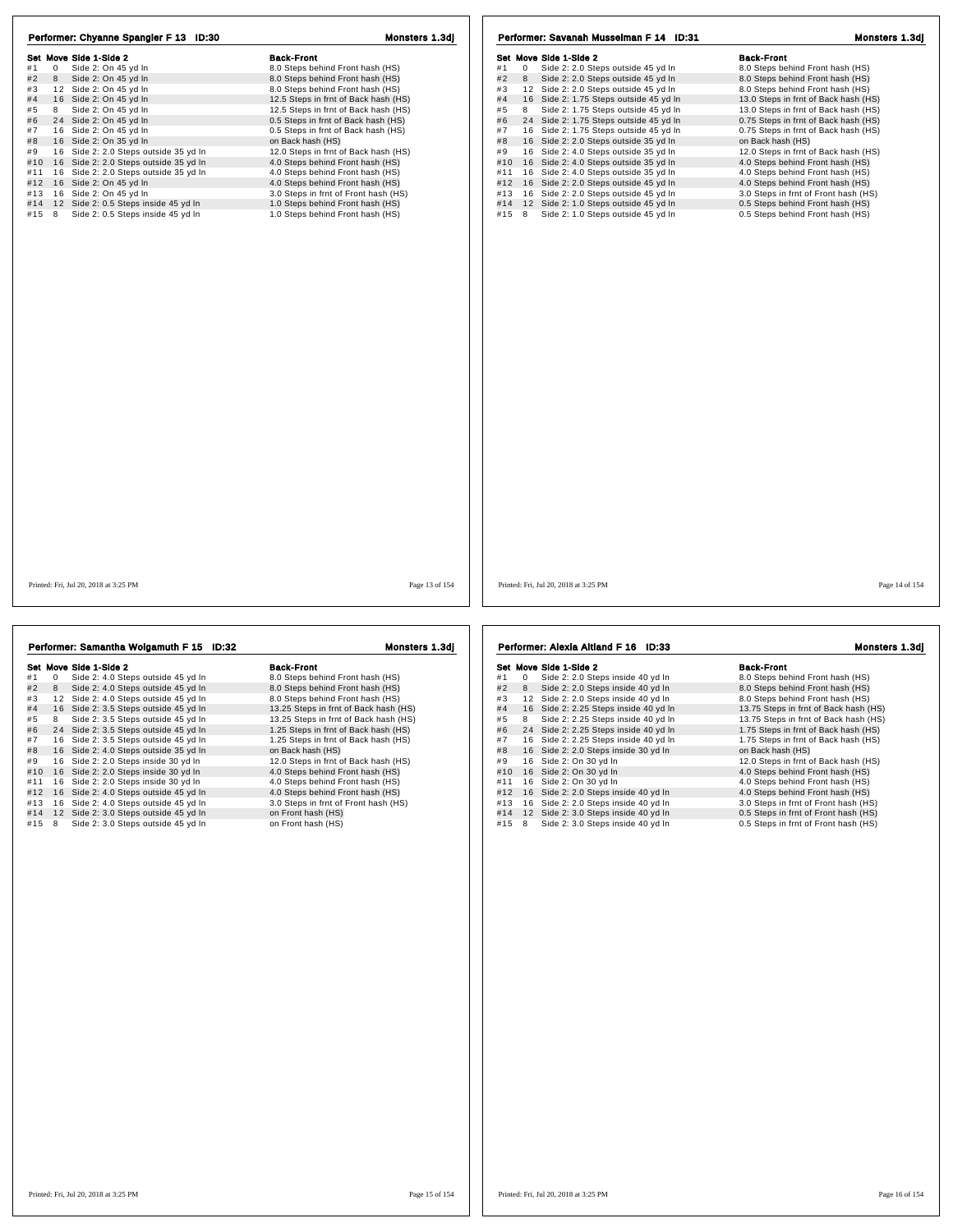| Performer: Chyanne Spangler F 13 ID:30<br>Set Move Side 1-Side 2<br>#1<br>$\mathbf 0$<br>Side 2: On 45 yd In<br>#2<br>Side 2: On 45 yd In<br>8<br>#3<br>12 Side 2: On 45 yd In<br>#4<br>16 Side 2: On 45 yd In<br>Side 2: On 45 vd In<br>#5<br>8<br>24 Side 2: On 45 yd In<br>#6<br>16 Side 2: On 45 yd In<br>#7<br>#8<br>16 Side 2: On 35 yd In<br>16 Side 2: 2.0 Steps outside 35 yd In<br>#9<br>#10 16 Side 2: 2.0 Steps outside 35 yd In<br>16 Side 2: 2.0 Steps outside 35 yd In<br>#11<br>#12 16 Side 2: On 45 yd In<br>#13 16 Side 2: On 45 yd In<br>12 Side 2: 0.5 Steps inside 45 yd In<br>#14<br>Side 2: 0.5 Steps inside 45 yd In<br>$#15$ 8 | Monsters 1.3dj<br><b>Back-Front</b><br>8.0 Steps behind Front hash (HS)<br>8.0 Steps behind Front hash (HS)<br>8.0 Steps behind Front hash (HS)<br>12.5 Steps in frnt of Back hash (HS)<br>12.5 Steps in frnt of Back hash (HS)<br>0.5 Steps in frnt of Back hash (HS)<br>0.5 Steps in frnt of Back hash (HS)<br>on Back hash (HS)<br>12.0 Steps in frnt of Back hash (HS)<br>4.0 Steps behind Front hash (HS)<br>4.0 Steps behind Front hash (HS)<br>4.0 Steps behind Front hash (HS)<br>3.0 Steps in frnt of Front hash (HS)<br>1.0 Steps behind Front hash (HS)<br>1.0 Steps behind Front hash (HS) | Performer: Savanah Musselman F 14 ID:31<br>Set Move Side 1-Side 2<br>Side 2: 2.0 Steps outside 45 yd In<br>#1<br>0<br>#2<br>Side 2: 2.0 Steps outside 45 yd In<br>8<br>#3<br>12 Side 2: 2.0 Steps outside 45 yd In<br>#4<br>16 Side 2: 1.75 Steps outside 45 yd In<br>Side 2: 1.75 Steps outside 45 vd In<br>#5<br>8<br>#6<br>24 Side 2: 1.75 Steps outside 45 yd In<br>16 Side 2: 1.75 Steps outside 45 yd In<br>#7<br>#8<br>16 Side 2: 2.0 Steps outside 35 yd In<br>#9<br>16 Side 2: 4.0 Steps outside 35 yd In<br>#10 16 Side 2: 4.0 Steps outside 35 yd In<br>16 Side 2: 4.0 Steps outside 35 yd In<br>#11<br>#12 16 Side 2: 2.0 Steps outside 45 yd In<br>16 Side 2: 2.0 Steps outside 45 yd In<br>#13<br>#14<br>12 Side 2: 1.0 Steps outside 45 yd In<br>#15 8 Side 2: 1.0 Steps outside 45 yd In | Monsters 1.3dj<br><b>Back-Front</b><br>8.0 Steps behind Front hash (HS)<br>8.0 Steps behind Front hash (HS)<br>8.0 Steps behind Front hash (HS)<br>13.0 Steps in frnt of Back hash (HS)<br>13.0 Steps in frnt of Back hash (HS)<br>0.75 Steps in frnt of Back hash (HS)<br>0.75 Steps in frnt of Back hash (HS)<br>on Back hash (HS)<br>12.0 Steps in frnt of Back hash (HS)<br>4.0 Steps behind Front hash (HS)<br>4.0 Steps behind Front hash (HS)<br>4.0 Steps behind Front hash (HS)<br>3.0 Steps in frnt of Front hash (HS)<br>0.5 Steps behind Front hash (HS)<br>0.5 Steps behind Front hash (HS) |
|---------------------------------------------------------------------------------------------------------------------------------------------------------------------------------------------------------------------------------------------------------------------------------------------------------------------------------------------------------------------------------------------------------------------------------------------------------------------------------------------------------------------------------------------------------------------------------------------------------------------------------------------------------|--------------------------------------------------------------------------------------------------------------------------------------------------------------------------------------------------------------------------------------------------------------------------------------------------------------------------------------------------------------------------------------------------------------------------------------------------------------------------------------------------------------------------------------------------------------------------------------------------------|----------------------------------------------------------------------------------------------------------------------------------------------------------------------------------------------------------------------------------------------------------------------------------------------------------------------------------------------------------------------------------------------------------------------------------------------------------------------------------------------------------------------------------------------------------------------------------------------------------------------------------------------------------------------------------------------------------------------------------------------------------------------------------------------------------|----------------------------------------------------------------------------------------------------------------------------------------------------------------------------------------------------------------------------------------------------------------------------------------------------------------------------------------------------------------------------------------------------------------------------------------------------------------------------------------------------------------------------------------------------------------------------------------------------------|
| Printed: Fri, Jul 20, 2018 at 3:25 PM                                                                                                                                                                                                                                                                                                                                                                                                                                                                                                                                                                                                                   | Page 13 of 154                                                                                                                                                                                                                                                                                                                                                                                                                                                                                                                                                                                         | Printed: Fri, Jul 20, 2018 at 3:25 PM                                                                                                                                                                                                                                                                                                                                                                                                                                                                                                                                                                                                                                                                                                                                                                    | Page 14 of 154                                                                                                                                                                                                                                                                                                                                                                                                                                                                                                                                                                                           |

ן ן

| Performer: Samantha Wolgamuth F 15 ID:32       | Monsters 1.3dj                        | Performer: Alexia Altland F 16 ID:33                   | Monsters 1.3dj                        |
|------------------------------------------------|---------------------------------------|--------------------------------------------------------|---------------------------------------|
| Set Move Side 1-Side 2                         | <b>Back-Front</b>                     | Set Move Side 1-Side 2                                 | <b>Back-Front</b>                     |
| #1<br>0<br>Side 2: 4.0 Steps outside 45 yd In  | 8.0 Steps behind Front hash (HS)      | #1<br>$\mathbf 0$<br>Side 2: 2.0 Steps inside 40 yd In | 8.0 Steps behind Front hash (HS)      |
| #2<br>8<br>Side 2: 4.0 Steps outside 45 yd In  | 8.0 Steps behind Front hash (HS)      | #2<br>Side 2: 2.0 Steps inside 40 yd In<br>8           | 8.0 Steps behind Front hash (HS)      |
| #3<br>12 Side 2: 4.0 Steps outside 45 yd In    | 8.0 Steps behind Front hash (HS)      | 12 Side 2: 2.0 Steps inside 40 yd In<br>#3             | 8.0 Steps behind Front hash (HS)      |
| #4<br>16 Side 2: 3.5 Steps outside 45 yd In    | 13.25 Steps in frnt of Back hash (HS) | #4<br>16 Side 2: 2.25 Steps inside 40 yd In            | 13.75 Steps in frnt of Back hash (HS) |
| #5<br>8<br>Side 2: 3.5 Steps outside 45 yd In  | 13.25 Steps in frnt of Back hash (HS) | #5<br>Side 2: 2.25 Steps inside 40 yd In<br>8          | 13.75 Steps in frnt of Back hash (HS) |
| #6<br>24 Side 2: 3.5 Steps outside 45 yd In    | 1.25 Steps in frnt of Back hash (HS)  | #6<br>24 Side 2: 2.25 Steps inside 40 yd In            | 1.75 Steps in frnt of Back hash (HS)  |
| #7<br>16 Side 2: 3.5 Steps outside 45 yd In    | 1.25 Steps in frnt of Back hash (HS)  | #7<br>16 Side 2: 2.25 Steps inside 40 yd In            | 1.75 Steps in frnt of Back hash (HS)  |
| #8<br>16 Side 2: 4.0 Steps outside 35 yd In    | on Back hash (HS)                     | #8<br>16 Side 2: 2.0 Steps inside 30 yd In             | on Back hash (HS)                     |
| #9<br>16 Side 2: 2.0 Steps inside 30 yd In     | 12.0 Steps in frnt of Back hash (HS)  | 16 Side 2: On 30 yd In<br>#9                           | 12.0 Steps in frnt of Back hash (HS)  |
| #10<br>16 Side 2: 2.0 Steps inside 30 yd In    | 4.0 Steps behind Front hash (HS)      | 16 Side 2: On 30 yd In<br>#10                          | 4.0 Steps behind Front hash (HS)      |
| Side 2: 2.0 Steps inside 30 yd In<br>#11<br>16 | 4.0 Steps behind Front hash (HS)      | 16 Side 2: On 30 yd In<br>#11                          | 4.0 Steps behind Front hash (HS)      |
| #12 16 Side 2: 4.0 Steps outside 45 yd In      | 4.0 Steps behind Front hash (HS)      | 16 Side 2: 2.0 Steps inside 40 yd In<br>#12            | 4.0 Steps behind Front hash (HS)      |
| 16 Side 2: 4.0 Steps outside 45 yd In<br>#13   | 3.0 Steps in frnt of Front hash (HS)  | 16 Side 2: 2.0 Steps inside 40 yd In<br>#13            | 3.0 Steps in frnt of Front hash (HS)  |
| #14 12 Side 2: 3.0 Steps outside 45 yd In      | on Front hash (HS)                    | #14<br>12 Side 2: 3.0 Steps inside 40 yd In            | 0.5 Steps in frnt of Front hash (HS)  |
| 8<br>Side 2: 3.0 Steps outside 45 yd In<br>#15 | on Front hash (HS)                    | #15 8<br>Side 2: 3.0 Steps inside 40 yd In             | 0.5 Steps in frnt of Front hash (HS)  |
|                                                |                                       |                                                        |                                       |
|                                                |                                       |                                                        |                                       |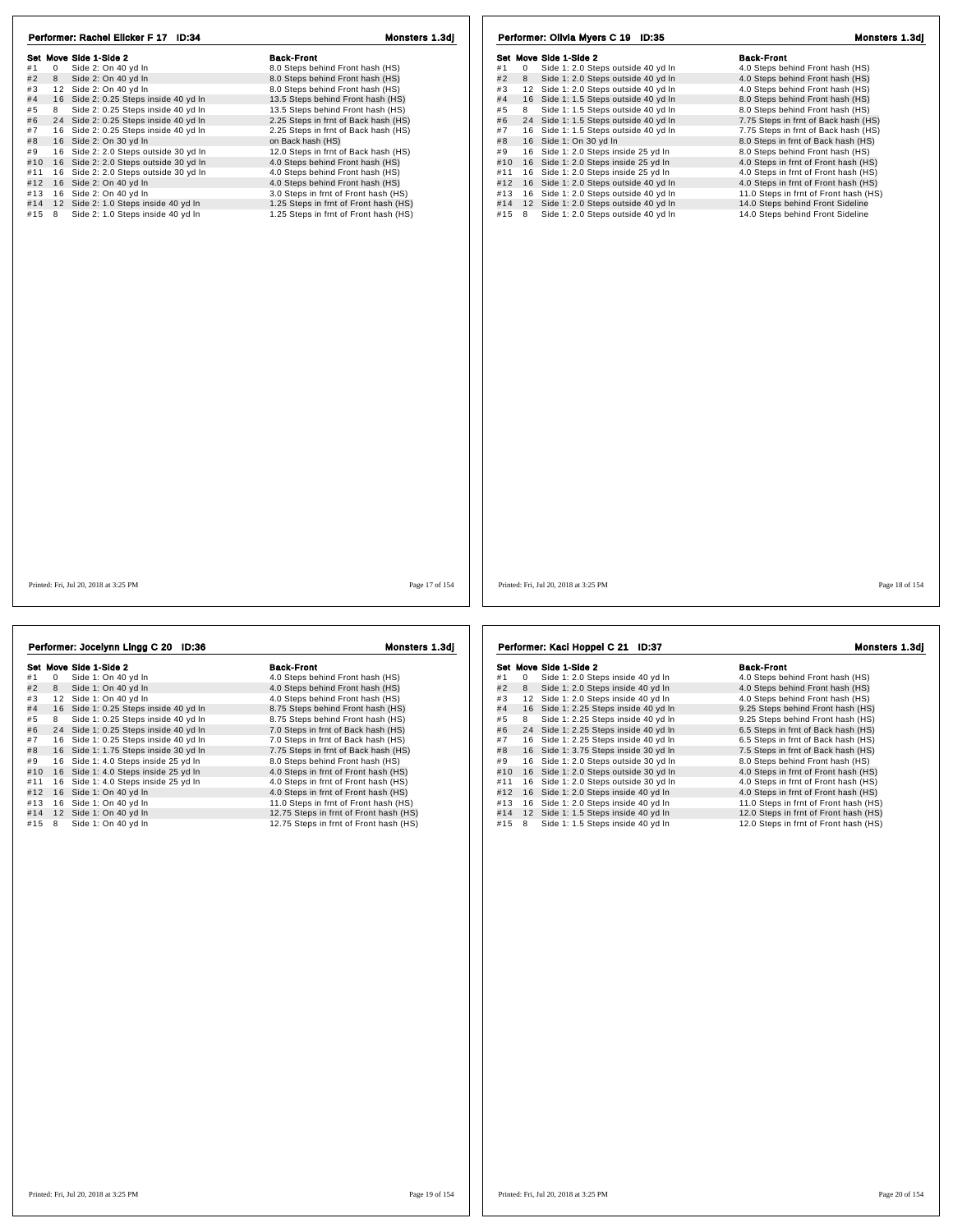| Performer: Rachel Elicker F 17 ID:34          | Monsters 1.3dj                        | Performer: Olivia Myers C 19 ID:35                       | Monsters 1.3dj                        |
|-----------------------------------------------|---------------------------------------|----------------------------------------------------------|---------------------------------------|
| Set Move Side 1-Side 2                        | <b>Back-Front</b>                     | Set Move Side 1-Side 2                                   | <b>Back-Front</b>                     |
| #1<br>$\overline{0}$<br>Side 2: On 40 yd In   | 8.0 Steps behind Front hash (HS)      | #1<br>$\mathbf{0}$<br>Side 1: 2.0 Steps outside 40 yd In | 4.0 Steps behind Front hash (HS)      |
| #2<br>8<br>Side 2: On 40 yd In                | 8.0 Steps behind Front hash (HS)      | #2<br>Side 1: 2.0 Steps outside 40 yd In<br>8            | 4.0 Steps behind Front hash (HS)      |
| #3<br>12 Side 2: On 40 yd In                  | 8.0 Steps behind Front hash (HS)      | #3<br>12 Side 1: 2.0 Steps outside 40 yd In              | 4.0 Steps behind Front hash (HS)      |
| 16 Side 2: 0.25 Steps inside 40 yd In<br>#4   | 13.5 Steps behind Front hash (HS)     | 16 Side 1: 1.5 Steps outside 40 yd In<br>#4              | 8.0 Steps behind Front hash (HS)      |
| Side 2: 0.25 Steps inside 40 yd In<br>#5<br>8 | 13.5 Steps behind Front hash (HS)     | Side 1: 1.5 Steps outside 40 yd In<br>#5<br>8            | 8.0 Steps behind Front hash (HS)      |
| 24 Side 2: 0.25 Steps inside 40 yd In<br>#6   | 2.25 Steps in frnt of Back hash (HS)  | 24 Side 1: 1.5 Steps outside 40 yd In<br>#6              | 7.75 Steps in frnt of Back hash (HS)  |
| #7<br>16 Side 2: 0.25 Steps inside 40 yd In   | 2.25 Steps in frnt of Back hash (HS)  | #7<br>16 Side 1: 1.5 Steps outside 40 yd In              | 7.75 Steps in frnt of Back hash (HS)  |
| 16 Side 2: On 30 yd In<br>#8                  | on Back hash (HS)                     | 16 Side 1: On 30 yd In<br>#8                             | 8.0 Steps in frnt of Back hash (HS)   |
| 16 Side 2: 2.0 Steps outside 30 yd In<br>#9   | 12.0 Steps in frnt of Back hash (HS)  | 16 Side 1: 2.0 Steps inside 25 yd In<br>#9               | 8.0 Steps behind Front hash (HS)      |
| #10 16 Side 2: 2.0 Steps outside 30 yd In     | 4.0 Steps behind Front hash (HS)      | 16 Side 1: 2.0 Steps inside 25 yd In<br>#10              | 4.0 Steps in frnt of Front hash (HS)  |
| #11 16 Side 2: 2.0 Steps outside 30 yd In     | 4.0 Steps behind Front hash (HS)      | 16 Side 1: 2.0 Steps inside 25 yd In<br>#11              | 4.0 Steps in frnt of Front hash (HS)  |
| #12 16 Side 2: On 40 yd In                    | 4.0 Steps behind Front hash (HS)      | #12 16 Side 1: 2.0 Steps outside 40 yd In                | 4.0 Steps in frnt of Front hash (HS)  |
| 16 Side 2: On 40 yd In<br>#13                 | 3.0 Steps in frnt of Front hash (HS)  | #13 16 Side 1: 2.0 Steps outside 40 yd In                | 11.0 Steps in frnt of Front hash (HS) |
| #14 12 Side 2: 1.0 Steps inside 40 yd In      | 1.25 Steps in frnt of Front hash (HS) | #14 12 Side 1: 2.0 Steps outside 40 yd In                | 14.0 Steps behind Front Sideline      |
| Side 2: 1.0 Steps inside 40 yd In<br>#15<br>8 | 1.25 Steps in frnt of Front hash (HS) | #15 8<br>Side 1: 2.0 Steps outside 40 yd In              | 14.0 Steps behind Front Sideline      |
|                                               |                                       |                                                          |                                       |
| Printed: Fri, Jul 20, 2018 at 3:25 PM         | Page 17 of 154                        | Printed: Fri, Jul 20, 2018 at 3:25 PM                    | Page 18 of 154                        |
|                                               |                                       |                                                          |                                       |

|     |    | Performer: Jocelynn Lingg C 20 ID:36  | Monsters 1.3dj                         |
|-----|----|---------------------------------------|----------------------------------------|
|     |    | Set Move Side 1-Side 2                | <b>Back-Front</b>                      |
| #1  | 0  | Side 1: On 40 yd In                   | 4.0 Steps behind Front hash (HS)       |
| #2  | 8  | Side 1: On 40 yd In                   | 4.0 Steps behind Front hash (HS)       |
| #3  |    | 12 Side 1: On 40 vd In                | 4.0 Steps behind Front hash (HS)       |
| #4  |    | 16 Side 1: 0.25 Steps inside 40 yd In | 8.75 Steps behind Front hash (HS)      |
| #5  | 8  | Side 1: 0.25 Steps inside 40 yd In    | 8.75 Steps behind Front hash (HS)      |
| #6  |    | 24 Side 1: 0.25 Steps inside 40 yd In | 7.0 Steps in frnt of Back hash (HS)    |
| #7  |    | 16 Side 1: 0.25 Steps inside 40 yd In | 7.0 Steps in frnt of Back hash (HS)    |
| #8  |    | 16 Side 1: 1.75 Steps inside 30 yd In | 7.75 Steps in frnt of Back hash (HS)   |
| #9  | 16 | Side 1: 4.0 Steps inside 25 yd In     | 8.0 Steps behind Front hash (HS)       |
| #10 | 16 | Side 1: 4.0 Steps inside 25 yd In     | 4.0 Steps in frnt of Front hash (HS)   |
| #11 | 16 | Side 1: 4.0 Steps inside 25 yd In     | 4.0 Steps in frnt of Front hash (HS)   |
| #12 |    | 16 Side 1: On 40 yd In                | 4.0 Steps in frnt of Front hash (HS)   |
| #13 |    | 16 Side 1: On 40 yd In                | 11.0 Steps in frnt of Front hash (HS)  |
| #14 |    | 12 Side 1: On 40 yd In                | 12.75 Steps in frnt of Front hash (HS) |
| #15 | 8  | Side 1: On 40 yd In                   | 12.75 Steps in frnt of Front hash (HS) |
|     |    |                                       |                                        |

991 Move Side 1-Side 2<br>
#1 0 Side 1: 2.0 Steps inside 40 yd In 4.0 Steps behind Front hash (HS)<br>
#2 8 Side 1: 2.0 Steps inside 40 yd In 4.0 Steps behind Front hash (HS)<br>
#3 12 Side 1: 2.0 Steps inside 40 yd In 4.0 Steps be # 4 1 6 Side 1: 2.25 Steps inside 40 yd ln 9.25 Steps behind Front hash (HS) # 5 <sup>8</sup> Side 1: 2.25 Steps inside 40 yd ln 9.25 Steps behind Front hash (HS) # 6 2 2 5 2 5 2 4 Side 1: 2.25 Steps inside 40 yd ln 6.5 25 Steps behind Front hash (HS)<br>
# 6 2 4 Side 1: 2.25 Steps inside 40 yd ln 9.25 Steps behind Front hash (HS)<br>
# 7 4 Side 1: 2.25 Steps inside 40 yd ln 6.5 Steps in 6.5 Steps in frnt of Back hash (HS)<br>6.5 Steps in frnt of Back hash (HS)<br>7.5 Steps in frnt of Back hash (HS) # 8 1 6 Side 1: 3.75 Steps inside 30 yd ln 7.5 Steps in frnt of Back hash (HS) # 9 1 6 Side 1: 2.0 Steps outside 30 yd ln 8.0 Steps behind Front hash (HS) #9 16 Side 1: 2.0 Steps outside 30 yd In 8.0 Steps behind Front hash (HS)<br>#10 16 Side 1: 2.0 Steps outside 30 yd In 4.0 Steps in frnt of Front hash (HS)<br>#11 16 Side 1: 2.0 Steps outside 30 yd In 4.0 Steps in frnt of Front #11 1 6 Side 1: 2.0 Steps outside 30 yd ln 4.0 Steps in frnt of Front hash (HS) #12 1 6 Side 1: 2.0 Steps inside 40 yd ln 4.0 Steps in frnt of Front hash (HS) Performer: Kaci Hoppel C 21 ID:37 Monsters 1.3dj

#13 1 6 Side 1: 2.0 Steps inside 40 yd ln 11.0 Steps in frnt of Front hash (HS) #14 1 2 Side 1: 1.5 Steps inside 40 yd ln 12.0 Steps in frnt of Front hash (HS) #15 8 Side 1: 1.5 Steps inside 40 yd ln 12.0 Steps in frnt of Front hash (HS)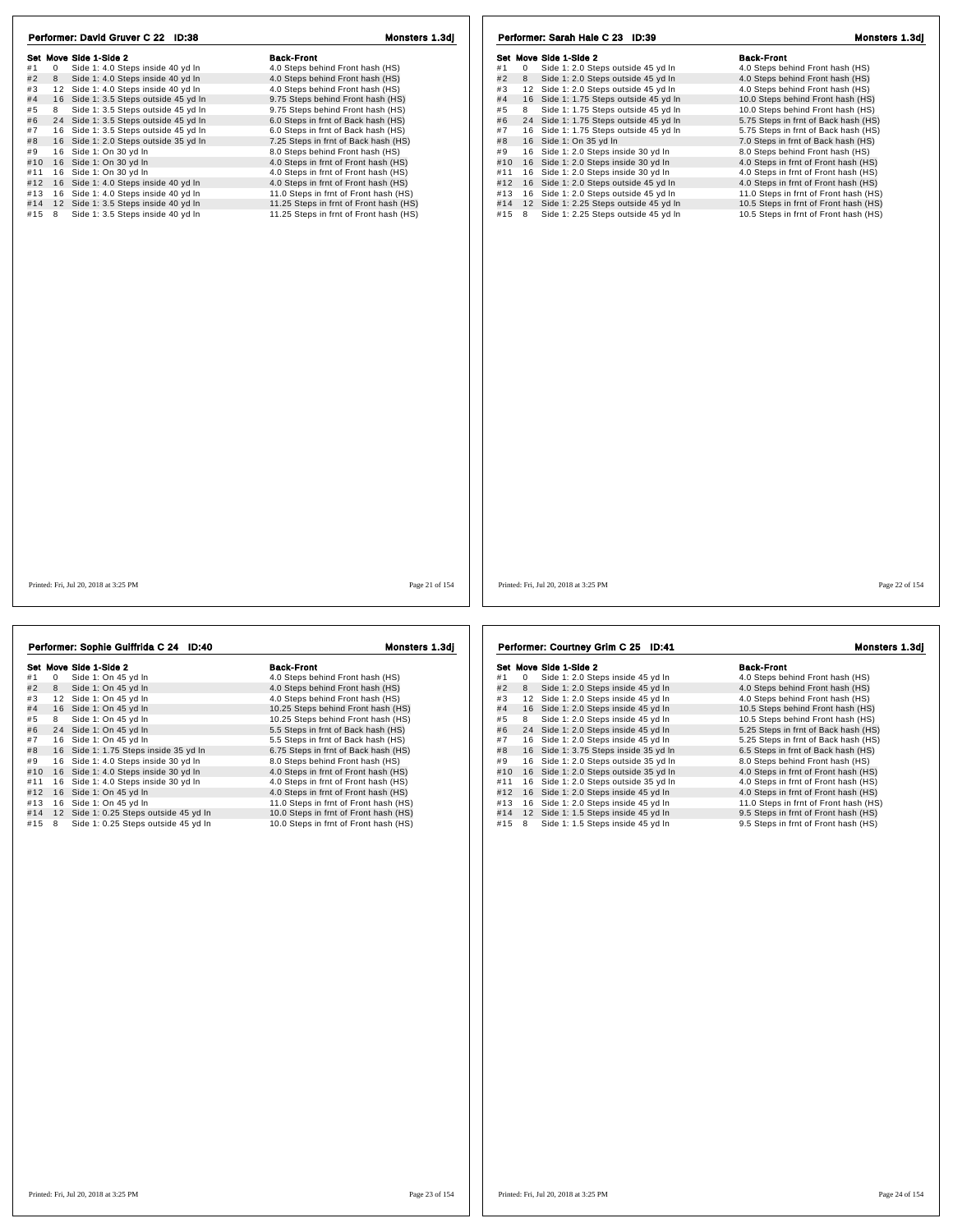| Performer: David Gruver C 22 ID:38                     | Monsters 1.3dj                         | Performer: Sarah Hale C 23 ID:39                        | Monsters 1.3dj                        |
|--------------------------------------------------------|----------------------------------------|---------------------------------------------------------|---------------------------------------|
| Set Move Side 1-Side 2                                 | <b>Back-Front</b>                      | Set Move Side 1-Side 2                                  | <b>Back-Front</b>                     |
| #1<br>$\mathbf 0$<br>Side 1: 4.0 Steps inside 40 yd In | 4.0 Steps behind Front hash (HS)       | Side 1: 2.0 Steps outside 45 yd In<br>#1<br>$\mathbf 0$ | 4.0 Steps behind Front hash (HS)      |
| #2<br>Side 1: 4.0 Steps inside 40 yd In<br>8           | 4.0 Steps behind Front hash (HS)       | #2<br>Side 1: 2.0 Steps outside 45 yd In<br>8           | 4.0 Steps behind Front hash (HS)      |
| #3<br>12 Side 1: 4.0 Steps inside 40 yd In             | 4.0 Steps behind Front hash (HS)       | #3<br>12 Side 1: 2.0 Steps outside 45 yd In             | 4.0 Steps behind Front hash (HS)      |
| #4<br>16 Side 1: 3.5 Steps outside 45 yd In            | 9.75 Steps behind Front hash (HS)      | #4<br>16 Side 1: 1.75 Steps outside 45 yd In            | 10.0 Steps behind Front hash (HS)     |
| #5<br>8<br>Side 1: 3.5 Steps outside 45 yd In          | 9.75 Steps behind Front hash (HS)      | #5<br>8<br>Side 1: 1.75 Steps outside 45 yd In          | 10.0 Steps behind Front hash (HS)     |
| #6<br>24 Side 1: 3.5 Steps outside 45 yd In            | 6.0 Steps in frnt of Back hash (HS)    | 24 Side 1: 1.75 Steps outside 45 yd In<br>#6            | 5.75 Steps in frnt of Back hash (HS)  |
| #7<br>16 Side 1: 3.5 Steps outside 45 yd In            | 6.0 Steps in frnt of Back hash (HS)    | #7<br>16 Side 1: 1.75 Steps outside 45 yd In            | 5.75 Steps in frnt of Back hash (HS)  |
| #8<br>16 Side 1: 2.0 Steps outside 35 yd In            | 7.25 Steps in frnt of Back hash (HS)   | 16 Side 1: On 35 yd In<br>#8                            | 7.0 Steps in frnt of Back hash (HS)   |
| 16 Side 1: On 30 yd In<br>#9                           | 8.0 Steps behind Front hash (HS)       | 16 Side 1: 2.0 Steps inside 30 yd In<br>#9              | 8.0 Steps behind Front hash (HS)      |
| 16 Side 1: On 30 yd In<br>#10                          | 4.0 Steps in frnt of Front hash (HS)   | 16 Side 1: 2.0 Steps inside 30 yd In<br>#10             | 4.0 Steps in frnt of Front hash (HS)  |
| 16 Side 1: On 30 yd In<br>#11                          | 4.0 Steps in frnt of Front hash (HS)   | 16 Side 1: 2.0 Steps inside 30 yd In<br>#11             | 4.0 Steps in frnt of Front hash (HS)  |
| 16 Side 1: 4.0 Steps inside 40 yd In<br>#12            | 4.0 Steps in frnt of Front hash (HS)   | 16 Side 1: 2.0 Steps outside 45 yd In<br>#12            | 4.0 Steps in frnt of Front hash (HS)  |
| 16 Side 1: 4.0 Steps inside 40 yd In<br>#13            | 11.0 Steps in frnt of Front hash (HS)  | 16 Side 1: 2.0 Steps outside 45 yd In<br>#13            | 11.0 Steps in frnt of Front hash (HS) |
| #14<br>12 Side 1: 3.5 Steps inside 40 yd In            | 11.25 Steps in frnt of Front hash (HS) | #14<br>12 Side 1: 2.25 Steps outside 45 yd In           | 10.5 Steps in frnt of Front hash (HS) |
| #15<br>Side 1: 3.5 Steps inside 40 yd In<br>8          | 11.25 Steps in frnt of Front hash (HS) | Side 1: 2.25 Steps outside 45 yd In<br>#15<br>8         | 10.5 Steps in frnt of Front hash (HS) |
|                                                        |                                        |                                                         |                                       |
| Printed: Fri, Jul 20, 2018 at 3:25 PM                  | Page 21 of 154                         | Printed: Fri, Jul 20, 2018 at 3:25 PM                   | Page 22 of 154                        |
|                                                        |                                        |                                                         |                                       |
| Performer: Sophie Guiffrida C 24 ID:40                 | Monsters 1.3dj                         | Performer: Courtney Grim C 25 ID:41                     | Monsters 1.3dj                        |

|     |    | Set Move Side 1-Side 2                 | <b>Back-Front</b>                     |
|-----|----|----------------------------------------|---------------------------------------|
| #1  | 0  | Side 1: On 45 yd In                    | 4.0 Steps behind Front hash (HS)      |
| #2  | 8  | Side 1: On 45 yd In                    | 4.0 Steps behind Front hash (HS)      |
| #3  | 12 | Side 1: On 45 vd In                    | 4.0 Steps behind Front hash (HS)      |
| #4  |    | 16 Side 1: On 45 yd In                 | 10.25 Steps behind Front hash (HS)    |
| #5  | 8  | Side 1: On 45 yd In                    | 10.25 Steps behind Front hash (HS)    |
| #6  | 24 | Side 1: On 45 yd In                    | 5.5 Steps in frnt of Back hash (HS)   |
| #7  | 16 | Side 1: On 45 yd In                    | 5.5 Steps in frnt of Back hash (HS)   |
| #8  | 16 | Side 1: 1.75 Steps inside 35 yd In     | 6.75 Steps in frnt of Back hash (HS)  |
| #9  |    | 16 Side 1: 4.0 Steps inside 30 yd In   | 8.0 Steps behind Front hash (HS)      |
| #10 | 16 | Side 1: 4.0 Steps inside 30 yd In      | 4.0 Steps in frnt of Front hash (HS)  |
| #11 | 16 | Side 1: 4.0 Steps inside 30 yd In      | 4.0 Steps in frnt of Front hash (HS)  |
| #12 | 16 | Side 1: On 45 yd In                    | 4.0 Steps in frnt of Front hash (HS)  |
| #13 | 16 | Side 1: On 45 yd In                    | 11.0 Steps in frnt of Front hash (HS) |
| #14 |    | 12 Side 1: 0.25 Steps outside 45 yd In | 10.0 Steps in frnt of Front hash (HS) |
| #15 | 8  | Side 1: 0.25 Steps outside 45 yd In    | 10.0 Steps in frnt of Front hash (HS) |

Set Move Side 1-Side 2<br>
#1 0 Side 1: 2.0 Steps inside 45 yd In 4.0 Steps behind Front hash (HS)<br>
#2 8 Side 1: 2.0 Steps inside 45 yd In 4.0 Steps behind Front hash (HS)<br>
#3 12 Side 1: 2.0 Steps inside 45 yd In 4.0 Steps be Her move show a 1 o show a comment of the matter of the matter of the matter of the matter of the matter of the<br>
#2 8 Side 1: 2.0 Steps inside 45 yd ln 4.0 Steps behind Front hash (HS)<br>
#3 12 Side 1: 2.0 Steps inside 45 # 4 1 6 Side 1: 2.0 Steps inside 45 yd ln 10.5 Steps behind Front hash (HS) # 5 <sup>8</sup> Side 1: 2.0 Steps inside 45 yd ln 10.5 Steps behind Front hash (HS) # 6 2 4 Side 1: 2.0 Steps inside 45 yd ln 5.25 Steps in frnt of Back hash (HS) # 7 1 6 Side 1: 2.0 Steps inside 45 yd ln 5.25 Steps in frnt of Back hash (HS) # 8 1 6 Side 1: 3.75 Steps inside 35 yd ln 6.5 Steps in frnt of Back hash (HS) # 9 1 6 Side 1: 2.0 Steps outside 35 yd ln 8.0 Steps behind Front hash (HS) #10 16 Side 1: 3.75 Steps inside 35 yd ln 4.0 Steps in frnt of Back hash (HS)<br>#9 16 Side 1: 2.0 Steps outside 35 yd ln 4.0 Steps behind Front hash (HS)<br>#11 16 Side 1: 2.0 Steps outside 35 yd ln 4.0 Steps in frnt of Front h #11 1 6 Side 1: 2.0 Steps outside 35 yd ln 4.0 Steps in frnt of Front hash (HS) #12 1 6 Side 1: 2.0 Steps inside 45 yd ln 4.0 Steps in frnt of Front hash (HS) #13 1 6 Side 1: 2.0 Steps inside 45 yd ln 11.0 Steps in frnt of Front hash (HS) #14 1 2 Side 1: 1.5 Steps inside 45 yd ln 9.5 Steps in frnt of Front hash (HS) #15 8 Side 1: 1.5 Steps inside 45 yd ln 9.5 Steps in frnt of Front hash (HS)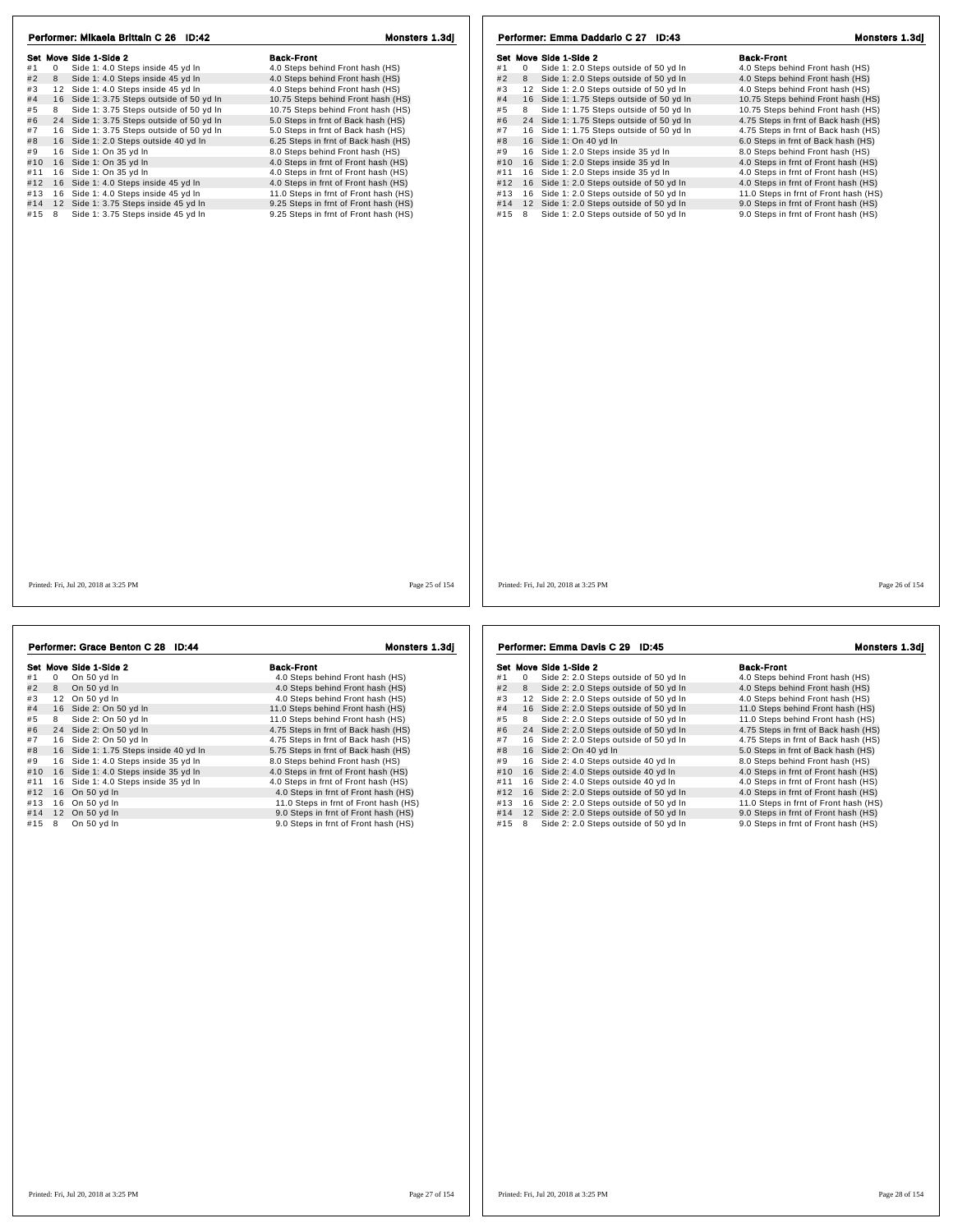| Performer: Mikaela Brittain C 26 ID:42<br>Set Move Side 1-Side 2<br>#1<br>0<br>Side 1: 4.0 Steps inside 45 yd In<br>#2<br>Side 1: 4.0 Steps inside 45 yd In<br>8<br>12 Side 1: 4.0 Steps inside 45 yd In<br>#3<br>#4<br>16 Side 1: 3.75 Steps outside of 50 yd In<br>#5<br>Side 1: 3.75 Steps outside of 50 yd In<br>8<br>#6<br>24 Side 1: 3.75 Steps outside of 50 yd In<br>#7<br>16 Side 1: 3.75 Steps outside of 50 yd In<br>#8<br>16 Side 1: 2.0 Steps outside 40 yd In<br>#9<br>16 Side 1: On 35 yd In<br>#10<br>16 Side 1: On 35 yd In<br>16 Side 1: On 35 yd In<br>#11<br>16 Side 1: 4.0 Steps inside 45 yd In<br>#12<br>#13<br>16 Side 1: 4.0 Steps inside 45 yd In<br>12 Side 1: 3.75 Steps inside 45 yd In<br>#14<br>#15<br>8<br>Side 1: 3.75 Steps inside 45 yd In | Monsters 1.3dj<br><b>Back-Front</b><br>4.0 Steps behind Front hash (HS)<br>4.0 Steps behind Front hash (HS)<br>4.0 Steps behind Front hash (HS)<br>10.75 Steps behind Front hash (HS)<br>10.75 Steps behind Front hash (HS)<br>5.0 Steps in frnt of Back hash (HS)<br>5.0 Steps in frnt of Back hash (HS)<br>6.25 Steps in frnt of Back hash (HS)<br>8.0 Steps behind Front hash (HS)<br>4.0 Steps in frnt of Front hash (HS)<br>4.0 Steps in frnt of Front hash (HS)<br>4.0 Steps in frnt of Front hash (HS)<br>11.0 Steps in frnt of Front hash (HS)<br>9.25 Steps in frnt of Front hash (HS)<br>9.25 Steps in frnt of Front hash (HS) | Performer: Emma Daddario C 27 ID:43<br>Set Move Side 1-Side 2<br>#1<br>$\mathsf 0$<br>Side 1: 2.0 Steps outside of 50 yd In<br>#2<br>Side 1: 2.0 Steps outside of 50 yd In<br>8<br>12 Side 1: 2.0 Steps outside of 50 yd In<br>#3<br>#4<br>16 Side 1: 1.75 Steps outside of 50 yd In<br>#5<br>Side 1: 1.75 Steps outside of 50 yd In<br>8<br>#6<br>24 Side 1: 1.75 Steps outside of 50 yd In<br>#7<br>16 Side 1: 1.75 Steps outside of 50 yd In<br>#8<br>16 Side 1: On 40 yd In<br>#9<br>16 Side 1: 2.0 Steps inside 35 yd In<br>#10<br>16 Side 1: 2.0 Steps inside 35 yd In<br>16 Side 1: 2.0 Steps inside 35 yd In<br>#11<br>#12<br>16 Side 1: 2.0 Steps outside of 50 yd In<br>16 Side 1: 2.0 Steps outside of 50 yd In<br>#13<br>#14<br>12 Side 1: 2.0 Steps outside of 50 yd In<br>#15<br>Side 1: 2.0 Steps outside of 50 yd In<br>8 | Monsters 1.3dj<br><b>Back-Front</b><br>4.0 Steps behind Front hash (HS)<br>4.0 Steps behind Front hash (HS)<br>4.0 Steps behind Front hash (HS)<br>10.75 Steps behind Front hash (HS)<br>10.75 Steps behind Front hash (HS)<br>4.75 Steps in frnt of Back hash (HS)<br>4.75 Steps in frnt of Back hash (HS)<br>6.0 Steps in frnt of Back hash (HS)<br>8.0 Steps behind Front hash (HS)<br>4.0 Steps in frnt of Front hash (HS)<br>4.0 Steps in frnt of Front hash (HS)<br>4.0 Steps in frnt of Front hash (HS)<br>11.0 Steps in frnt of Front hash (HS)<br>9.0 Steps in frnt of Front hash (HS)<br>9.0 Steps in frnt of Front hash (HS) |
|-------------------------------------------------------------------------------------------------------------------------------------------------------------------------------------------------------------------------------------------------------------------------------------------------------------------------------------------------------------------------------------------------------------------------------------------------------------------------------------------------------------------------------------------------------------------------------------------------------------------------------------------------------------------------------------------------------------------------------------------------------------------------------|------------------------------------------------------------------------------------------------------------------------------------------------------------------------------------------------------------------------------------------------------------------------------------------------------------------------------------------------------------------------------------------------------------------------------------------------------------------------------------------------------------------------------------------------------------------------------------------------------------------------------------------|-------------------------------------------------------------------------------------------------------------------------------------------------------------------------------------------------------------------------------------------------------------------------------------------------------------------------------------------------------------------------------------------------------------------------------------------------------------------------------------------------------------------------------------------------------------------------------------------------------------------------------------------------------------------------------------------------------------------------------------------------------------------------------------------------------------------------------------------|-----------------------------------------------------------------------------------------------------------------------------------------------------------------------------------------------------------------------------------------------------------------------------------------------------------------------------------------------------------------------------------------------------------------------------------------------------------------------------------------------------------------------------------------------------------------------------------------------------------------------------------------|
| Printed: Fri, Jul 20, 2018 at 3:25 PM                                                                                                                                                                                                                                                                                                                                                                                                                                                                                                                                                                                                                                                                                                                                         | Page 25 of 154                                                                                                                                                                                                                                                                                                                                                                                                                                                                                                                                                                                                                           | Printed: Fri, Jul 20, 2018 at 3:25 PM                                                                                                                                                                                                                                                                                                                                                                                                                                                                                                                                                                                                                                                                                                                                                                                                     | Page 26 of 154                                                                                                                                                                                                                                                                                                                                                                                                                                                                                                                                                                                                                          |
| Performer: Grace Benton C 28 ID:44                                                                                                                                                                                                                                                                                                                                                                                                                                                                                                                                                                                                                                                                                                                                            | Monsters 1.3dj                                                                                                                                                                                                                                                                                                                                                                                                                                                                                                                                                                                                                           | Performer: Emma Davis C 29 ID:45                                                                                                                                                                                                                                                                                                                                                                                                                                                                                                                                                                                                                                                                                                                                                                                                          | Monsters 1.3dj                                                                                                                                                                                                                                                                                                                                                                                                                                                                                                                                                                                                                          |

|     |    | Set Move Side 1-Side 2                | <b>Back-Front</b>                     |
|-----|----|---------------------------------------|---------------------------------------|
| #1  | 0  | On 50 yd In                           | 4.0 Steps behind Front hash (HS)      |
| #2  | 8  | On 50 yd In                           | 4.0 Steps behind Front hash (HS)      |
| #3  | 12 | On 50 vd In                           | 4.0 Steps behind Front hash (HS)      |
| #4  |    | 16 Side 2: On 50 yd In                | 11.0 Steps behind Front hash (HS)     |
| #5  | 8  | Side 2: On 50 yd In                   | 11.0 Steps behind Front hash (HS)     |
| #6  |    | 24 Side 2: On 50 yd In                | 4.75 Steps in frnt of Back hash (HS)  |
| #7  |    | 16 Side 2: On 50 yd In                | 4.75 Steps in frnt of Back hash (HS)  |
| #8  |    | 16 Side 1: 1.75 Steps inside 40 yd In | 5.75 Steps in frnt of Back hash (HS)  |
| #9  |    | 16 Side 1: 4.0 Steps inside 35 yd In  | 8.0 Steps behind Front hash (HS)      |
| #10 |    | 16 Side 1: 4.0 Steps inside 35 yd In  | 4.0 Steps in frnt of Front hash (HS)  |
| #11 |    | 16 Side 1: 4.0 Steps inside 35 yd In  | 4.0 Steps in frnt of Front hash (HS)  |
| #12 |    | 16 On 50 yd In                        | 4.0 Steps in frnt of Front hash (HS)  |
| #13 |    | 16 On 50 yd In                        | 11.0 Steps in frnt of Front hash (HS) |
| #14 |    | 12 On 50 yd In                        | 9.0 Steps in frnt of Front hash (HS)  |
| #15 | 8  | On 50 yd In                           | 9.0 Steps in frnt of Front hash (HS)  |

|     |    | Set Move Side 1-Side 2                | <b>Back-Front</b>                     |
|-----|----|---------------------------------------|---------------------------------------|
| #1  | 0  | Side 2: 2.0 Steps outside of 50 yd In | 4.0 Steps behind Front hash (HS)      |
| #2  | 8  | Side 2: 2.0 Steps outside of 50 yd In | 4.0 Steps behind Front hash (HS)      |
| #3  | 12 | Side 2: 2.0 Steps outside of 50 vd In | 4.0 Steps behind Front hash (HS)      |
| #4  | 16 | Side 2: 2.0 Steps outside of 50 yd In | 11.0 Steps behind Front hash (HS)     |
| #5  | 8  | Side 2: 2.0 Steps outside of 50 yd In | 11.0 Steps behind Front hash (HS)     |
| #6  | 24 | Side 2: 2.0 Steps outside of 50 yd In | 4.75 Steps in frnt of Back hash (HS)  |
| #7  | 16 | Side 2: 2.0 Steps outside of 50 yd In | 4.75 Steps in frnt of Back hash (HS)  |
| #8  |    | 16 Side 2: On 40 vd In                | 5.0 Steps in frnt of Back hash (HS)   |
| #9  | 16 | Side 2: 4.0 Steps outside 40 vd In    | 8.0 Steps behind Front hash (HS)      |
| #10 | 16 | Side 2: 4.0 Steps outside 40 yd In    | 4.0 Steps in frnt of Front hash (HS)  |
| #11 | 16 | Side 2: 4.0 Steps outside 40 yd In    | 4.0 Steps in frnt of Front hash (HS)  |
| #12 | 16 | Side 2: 2.0 Steps outside of 50 yd In | 4.0 Steps in frnt of Front hash (HS)  |
| #13 | 16 | Side 2: 2.0 Steps outside of 50 yd In | 11.0 Steps in frnt of Front hash (HS) |
| #14 | 12 | Side 2: 2.0 Steps outside of 50 yd In | 9.0 Steps in frnt of Front hash (HS)  |
| #15 | 8  | Side 2: 2.0 Steps outside of 50 yd In | 9.0 Steps in frnt of Front hash (HS)  |

Printed: Fri, Jul 20, 2018 at 3:25 PM Page 27 of 154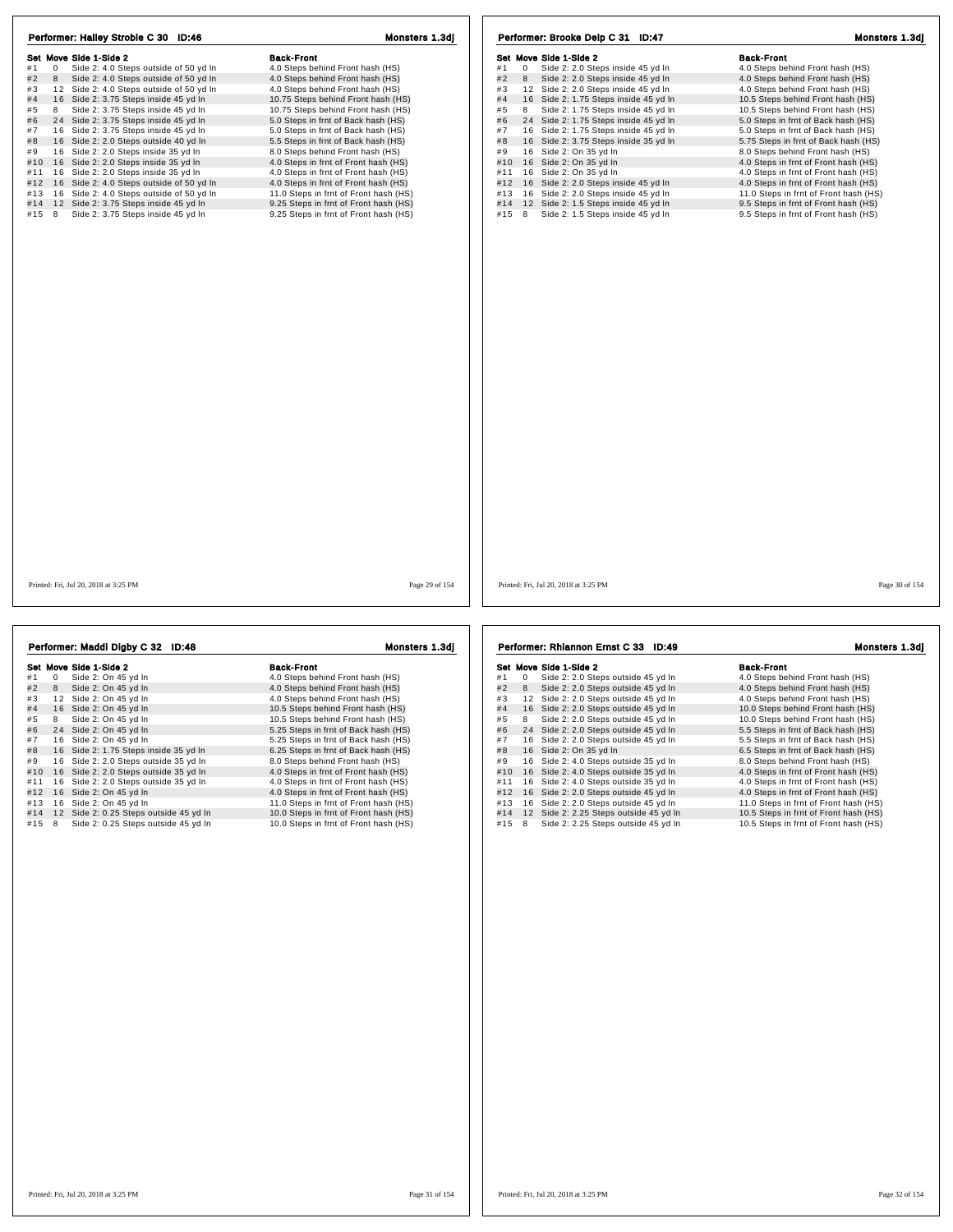| Performer: Hailey Stroble C 30 ID:46                                                                                                                                                                                                                                                                                                                                                                                                                                                                                                                                                                                                                                                                                                                                               | Monsters 1.3dj                                                                                                                                                                                                                                                                                                                                                                                                                                                                                                                                                                                                        | Performer: Brooke Delp C 31 ID:47                                                                                                                                                                                                                                                                                                                                                                                                                                                                                                                                                                                                                                                                               | Monsters 1.3dj                                                                                                                                                                                                                                                                                                                                                                                                                                                                                                                                                                                                     |
|------------------------------------------------------------------------------------------------------------------------------------------------------------------------------------------------------------------------------------------------------------------------------------------------------------------------------------------------------------------------------------------------------------------------------------------------------------------------------------------------------------------------------------------------------------------------------------------------------------------------------------------------------------------------------------------------------------------------------------------------------------------------------------|-----------------------------------------------------------------------------------------------------------------------------------------------------------------------------------------------------------------------------------------------------------------------------------------------------------------------------------------------------------------------------------------------------------------------------------------------------------------------------------------------------------------------------------------------------------------------------------------------------------------------|-----------------------------------------------------------------------------------------------------------------------------------------------------------------------------------------------------------------------------------------------------------------------------------------------------------------------------------------------------------------------------------------------------------------------------------------------------------------------------------------------------------------------------------------------------------------------------------------------------------------------------------------------------------------------------------------------------------------|--------------------------------------------------------------------------------------------------------------------------------------------------------------------------------------------------------------------------------------------------------------------------------------------------------------------------------------------------------------------------------------------------------------------------------------------------------------------------------------------------------------------------------------------------------------------------------------------------------------------|
| Set Move Side 1-Side 2<br>Side 2: 4.0 Steps outside of 50 yd In<br>#1<br>$\mathbf 0$<br>#2<br>8<br>Side 2: 4.0 Steps outside of 50 yd In<br>#3<br>12 Side 2: 4.0 Steps outside of 50 yd In<br>#4<br>16 Side 2: 3.75 Steps inside 45 yd In<br>8 Side 2: 3.75 Steps inside 45 yd In<br>#5<br>#6<br>24 Side 2: 3.75 Steps inside 45 yd In<br>#7<br>16 Side 2: 3.75 Steps inside 45 yd In<br>#8<br>16 Side 2: 2.0 Steps outside 40 yd In<br>16 Side 2: 2.0 Steps inside 35 yd In<br>#9<br>16 Side 2: 2.0 Steps inside 35 yd In<br>#10<br>#11 16 Side 2: 2.0 Steps inside 35 yd In<br>16 Side 2: 4.0 Steps outside of 50 yd In<br>#12<br>16 Side 2: 4.0 Steps outside of 50 yd In<br>#13<br>#14<br>12 Side 2: 3.75 Steps inside 45 yd In<br>#15 8<br>Side 2: 3.75 Steps inside 45 yd In | <b>Back-Front</b><br>4.0 Steps behind Front hash (HS)<br>4.0 Steps behind Front hash (HS)<br>4.0 Steps behind Front hash (HS)<br>10.75 Steps behind Front hash (HS)<br>10.75 Steps behind Front hash (HS)<br>5.0 Steps in frnt of Back hash (HS)<br>5.0 Steps in frnt of Back hash (HS)<br>5.5 Steps in frnt of Back hash (HS)<br>8.0 Steps behind Front hash (HS)<br>4.0 Steps in frnt of Front hash (HS)<br>4.0 Steps in frnt of Front hash (HS)<br>4.0 Steps in frnt of Front hash (HS)<br>11.0 Steps in frnt of Front hash (HS)<br>9.25 Steps in frnt of Front hash (HS)<br>9.25 Steps in frnt of Front hash (HS) | Set Move Side 1-Side 2<br>Side 2: 2.0 Steps inside 45 yd In<br>#1<br>$\overline{0}$<br>#2<br>Side 2: 2.0 Steps inside 45 yd In<br>8<br>#3<br>12 Side 2: 2.0 Steps inside 45 yd In<br>16 Side 2: 1.75 Steps inside 45 yd In<br>#4<br>8<br>Side 2: 1.75 Steps inside 45 yd In<br>#5<br>24 Side 2: 1.75 Steps inside 45 yd In<br>#6<br>16 Side 2: 1.75 Steps inside 45 yd In<br>#7<br>#8<br>16 Side 2: 3.75 Steps inside 35 yd In<br>16 Side 2: On 35 yd In<br>#9<br>16 Side 2: On 35 yd In<br>#10<br>#11 16 Side 2: On 35 yd In<br>#12 16 Side 2: 2.0 Steps inside 45 yd In<br>#13 16 Side 2: 2.0 Steps inside 45 yd In<br>#14 12 Side 2: 1.5 Steps inside 45 yd In<br>#15 8<br>Side 2: 1.5 Steps inside 45 yd In | <b>Back-Front</b><br>4.0 Steps behind Front hash (HS)<br>4.0 Steps behind Front hash (HS)<br>4.0 Steps behind Front hash (HS)<br>10.5 Steps behind Front hash (HS)<br>10.5 Steps behind Front hash (HS)<br>5.0 Steps in frnt of Back hash (HS)<br>5.0 Steps in frnt of Back hash (HS)<br>5.75 Steps in frnt of Back hash (HS)<br>8.0 Steps behind Front hash (HS)<br>4.0 Steps in frnt of Front hash (HS)<br>4.0 Steps in frnt of Front hash (HS)<br>4.0 Steps in frnt of Front hash (HS)<br>11.0 Steps in frnt of Front hash (HS)<br>9.5 Steps in frnt of Front hash (HS)<br>9.5 Steps in frnt of Front hash (HS) |
| Printed: Fri. Jul 20, 2018 at 3:25 PM                                                                                                                                                                                                                                                                                                                                                                                                                                                                                                                                                                                                                                                                                                                                              | Page 29 of 154                                                                                                                                                                                                                                                                                                                                                                                                                                                                                                                                                                                                        | Printed: Fri. Jul 20, 2018 at 3:25 PM                                                                                                                                                                                                                                                                                                                                                                                                                                                                                                                                                                                                                                                                           | Page 30 of 154                                                                                                                                                                                                                                                                                                                                                                                                                                                                                                                                                                                                     |
|                                                                                                                                                                                                                                                                                                                                                                                                                                                                                                                                                                                                                                                                                                                                                                                    |                                                                                                                                                                                                                                                                                                                                                                                                                                                                                                                                                                                                                       |                                                                                                                                                                                                                                                                                                                                                                                                                                                                                                                                                                                                                                                                                                                 |                                                                                                                                                                                                                                                                                                                                                                                                                                                                                                                                                                                                                    |
| Performer: Maddi Digby C 32 ID:48                                                                                                                                                                                                                                                                                                                                                                                                                                                                                                                                                                                                                                                                                                                                                  | Monsters 1.3dj                                                                                                                                                                                                                                                                                                                                                                                                                                                                                                                                                                                                        | Performer: Rhiannon Ernst C 33 ID:49                                                                                                                                                                                                                                                                                                                                                                                                                                                                                                                                                                                                                                                                            | Monsters 1.3dj                                                                                                                                                                                                                                                                                                                                                                                                                                                                                                                                                                                                     |
|                                                                                                                                                                                                                                                                                                                                                                                                                                                                                                                                                                                                                                                                                                                                                                                    |                                                                                                                                                                                                                                                                                                                                                                                                                                                                                                                                                                                                                       |                                                                                                                                                                                                                                                                                                                                                                                                                                                                                                                                                                                                                                                                                                                 |                                                                                                                                                                                                                                                                                                                                                                                                                                                                                                                                                                                                                    |

|     |    | Set Move Side 1-Side 2                | <b>Back-Front</b>                     |
|-----|----|---------------------------------------|---------------------------------------|
| #1  | 0  | Side 2: On 45 yd In                   | 4.0 Steps behind Front hash (HS)      |
| #2  | 8  | Side 2: On 45 yd In                   | 4.0 Steps behind Front hash (HS)      |
| #3  | 12 | Side 2: On 45 yd In                   | 4.0 Steps behind Front hash (HS)      |
| #4  | 16 | Side 2: On 45 yd In                   | 10.5 Steps behind Front hash (HS)     |
| #5  | 8  | Side 2: On 45 yd In                   | 10.5 Steps behind Front hash (HS)     |
| #6  |    | 24 Side 2: On 45 yd In                | 5.25 Steps in frnt of Back hash (HS)  |
| #7  | 16 | Side 2: On 45 yd In                   | 5.25 Steps in frnt of Back hash (HS)  |
| #8  |    | 16 Side 2: 1.75 Steps inside 35 yd In | 6.25 Steps in frnt of Back hash (HS)  |
| #9  | 16 | Side 2: 2.0 Steps outside 35 yd In    | 8.0 Steps behind Front hash (HS)      |
| #10 |    | 16 Side 2: 2.0 Steps outside 35 yd In | 4.0 Steps in frnt of Front hash (HS)  |
| #11 | 16 | Side 2: 2.0 Steps outside 35 yd In    | 4.0 Steps in frnt of Front hash (HS)  |
| #12 | 16 | Side 2: On 45 yd In                   | 4.0 Steps in frnt of Front hash (HS)  |
| #13 | 16 | Side 2: On 45 vd In                   | 11.0 Steps in frnt of Front hash (HS) |
| #14 | 12 | Side 2: 0.25 Steps outside 45 yd In   | 10.0 Steps in frnt of Front hash (HS) |
| #15 | 8  | Side 2: 0.25 Steps outside 45 yd In   | 10.0 Steps in frnt of Front hash (HS) |
|     |    |                                       |                                       |

991 Move Side 1-Side 2<br>
#1 0 Side 2: 2.0 Steps outside 45 yd In 4.0 Steps behind Front hash (HS)<br>
#2 8 Side 2: 2.0 Steps outside 45 yd In 4.0 Steps behind Front hash (HS)<br>
#3 12 Side 2: 2.0 Steps outside 45 yd In 4.0 Steps  $\#4$  1 C slote 2: 2.0 Steps outside 45 yd in 4.0 Steps behind Front hash (HS)<br> $\#5$  8 Side 2: 2.0 Steps outside 45 yd in 10.0 Steps behind Front hash (HS)<br> $\#5$  8 Side 2: 2.0 Steps outside 45 yd in 5.5 Steps in frnt of B # 8 1 6 Side 2: 2.0 Steps outside 45 yd in 8.0 Steps in finit of Back hash (HS)<br># 9 1 6 Side 2: 4.0 Steps outside 35 yd ln 8.0 Steps behind Front hash (HS)<br>#10 16 Side 2: 4.0 Steps outside 35 yd ln 4.0 Steps in frnt of Fr 4.0 Steps in time of Front hash (HS)<br>
#11 16 Side 2: 4.0 Steps outside 35 yd in<br>
#12 16 Side 2: 2.0 Steps outside 45 yd in<br>
#13 16 Side 2: 2.0 Steps outside 45 yd in<br>
#14 12 Side 2: 2.0 Steps outside 45 yd in<br>
#15 8 Side 2

| <b>Back-Front</b>                    |
|--------------------------------------|
| 4.0 Steps behind Front hash (HS)     |
| 4.0 Steps behind Front hash (HS)     |
| 4.0 Steps behind Front hash (HS)     |
| 10.0 Steps behind Front hash (HS)    |
| 10.0 Steps behind Front hash (HS)    |
| 5.5 Steps in frnt of Back hash (HS)  |
| 5.5 Steps in frnt of Back hash (HS)  |
| 6.5 Steps in frnt of Back hash (HS)  |
| 8.0 Steps behind Front hash (HS)     |
| 4.0 Steps in frnt of Front hash (HS) |
| 4.0 Steps in frnt of Front hash (HS) |
| 4.0 Steps in frnt of Front hash (HS) |
| 11.0 Steps in frnt of Front hash (HS |
| 10.5 Steps in frnt of Front hash (HS |
| 10 E Ctone in frot of Eront boob /UC |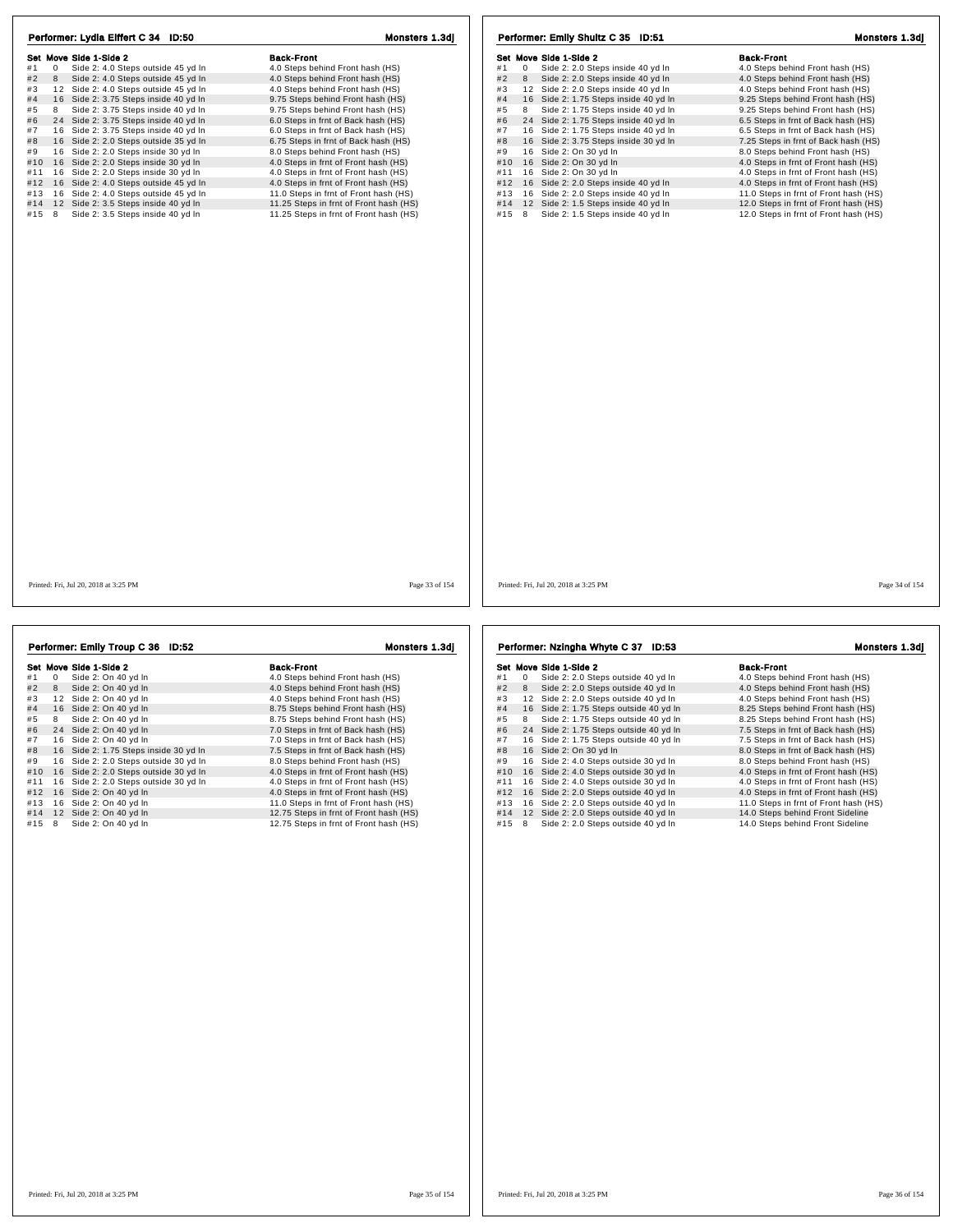| Performer: Lydia Eiffert C 34 ID:50                     | Monsters 1.3dj                         | Performer: Emily Shultz C 35 ID:51                      | Monsters 1.3dj                        |
|---------------------------------------------------------|----------------------------------------|---------------------------------------------------------|---------------------------------------|
| Set Move Side 1-Side 2                                  | <b>Back-Front</b>                      | Set Move Side 1-Side 2                                  | <b>Back-Front</b>                     |
| #1<br>$\mathbf 0$<br>Side 2: 4.0 Steps outside 45 yd In | 4.0 Steps behind Front hash (HS)       | Side 2: 2.0 Steps inside 40 yd In<br>#1<br>$\mathbf{0}$ | 4.0 Steps behind Front hash (HS)      |
| #2<br>8<br>Side 2: 4.0 Steps outside 45 yd In           | 4.0 Steps behind Front hash (HS)       | #2<br>8 Side 2: 2.0 Steps inside 40 yd In               | 4.0 Steps behind Front hash (HS)      |
| 12 Side 2: 4.0 Steps outside 45 yd In<br>#3             | 4.0 Steps behind Front hash (HS)       | 12 Side 2: 2.0 Steps inside 40 yd In<br>#3              | 4.0 Steps behind Front hash (HS)      |
| #4<br>16 Side 2: 3.75 Steps inside 40 yd In             | 9.75 Steps behind Front hash (HS)      | 16 Side 2: 1.75 Steps inside 40 yd In<br>#4             | 9.25 Steps behind Front hash (HS)     |
| #5<br>8<br>Side 2: 3.75 Steps inside 40 yd In           | 9.75 Steps behind Front hash (HS)      | #5<br>Side 2: 1.75 Steps inside 40 yd In<br>8           | 9.25 Steps behind Front hash (HS)     |
| #6<br>24 Side 2: 3.75 Steps inside 40 yd In             | 6.0 Steps in frnt of Back hash (HS)    | #6<br>24 Side 2: 1.75 Steps inside 40 yd In             | 6.5 Steps in frnt of Back hash (HS)   |
| #7<br>16 Side 2: 3.75 Steps inside 40 yd In             | 6.0 Steps in frnt of Back hash (HS)    | #7<br>16 Side 2: 1.75 Steps inside 40 yd In             | 6.5 Steps in frnt of Back hash (HS)   |
| #8<br>16 Side 2: 2.0 Steps outside 35 yd In             | 6.75 Steps in frnt of Back hash (HS)   | 16 Side 2: 3.75 Steps inside 30 yd In<br>#8             | 7.25 Steps in frnt of Back hash (HS)  |
| #9<br>16 Side 2: 2.0 Steps inside 30 yd In              | 8.0 Steps behind Front hash (HS)       | 16 Side 2: On 30 yd In<br>#9                            | 8.0 Steps behind Front hash (HS)      |
| #10 16 Side 2: 2.0 Steps inside 30 yd In                | 4.0 Steps in frnt of Front hash (HS)   | 16 Side 2: On 30 yd In<br>#10                           | 4.0 Steps in frnt of Front hash (HS)  |
| 16 Side 2: 2.0 Steps inside 30 yd In<br>#11             | 4.0 Steps in frnt of Front hash (HS)   | 16 Side 2: On 30 yd In<br>#11                           | 4.0 Steps in frnt of Front hash (HS)  |
| #12 16 Side 2: 4.0 Steps outside 45 yd In               | 4.0 Steps in frnt of Front hash (HS)   | 16 Side 2: 2.0 Steps inside 40 yd In<br>#12             | 4.0 Steps in frnt of Front hash (HS)  |
| 16 Side 2: 4.0 Steps outside 45 yd In<br>#13            | 11.0 Steps in frnt of Front hash (HS)  | 16 Side 2: 2.0 Steps inside 40 yd In<br>#13             | 11.0 Steps in frnt of Front hash (HS) |
| #14 12 Side 2: 3.5 Steps inside 40 yd In                | 11.25 Steps in frnt of Front hash (HS) | #14<br>12 Side 2: 1.5 Steps inside 40 yd In             | 12.0 Steps in frnt of Front hash (HS) |
| Side 2: 3.5 Steps inside 40 yd In<br>#15 8              | 11.25 Steps in frnt of Front hash (HS) | Side 2: 1.5 Steps inside 40 yd In<br>#15 8              | 12.0 Steps in frnt of Front hash (HS) |
|                                                         |                                        |                                                         |                                       |
| Printed: Fri, Jul 20, 2018 at 3:25 PM                   | Page 33 of 154                         | Printed: Fri, Jul 20, 2018 at 3:25 PM                   | Page 34 of 154                        |
|                                                         |                                        |                                                         |                                       |
|                                                         |                                        |                                                         |                                       |
| Performer: Emily Troup C 36 ID:52                       | Monsters 1.3dj                         | Performer: Nzingha Whyte C 37 ID:53                     | Monsters 1.3dj                        |

|     |    | Set Move Side 1-Side 2                | <b>Back-Front</b>                      |
|-----|----|---------------------------------------|----------------------------------------|
| #1  | 0  | Side 2: On 40 yd In                   | 4.0 Steps behind Front hash (HS)       |
| #2  | 8  | Side 2: On 40 yd In                   | 4.0 Steps behind Front hash (HS)       |
| #3  | 12 | Side 2: On 40 yd In                   | 4.0 Steps behind Front hash (HS)       |
| #4  | 16 | Side 2: On 40 yd In                   | 8.75 Steps behind Front hash (HS)      |
| #5  | 8  | Side 2: On 40 yd In                   | 8.75 Steps behind Front hash (HS)      |
| #6  |    | 24 Side 2: On 40 yd In                | 7.0 Steps in frnt of Back hash (HS)    |
| #7  | 16 | Side 2: On 40 vd In                   | 7.0 Steps in frnt of Back hash (HS)    |
| #8  |    | 16 Side 2: 1.75 Steps inside 30 yd In | 7.5 Steps in frnt of Back hash (HS)    |
| #9  | 16 | Side 2: 2.0 Steps outside 30 yd In    | 8.0 Steps behind Front hash (HS)       |
| #10 | 16 | Side 2: 2.0 Steps outside 30 yd In    | 4.0 Steps in frnt of Front hash (HS)   |
| #11 | 16 | Side 2: 2.0 Steps outside 30 yd In    | 4.0 Steps in frnt of Front hash (HS)   |
| #12 | 16 | Side 2: On 40 yd In                   | 4.0 Steps in frnt of Front hash (HS)   |
| #13 | 16 | Side 2: On 40 yd In                   | 11.0 Steps in frnt of Front hash (HS)  |
| #14 | 12 | Side 2: On 40 yd In                   | 12.75 Steps in frnt of Front hash (HS) |
| #15 | 8  | Side 2: On 40 yd In                   | 12.75 Steps in frnt of Front hash (HS) |

Set Move Side 1-Side 2<br>
#1 0 Side 2: 2.0 Steps outside 40 yd In 4.0 Steps behind Front hash (HS)<br>
#2 8 Side 2: 2.0 Steps outside 40 yd In 4.0 Steps behind Front hash (HS) **Survey Show The 2nue 2**<br>
#1 0 Side 2: 2.0 Steps outside 40 yd ln 4.0 Steps behind Front hash (HS)<br>
#2 8 Side 2: 2.0 Steps outside 40 yd ln 4.0 Steps behind Front hash (HS)<br>
#3 12 Side 2: 2.0 Steps outside 40 yd ln 4.0 St # 4 1 6 Side 2: 1.75 Steps outside 40 yd ln 8.25 Steps behind Front hash (HS) # 5 <sup>8</sup> Side 2: 1.75 Steps outside 40 yd ln 8.25 Steps behind Front hash (HS) # 6 2 4 Side 2: 1.75 Steps outside 40 yd ln 7.5 Steps in frnt of Back hash (HS) # 7 1 6 Side 2: 1.75 Steps outside 40 yd ln 7.5 Steps in frnt of Back hash (HS) # 1 6 Side 2: On 30 yd ln 8.0 Steps in finit of Back hash (HS)<br>#8 16 Side 2: 0n 30 yd ln 8.0 Steps outside 30 yd ln 8.0 Steps behind Front hash (HS) #9 16 Side 2: 4.0 Steps outside 30 yd ln 4.0 Steps behind Front hash (HS)<br>#10 16 Side 2: 4.0 Steps outside 30 yd ln 4.0 Steps in frnt of Front hash (HS)<br>#11 16 Side 2: 4.0 Steps outside 30 yd ln #11 1 6 Side 2: 4.0 Steps outside 30 yd ln 4.0 Steps in frnt of Front hash (HS) #12 1 6 Side 2: 2.0 Steps outside 40 yd ln 4.0 Steps in frnt of Front hash (HS)

## #13 1 6 Side 2: 2.0 Steps outside 40 yd ln 11.0 Steps in frnt of Front hash (HS) #14 1 2 Side 2: 2.0 Steps outside 40 yd ln 14.0 Steps behind Front Sideline

#15 8 Side 2: 2.0 Steps outside 40 yd ln 14.0 Steps behind Front Sideline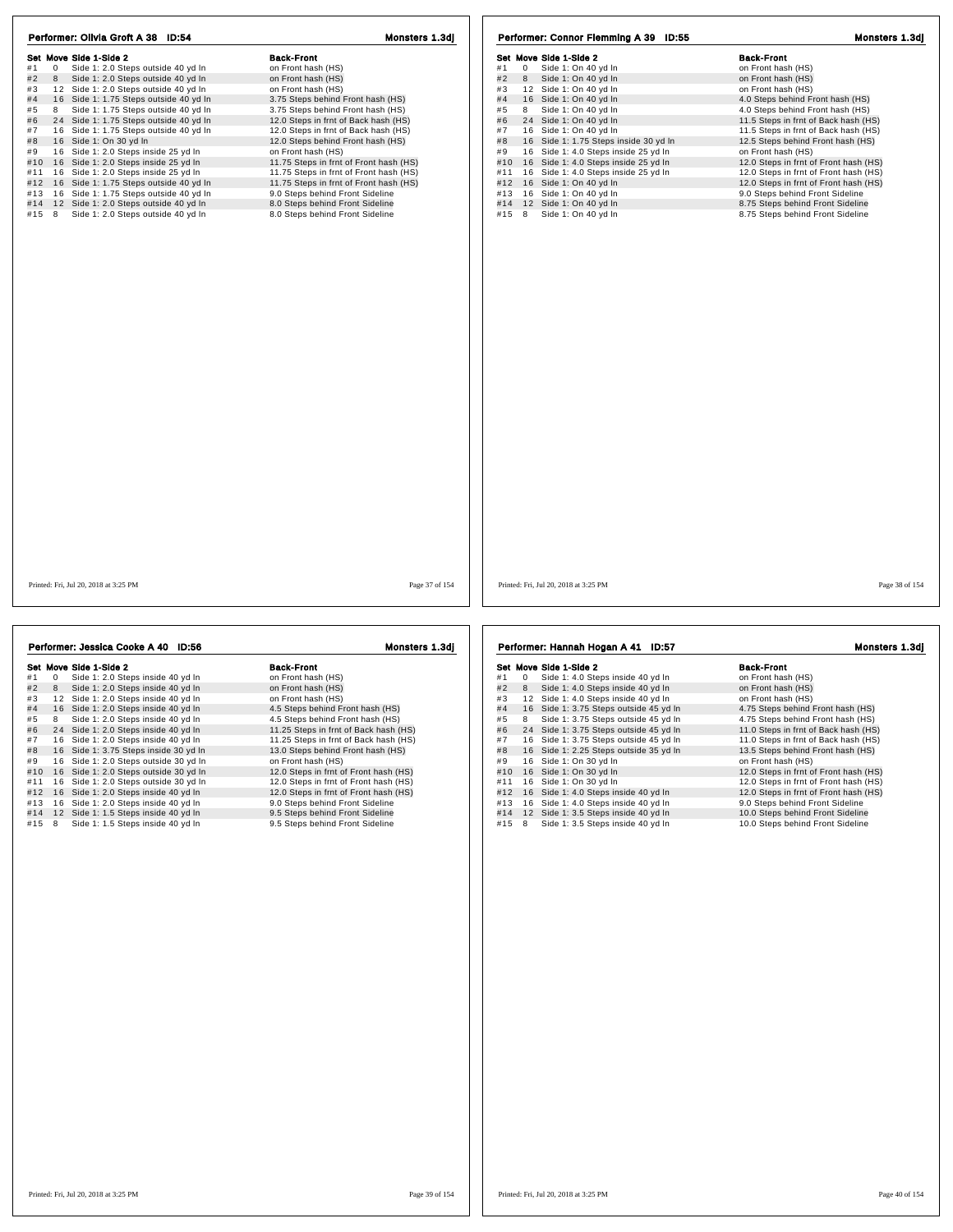| Performer: Olivia Groft A 38 ID:54                         | Monsters 1.3dj                         | Performer: Connor Flemming A 39 ID:55       | Monsters 1.3dj                        |
|------------------------------------------------------------|----------------------------------------|---------------------------------------------|---------------------------------------|
| Set Move Side 1-Side 2                                     | <b>Back-Front</b>                      | Set Move Side 1-Side 2                      | <b>Back-Front</b>                     |
| $\overline{0}$<br>Side 1: 2.0 Steps outside 40 yd In<br>#1 | on Front hash (HS)                     | 0 Side 1: On 40 yd In<br>#1                 | on Front hash (HS)                    |
| $#2$ 8<br>Side 1: 2.0 Steps outside 40 yd In               | on Front hash (HS)                     | #2<br>8<br>Side 1: On 40 yd In              | on Front hash (HS)                    |
| 12 Side 1: 2.0 Steps outside 40 yd In<br>#3                | on Front hash (HS)                     | 12 Side 1: On 40 yd In<br>#3                | on Front hash (HS)                    |
| 16 Side 1: 1.75 Steps outside 40 yd In<br>#4               | 3.75 Steps behind Front hash (HS)      | #4<br>16 Side 1: On 40 yd In                | 4.0 Steps behind Front hash (HS)      |
| #5<br>8<br>Side 1: 1.75 Steps outside 40 yd In             | 3.75 Steps behind Front hash (HS)      | Side 1: On 40 yd In<br>#5<br>8              | 4.0 Steps behind Front hash (HS)      |
| 24 Side 1: 1.75 Steps outside 40 yd In<br>#6               | 12.0 Steps in frnt of Back hash (HS)   | 24 Side 1: On 40 yd In<br>#6                | 11.5 Steps in frnt of Back hash (HS)  |
| #7 16 Side 1: 1.75 Steps outside 40 yd In                  | 12.0 Steps in frnt of Back hash (HS)   | 16 Side 1: On 40 yd In<br>#7                | 11.5 Steps in frnt of Back hash (HS)  |
| 16 Side 1: On 30 yd In<br>#8                               | 12.0 Steps behind Front hash (HS)      | #8<br>16 Side 1: 1.75 Steps inside 30 yd In | 12.5 Steps behind Front hash (HS)     |
| 16 Side 1: 2.0 Steps inside 25 yd In<br>#9                 | on Front hash (HS)                     | 16 Side 1: 4.0 Steps inside 25 yd In<br>#9  | on Front hash (HS)                    |
| #10 16 Side 1: 2.0 Steps inside 25 yd In                   | 11.75 Steps in frnt of Front hash (HS) | 16 Side 1: 4.0 Steps inside 25 yd In<br>#10 | 12.0 Steps in frnt of Front hash (HS) |
| #11 16 Side 1: 2.0 Steps inside 25 yd In                   | 11.75 Steps in frnt of Front hash (HS) | 16 Side 1: 4.0 Steps inside 25 yd In<br>#11 | 12.0 Steps in frnt of Front hash (HS) |
| #12 16 Side 1: 1.75 Steps outside 40 yd In                 | 11.75 Steps in frnt of Front hash (HS) | 16 Side 1: On 40 yd In<br>#12               | 12.0 Steps in frnt of Front hash (HS) |
| #13 16 Side 1: 1.75 Steps outside 40 yd In                 | 9.0 Steps behind Front Sideline        | #13 16 Side 1: On 40 yd In                  | 9.0 Steps behind Front Sideline       |
| #14 12 Side 1: 2.0 Steps outside 40 yd In                  | 8.0 Steps behind Front Sideline        | #14<br>12 Side 1: On 40 yd In               | 8.75 Steps behind Front Sideline      |
| Side 1: 2.0 Steps outside 40 yd In<br>#15 8                | 8.0 Steps behind Front Sideline        | Side 1: On 40 yd In<br>#15 8                | 8.75 Steps behind Front Sideline      |
|                                                            |                                        |                                             |                                       |
|                                                            |                                        |                                             |                                       |
| Printed: Fri, Jul 20, 2018 at 3:25 PM                      | Page 37 of 154                         | Printed: Fri, Jul 20, 2018 at 3:25 PM       | Page 38 of 154                        |

|     |              | Set Move Side 1-Side 2                | <b>Back-Front</b>                     |
|-----|--------------|---------------------------------------|---------------------------------------|
| #1  | $\mathbf{0}$ | Side 1: 2.0 Steps inside 40 yd In     | on Front hash (HS)                    |
| #2  | 8            | Side 1: 2.0 Steps inside 40 yd In     | on Front hash (HS)                    |
| #3  | 12           | Side 1: 2.0 Steps inside 40 yd In     | on Front hash (HS)                    |
| #4  |              | 16 Side 1: 2.0 Steps inside 40 yd In  | 4.5 Steps behind Front hash (HS)      |
| #5  | 8            | Side 1: 2.0 Steps inside 40 yd In     | 4.5 Steps behind Front hash (HS)      |
| #6  |              | 24 Side 1: 2.0 Steps inside 40 yd In  | 11.25 Steps in frnt of Back hash (HS) |
| #7  |              | 16 Side 1: 2.0 Steps inside 40 yd In  | 11.25 Steps in frnt of Back hash (HS) |
| #8  |              | 16 Side 1: 3.75 Steps inside 30 yd In | 13.0 Steps behind Front hash (HS)     |
| #9  | 16           | Side 1: 2.0 Steps outside 30 yd In    | on Front hash (HS)                    |
| #10 |              | 16 Side 1: 2.0 Steps outside 30 yd In | 12.0 Steps in frnt of Front hash (HS) |
| #11 |              | 16 Side 1: 2.0 Steps outside 30 yd In | 12.0 Steps in frnt of Front hash (HS) |
| #12 | 16           | Side 1: 2.0 Steps inside 40 yd In     | 12.0 Steps in frnt of Front hash (HS) |
| #13 |              | 16 Side 1: 2.0 Steps inside 40 yd In  | 9.0 Steps behind Front Sideline       |
| #14 |              | 12 Side 1: 1.5 Steps inside 40 yd In  | 9.5 Steps behind Front Sideline       |
| #15 | 8            | Side 1: 1.5 Steps inside 40 yd In     | 9.5 Steps behind Front Sideline       |

# **Set Move Side 1-Side 2**<br>
#1 0 Side 1:4.0 Steps inside 40 yd ln<br>
#1 2 Side 1:4.0 Steps inside 40 yd ln<br>
#1 3 Side 1:4.0 Steps inside 40 yd ln<br>
#1 5 Side 1:3.75 Steps outside 45 yd ln<br>
#5 8 Side 1:3.75 Steps outside 45 yd

## Performer: Hannah Hogan A 41 ID:57 Monsters 1.3dj

| <b>Back-Front</b>                     |
|---------------------------------------|
| on Front hash (HS)                    |
| on Front hash (HS)                    |
| on Front hash (HS)                    |
| 4.75 Steps behind Front hash (HS)     |
| 4.75 Steps behind Front hash (HS)     |
| 11.0 Steps in frnt of Back hash (HS)  |
| 11.0 Steps in frnt of Back hash (HS)  |
| 13.5 Steps behind Front hash (HS)     |
| on Front hash (HS)                    |
| 12.0 Steps in frnt of Front hash (HS) |
| 12.0 Steps in frnt of Front hash (HS) |
| 12.0 Steps in frnt of Front hash (HS) |
| 9.0 Steps behind Front Sideline       |
| 10.0 Steps behind Front Sideline      |
|                                       |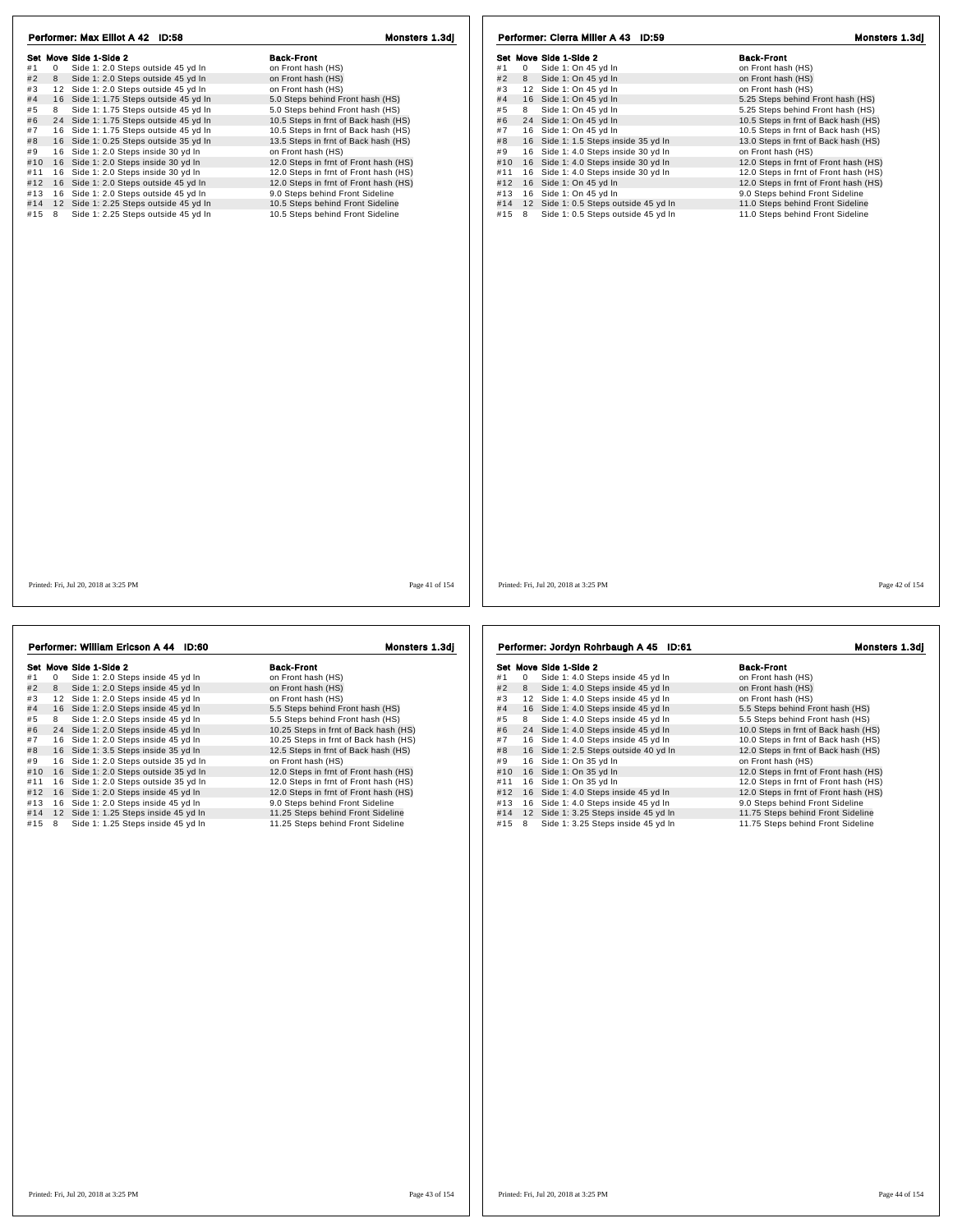| Set Move Side 1-Side 2                                     | <b>Back-Front</b>                     | Set Move Side 1-Side 2                       | <b>Back-Front</b>                     |
|------------------------------------------------------------|---------------------------------------|----------------------------------------------|---------------------------------------|
| $\overline{0}$<br>Side 1: 2.0 Steps outside 45 yd In<br>#1 | on Front hash (HS)                    | #1<br>$\overline{0}$<br>Side 1: On 45 yd In  | on Front hash (HS)                    |
| #2<br>Side 1: 2.0 Steps outside 45 yd In<br>8              | on Front hash (HS)                    | #2<br>Side 1: On 45 yd In<br>8               | on Front hash (HS)                    |
| 12 Side 1: 2.0 Steps outside 45 yd In<br>#3                | on Front hash (HS)                    | 12 Side 1: On 45 yd In<br>#3                 | on Front hash (HS)                    |
| #4<br>16 Side 1: 1.75 Steps outside 45 yd In               | 5.0 Steps behind Front hash (HS)      | #4<br>16 Side 1: On 45 yd In                 | 5.25 Steps behind Front hash (HS)     |
| #5<br>Side 1: 1.75 Steps outside 45 yd In<br>8             | 5.0 Steps behind Front hash (HS)      | Side 1: On 45 yd In<br>#5<br>8               | 5.25 Steps behind Front hash (HS)     |
| #6<br>24 Side 1: 1.75 Steps outside 45 yd In               | 10.5 Steps in frnt of Back hash (HS)  | #6<br>24 Side 1: On 45 yd In                 | 10.5 Steps in frnt of Back hash (HS)  |
| #7 16 Side 1: 1.75 Steps outside 45 yd In                  | 10.5 Steps in frnt of Back hash (HS)  | #7<br>16 Side 1: On 45 yd In                 | 10.5 Steps in frnt of Back hash (HS)  |
| 16 Side 1: 0.25 Steps outside 35 yd In<br>#8               | 13.5 Steps in frnt of Back hash (HS)  | #8<br>16 Side 1: 1.5 Steps inside 35 yd In   | 13.0 Steps in frnt of Back hash (HS)  |
| 16 Side 1: 2.0 Steps inside 30 yd In<br>#9                 | on Front hash (HS)                    | #9<br>16 Side 1: 4.0 Steps inside 30 yd In   | on Front hash (HS)                    |
| #10 16 Side 1: 2.0 Steps inside 30 yd In                   | 12.0 Steps in frnt of Front hash (HS) | 16 Side 1: 4.0 Steps inside 30 yd In<br>#10  | 12.0 Steps in frnt of Front hash (HS) |
| #11 16 Side 1: 2.0 Steps inside 30 yd In                   | 12.0 Steps in frnt of Front hash (HS) | 16 Side 1: 4.0 Steps inside 30 yd In<br>#11  | 12.0 Steps in frnt of Front hash (HS) |
| #12 16 Side 1: 2.0 Steps outside 45 yd In                  | 12.0 Steps in frnt of Front hash (HS) | 16 Side 1: On 45 yd In<br>#12                | 12.0 Steps in frnt of Front hash (HS) |
| Side 1: 2.0 Steps outside 45 yd In<br>#13 16               | 9.0 Steps behind Front Sideline       | 16 Side 1: On 45 yd In<br>#13                | 9.0 Steps behind Front Sideline       |
| #14 12 Side 1: 2.25 Steps outside 45 yd In                 | 10.5 Steps behind Front Sideline      | #14<br>12 Side 1: 0.5 Steps outside 45 yd In | 11.0 Steps behind Front Sideline      |
| Side 1: 2.25 Steps outside 45 yd In<br>#15 8               | 10.5 Steps behind Front Sideline      | Side 1: 0.5 Steps outside 45 yd In<br>#15 8  | 11.0 Steps behind Front Sideline      |
|                                                            |                                       |                                              |                                       |
| Printed: Fri. Jul 20, 2018 at 3:25 PM                      | Page 41 of 154                        | Printed: Fri. Jul 20, 2018 at 3:25 PM        | Page 42 of 154                        |

|     | Performer: William Ericson A 44 ID:60 |                                       | <b>Monsters 1.3di</b>                 |  |
|-----|---------------------------------------|---------------------------------------|---------------------------------------|--|
|     |                                       | Set Move Side 1-Side 2                | <b>Back-Front</b>                     |  |
| #1  | $\Omega$                              | Side 1: 2.0 Steps inside 45 yd In     | on Front hash (HS)                    |  |
| #2  | 8                                     | Side 1: 2.0 Steps inside 45 yd In     | on Front hash (HS)                    |  |
| #3  |                                       | 12 Side 1: 2.0 Steps inside 45 yd In  | on Front hash (HS)                    |  |
| #4  |                                       | 16 Side 1: 2.0 Steps inside 45 yd In  | 5.5 Steps behind Front hash (HS)      |  |
| #5  | 8                                     | Side 1: 2.0 Steps inside 45 yd In     | 5.5 Steps behind Front hash (HS)      |  |
| #6  |                                       | 24 Side 1: 2.0 Steps inside 45 yd In  | 10.25 Steps in frnt of Back hash (HS) |  |
| #7  | 16                                    | Side 1: 2.0 Steps inside 45 yd In     | 10.25 Steps in frnt of Back hash (HS) |  |
| #8  |                                       | 16 Side 1: 3.5 Steps inside 35 yd In  | 12.5 Steps in frnt of Back hash (HS)  |  |
| #9  |                                       | 16 Side 1: 2.0 Steps outside 35 yd In | on Front hash (HS)                    |  |
| #10 | 16                                    | Side 1: 2.0 Steps outside 35 yd In    | 12.0 Steps in frnt of Front hash (HS) |  |
| #11 | 16                                    | Side 1: 2.0 Steps outside 35 yd In    | 12.0 Steps in frnt of Front hash (HS) |  |
| #12 |                                       | 16 Side 1: 2.0 Steps inside 45 yd In  | 12.0 Steps in frnt of Front hash (HS) |  |
| #13 |                                       | 16 Side 1: 2.0 Steps inside 45 yd In  | 9.0 Steps behind Front Sideline       |  |
| #14 |                                       | 12 Side 1: 1.25 Steps inside 45 yd In | 11.25 Steps behind Front Sideline     |  |
| #15 | 8                                     | Side 1: 1.25 Steps inside 45 yd In    | 11.25 Steps behind Front Sideline     |  |

**Sack-Front Many Side 1:4.0** Steps inside 45 yd In that the Side 1:4.0 Steps inside 45 yd In the on Front hash (HS)<br>
#2 8 Side 1:4.0 Steps inside 45 yd In on Front hash (HS)<br>
#3 1 2 Side 1:4.0 Steps inside 45 yd In on Fro #10 1 6 Side 1: 0 1 35 yd In 19 12.0 Steps in find or Front hash (HS)<br>
#12 16 Side 1: 4.0 Steps inside 45 yd In 12.0 Steps in find of Front hash (HS)<br>
#13 16 Side 1: 4.0 Steps inside 45 yd In 12.0 Steps behind Front hash (

## Performer: Jordyn Rohrbaugh A 45 ID:61 Monsters 1.3dj

| <b>Back-Front</b>                         |
|-------------------------------------------|
| on Front hash (HS)                        |
| on Front hash (HS)                        |
| on Front hash (HS)                        |
| 5.5 Steps behind Front hash (HS)          |
| 5.5 Steps behind Front hash (HS)          |
| 10.0 Steps in frnt of Back hash (HS)      |
| 10.0 Steps in frnt of Back hash (HS)      |
| 12.0 Steps in frnt of Back hash (HS)      |
| on Front hash (HS)                        |
| 12.0 Steps in frnt of Front hash (HS)     |
| 12.0 Steps in frnt of Front hash (HS)     |
| 12.0 Steps in frnt of Front hash (HS)     |
| 9.0 Steps behind Front Sideline           |
| 11.75 Steps behind Front Sideline         |
| ala ize Areka ku kita di Eksan Atdalian a |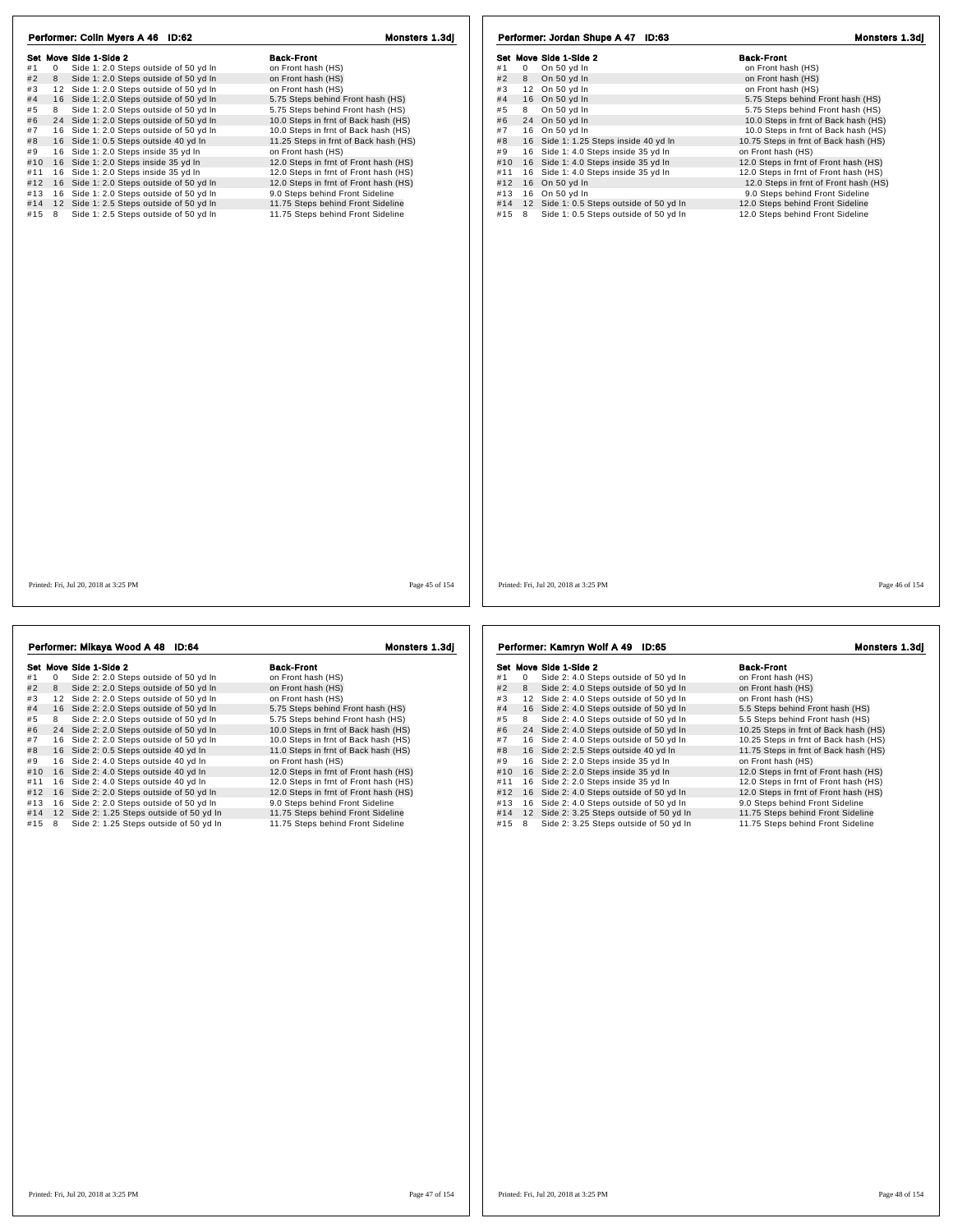| Performer: Colin Myers A 46 ID:62                           | Monsters 1.3dj                        | Performer: Jordan Shupe A 47 ID:63              | Monsters 1.3dj                        |
|-------------------------------------------------------------|---------------------------------------|-------------------------------------------------|---------------------------------------|
| Set Move Side 1-Side 2                                      | <b>Back-Front</b>                     | Set Move Side 1-Side 2                          | <b>Back-Front</b>                     |
| Side 1: 2.0 Steps outside of 50 yd In<br>#1<br>$\mathbf{0}$ | on Front hash (HS)                    | #1<br>On 50 yd In<br>0                          | on Front hash (HS)                    |
| #2<br>Side 1: 2.0 Steps outside of 50 yd In<br>8            | on Front hash (HS)                    | #2<br>8 On 50 yd In                             | on Front hash (HS)                    |
| 12 Side 1: 2.0 Steps outside of 50 yd In<br>#3              | on Front hash (HS)                    | #3<br>12 On 50 yd In                            | on Front hash (HS)                    |
| #4<br>16 Side 1: 2.0 Steps outside of 50 yd In              | 5.75 Steps behind Front hash (HS)     | #4<br>16 On 50 yd In                            | 5.75 Steps behind Front hash (HS)     |
| 8 Side 1: 2.0 Steps outside of 50 yd In<br>#5               | 5.75 Steps behind Front hash (HS)     | On 50 yd In<br>#5<br>8                          | 5.75 Steps behind Front hash (HS)     |
| 24 Side 1: 2.0 Steps outside of 50 yd In<br>#6              | 10.0 Steps in frnt of Back hash (HS)  | 24 On 50 yd In<br>#6                            | 10.0 Steps in frnt of Back hash (HS)  |
| #7 16 Side 1: 2.0 Steps outside of 50 yd In                 | 10.0 Steps in frnt of Back hash (HS)  | #7<br>16 On 50 yd In                            | 10.0 Steps in frnt of Back hash (HS)  |
| 16 Side 1: 0.5 Steps outside 40 yd In<br>#8                 | 11.25 Steps in frnt of Back hash (HS) | 16 Side 1: 1.25 Steps inside 40 yd In<br>#8     | 10.75 Steps in frnt of Back hash (HS) |
| #9 16 Side 1: 2.0 Steps inside 35 yd In                     | on Front hash (HS)                    | 16 Side 1: 4.0 Steps inside 35 yd In<br>#9      | on Front hash (HS)                    |
| #10 16 Side 1: 2.0 Steps inside 35 yd In                    | 12.0 Steps in frnt of Front hash (HS) | 16 Side 1: 4.0 Steps inside 35 yd In<br>#10     | 12.0 Steps in frnt of Front hash (HS) |
| #11 16 Side 1: 2.0 Steps inside 35 yd In                    | 12.0 Steps in frnt of Front hash (HS) | #11 16 Side 1: 4.0 Steps inside 35 yd In        | 12.0 Steps in frnt of Front hash (HS) |
| #12 16 Side 1: 2.0 Steps outside of 50 yd In                | 12.0 Steps in frnt of Front hash (HS) | #12 16 On 50 yd In                              | 12.0 Steps in frnt of Front hash (HS) |
| #13 16 Side 1: 2.0 Steps outside of 50 yd In                | 9.0 Steps behind Front Sideline       | #13 16 On 50 yd In                              | 9.0 Steps behind Front Sideline       |
| #14 12 Side 1: 2.5 Steps outside of 50 yd In                | 11.75 Steps behind Front Sideline     | 12 Side 1: 0.5 Steps outside of 50 yd In<br>#14 | 12.0 Steps behind Front Sideline      |
| Side 1: 2.5 Steps outside of 50 yd In<br>#15 8              | 11.75 Steps behind Front Sideline     | Side 1: 0.5 Steps outside of 50 yd In<br>#15 8  | 12.0 Steps behind Front Sideline      |
|                                                             |                                       |                                                 |                                       |
| Printed: Fri, Jul 20, 2018 at 3:25 PM                       | Page 45 of 154                        | Printed: Fri, Jul 20, 2018 at 3:25 PM           | Page 46 of 154                        |

|     |             | Performer: Mikaya Wood A 48 ID:64         | Monsters 1.3dj                        |     |   | Performer: Kamry  |
|-----|-------------|-------------------------------------------|---------------------------------------|-----|---|-------------------|
|     |             | Set Move Side 1-Side 2                    | <b>Back-Front</b>                     |     |   | Set Move Side 1-S |
| #1  | $\mathbf 0$ | Side 2: 2.0 Steps outside of 50 yd In     | on Front hash (HS)                    | #1  | 0 | Side 2: 4         |
| #2  | 8           | Side 2: 2.0 Steps outside of 50 yd In     | on Front hash (HS)                    | #2  | 8 | Side 2: 4         |
| #3  |             | 12 Side 2: 2.0 Steps outside of 50 yd In  | on Front hash (HS)                    | #3  |   | 12 Side 2: 4      |
| #4  |             | 16 Side 2: 2.0 Steps outside of 50 yd In  | 5.75 Steps behind Front hash (HS)     | #4  |   | 16 Side 2: 4      |
| #5  | 8           | Side 2: 2.0 Steps outside of 50 yd In     | 5.75 Steps behind Front hash (HS)     | #5  | 8 | Side 2: 4         |
| #6  |             | 24 Side 2: 2.0 Steps outside of 50 yd In  | 10.0 Steps in frnt of Back hash (HS)  | #6  |   | 24 Side 2: 4      |
| #7  | 16          | Side 2: 2.0 Steps outside of 50 yd In     | 10.0 Steps in frnt of Back hash (HS)  | #7  |   | 16 Side 2: 4      |
| #8  |             | 16 Side 2: 0.5 Steps outside 40 yd In     | 11.0 Steps in frnt of Back hash (HS)  | #8  |   | 16 Side 2: 2      |
| #9  | 16          | Side 2: 4.0 Steps outside 40 yd In        | on Front hash (HS)                    | #9  |   | 16 Side 2: 2      |
| #10 | 16          | Side 2: 4.0 Steps outside 40 yd In        | 12.0 Steps in frnt of Front hash (HS) | #10 |   | 16 Side 2: 2      |
| #11 |             | 16 Side 2: 4.0 Steps outside 40 yd In     | 12.0 Steps in frnt of Front hash (HS) | #11 |   | 16 Side 2: 2      |
| #12 |             | 16 Side 2: 2.0 Steps outside of 50 yd In  | 12.0 Steps in frnt of Front hash (HS) | #12 |   | 16 Side 2: 4      |
| #13 |             | 16 Side 2: 2.0 Steps outside of 50 yd In  | 9.0 Steps behind Front Sideline       | #13 |   | 16 Side 2: 4      |
| #14 |             | 12 Side 2: 1.25 Steps outside of 50 yd In | 11.75 Steps behind Front Sideline     | #14 |   | 12 Side 2: 3      |
| #15 | 8           | Side 2: 1.25 Steps outside of 50 yd In    | 11.75 Steps behind Front Sideline     | #15 | 8 | Side 2: 3         |
|     |             |                                           |                                       |     |   |                   |
|     |             |                                           |                                       |     |   |                   |

## Performer: Kamryn Wolf A 49 ID:65 Monsters 1.3dj

|     |    | Set Move Side 1-Side 2                 | <b>Back-Front</b>                     |
|-----|----|----------------------------------------|---------------------------------------|
| #1  | 0  | Side 2: 4.0 Steps outside of 50 yd In  | on Front hash (HS)                    |
| #2  | 8  | Side 2: 4.0 Steps outside of 50 yd In  | on Front hash (HS)                    |
| #3  | 12 | Side 2: 4.0 Steps outside of 50 yd In  | on Front hash (HS)                    |
| #4  | 16 | Side 2: 4.0 Steps outside of 50 yd In  | 5.5 Steps behind Front hash (HS)      |
| #5  | 8  | Side 2: 4.0 Steps outside of 50 yd In  | 5.5 Steps behind Front hash (HS)      |
| #6  | 24 | Side 2: 4.0 Steps outside of 50 yd In  | 10.25 Steps in frnt of Back hash (HS) |
| #7  | 16 | Side 2: 4.0 Steps outside of 50 yd In  | 10.25 Steps in frnt of Back hash (HS) |
| #8  |    | 16 Side 2: 2.5 Steps outside 40 yd In  | 11.75 Steps in frnt of Back hash (HS) |
| #9  | 16 | Side 2: 2.0 Steps inside 35 yd In      | on Front hash (HS)                    |
| #10 |    | 16 Side 2: 2.0 Steps inside 35 yd In   | 12.0 Steps in frnt of Front hash (HS) |
| #11 | 16 | Side 2: 2.0 Steps inside 35 yd In      | 12.0 Steps in frnt of Front hash (HS) |
| #12 | 16 | Side 2: 4.0 Steps outside of 50 yd In  | 12.0 Steps in frnt of Front hash (HS) |
| #13 | 16 | Side 2: 4.0 Steps outside of 50 yd In  | 9.0 Steps behind Front Sideline       |
| #14 | 12 | Side 2: 3.25 Steps outside of 50 yd In | 11.75 Steps behind Front Sideline     |
| #15 | 8  | Side 2: 3.25 Steps outside of 50 yd In | 11.75 Steps behind Front Sideline     |
|     |    |                                        |                                       |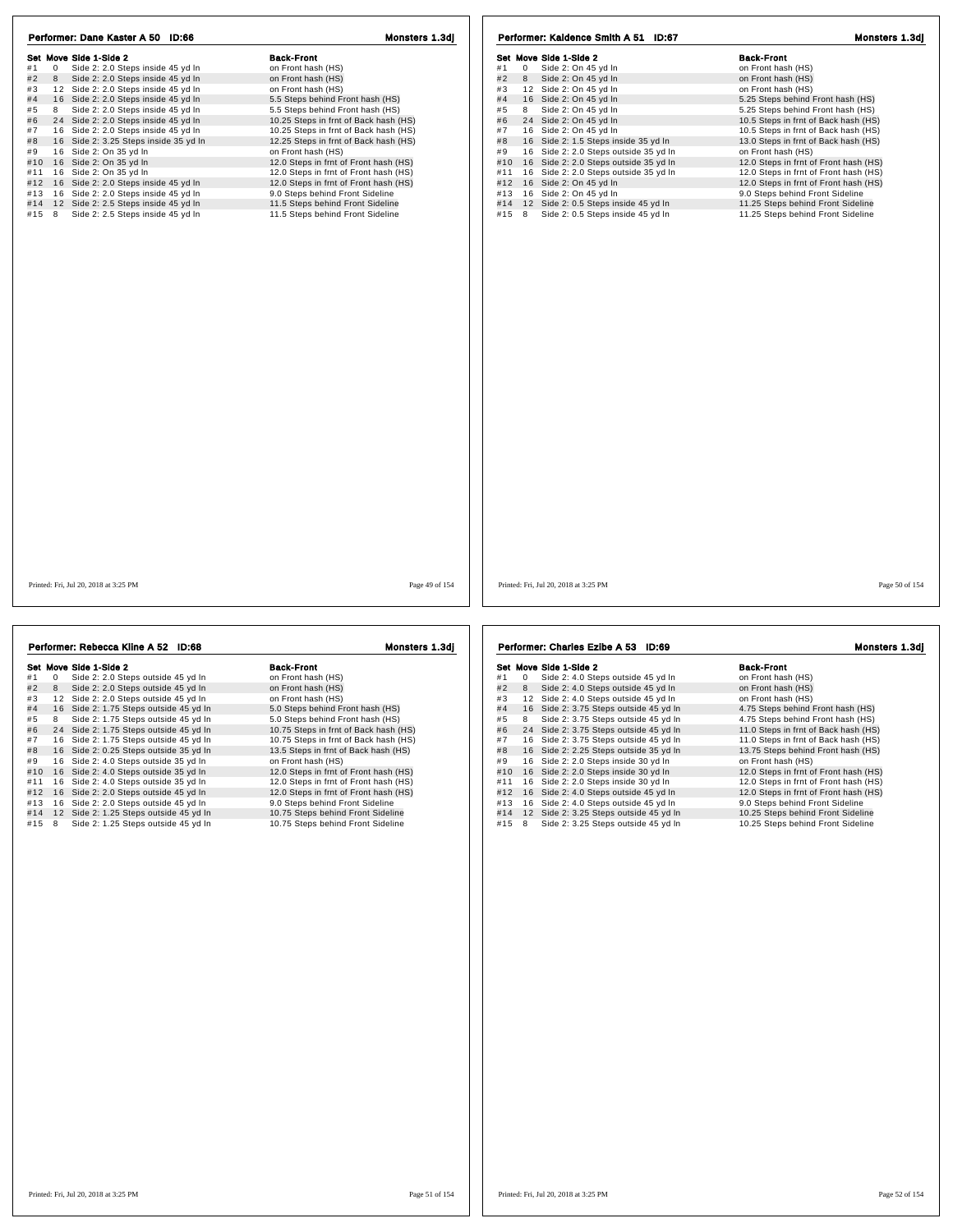| Set Move Side 1-Side 2                                    | <b>Back-Front</b>                     | Set Move Side 1-Side 2                       | <b>Back-Front</b>                     |
|-----------------------------------------------------------|---------------------------------------|----------------------------------------------|---------------------------------------|
| $\overline{0}$<br>Side 2: 2.0 Steps inside 45 yd In<br>#1 | on Front hash (HS)                    | #1<br>$\overline{0}$<br>Side 2: On 45 yd In  | on Front hash (HS)                    |
| 8 Side 2: 2.0 Steps inside 45 yd In<br>#2<br>#3           | on Front hash (HS)                    | Side 2: On 45 yd In<br>#2<br>8               | on Front hash (HS)                    |
| 12 Side 2: 2.0 Steps inside 45 yd In                      | on Front hash (HS)                    | 12 Side 2: On 45 yd In<br>#3                 | on Front hash (HS)                    |
| #4<br>16 Side 2: 2.0 Steps inside 45 yd In                | 5.5 Steps behind Front hash (HS)      | 16 Side 2: On 45 yd In<br>#4                 | 5.25 Steps behind Front hash (HS)     |
| 8 Side 2: 2.0 Steps inside 45 yd In<br>#5                 | 5.5 Steps behind Front hash (HS)      | Side 2: On 45 yd In<br>#5<br>8               | 5.25 Steps behind Front hash (HS)     |
| #6<br>24 Side 2: 2.0 Steps inside 45 yd In                | 10.25 Steps in frnt of Back hash (HS) | 24 Side 2: On 45 yd In<br>#6                 | 10.5 Steps in frnt of Back hash (HS)  |
| #7 16 Side 2: 2.0 Steps inside 45 yd In                   | 10.25 Steps in frnt of Back hash (HS) | 16 Side 2: On 45 yd In<br>#7                 | 10.5 Steps in frnt of Back hash (HS)  |
| 16 Side 2: 3.25 Steps inside 35 yd In                     | 12.25 Steps in frnt of Back hash (HS) | #8<br>16 Side 2: 1.5 Steps inside 35 yd In   | 13.0 Steps in frnt of Back hash (HS)  |
| 16 Side 2: On 35 yd In                                    | on Front hash (HS)                    | 16 Side 2: 2.0 Steps outside 35 yd In<br>#9  | on Front hash (HS)                    |
| #10 16 Side 2: On 35 yd In                                | 12.0 Steps in frnt of Front hash (HS) | 16 Side 2: 2.0 Steps outside 35 yd In<br>#10 | 12.0 Steps in frnt of Front hash (HS) |
| #11 16 Side 2: On 35 yd In                                | 12.0 Steps in frnt of Front hash (HS) | 16 Side 2: 2.0 Steps outside 35 yd In<br>#11 | 12.0 Steps in frnt of Front hash (HS) |
| #12 16 Side 2: 2.0 Steps inside 45 yd In                  | 12.0 Steps in frnt of Front hash (HS) | 16 Side 2: On 45 yd In<br>#12                | 12.0 Steps in frnt of Front hash (HS) |
| #13 16 Side 2: 2.0 Steps inside 45 yd In                  | 9.0 Steps behind Front Sideline       | 16 Side 2: On 45 yd In<br>#13                | 9.0 Steps behind Front Sideline       |
| #14 12 Side 2: 2.5 Steps inside 45 yd In                  | 11.5 Steps behind Front Sideline      | 12 Side 2: 0.5 Steps inside 45 yd In<br>#14  | 11.25 Steps behind Front Sideline     |
| #15 8<br>Side 2: 2.5 Steps inside 45 yd In                | 11.5 Steps behind Front Sideline      | Side 2: 0.5 Steps inside 45 yd In<br>#15 8   | 11.25 Steps behind Front Sideline     |
|                                                           |                                       |                                              |                                       |
|                                                           |                                       |                                              |                                       |
|                                                           |                                       |                                              |                                       |
|                                                           |                                       |                                              |                                       |
|                                                           |                                       |                                              |                                       |
|                                                           |                                       |                                              |                                       |

| Performer: Rebecca Kline A 52 ID:68              | <b>Monsters 1.3di</b>                 | Performer: Charles Ezibe A 53<br>ID:69           | Monsters 1.3dj                        |
|--------------------------------------------------|---------------------------------------|--------------------------------------------------|---------------------------------------|
| Set Move Side 1-Side 2                           | <b>Back-Front</b>                     | Set Move Side 1-Side 2                           | <b>Back-Front</b>                     |
| Side 2: 2.0 Steps outside 45 yd In<br>#1         | on Front hash (HS)                    | Side 2: 4.0 Steps outside 45 yd In<br>#1         | on Front hash (HS)                    |
| Side 2: 2.0 Steps outside 45 yd In<br>#2<br>8    | on Front hash (HS)                    | Side 2: 4.0 Steps outside 45 yd In<br>#2<br>8    | on Front hash (HS)                    |
| Side 2: 2.0 Steps outside 45 yd In<br>12<br>#3   | on Front hash (HS)                    | 12 Side 2: 4.0 Steps outside 45 yd In<br>#3      | on Front hash (HS)                    |
| 16 Side 2: 1.75 Steps outside 45 yd In<br>#4     | 5.0 Steps behind Front hash (HS)      | 16 Side 2: 3.75 Steps outside 45 yd In<br>#4     | 4.75 Steps behind Front hash (HS)     |
| Side 2: 1.75 Steps outside 45 yd In<br>#5        | 5.0 Steps behind Front hash (HS)      | Side 2: 3.75 Steps outside 45 yd In<br>8<br>#5   | 4.75 Steps behind Front hash (HS)     |
| 24 Side 2: 1.75 Steps outside 45 yd In<br>#6     | 10.75 Steps in frnt of Back hash (HS) | 24 Side 2: 3.75 Steps outside 45 yd In<br>#6     | 11.0 Steps in frnt of Back hash (HS)  |
| 16 Side 2: 1.75 Steps outside 45 yd In<br>#7     | 10.75 Steps in frnt of Back hash (HS) | 16 Side 2: 3.75 Steps outside 45 yd In<br>#7     | 11.0 Steps in frnt of Back hash (HS)  |
| Side 2: 0.25 Steps outside 35 yd In<br>16<br>#8  | 13.5 Steps in frnt of Back hash (HS)  | 16 Side 2: 2.25 Steps outside 35 yd In<br>#8     | 13.75 Steps behind Front hash (HS)    |
| Side 2: 4.0 Steps outside 35 yd In<br>16<br>#9   | on Front hash (HS)                    | Side 2: 2.0 Steps inside 30 yd In<br>16<br>#9    | on Front hash (HS)                    |
| Side 2: 4.0 Steps outside 35 yd In<br>#10<br>16  | 12.0 Steps in frnt of Front hash (HS) | Side 2: 2.0 Steps inside 30 yd In<br>16<br>#10   | 12.0 Steps in frnt of Front hash (HS) |
| Side 2: 4.0 Steps outside 35 yd In<br>16<br>#11  | 12.0 Steps in frnt of Front hash (HS) | Side 2: 2.0 Steps inside 30 yd In<br>16<br>#11   | 12.0 Steps in frnt of Front hash (HS) |
| Side 2: 2.0 Steps outside 45 yd In<br>#12<br>16  | 12.0 Steps in frnt of Front hash (HS) | Side 2: 4.0 Steps outside 45 yd In<br>16<br>#12  | 12.0 Steps in frnt of Front hash (HS) |
| Side 2: 2.0 Steps outside 45 yd In<br>16<br>#13  | 9.0 Steps behind Front Sideline       | Side 2: 4.0 Steps outside 45 yd In<br>16<br>#13  | 9.0 Steps behind Front Sideline       |
| 12<br>Side 2: 1.25 Steps outside 45 yd In<br>#14 | 10.75 Steps behind Front Sideline     | Side 2: 3.25 Steps outside 45 yd In<br>12<br>#14 | 10.25 Steps behind Front Sideline     |
| Side 2: 1.25 Steps outside 45 yd In<br>#15       | 10.75 Steps behind Front Sideline     | Side 2: 3.25 Steps outside 45 yd In<br>#15<br>8  | 10.25 Steps behind Front Sideline     |
|                                                  |                                       |                                                  |                                       |

|     |    | Set Move Side 1-Side 2                 | <b>Back-Front</b>                     |
|-----|----|----------------------------------------|---------------------------------------|
| #1  | 0  | Side 2: 4.0 Steps outside 45 yd In     | on Front hash (HS)                    |
| #2  | 8  | Side 2: 4.0 Steps outside 45 yd In     | on Front hash (HS)                    |
| #3  | 12 | Side 2: 4.0 Steps outside 45 vd In     | on Front hash (HS)                    |
| #4  | 16 | Side 2: 3.75 Steps outside 45 yd In    | 4.75 Steps behind Front hash (HS)     |
| #5  | 8  | Side 2: 3.75 Steps outside 45 yd In    | 4.75 Steps behind Front hash (HS)     |
| #6  | 24 | Side 2: 3.75 Steps outside 45 yd In    | 11.0 Steps in frnt of Back hash (HS)  |
| #7  | 16 | Side 2: 3.75 Steps outside 45 yd In    | 11.0 Steps in frnt of Back hash (HS)  |
| #8  |    | 16 Side 2: 2.25 Steps outside 35 yd In | 13.75 Steps behind Front hash (HS)    |
| #9  | 16 | Side 2: 2.0 Steps inside 30 yd In      | on Front hash (HS)                    |
| #10 | 16 | Side 2: 2.0 Steps inside 30 yd In      | 12.0 Steps in frnt of Front hash (HS) |
| #11 | 16 | Side 2: 2.0 Steps inside 30 yd In      | 12.0 Steps in frnt of Front hash (HS) |
| #12 | 16 | Side 2: 4.0 Steps outside 45 yd In     | 12.0 Steps in frnt of Front hash (HS) |
| #13 | 16 | Side 2: 4.0 Steps outside 45 yd In     | 9.0 Steps behind Front Sideline       |
| #14 |    | 12 Side 2: 3.25 Steps outside 45 yd In | 10.25 Steps behind Front Sideline     |
| #15 | 8  | Side 2: 3.25 Steps outside 45 yd In    | 10.25 Steps behind Front Sideline     |

| <b>Back-Front</b><br>on Front hash (HS) |
|-----------------------------------------|
| on Front hash (HS)                      |
| on Front hash (HS)                      |
| 4.75 Steps behind Front hash (HS)       |
| 4.75 Steps behind Front hash (HS)       |
| 11.0 Steps in frnt of Back hash (HS)    |
| 11.0 Steps in frnt of Back hash (HS)    |
| 13.75 Steps behind Front hash (HS)      |
| on Front hash (HS)                      |
| 12.0 Steps in frnt of Front hash (HS)   |
| 12.0 Steps in frnt of Front hash (HS)   |
| 12.0 Steps in frnt of Front hash (HS)   |
| 9.0 Steps behind Front Sideline         |
| 10.25 Steps behind Front Sideline       |
|                                         |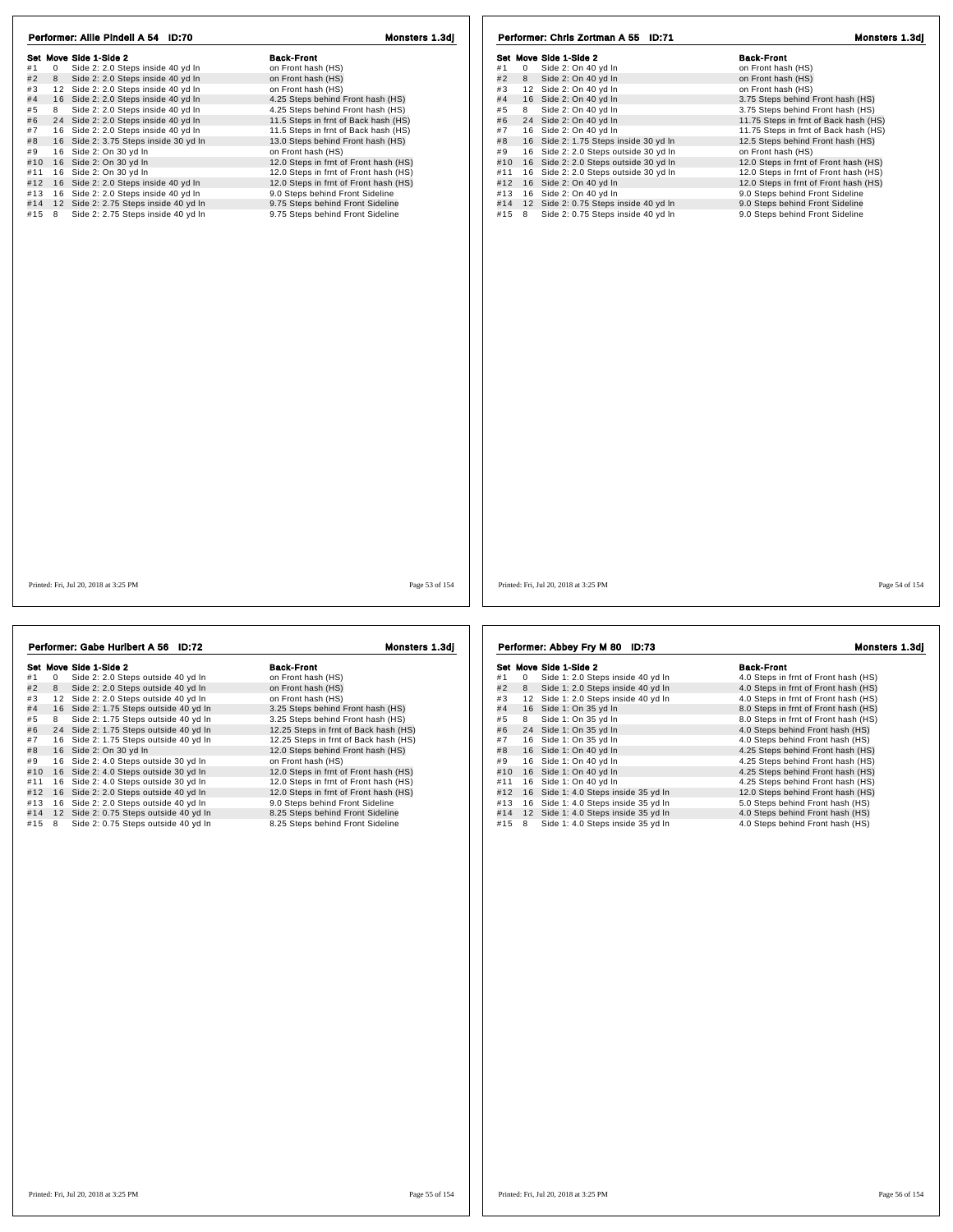| Performer: Allie Pindell A 54 ID:70                       | Monsters 1.3di                        | Performer: Chris Zortman A 55 ID:71          | Monsters 1.3dj                        |
|-----------------------------------------------------------|---------------------------------------|----------------------------------------------|---------------------------------------|
| Set Move Side 1-Side 2                                    | <b>Back-Front</b>                     | Set Move Side 1-Side 2                       | <b>Back-Front</b>                     |
| Side 2: 2.0 Steps inside 40 yd In<br>$\overline{0}$<br>#1 | on Front hash (HS)                    | #1<br>0 Side 2: On 40 yd In                  | on Front hash (HS)                    |
| 8 Side 2: 2.0 Steps inside 40 yd In<br>#2                 | on Front hash (HS)                    | 8 Side 2: On 40 yd In<br>#2                  | on Front hash (HS)                    |
| 12 Side 2: 2.0 Steps inside 40 yd In<br>#3                | on Front hash (HS)                    | 12 Side 2: On 40 yd In<br>#3                 | on Front hash (HS)                    |
| #4 16 Side 2: 2.0 Steps inside 40 yd In                   | 4.25 Steps behind Front hash (HS)     | 16 Side 2: On 40 yd In<br>#4                 | 3.75 Steps behind Front hash (HS)     |
| 8 Side 2: 2.0 Steps inside 40 yd In<br>#5                 | 4.25 Steps behind Front hash (HS)     | Side 2: On 40 yd In<br>#5<br>8               | 3.75 Steps behind Front hash (HS)     |
| 24 Side 2: 2.0 Steps inside 40 yd In<br>#6                | 11.5 Steps in frnt of Back hash (HS)  | 24 Side 2: On 40 yd In<br>#6                 | 11.75 Steps in frnt of Back hash (HS) |
| #7 16 Side 2: 2.0 Steps inside 40 yd In                   | 11.5 Steps in frnt of Back hash (HS)  | 16 Side 2: On 40 yd In<br>#7                 | 11.75 Steps in frnt of Back hash (HS) |
| 16 Side 2: 3.75 Steps inside 30 yd In<br>#8               | 13.0 Steps behind Front hash (HS)     | 16 Side 2: 1.75 Steps inside 30 yd In<br>#8  | 12.5 Steps behind Front hash (HS)     |
| 16 Side 2: On 30 yd In<br>#9                              | on Front hash (HS)                    | 16 Side 2: 2.0 Steps outside 30 yd In<br>#9  | on Front hash (HS)                    |
| #10 16 Side 2: On 30 yd In                                | 12.0 Steps in frnt of Front hash (HS) | 16 Side 2: 2.0 Steps outside 30 yd In<br>#10 | 12.0 Steps in frnt of Front hash (HS) |
| #11 16 Side 2: On 30 yd In                                | 12.0 Steps in frnt of Front hash (HS) | 16 Side 2: 2.0 Steps outside 30 yd In<br>#11 | 12.0 Steps in frnt of Front hash (HS) |
| #12 16 Side 2: 2.0 Steps inside 40 yd In                  | 12.0 Steps in frnt of Front hash (HS) | #12 16 Side 2: On 40 yd In                   | 12.0 Steps in frnt of Front hash (HS) |
| #13 16 Side 2: 2.0 Steps inside 40 yd In                  | 9.0 Steps behind Front Sideline       | 16 Side 2: On 40 yd In<br>#13                | 9.0 Steps behind Front Sideline       |
| #14 12 Side 2: 2.75 Steps inside 40 yd In                 | 9.75 Steps behind Front Sideline      | #14 12 Side 2: 0.75 Steps inside 40 yd In    | 9.0 Steps behind Front Sideline       |
| #15 8<br>Side 2: 2.75 Steps inside 40 yd In               | 9.75 Steps behind Front Sideline      | #15 8 Side 2: 0.75 Steps inside 40 yd In     | 9.0 Steps behind Front Sideline       |
|                                                           |                                       |                                              |                                       |
| Printed: Fri, Jul 20, 2018 at 3:25 PM                     | Page 53 of 154                        | Printed: Fri, Jul 20, 2018 at 3:25 PM        | Page 54 of 154                        |

| Performer: Gabe Huribert A 56 ID:72 |              |                                        | Monsters 1.3dj                        |  |  |
|-------------------------------------|--------------|----------------------------------------|---------------------------------------|--|--|
|                                     |              | Set Move Side 1-Side 2                 | <b>Back-Front</b>                     |  |  |
| #1                                  | $\mathbf{0}$ | Side 2: 2.0 Steps outside 40 yd In     | on Front hash (HS)                    |  |  |
| #2                                  | 8            | Side 2: 2.0 Steps outside 40 yd In     | on Front hash (HS)                    |  |  |
| #3                                  | 12           | Side 2: 2.0 Steps outside 40 yd In     | on Front hash (HS)                    |  |  |
| #4                                  |              | 16 Side 2: 1.75 Steps outside 40 yd In | 3.25 Steps behind Front hash (HS)     |  |  |
| #5                                  | 8            | Side 2: 1.75 Steps outside 40 yd In    | 3.25 Steps behind Front hash (HS)     |  |  |
| #6                                  | 24           | Side 2: 1.75 Steps outside 40 yd In    | 12.25 Steps in frnt of Back hash (HS) |  |  |
| #7                                  | 16           | Side 2: 1.75 Steps outside 40 yd In    | 12.25 Steps in frnt of Back hash (HS) |  |  |
| #8                                  |              | 16 Side 2: On 30 yd In                 | 12.0 Steps behind Front hash (HS)     |  |  |
| #9                                  | 16           | Side 2: 4.0 Steps outside 30 yd In     | on Front hash (HS)                    |  |  |
| #10                                 | 16           | Side 2: 4.0 Steps outside 30 yd In     | 12.0 Steps in frnt of Front hash (HS) |  |  |
| #11                                 | 16           | Side 2: 4.0 Steps outside 30 yd In     | 12.0 Steps in frnt of Front hash (HS) |  |  |
| #12                                 |              | 16 Side 2: 2.0 Steps outside 40 yd In  | 12.0 Steps in frnt of Front hash (HS) |  |  |
| #13                                 |              | 16 Side 2: 2.0 Steps outside 40 yd In  | 9.0 Steps behind Front Sideline       |  |  |
| #14                                 |              | 12 Side 2: 0.75 Steps outside 40 yd In | 8.25 Steps behind Front Sideline      |  |  |
| #15                                 | 8            | Side 2: 0.75 Steps outside 40 yd In    | 8.25 Steps behind Front Sideline      |  |  |

|     |    | Performer: Abbey Fry M 80 ID:73      | <b>Monsters 1.3di</b>                |
|-----|----|--------------------------------------|--------------------------------------|
|     |    | Set Move Side 1-Side 2               | <b>Back-Front</b>                    |
| #1  | 0  | Side 1: 2.0 Steps inside 40 yd In    | 4.0 Steps in frnt of Front hash (HS) |
| #2  | 8  | Side 1: 2.0 Steps inside 40 yd In    | 4.0 Steps in frnt of Front hash (HS) |
| #3  |    | 12 Side 1: 2.0 Steps inside 40 yd In | 4.0 Steps in frnt of Front hash (HS) |
| #4  |    | 16 Side 1: On 35 yd In               | 8.0 Steps in frnt of Front hash (HS) |
| #5  | 8  | Side 1: On 35 yd In                  | 8.0 Steps in frnt of Front hash (HS) |
| #6  |    | 24 Side 1: On 35 yd In               | 4.0 Steps behind Front hash (HS)     |
| #7  |    | 16 Side 1: On 35 yd In               | 4.0 Steps behind Front hash (HS)     |
| #8  |    | 16 Side 1: On 40 yd In               | 4.25 Steps behind Front hash (HS)    |
| #9  | 16 | Side 1: On 40 yd In                  | 4.25 Steps behind Front hash (HS)    |
| #10 |    | 16 Side 1: On 40 yd In               | 4.25 Steps behind Front hash (HS)    |
| #11 | 16 | Side 1: On 40 yd In                  | 4.25 Steps behind Front hash (HS)    |
| #12 | 16 | Side 1: 4.0 Steps inside 35 yd In    | 12.0 Steps behind Front hash (HS)    |
| #13 | 16 | Side 1: 4.0 Steps inside 35 yd In    | 5.0 Steps behind Front hash (HS)     |
| #14 |    | 12 Side 1: 4.0 Steps inside 35 yd In | 4.0 Steps behind Front hash (HS)     |
| #15 | 8  | Side 1: 4.0 Steps inside 35 yd In    | 4.0 Steps behind Front hash (HS)     |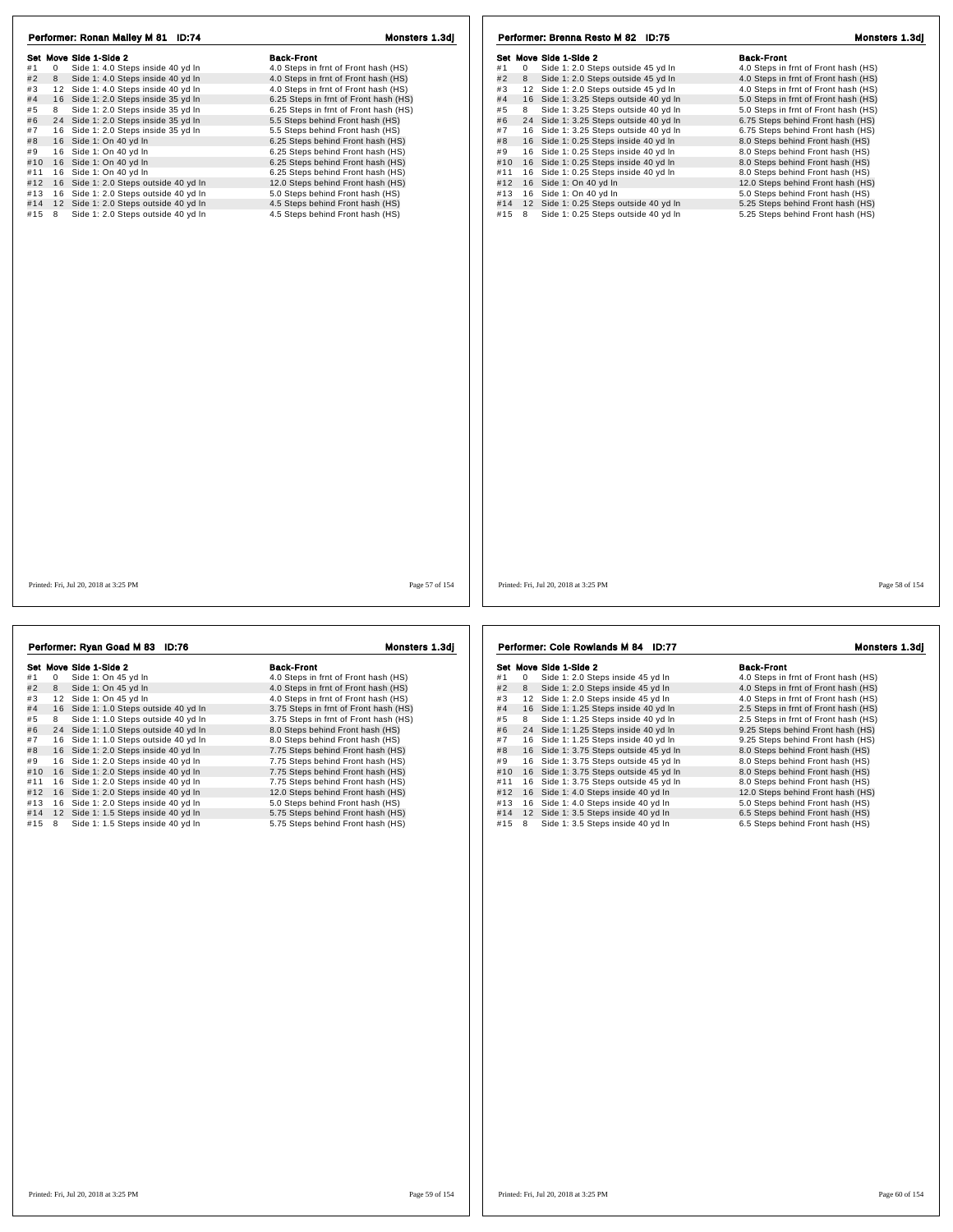| Performer: Ronan Mailey M 81 ID:74                        | Monsters 1.3di                        | Performer: Brenna Resto M 82 ID:75                       | Monsters 1.3dj                       |
|-----------------------------------------------------------|---------------------------------------|----------------------------------------------------------|--------------------------------------|
| Set Move Side 1-Side 2                                    | <b>Back-Front</b>                     | Set Move Side 1-Side 2                                   | <b>Back-Front</b>                    |
| $\overline{0}$<br>Side 1: 4.0 Steps inside 40 yd In<br>#1 | 4.0 Steps in frnt of Front hash (HS)  | Side 1: 2.0 Steps outside 45 yd In<br>#1<br>$\mathbf{0}$ | 4.0 Steps in frnt of Front hash (HS) |
| #2<br>Side 1: 4.0 Steps inside 40 yd In<br>8              | 4.0 Steps in frnt of Front hash (HS)  | #2<br>8 Side 1: 2.0 Steps outside 45 yd In               | 4.0 Steps in frnt of Front hash (HS) |
| 12 Side 1: 4.0 Steps inside 40 yd In<br>#3                | 4.0 Steps in frnt of Front hash (HS)  | #3<br>12 Side 1: 2.0 Steps outside 45 yd In              | 4.0 Steps in frnt of Front hash (HS) |
| #4 16 Side 1: 2.0 Steps inside 35 yd In                   | 6.25 Steps in frnt of Front hash (HS) | #4<br>16 Side 1: 3.25 Steps outside 40 yd In             | 5.0 Steps in frnt of Front hash (HS) |
| 8 Side 1: 2.0 Steps inside 35 yd In<br>#5                 | 6.25 Steps in frnt of Front hash (HS) | #5<br>Side 1: 3.25 Steps outside 40 yd In<br>8           | 5.0 Steps in frnt of Front hash (HS) |
| #6<br>24 Side 1: 2.0 Steps inside 35 yd In                | 5.5 Steps behind Front hash (HS)      | #6<br>24 Side 1: 3.25 Steps outside 40 yd In             | 6.75 Steps behind Front hash (HS)    |
| 16 Side 1: 2.0 Steps inside 35 yd In<br>#7                | 5.5 Steps behind Front hash (HS)      | 16 Side 1: 3.25 Steps outside 40 yd In<br>#7             | 6.75 Steps behind Front hash (HS)    |
| #8<br>16 Side 1: On 40 yd In                              | 6.25 Steps behind Front hash (HS)     | #8<br>16 Side 1: 0.25 Steps inside 40 yd In              | 8.0 Steps behind Front hash (HS)     |
| 16 Side 1: On 40 yd In<br>#9                              | 6.25 Steps behind Front hash (HS)     | 16 Side 1: 0.25 Steps inside 40 yd In<br>#9              | 8.0 Steps behind Front hash (HS)     |
| #10 16 Side 1: On 40 yd In                                | 6.25 Steps behind Front hash (HS)     | #10<br>16 Side 1: 0.25 Steps inside 40 yd In             | 8.0 Steps behind Front hash (HS)     |
| 16 Side 1: On 40 yd In<br>#11                             | 6.25 Steps behind Front hash (HS)     | #11<br>16 Side 1: 0.25 Steps inside 40 yd In             | 8.0 Steps behind Front hash (HS)     |
| #12 16 Side 1: 2.0 Steps outside 40 yd In                 | 12.0 Steps behind Front hash (HS)     | 16 Side 1: On 40 yd In<br>#12                            | 12.0 Steps behind Front hash (HS)    |
| #13 16 Side 1: 2.0 Steps outside 40 yd In                 | 5.0 Steps behind Front hash (HS)      | #13<br>16 Side 1: On 40 yd In                            | 5.0 Steps behind Front hash (HS)     |
| #14 12 Side 1: 2.0 Steps outside 40 yd In                 | 4.5 Steps behind Front hash (HS)      | 12 Side 1: 0.25 Steps outside 40 yd In<br>#14            | 5.25 Steps behind Front hash (HS)    |
| Side 1: 2.0 Steps outside 40 yd In<br>#15 8               | 4.5 Steps behind Front hash (HS)      | Side 1: 0.25 Steps outside 40 yd In<br>#15 8             | 5.25 Steps behind Front hash (HS)    |
|                                                           |                                       |                                                          |                                      |
| Printed: Fri. Jul 20, 2018 at 3:25 PM                     | Page 57 of 154                        | Printed: Fri. Jul 20, 2018 at 3:25 PM                    | Page 58 of 154                       |

| Performer: Ryan Goad M 83 ID:76 |    |                                       | Monsters 1.3dj                        |  |
|---------------------------------|----|---------------------------------------|---------------------------------------|--|
|                                 |    | Set Move Side 1-Side 2                | <b>Back-Front</b>                     |  |
| #1                              | 0  | Side 1: On 45 yd In                   | 4.0 Steps in frnt of Front hash (HS)  |  |
| #2                              | 8  | Side 1: On 45 yd In                   | 4.0 Steps in frnt of Front hash (HS)  |  |
| #3                              | 12 | Side 1: On 45 vd In                   | 4.0 Steps in frnt of Front hash (HS)  |  |
| #4                              |    | 16 Side 1: 1.0 Steps outside 40 yd In | 3.75 Steps in frnt of Front hash (HS) |  |
| #5                              | 8  | Side 1: 1.0 Steps outside 40 yd In    | 3.75 Steps in frnt of Front hash (HS) |  |
| #6                              |    | 24 Side 1: 1.0 Steps outside 40 yd In | 8.0 Steps behind Front hash (HS)      |  |
| #7                              | 16 | Side 1: 1.0 Steps outside 40 yd In    | 8.0 Steps behind Front hash (HS)      |  |
| #8                              |    | 16 Side 1: 2.0 Steps inside 40 yd In  | 7.75 Steps behind Front hash (HS)     |  |
| #9                              | 16 | Side 1: 2.0 Steps inside 40 yd In     | 7.75 Steps behind Front hash (HS)     |  |
| #10                             | 16 | Side 1: 2.0 Steps inside 40 yd In     | 7.75 Steps behind Front hash (HS)     |  |
| #11                             | 16 | Side 1: 2.0 Steps inside 40 yd In     | 7.75 Steps behind Front hash (HS)     |  |
| #12                             | 16 | Side 1: 2.0 Steps inside 40 yd In     | 12.0 Steps behind Front hash (HS)     |  |
| #13                             | 16 | Side 1: 2.0 Steps inside 40 yd In     | 5.0 Steps behind Front hash (HS)      |  |
| #14                             | 12 | Side 1: 1.5 Steps inside 40 yd In     | 5.75 Steps behind Front hash (HS)     |  |
| #15                             | 8  | Side 1: 1.5 Steps inside 40 yd In     | 5.75 Steps behind Front hash (HS)     |  |

991 Move Side 1-Side 2<br>
#1 0 Side 1:2.0 Steps inside 45 yd In 4.0 Steps in frnt of Front hash (HS)<br>
#2 8 Side 1:2.0 Steps inside 45 yd In 4.0 Steps in frnt of Front hash (HS)<br>
#3 12 Side 1:2.0 Steps inside 45 yd In 4.0 Ste # 4 1 6 Side 1: 1.25 Steps inside 40 yd ln 2.5 Steps in frnt of Front hash (HS) # 5 <sup>8</sup> Side 1: 1.25 Steps inside 40 yd ln 2.5 Steps in frnt of Front hash (HS) # 6 2 4 Side 1: 1.25 Steps inside 40 yd ln 9.25 Steps behind Front hash (HS) # 7 1 6 Side 1: 1.25 Steps inside 40 yd ln 9.25 Steps behind Front hash (HS) # 8 1 6 Side 1: 3.75 Steps outside 45 yd ln 8.0 Steps behind Front hash (HS) # 9 1 6 Side 1: 3.75 Steps outside 45 yd ln 8.0 Steps behind Front hash (HS) #9 16 Side 1: 3.75 Steps outside 45 yd In 8.0 Steps behind Front hash (HS)<br>#10 16 Side 1: 3.75 Steps outside 45 yd In 8.0 Steps behind Front hash (HS)<br>#11 16 Side 1: 3.75 Steps outside 45 yd In 8.0 Steps behind Front hash #11 1 6 Side 1: 3.75 Steps outside 45 yd ln 8.0 Steps behind Front hash (HS) #12 1 6 Side 1: 4.0 Steps inside 40 yd ln 12.0 Steps behind Front hash (HS) #12 1 to sloe 1: 4.0 Steps inside 40 yd ln 5.0 Steps behind Front hash (HS)<br>#13 16 Side 1: 4.0 Steps inside 40 yd ln 5.0 Steps behind Front hash (HS)<br>#14 12 Side 1: 3.5 Steps inside 40 yd ln 5.5 Steps behind Front hash ( #15 8 Side 1: 3.5 Steps inside 40 yd ln 6.5 Steps behind Front hash (HS) Performer: Cole Rowlands M 84 ID:77 Monsters 1.3dj

Printed: Fri, Jul 20, 2018 at 3:25 PM Page 59 of 154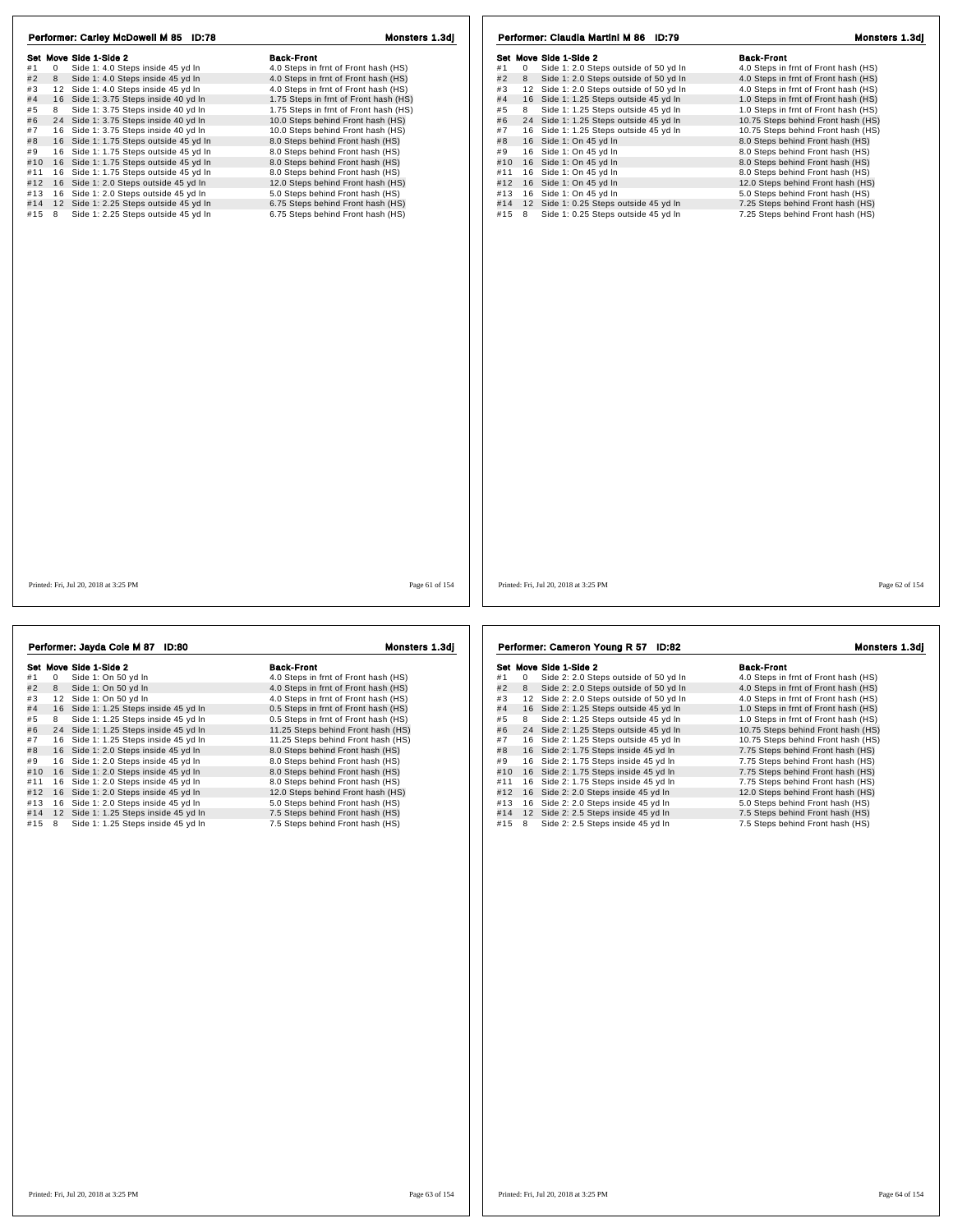| Set Move Side 1-Side 2<br>Side 1: 4.0 Steps inside 45 yd In<br>#1<br>$\mathbf{0}$<br>#2<br>8<br>Side 1: 4.0 Steps inside 45 yd In<br>#3<br>12 Side 1: 4.0 Steps inside 45 yd In<br>#4<br>16 Side 1: 3.75 Steps inside 40 yd In<br>#5<br>Side 1: 3.75 Steps inside 40 yd In<br>8<br>#6<br>24 Side 1: 3.75 Steps inside 40 yd In<br>#7<br>16 Side 1: 3.75 Steps inside 40 yd In | <b>Back-Front</b><br>4.0 Steps in frnt of Front hash (HS)<br>4.0 Steps in frnt of Front hash (HS)<br>4.0 Steps in frnt of Front hash (HS)<br>1.75 Steps in frnt of Front hash (HS) | Set Move Side 1-Side 2<br>Side 1: 2.0 Steps outside of 50 yd In<br>#1<br>$\mathbf{0}$<br>#2<br>8<br>Side 1: 2.0 Steps outside of 50 yd In | <b>Back-Front</b><br>4.0 Steps in frnt of Front hash (HS) |
|-------------------------------------------------------------------------------------------------------------------------------------------------------------------------------------------------------------------------------------------------------------------------------------------------------------------------------------------------------------------------------|------------------------------------------------------------------------------------------------------------------------------------------------------------------------------------|-------------------------------------------------------------------------------------------------------------------------------------------|-----------------------------------------------------------|
|                                                                                                                                                                                                                                                                                                                                                                               |                                                                                                                                                                                    |                                                                                                                                           |                                                           |
|                                                                                                                                                                                                                                                                                                                                                                               |                                                                                                                                                                                    |                                                                                                                                           |                                                           |
|                                                                                                                                                                                                                                                                                                                                                                               |                                                                                                                                                                                    |                                                                                                                                           | 4.0 Steps in frnt of Front hash (HS)                      |
|                                                                                                                                                                                                                                                                                                                                                                               |                                                                                                                                                                                    | #3<br>12 Side 1: 2.0 Steps outside of 50 yd In                                                                                            | 4.0 Steps in frnt of Front hash (HS)                      |
|                                                                                                                                                                                                                                                                                                                                                                               |                                                                                                                                                                                    | 16 Side 1: 1.25 Steps outside 45 yd In<br>#4                                                                                              | 1.0 Steps in frnt of Front hash (HS)                      |
|                                                                                                                                                                                                                                                                                                                                                                               | 1.75 Steps in frnt of Front hash (HS)                                                                                                                                              | Side 1: 1.25 Steps outside 45 yd In<br>#5<br>8                                                                                            | 1.0 Steps in frnt of Front hash (HS)                      |
|                                                                                                                                                                                                                                                                                                                                                                               | 10.0 Steps behind Front hash (HS)                                                                                                                                                  | 24 Side 1: 1.25 Steps outside 45 yd In<br>#6                                                                                              | 10.75 Steps behind Front hash (HS)                        |
|                                                                                                                                                                                                                                                                                                                                                                               | 10.0 Steps behind Front hash (HS)                                                                                                                                                  | 16 Side 1: 1.25 Steps outside 45 yd In<br>#7                                                                                              | 10.75 Steps behind Front hash (HS)                        |
| #8<br>16 Side 1: 1.75 Steps outside 45 yd In                                                                                                                                                                                                                                                                                                                                  | 8.0 Steps behind Front hash (HS)                                                                                                                                                   | 16 Side 1: On 45 yd In<br>#8                                                                                                              | 8.0 Steps behind Front hash (HS)                          |
| #9<br>16 Side 1: 1.75 Steps outside 45 yd In                                                                                                                                                                                                                                                                                                                                  | 8.0 Steps behind Front hash (HS)                                                                                                                                                   | #9<br>16 Side 1: On 45 yd In                                                                                                              | 8.0 Steps behind Front hash (HS)                          |
| 16 Side 1: 1.75 Steps outside 45 yd In<br>#10                                                                                                                                                                                                                                                                                                                                 | 8.0 Steps behind Front hash (HS)                                                                                                                                                   | 16 Side 1: On 45 yd In<br>#10                                                                                                             | 8.0 Steps behind Front hash (HS)                          |
| #11 16 Side 1: 1.75 Steps outside 45 yd In                                                                                                                                                                                                                                                                                                                                    | 8.0 Steps behind Front hash (HS)                                                                                                                                                   | 16 Side 1: On 45 yd In<br>#11                                                                                                             | 8.0 Steps behind Front hash (HS)                          |
| #12 16 Side 1: 2.0 Steps outside 45 yd In                                                                                                                                                                                                                                                                                                                                     | 12.0 Steps behind Front hash (HS)                                                                                                                                                  | 16 Side 1: On 45 yd In<br>#12                                                                                                             | 12.0 Steps behind Front hash (HS)                         |
| 16 Side 1: 2.0 Steps outside 45 yd In<br>#13                                                                                                                                                                                                                                                                                                                                  | 5.0 Steps behind Front hash (HS)                                                                                                                                                   | 16 Side 1: On 45 yd In<br>#13                                                                                                             | 5.0 Steps behind Front hash (HS)                          |
| #14 12 Side 1: 2.25 Steps outside 45 yd In                                                                                                                                                                                                                                                                                                                                    | 6.75 Steps behind Front hash (HS)                                                                                                                                                  | 12 Side 1: 0.25 Steps outside 45 yd In<br>#14                                                                                             | 7.25 Steps behind Front hash (HS)                         |
| 8<br>Side 1: 2.25 Steps outside 45 yd In<br>#15                                                                                                                                                                                                                                                                                                                               | 6.75 Steps behind Front hash (HS)                                                                                                                                                  | Side 1: 0.25 Steps outside 45 yd In<br>#15<br>8                                                                                           | 7.25 Steps behind Front hash (HS)                         |
|                                                                                                                                                                                                                                                                                                                                                                               |                                                                                                                                                                                    |                                                                                                                                           |                                                           |
| Printed: Fri, Jul 20, 2018 at 3:25 PM                                                                                                                                                                                                                                                                                                                                         | Page 61 of 154                                                                                                                                                                     | Printed: Fri, Jul 20, 2018 at 3:25 PM                                                                                                     | Page 62 of 154                                            |

| Performer: Jayda Cole M 87 ID:80 |    |                                       | Monsters 1.3dj                       |  |
|----------------------------------|----|---------------------------------------|--------------------------------------|--|
|                                  |    | Set Move Side 1-Side 2                | <b>Back-Front</b>                    |  |
| #1                               | 0  | Side 1: On 50 yd In                   | 4.0 Steps in frnt of Front hash (HS) |  |
| #2                               | 8  | Side 1: On 50 yd In                   | 4.0 Steps in frnt of Front hash (HS) |  |
| #3                               |    | 12 Side 1: On 50 vd In                | 4.0 Steps in frnt of Front hash (HS) |  |
| #4                               |    | 16 Side 1: 1.25 Steps inside 45 yd In | 0.5 Steps in frnt of Front hash (HS) |  |
| #5                               | 8  | Side 1: 1.25 Steps inside 45 yd In    | 0.5 Steps in frnt of Front hash (HS) |  |
| #6                               |    | 24 Side 1: 1.25 Steps inside 45 yd In | 11.25 Steps behind Front hash (HS)   |  |
| #7                               |    | 16 Side 1: 1.25 Steps inside 45 yd In | 11.25 Steps behind Front hash (HS)   |  |
| #8                               |    | 16 Side 1: 2.0 Steps inside 45 yd In  | 8.0 Steps behind Front hash (HS)     |  |
| #9                               |    | 16 Side 1: 2.0 Steps inside 45 yd In  | 8.0 Steps behind Front hash (HS)     |  |
| #10                              |    | 16 Side 1: 2.0 Steps inside 45 yd In  | 8.0 Steps behind Front hash (HS)     |  |
| #11                              | 16 | Side 1: 2.0 Steps inside 45 yd In     | 8.0 Steps behind Front hash (HS)     |  |
| #12                              |    | 16 Side 1: 2.0 Steps inside 45 yd In  | 12.0 Steps behind Front hash (HS)    |  |
| #13                              | 16 | Side 1: 2.0 Steps inside 45 yd In     | 5.0 Steps behind Front hash (HS)     |  |
| #14                              |    | 12 Side 1: 1.25 Steps inside 45 yd In | 7.5 Steps behind Front hash (HS)     |  |
| #15                              | 8  | Side 1: 1.25 Steps inside 45 yd In    | 7.5 Steps behind Front hash (HS)     |  |

991 Move Side 1-Side 2<br>
#1 0 Side 2: 2.0 Steps outside of 50 yd in 4.0 Steps in frnt of Front hash (HS)<br>
#2 8 Side 2: 2.0 Steps outside of 50 yd in 4.0 Steps in frnt of Front hash (HS)<br>
#3 12 Side 2: 2.0 Steps outside of 5 #4 16 Side 2: 1.25 Steps outside 45 yd In 4.0 Steps in that of Front nash (HS)<br>
#4 16 Side 2: 1.25 Steps outside 45 yd In 1.0 Steps in from to Front hash (HS)<br>
#6 24 Side 2: 1.25 Steps outside 45 yd In 10.75 Steps behind  $\frac{10}{20}$  16 Side 2: 1.75 Steps inside 45 yd ln 4 at 1 1 6 Side 2: 1.75 Steps inside 45 yd in 1 7.75 Steps behind Front hash (HS)<br>
4 at 1 1 6 Side 2: 2.0 Steps inside 45 yd in 1 2.0 Steps behind Front hash (HS)<br>
4 1 3 1 6 Side 2: 2.0 Steps inside 45 yd in 5.0 Steps behi Performer: Cameron Young R 57 ID:82 Monsters 1.3dj

| <b>Back-Front</b>                    |
|--------------------------------------|
| 4.0 Steps in frnt of Front hash (HS) |
| 4.0 Steps in frnt of Front hash (HS) |
| 4.0 Steps in frnt of Front hash (HS) |
| 1.0 Steps in frnt of Front hash (HS) |
| 1.0 Steps in frnt of Front hash (HS) |
| 10.75 Steps behind Front hash (HS    |
| 10.75 Steps behind Front hash (HS    |
| 7.75 Steps behind Front hash (HS)    |
| 7.75 Steps behind Front hash (HS)    |
| 7.75 Steps behind Front hash (HS)    |
| 7.75 Steps behind Front hash (HS)    |
| 12.0 Steps behind Front hash (HS)    |
| 5.0 Steps behind Front hash (HS)     |
| 7.5 Steps behind Front hash (HS)     |
|                                      |

#15 8 Side 2: 2.5 Steps inside 45 yd ln 7.5 Steps behind Front hash (HS)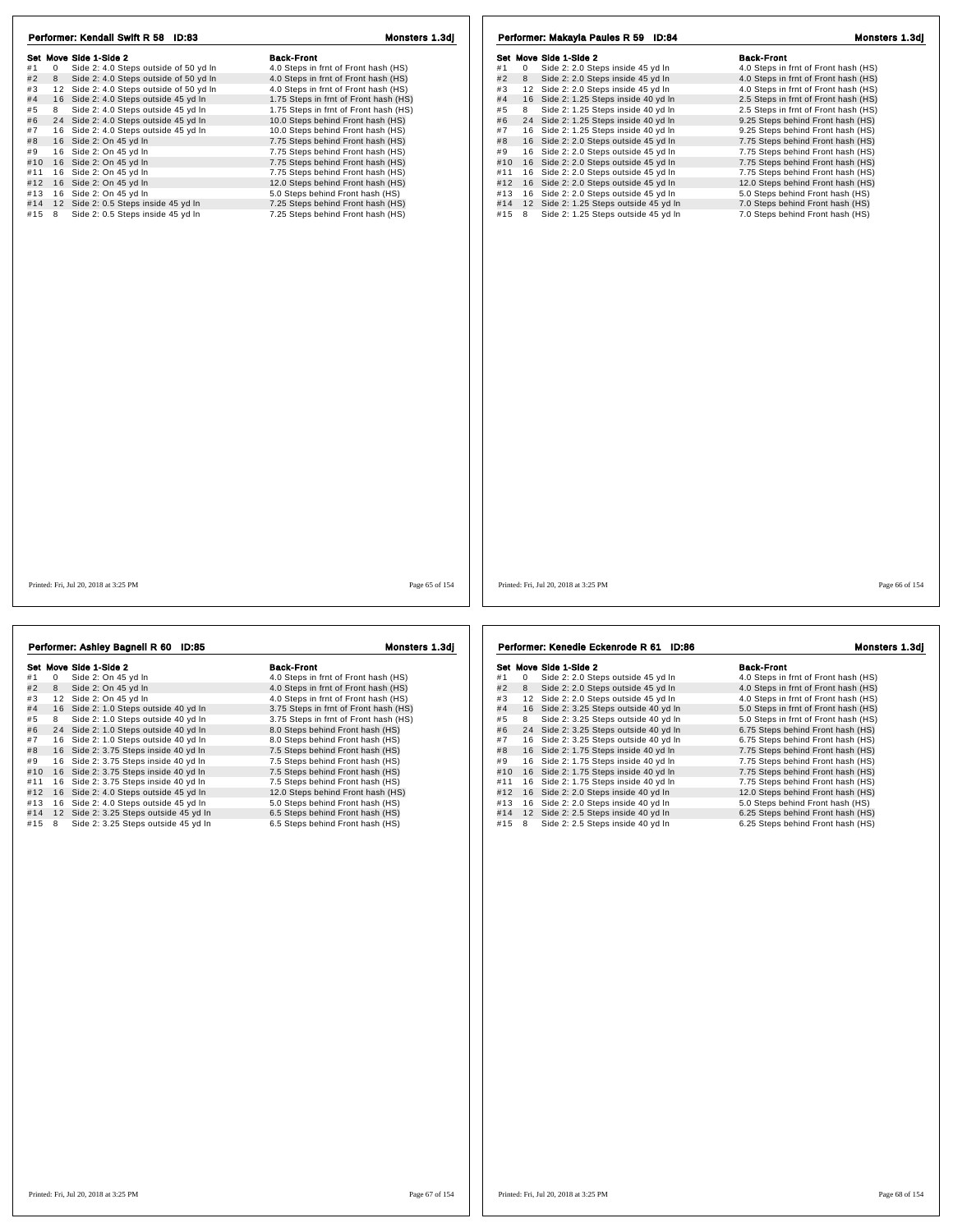|       | Performer: Kendall Swift R 58 ID:83                     | Monsters 1.3dj                        | Performer: Makayla Paules R 59 ID:84                                                            | Monsters 1.3dj |
|-------|---------------------------------------------------------|---------------------------------------|-------------------------------------------------------------------------------------------------|----------------|
|       | Set Move Side 1-Side 2                                  | <b>Back-Front</b>                     | <b>Back-Front</b><br>Set Move Side 1-Side 2                                                     |                |
| #1    | Side 2: 4.0 Steps outside of 50 yd In<br>$\overline{0}$ | 4.0 Steps in frnt of Front hash (HS)  | Side 2: 2.0 Steps inside 45 yd In<br>4.0 Steps in frnt of Front hash (HS)<br>#1<br>$\mathbf{0}$ |                |
| #2    | 8<br>Side 2: 4.0 Steps outside of 50 yd In              | 4.0 Steps in frnt of Front hash (HS)  | #2<br>8<br>Side 2: 2.0 Steps inside 45 yd In<br>4.0 Steps in frnt of Front hash (HS)            |                |
| #3    | 12 Side 2: 4.0 Steps outside of 50 yd In                | 4.0 Steps in frnt of Front hash (HS)  | 12 Side 2: 2.0 Steps inside 45 yd In<br>#3<br>4.0 Steps in frnt of Front hash (HS)              |                |
| #4    | 16 Side 2: 4.0 Steps outside 45 yd In                   | 1.75 Steps in frnt of Front hash (HS) | 16 Side 2: 1.25 Steps inside 40 yd In<br>2.5 Steps in frnt of Front hash (HS)<br>#4             |                |
| #5    | 8<br>Side 2: 4.0 Steps outside 45 yd In                 | 1.75 Steps in frnt of Front hash (HS) | Side 2: 1.25 Steps inside 40 vd In<br>#5<br>8<br>2.5 Steps in frnt of Front hash (HS)           |                |
| #6    | 24 Side 2: 4.0 Steps outside 45 yd In                   | 10.0 Steps behind Front hash (HS)     | 24 Side 2: 1.25 Steps inside 40 yd In<br>#6<br>9.25 Steps behind Front hash (HS)                |                |
| #7    | 16 Side 2: 4.0 Steps outside 45 yd In                   | 10.0 Steps behind Front hash (HS)     | #7<br>16 Side 2: 1.25 Steps inside 40 yd In<br>9.25 Steps behind Front hash (HS)                |                |
| #8    | 16 Side 2: On 45 yd In                                  | 7.75 Steps behind Front hash (HS)     | 16 Side 2: 2.0 Steps outside 45 yd In<br>7.75 Steps behind Front hash (HS)<br>#8                |                |
| #9    | 16 Side 2: On 45 yd In                                  | 7.75 Steps behind Front hash (HS)     | #9<br>16 Side 2: 2.0 Steps outside 45 yd In<br>7.75 Steps behind Front hash (HS)                |                |
|       | #10 16 Side 2: On 45 yd In                              | 7.75 Steps behind Front hash (HS)     | 16 Side 2: 2.0 Steps outside 45 yd In<br>7.75 Steps behind Front hash (HS)<br>#10               |                |
| #11   | 16 Side 2: On 45 yd In                                  | 7.75 Steps behind Front hash (HS)     | 16 Side 2: 2.0 Steps outside 45 yd In<br>7.75 Steps behind Front hash (HS)<br>#11               |                |
| #12   | 16 Side 2: On 45 yd In                                  | 12.0 Steps behind Front hash (HS)     | 16 Side 2: 2.0 Steps outside 45 yd In<br>#12<br>12.0 Steps behind Front hash (HS)               |                |
| #13   | 16 Side 2: On 45 yd In                                  | 5.0 Steps behind Front hash (HS)      | 16 Side 2: 2.0 Steps outside 45 yd In<br>5.0 Steps behind Front hash (HS)<br>#13                |                |
| #14   | 12 Side 2: 0.5 Steps inside 45 yd In                    | 7.25 Steps behind Front hash (HS)     | 12 Side 2: 1.25 Steps outside 45 yd In<br>7.0 Steps behind Front hash (HS)<br>#14               |                |
| #15 8 | Side 2: 0.5 Steps inside 45 yd In                       | 7.25 Steps behind Front hash (HS)     | #15 8<br>Side 2: 1.25 Steps outside 45 yd In<br>7.0 Steps behind Front hash (HS)                |                |
|       |                                                         |                                       |                                                                                                 |                |
|       | Printed: Fri, Jul 20, 2018 at 3:25 PM                   | Page 65 of 154                        | Printed: Fri, Jul 20, 2018 at 3:25 PM                                                           | Page 66 of 154 |

|     |   | Set Move Side 1-Side 2                 | <b>Back-Front</b>                     |
|-----|---|----------------------------------------|---------------------------------------|
| #1  | 0 | Side 2: On 45 yd In                    | 4.0 Steps in frnt of Front hash (HS)  |
| #2  | 8 | Side 2: On 45 yd In                    | 4.0 Steps in frnt of Front hash (HS)  |
| #3  |   | 12 Side 2: On 45 vd In                 | 4.0 Steps in frnt of Front hash (HS)  |
| #4  |   | 16 Side 2: 1.0 Steps outside 40 yd In  | 3.75 Steps in frnt of Front hash (HS) |
| #5  | 8 | Side 2: 1.0 Steps outside 40 yd In     | 3.75 Steps in frnt of Front hash (HS) |
| #6  |   | 24 Side 2: 1.0 Steps outside 40 yd In  | 8.0 Steps behind Front hash (HS)      |
| #7  |   | 16 Side 2: 1.0 Steps outside 40 yd In  | 8.0 Steps behind Front hash (HS)      |
| #8  |   | 16 Side 2: 3.75 Steps inside 40 yd In  | 7.5 Steps behind Front hash (HS)      |
| #9  |   | 16 Side 2: 3.75 Steps inside 40 yd In  | 7.5 Steps behind Front hash (HS)      |
| #10 |   | 16 Side 2: 3.75 Steps inside 40 yd In  | 7.5 Steps behind Front hash (HS)      |
| #11 |   | 16 Side 2: 3.75 Steps inside 40 yd In  | 7.5 Steps behind Front hash (HS)      |
| #12 |   | 16 Side 2: 4.0 Steps outside 45 yd In  | 12.0 Steps behind Front hash (HS)     |
| #13 |   | 16 Side 2: 4.0 Steps outside 45 yd In  | 5.0 Steps behind Front hash (HS)      |
| #14 |   | 12 Side 2: 3.25 Steps outside 45 yd In | 6.5 Steps behind Front hash (HS)      |
| #15 | 8 | Side 2: 3.25 Steps outside 45 yd In    | 6.5 Steps behind Front hash (HS)      |

Performer: Ashley Bagnell R 60 ID:85 Monsters 1.3dj

991 Move Side 1-Side 2<br>
#1 0 Side 2: 2.0 Steps outside 45 yd In 4.0 Steps in frnt of Front hash (HS)<br>
#2 8 Side 2: 2.0 Steps outside 45 yd In 4.0 Steps in frnt of Front hash (HS)<br>
#3 12 Side 2: 2.0 Steps outside 45 yd In 4 # 4 1 6 Side 2: 3.25 Steps outside 40 yd ln 5.0 Steps in frnt of Front hash (HS) # 5 <sup>8</sup> Side 2: 3.25 Steps outside 40 yd ln 5.0 Steps in frnt of Front hash (HS) + a solution of the 2.3.25 Steps outside 40 yd in the 19.2 of the 2.4 Side 2: 3.25 Steps outside 40 yd in the 19.75 Steps behind Front hash (HS)<br>
# 16 Side 2: 3.25 Steps outside 40 yd in 6.75 Steps behind Front hash (HS)<br>  $#10$  16 Side 2: 1.75 Steps inside 40 yd ln 4 at 1 1 6 Side 2: 1.75 Steps inside 40 yd in 1998 behind Front hash (HS)<br>
4 at 1 1 6 Side 2: 2.0 Steps inside 40 yd in 12.0 Steps behind Front hash (HS)<br>
4 at 1 6 Side 2: 2.0 Steps inside 40 yd in 12.0 Steps behind Front #15 8 Side 2: 2.5 Steps inside 40 yd ln Performer: Kenedie Eckenrode R 61 ID:86 Monsters 1.3dj

| Back-Front                           |
|--------------------------------------|
| 4.0 Steps in frnt of Front hash (HS) |
| 4.0 Steps in frnt of Front hash (HS) |
| 4.0 Steps in frnt of Front hash (HS) |
| 5.0 Steps in frnt of Front hash (HS) |
| 5.0 Steps in frnt of Front hash (HS) |
| 6.75 Steps behind Front hash (HS)    |
| 6.75 Steps behind Front hash (HS)    |
| 7.75 Steps behind Front hash (HS)    |
| 7.75 Steps behind Front hash (HS)    |
| 7.75 Steps behind Front hash (HS)    |
| 7.75 Steps behind Front hash (HS)    |
| 12.0 Steps behind Front hash (HS)    |
| 5.0 Steps behind Front hash (HS)     |
| 6.25 Steps behind Front hash (HS)    |
| 6.25 Steps behind Front hash (HS)    |
|                                      |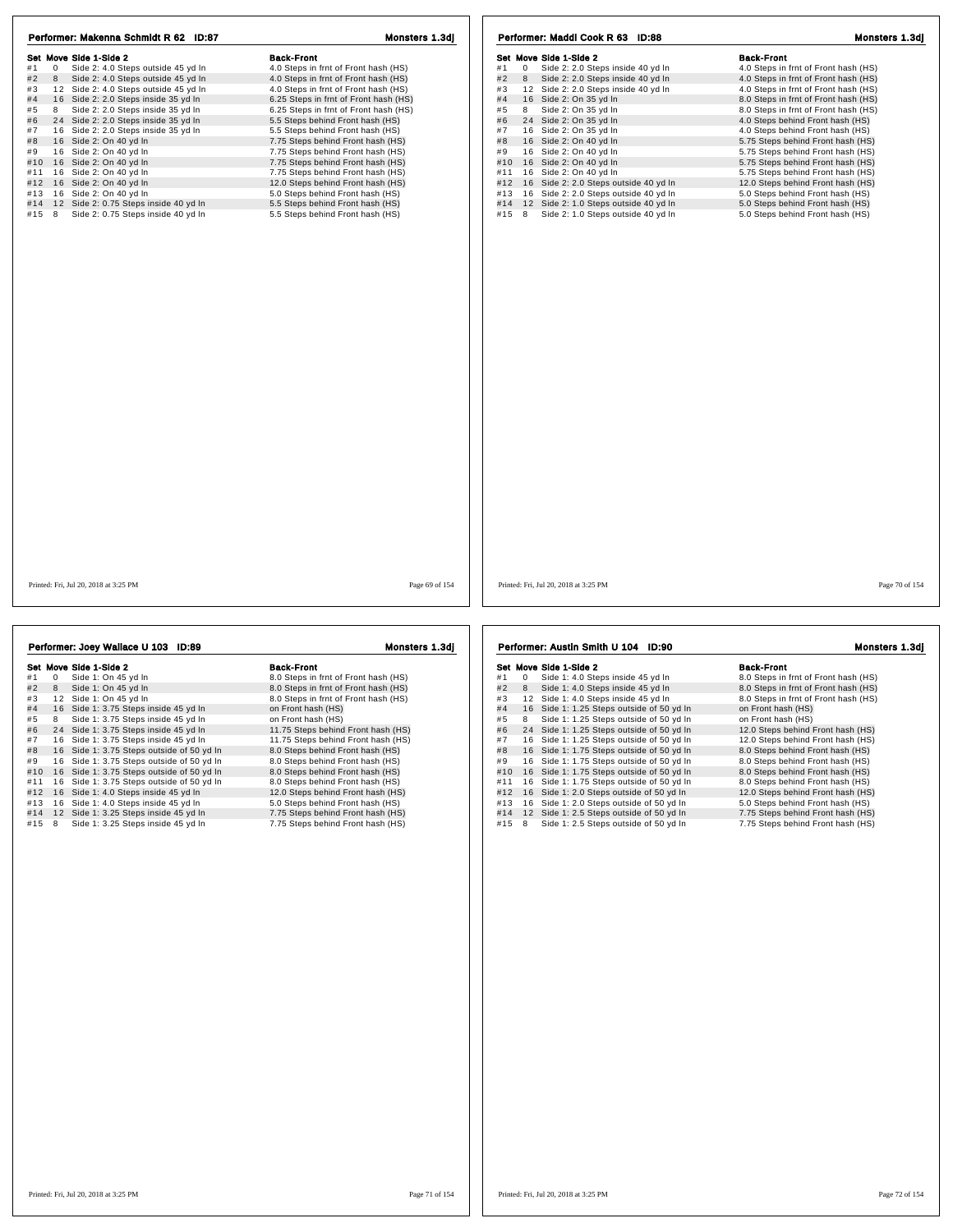| Set Move Side 1-Side 2                                     | <b>Back-Front</b>                     | Set Move Side 1-Side 2                       | <b>Back-Front</b>                    |
|------------------------------------------------------------|---------------------------------------|----------------------------------------------|--------------------------------------|
| Side 2: 4.0 Steps outside 45 yd In<br>#1<br>$\overline{0}$ | 4.0 Steps in frnt of Front hash (HS)  | 0 Side 2: 2.0 Steps inside 40 yd In<br>#1    | 4.0 Steps in frnt of Front hash (HS) |
| 8 Side 2: 4.0 Steps outside 45 yd In<br>#2                 | 4.0 Steps in frnt of Front hash (HS)  | #2<br>8 Side 2: 2.0 Steps inside 40 yd In    | 4.0 Steps in frnt of Front hash (HS) |
| 12 Side 2: 4.0 Steps outside 45 yd In                      | 4.0 Steps in frnt of Front hash (HS)  | 12 Side 2: 2.0 Steps inside 40 yd In<br>#3   | 4.0 Steps in frnt of Front hash (HS) |
| 16 Side 2: 2.0 Steps inside 35 yd In                       | 6.25 Steps in frnt of Front hash (HS) | 16 Side 2: On 35 yd In<br>#4                 | 8.0 Steps in frnt of Front hash (HS) |
| Side 2: 2.0 Steps inside 35 yd In<br>8                     | 6.25 Steps in frnt of Front hash (HS) | Side 2: On 35 yd In<br>#5<br>8               | 8.0 Steps in frnt of Front hash (HS) |
| 24 Side 2: 2.0 Steps inside 35 yd In                       | 5.5 Steps behind Front hash (HS)      | 24 Side 2: On 35 yd In<br>#6                 | 4.0 Steps behind Front hash (HS)     |
| 16 Side 2: 2.0 Steps inside 35 yd In                       | 5.5 Steps behind Front hash (HS)      | 16 Side 2: On 35 yd In<br>#7                 | 4.0 Steps behind Front hash (HS)     |
| 16 Side 2: On 40 yd In                                     | 7.75 Steps behind Front hash (HS)     | #8<br>16 Side 2: On 40 yd In                 | 5.75 Steps behind Front hash (HS)    |
| 16 Side 2: On 40 yd In                                     | 7.75 Steps behind Front hash (HS)     | 16 Side 2: On 40 yd In<br>#9                 | 5.75 Steps behind Front hash (HS)    |
| #10 16 Side 2: On 40 yd In                                 | 7.75 Steps behind Front hash (HS)     | #10<br>16 Side 2: On 40 yd In                | 5.75 Steps behind Front hash (HS)    |
| 16 Side 2: On 40 yd In                                     | 7.75 Steps behind Front hash (HS)     | 16 Side 2: On 40 yd In<br>#11                | 5.75 Steps behind Front hash (HS)    |
| 16 Side 2: On 40 yd In                                     | 12.0 Steps behind Front hash (HS)     | 16 Side 2: 2.0 Steps outside 40 yd In<br>#12 | 12.0 Steps behind Front hash (HS)    |
| 16 Side 2: On 40 yd In                                     | 5.0 Steps behind Front hash (HS)      | 16 Side 2: 2.0 Steps outside 40 yd In<br>#13 | 5.0 Steps behind Front hash (HS)     |
| #14 12 Side 2: 0.75 Steps inside 40 yd In                  | 5.5 Steps behind Front hash (HS)      | 12 Side 2: 1.0 Steps outside 40 yd In<br>#14 | 5.0 Steps behind Front hash (HS)     |
| Side 2: 0.75 Steps inside 40 yd In<br>#15 8                | 5.5 Steps behind Front hash (HS)      | 8 Side 2: 1.0 Steps outside 40 yd In<br>#15  | 5.0 Steps behind Front hash (HS)     |
|                                                            |                                       |                                              |                                      |
|                                                            |                                       |                                              |                                      |
|                                                            |                                       |                                              |                                      |
|                                                            |                                       |                                              |                                      |
|                                                            |                                       |                                              |                                      |
|                                                            |                                       |                                              |                                      |
|                                                            |                                       |                                              |                                      |

| Performer: Joey Wallace U 103 ID:89 |              |                                           | Monsters 1.3dj                       |  |
|-------------------------------------|--------------|-------------------------------------------|--------------------------------------|--|
|                                     |              | Set Move Side 1-Side 2                    | <b>Back-Front</b>                    |  |
| #1                                  | $\mathbf{0}$ | Side 1: On 45 yd In                       | 8.0 Steps in frnt of Front hash (HS) |  |
| #2                                  | 8            | Side 1: On 45 yd In                       | 8.0 Steps in frnt of Front hash (HS) |  |
| #3                                  |              | 12 Side 1: On 45 yd In                    | 8.0 Steps in frnt of Front hash (HS) |  |
| #4                                  |              | 16 Side 1: 3.75 Steps inside 45 yd In     | on Front hash (HS)                   |  |
| #5                                  | 8            | Side 1: 3.75 Steps inside 45 yd In        | on Front hash (HS)                   |  |
| #6                                  |              | 24 Side 1: 3.75 Steps inside 45 yd In     | 11.75 Steps behind Front hash (HS)   |  |
| #7                                  |              | 16 Side 1: 3.75 Steps inside 45 yd In     | 11.75 Steps behind Front hash (HS)   |  |
| #8                                  |              | 16 Side 1: 3.75 Steps outside of 50 yd In | 8.0 Steps behind Front hash (HS)     |  |
| #9                                  |              | 16 Side 1: 3.75 Steps outside of 50 yd In | 8.0 Steps behind Front hash (HS)     |  |
| #10                                 |              | 16 Side 1: 3.75 Steps outside of 50 yd In | 8.0 Steps behind Front hash (HS)     |  |
| #11                                 |              | 16 Side 1: 3.75 Steps outside of 50 yd In | 8.0 Steps behind Front hash (HS)     |  |
| #12                                 |              | 16 Side 1: 4.0 Steps inside 45 yd In      | 12.0 Steps behind Front hash (HS)    |  |
| #13                                 |              | 16 Side 1: 4.0 Steps inside 45 yd In      | 5.0 Steps behind Front hash (HS)     |  |
| #14                                 |              | 12 Side 1: 3.25 Steps inside 45 yd In     | 7.75 Steps behind Front hash (HS)    |  |
| #15                                 | 8            | Side 1: 3.25 Steps inside 45 yd In        | 7.75 Steps behind Front hash (HS)    |  |

Set Move Side 1-Side 2<br>
#1 0 Side 1: 4.0 Steps inside 45 yd In 8.0 Steps in frnt of Front hash (HS)<br>
#2 8 Side 1: 4.0 Steps inside 45 yd In 8.0 Steps in frnt of Front hash (HS)<br>
#3 12 Side 1: 4.0 Steps inside 45 yd In 8.0 Sue and the south of the set of the set of the set of the south of the south of the south of the south of the south of the south of the south of the south of the south of the south of the south of the south of the south o # 4 1 6 Side 1: 1.25 Steps outside of 50 yd ln on Front hash (HS) # 5 <sup>8</sup> Side 1: 1.25 Steps outside of 50 yd ln on Front hash (HS) # 6 2 4 Side 1: 1.25 Steps outside of 50 yd ln 12.0 Steps behind Front hash (HS) # 7 1 6 Side 1: 1.25 Steps outside of 50 yd ln 12.0 Steps behind Front hash (HS) # 8 1 6 Side 1: 1.75 Steps outside of 50 yd ln 8.0 Steps behind Front hash (HS) # 9 1 6 Side 1: 1.75 Steps outside of 50 yd ln 8.0 Steps behind Front hash (HS) #9 16 Side 1: 1.75 Steps outside of 50 yd ln 8.0 Steps behind Front hash (HS)<br>#10 16 Side 1: 1.75 Steps outside of 50 yd ln 8.0 Steps behind Front hash (HS)<br>#11 16 Side 1: 1.75 Steps outside of 50 yd ln 8.0 Steps behind Fr #11 1 6 Side 1: 1.75 Steps outside of 50 yd ln 8.0 Steps behind Front hash (HS) #12 1 6 Side 1: 2.0 Steps outside of 50 yd ln 12.0 Steps behind Front hash (HS) #13 1 6 Side 1: 2.0 Steps outside of 50 yd ln 5.0 Steps behind Front hash (HS) #14 1 2 Side 1: 2.5 Steps outside of 50 yd ln 7.75 Steps behind Front hash (HS) #15 8 Side 1: 2.5 Steps outside of 50 yd In 7.75 Steps behind Front hash (HS) Performer: Austin Smith U 104 ID:90 Monsters 1.3dj

## Printed: Fri, Jul 20, 2018 at 3:25 PM Page 71 of 154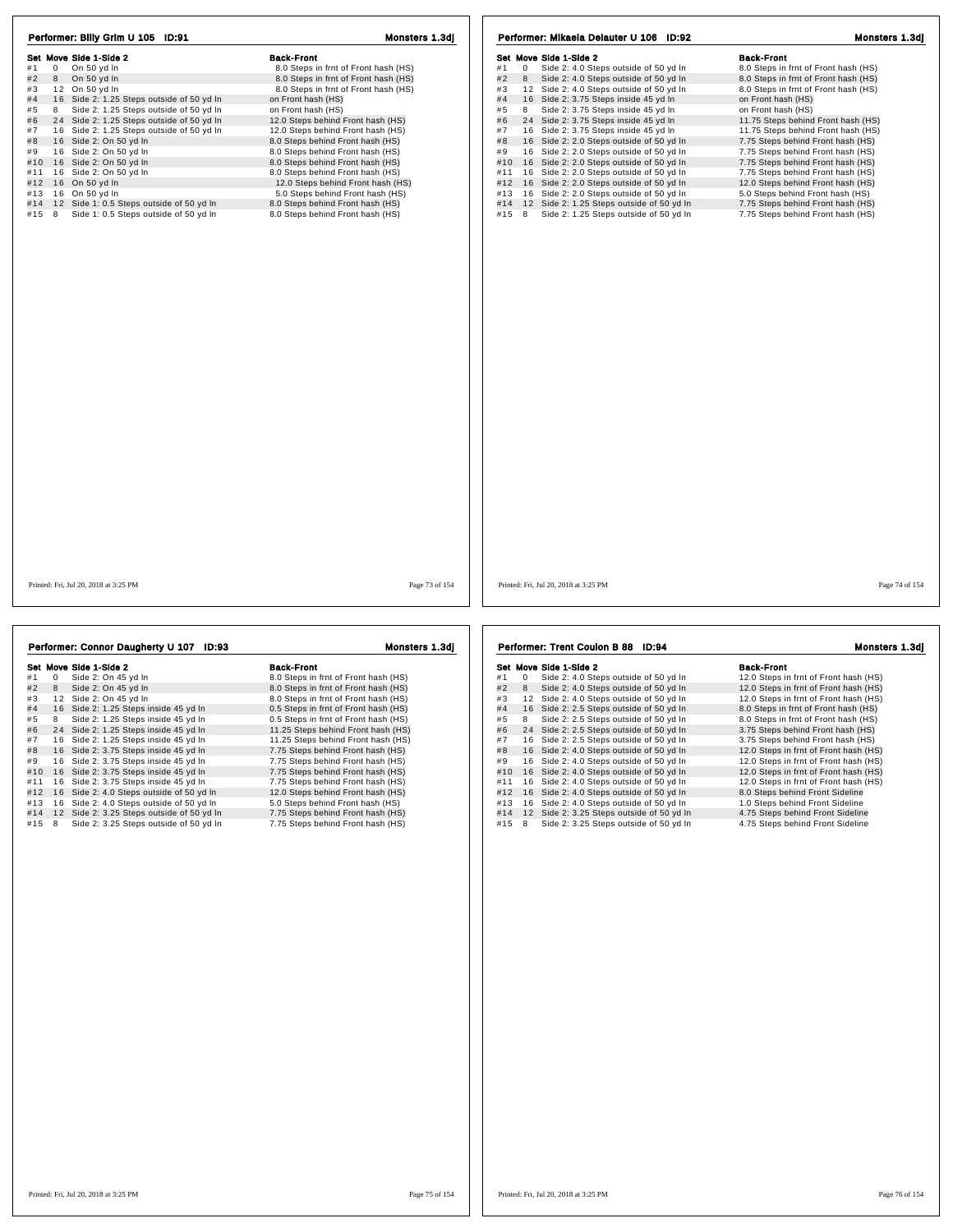| Performer: Billy Grim U 105 ID:91                 | Monsters 1.3dj                       | Performer: Mikaela Delauter U 106 ID:92                    | Monsters 1.3dj                       |
|---------------------------------------------------|--------------------------------------|------------------------------------------------------------|--------------------------------------|
| Set Move Side 1-Side 2                            | <b>Back-Front</b>                    | Set Move Side 1-Side 2                                     | <b>Back-Front</b>                    |
| $\mathbf 0$<br>On 50 yd In<br>#1                  | 8.0 Steps in frnt of Front hash (HS) | #1<br>$\mathbf 0$<br>Side 2: 4.0 Steps outside of 50 yd In | 8.0 Steps in frnt of Front hash (HS) |
| #2<br>8 On 50 yd In                               | 8.0 Steps in frnt of Front hash (HS) | #2<br>Side 2: 4.0 Steps outside of 50 yd In<br>8           | 8.0 Steps in frnt of Front hash (HS) |
| 12 On 50 yd In<br>#3                              | 8.0 Steps in frnt of Front hash (HS) | 12 Side 2: 4.0 Steps outside of 50 yd In<br>#3             | 8.0 Steps in frnt of Front hash (HS) |
| 16 Side 2: 1.25 Steps outside of 50 yd In<br>#4   | on Front hash (HS)                   | 16 Side 2: 3.75 Steps inside 45 yd In<br>#4                | on Front hash (HS)                   |
| 8 Side 2: 1.25 Steps outside of 50 yd In<br>#5    | on Front hash (HS)                   | Side 2: 3.75 Steps inside 45 yd In<br>#5<br>8              | on Front hash (HS)                   |
| #6<br>24 Side 2: 1.25 Steps outside of 50 yd In   | 12.0 Steps behind Front hash (HS)    | 24 Side 2: 3.75 Steps inside 45 yd In<br>#6                | 11.75 Steps behind Front hash (HS)   |
| #7<br>16 Side 2: 1.25 Steps outside of 50 yd In   | 12.0 Steps behind Front hash (HS)    | #7<br>16 Side 2: 3.75 Steps inside 45 yd In                | 11.75 Steps behind Front hash (HS)   |
| 16 Side 2: On 50 yd In<br>#8                      | 8.0 Steps behind Front hash (HS)     | 16 Side 2: 2.0 Steps outside of 50 yd In<br>#8             | 7.75 Steps behind Front hash (HS)    |
| #9<br>16 Side 2: On 50 yd In                      | 8.0 Steps behind Front hash (HS)     | 16 Side 2: 2.0 Steps outside of 50 yd In<br>#9             | 7.75 Steps behind Front hash (HS)    |
| 16 Side 2: On 50 yd In<br>#10                     | 8.0 Steps behind Front hash (HS)     | 16 Side 2: 2.0 Steps outside of 50 yd In<br>#10            | 7.75 Steps behind Front hash (HS)    |
| 16 Side 2: On 50 yd In<br>#11                     | 8.0 Steps behind Front hash (HS)     | 16 Side 2: 2.0 Steps outside of 50 yd In<br>#11            | 7.75 Steps behind Front hash (HS)    |
| 16 On 50 yd In<br>#12                             | 12.0 Steps behind Front hash (HS)    | #12<br>16 Side 2: 2.0 Steps outside of 50 yd In            | 12.0 Steps behind Front hash (HS)    |
| 16 On 50 yd In<br>#13                             | 5.0 Steps behind Front hash (HS)     | 16 Side 2: 2.0 Steps outside of 50 yd In<br>#13            | 5.0 Steps behind Front hash (HS)     |
| 12 Side 1: 0.5 Steps outside of 50 yd In<br>#14   | 8.0 Steps behind Front hash (HS)     | #14 12 Side 2: 1.25 Steps outside of 50 yd In              | 7.75 Steps behind Front hash (HS)    |
| Side 1: 0.5 Steps outside of 50 yd In<br>#15<br>8 | 8.0 Steps behind Front hash (HS)     | #15 8<br>Side 2: 1.25 Steps outside of 50 yd In            | 7.75 Steps behind Front hash (HS)    |
|                                                   |                                      |                                                            |                                      |
| Printed: Fri, Jul 20, 2018 at 3:25 PM             | Page 73 of 154                       | Printed: Fri, Jul 20, 2018 at 3:25 PM                      | Page 74 of 154                       |
|                                                   |                                      |                                                            |                                      |
| Performer: Connor Daugherty U 107 ID:93           | Monsters 1.3di                       | Performer: Trent Coulon B 88 ID:94                         | Monsters 1.3di                       |

|     |    | Set Move Side 1-Side 2                    | <b>Back-Front</b>                    |
|-----|----|-------------------------------------------|--------------------------------------|
| #1  | 0  | Side 2: On 45 yd In                       | 8.0 Steps in frnt of Front hash (HS) |
| #2  | 8  | Side 2: On 45 yd In                       | 8.0 Steps in frnt of Front hash (HS) |
| #3  | 12 | Side 2: On 45 yd In                       | 8.0 Steps in frnt of Front hash (HS) |
| #4  |    | 16 Side 2: 1.25 Steps inside 45 yd In     | 0.5 Steps in frnt of Front hash (HS) |
| #5  | 8  | Side 2: 1.25 Steps inside 45 yd In        | 0.5 Steps in frnt of Front hash (HS) |
| #6  |    | 24 Side 2: 1.25 Steps inside 45 yd In     | 11.25 Steps behind Front hash (HS)   |
| #7  |    | 16 Side 2: 1.25 Steps inside 45 yd In     | 11.25 Steps behind Front hash (HS)   |
| #8  |    | 16 Side 2: 3.75 Steps inside 45 yd In     | 7.75 Steps behind Front hash (HS)    |
| #9  |    | 16 Side 2: 3.75 Steps inside 45 yd In     | 7.75 Steps behind Front hash (HS)    |
| #10 |    | 16 Side 2: 3.75 Steps inside 45 yd In     | 7.75 Steps behind Front hash (HS)    |
| #11 |    | 16 Side 2: 3.75 Steps inside 45 yd In     | 7.75 Steps behind Front hash (HS)    |
| #12 |    | 16 Side 2: 4.0 Steps outside of 50 yd In  | 12.0 Steps behind Front hash (HS)    |
| #13 |    | 16 Side 2: 4.0 Steps outside of 50 vd In  | 5.0 Steps behind Front hash (HS)     |
| #14 |    | 12 Side 2: 3.25 Steps outside of 50 yd In | 7.75 Steps behind Front hash (HS)    |
| #15 | 8  | Side 2: 3.25 Steps outside of 50 yd In    | 7.75 Steps behind Front hash (HS)    |

Set Move Side 1-Side 2<br>
#1 0 Side 2: 4.0 Steps outside of 50 yd in 12.0 Steps in frnt of Front hash (HS)<br>
#2 8 Side 2: 4.0 Steps outside of 50 yd in 12.0 Steps in frnt of Front hash (HS)<br>
#3 12 Side 2: 4.0 Steps outside of Set Move sheet - Supervised of 50 yd in the Section of Front hash (HS)<br>#1 0 Side 2: 4.0 Steps outside of 50 yd in 12.0 Steps in frnt of Front hash (HS)<br>#2 8 Side 2: 4.0 Steps outside of 50 yd in 12.0 Steps in frnt of Fron # 4 1 6 Side 2: 2.5 Steps outside of 50 yd ln 8.0 Steps in frnt of Front hash (HS) # 5 <sup>8</sup> Side 2: 2.5 Steps outside of 50 yd ln 8.0 Steps in frnt of Front hash (HS) # 6 2: 2.5 Steps outside of 50 yd ln  $\frac{1}{2}$ .5 Steps in finit of Front hash (HS)<br>
# 6 3 Side 2: 2.5 Steps outside of 50 yd ln  $\frac{1}{2}$ .8 Steps behind Front hash (HS)<br>
# 7 4 Side 2: 2.5 Steps outside of 50 yd ln  $\frac{3.7$ 1 6 Side 2: 2.5 Steps outside of 50 yd ln 3.75 Steps behind Front hash (HS)<br>16 Side 2: 4.0 Steps outside of 50 yd ln 3.75 Steps behind Front hash (HS)<br>16 Side 2: 4.0 Steps outside of 50 yd ln 12.0 Steps in frnt of Front ha # 8 1 6 Side 2: 4.0 Steps outside of 50 yd ln 12.0 Steps in frnt of Front hash (HS) # 9 1 6 Side 2: 4.0 Steps outside of 50 yd ln 12.0 Steps in frnt of Front hash (HS) #10 16 Side 2: 4.0 Steps outside of 50 yd ln 12.0 Steps in frnt of Front hash (HS)<br>#11 16 Side 2: 4.0 Steps outside of 50 yd ln 12.0 Steps in frnt of Front hash (HS) #11 1 6 Side 2: 4.0 Steps outside of 50 yd ln 12.0 Steps in frnt of Front hash (HS) #12 1 6 Side 2: 4.0 Steps outside of 50 yd ln 8.0 Steps behind Front Sideline #13 1 6 Side 2: 4.0 Steps outside of 50 yd ln 1.0 Steps behind Front Sideline #14 1 2 Side 2: 3.25 Steps outside of 50 yd ln 4.75 Steps behind Front Sideline Performer: Trent Coulon B 88 ID:94 Monsters 1.3dj

#15 8 Side 2: 3.25 Steps outside of 50 yd In 4.75 Steps behind Front Sideline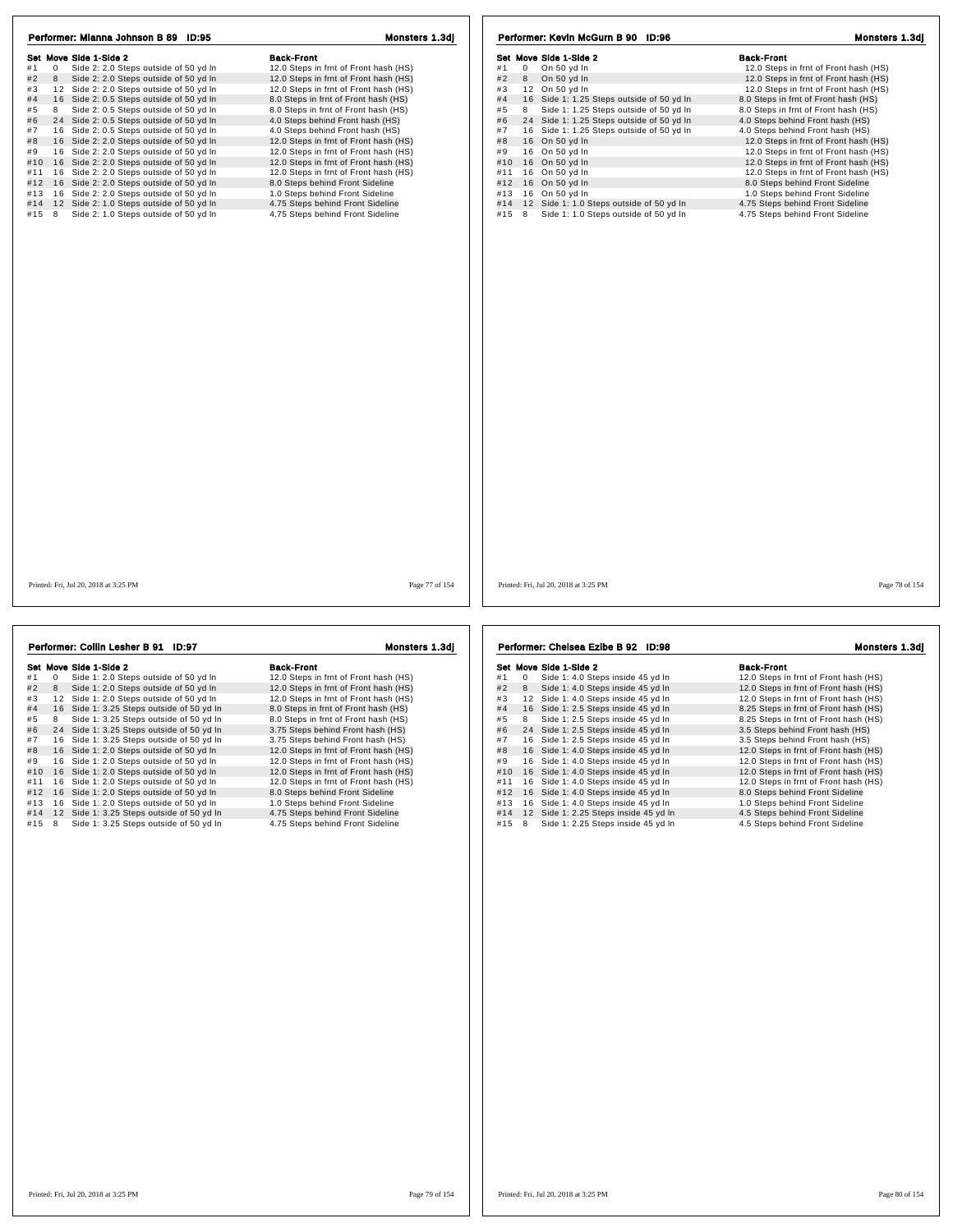| Performer: Mianna Johnson B 89 ID:95                        | Monsters 1.3dj                        | Performer: Kevin McGurn B 90 ID:96                | Monsters 1.3dj                        |
|-------------------------------------------------------------|---------------------------------------|---------------------------------------------------|---------------------------------------|
| Set Move Side 1-Side 2                                      | <b>Back-Front</b>                     | Set Move Side 1-Side 2                            | <b>Back-Front</b>                     |
| #1<br>Side 2: 2.0 Steps outside of 50 yd In<br>$\mathbf{0}$ | 12.0 Steps in frnt of Front hash (HS) | #1<br>$\overline{0}$<br>On 50 yd In               | 12.0 Steps in frnt of Front hash (HS) |
| #2<br>Side 2: 2.0 Steps outside of 50 yd In<br>8            | 12.0 Steps in frnt of Front hash (HS) | #2<br>8 On 50 yd In                               | 12.0 Steps in frnt of Front hash (HS) |
| 12 Side 2: 2.0 Steps outside of 50 yd In<br>#3              | 12.0 Steps in frnt of Front hash (HS) | 12 On 50 yd In<br>#3                              | 12.0 Steps in frnt of Front hash (HS) |
| #4<br>16 Side 2: 0.5 Steps outside of 50 yd In              | 8.0 Steps in frnt of Front hash (HS)  | #4<br>16 Side 1: 1.25 Steps outside of 50 yd In   | 8.0 Steps in frnt of Front hash (HS)  |
| #5<br>Side 2: 0.5 Steps outside of 50 yd In<br>8            | 8.0 Steps in frnt of Front hash (HS)  | Side 1: 1.25 Steps outside of 50 yd In<br>#5<br>8 | 8.0 Steps in frnt of Front hash (HS)  |
| 24 Side 2: 0.5 Steps outside of 50 yd In<br>#6              | 4.0 Steps behind Front hash (HS)      | #6<br>24 Side 1: 1.25 Steps outside of 50 yd In   | 4.0 Steps behind Front hash (HS)      |
| 16 Side 2: 0.5 Steps outside of 50 yd In<br>#7              | 4.0 Steps behind Front hash (HS)      | 16 Side 1: 1.25 Steps outside of 50 yd In<br>#7   | 4.0 Steps behind Front hash (HS)      |
| 16 Side 2: 2.0 Steps outside of 50 yd In<br>#8              | 12.0 Steps in frnt of Front hash (HS) | #8<br>16 On 50 yd In                              | 12.0 Steps in frnt of Front hash (HS) |
| 16 Side 2: 2.0 Steps outside of 50 yd In<br>#9              | 12.0 Steps in frnt of Front hash (HS) | 16 On 50 yd In<br>#9                              | 12.0 Steps in frnt of Front hash (HS) |
| #10 16 Side 2: 2.0 Steps outside of 50 yd In                | 12.0 Steps in frnt of Front hash (HS) | #10<br>16 On 50 yd In                             | 12.0 Steps in frnt of Front hash (HS) |
| 16 Side 2: 2.0 Steps outside of 50 yd In<br>#11             | 12.0 Steps in frnt of Front hash (HS) | 16 On 50 yd In<br>#11                             | 12.0 Steps in frnt of Front hash (HS) |
| 16 Side 2: 2.0 Steps outside of 50 yd In<br>#12             | 8.0 Steps behind Front Sideline       | #12<br>16 On 50 yd In                             | 8.0 Steps behind Front Sideline       |
| 16 Side 2: 2.0 Steps outside of 50 yd In<br>#13             | 1.0 Steps behind Front Sideline       | 16 On 50 yd In<br>#13                             | 1.0 Steps behind Front Sideline       |
| #14<br>12 Side 2: 1.0 Steps outside of 50 yd In             | 4.75 Steps behind Front Sideline      | 12 Side 1: 1.0 Steps outside of 50 yd In<br>#14   | 4.75 Steps behind Front Sideline      |
| Side 2: 1.0 Steps outside of 50 yd In<br>#15 8              | 4.75 Steps behind Front Sideline      | #15 8 Side 1: 1.0 Steps outside of 50 yd In       | 4.75 Steps behind Front Sideline      |
|                                                             |                                       |                                                   |                                       |
| Printed: Fri. Jul 20, 2018 at 3:25 PM                       | Page 77 of 154                        | Printed: Fri. Jul 20, 2018 at 3:25 PM             | Page 78 of 154                        |

| Performer: Collin Lesher B 91<br>ID:97 |    |                                           | Monsters 1.3dj                        |  |
|----------------------------------------|----|-------------------------------------------|---------------------------------------|--|
|                                        |    | Set Move Side 1-Side 2                    | <b>Back-Front</b>                     |  |
| #1                                     | 0  | Side 1: 2.0 Steps outside of 50 yd In     | 12.0 Steps in frnt of Front hash (HS) |  |
| #2                                     | 8  | Side 1: 2.0 Steps outside of 50 yd In     | 12.0 Steps in frnt of Front hash (HS) |  |
| #3                                     |    | 12 Side 1: 2.0 Steps outside of 50 yd In  | 12.0 Steps in frnt of Front hash (HS) |  |
| #4                                     |    | 16 Side 1: 3.25 Steps outside of 50 yd In | 8.0 Steps in frnt of Front hash (HS)  |  |
| #5                                     | 8  | Side 1: 3.25 Steps outside of 50 yd In    | 8.0 Steps in frnt of Front hash (HS)  |  |
| #6                                     |    | 24 Side 1: 3.25 Steps outside of 50 yd In | 3.75 Steps behind Front hash (HS)     |  |
| #7                                     |    | 16 Side 1: 3.25 Steps outside of 50 yd In | 3.75 Steps behind Front hash (HS)     |  |
| #8                                     |    | 16 Side 1: 2.0 Steps outside of 50 yd In  | 12.0 Steps in frnt of Front hash (HS) |  |
| #9                                     |    | 16 Side 1: 2.0 Steps outside of 50 yd In  | 12.0 Steps in frnt of Front hash (HS) |  |
| #10                                    |    | 16 Side 1: 2.0 Steps outside of 50 yd In  | 12.0 Steps in frnt of Front hash (HS) |  |
| #11                                    | 16 | Side 1: 2.0 Steps outside of 50 yd In     | 12.0 Steps in frnt of Front hash (HS) |  |
| #12                                    |    | 16 Side 1: 2.0 Steps outside of 50 yd In  | 8.0 Steps behind Front Sideline       |  |
| #13                                    |    | 16 Side 1: 2.0 Steps outside of 50 yd In  | 1.0 Steps behind Front Sideline       |  |
| #14                                    |    | 12 Side 1: 3.25 Steps outside of 50 yd In | 4.75 Steps behind Front Sideline      |  |
| #15                                    | 8  | Side 1: 3.25 Steps outside of 50 yd In    | 4.75 Steps behind Front Sideline      |  |

Set Move Side 1-Side 2<br>
#1 0 Side 1: 4.0 Steps inside 45 yd In<br>
#2 8 Side 1: 4.0 Steps inside 45 yd In 12.0 Steps in frnt of Front hash (HS) Set Move Side 1:4.0 Steps inside 45 yd In the Second 1:0. Steps in frnt of Front hash (HS)<br>
#1 0 Side 1:4.0 Steps inside 45 yd In 12.0 Steps in frnt of Front hash (HS)<br>
#3 12 Side 1:4.0 Steps inside 45 yd In 12.0 Steps in # 4 1 6 Side 1: 2.5 Steps inside 45 yd ln 8.25 Steps in frnt of Front hash (HS) # 5 <sup>8</sup> Side 1: 2.5 Steps inside 45 yd ln 8.25 Steps in frnt of Front hash (HS) # 6 2 4 Side 1: 2.5 Steps inside 45 yd ln 3.5 Steps behind Front hash (HS) # 7 1 6 Side 1: 2.5 Steps inside 45 yd ln 3.5 Steps behind Front hash (HS) # 8 1 6 Side 1: 4.0 Steps inside 45 yd ln 12.0 Steps in frnt of Front hash (HS) # 9 1 6 Side 1: 4.0 Steps inside 45 yd ln 12.0 Steps in frnt of Front hash (HS) #10 16 Side 1: 4.0 Steps inside 45 yd ln 12.0 Steps in frnt of Front hash (HS)<br>
#9 16 Side 1: 4.0 Steps inside 45 yd ln 12.0 Steps in frnt of Front hash (HS)<br>
#10 16 Side 1: 4.0 Steps inside 45 yd ln 12.0 Steps in frnt of #11 1 6 Side 1: 4.0 Steps inside 45 yd ln 12.0 Steps in frnt of Front hash (HS) #12 1 6 Side 1: 4.0 Steps inside 45 yd ln 8.0 Steps behind Front Sideline #13 1 6 Side 1: 4.0 Steps inside 45 yd ln 1.0 Steps behind Front Sideline #14 1 2 Side 1: 2.25 Steps inside 45 yd ln 4.5 Steps behind Front Sideline #15 8 Side 1: 2.25 Steps inside 45 yd ln 4.5 Steps behind Front Sideline Performer: Chelsea Ezibe B 92 ID:98 Monsters 1.3dj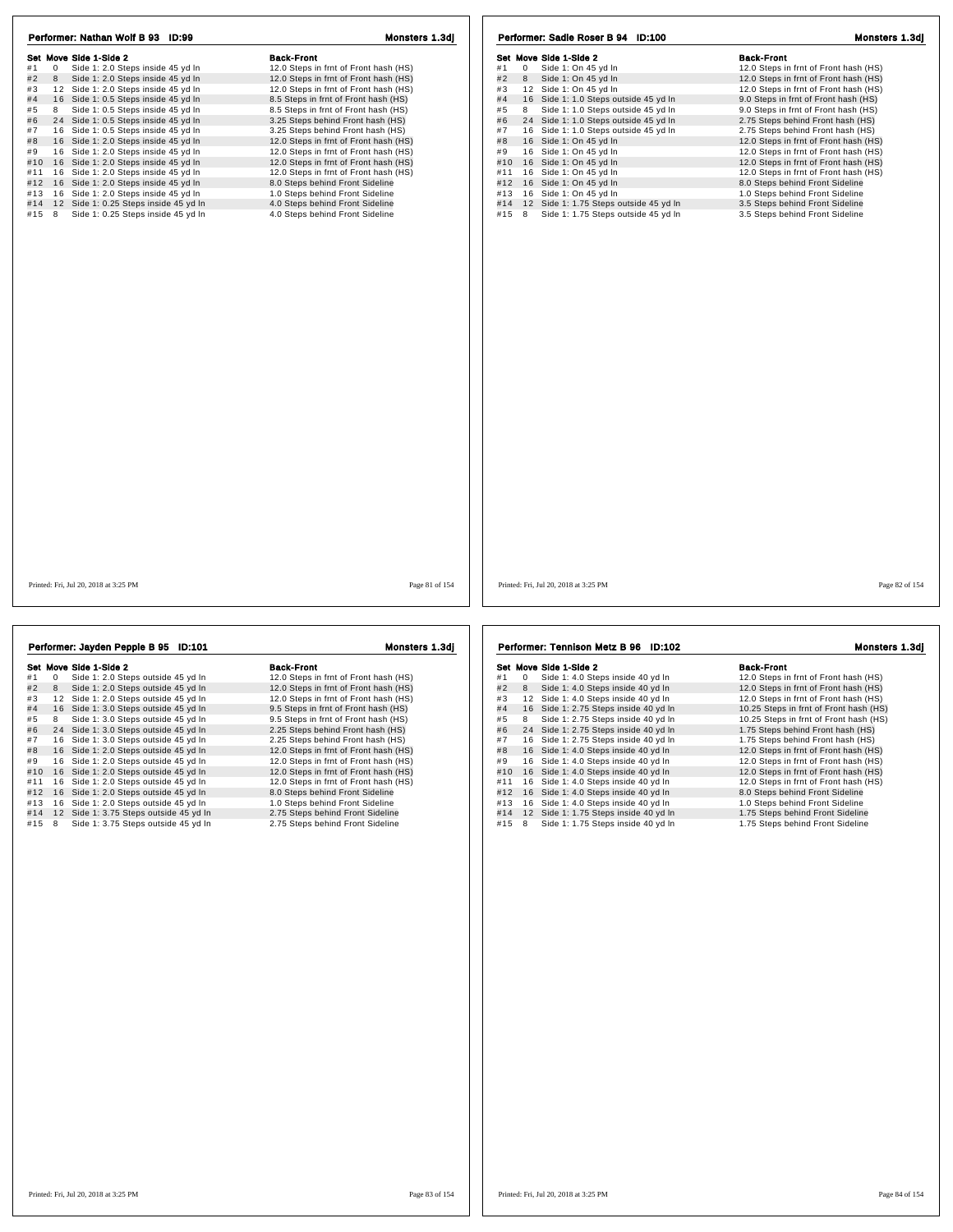| Performer: Nathan Wolf B 93 ID:99                       | Monsters 1.3dj                        | Performer: Sadie Roser B 94 ID:100            | Monsters 1.3dj                        |
|---------------------------------------------------------|---------------------------------------|-----------------------------------------------|---------------------------------------|
| Set Move Side 1-Side 2                                  | <b>Back-Front</b>                     | Set Move Side 1-Side 2                        | <b>Back-Front</b>                     |
| #1<br>$\mathbf{0}$<br>Side 1: 2.0 Steps inside 45 yd In | 12.0 Steps in frnt of Front hash (HS) | $\overline{0}$<br>Side 1: On 45 yd In<br>#1   | 12.0 Steps in frnt of Front hash (HS) |
| Side 1: 2.0 Steps inside 45 yd In<br>#2<br>8            | 12.0 Steps in frnt of Front hash (HS) | #2<br>8<br>Side 1: On 45 yd In                | 12.0 Steps in frnt of Front hash (HS) |
| #3<br>12 Side 1: 2.0 Steps inside 45 yd In              | 12.0 Steps in frnt of Front hash (HS) | 12 Side 1: On 45 yd In<br>#3                  | 12.0 Steps in frnt of Front hash (HS) |
| 16 Side 1: 0.5 Steps inside 45 yd In<br>#4              | 8.5 Steps in frnt of Front hash (HS)  | #4<br>16 Side 1: 1.0 Steps outside 45 yd In   | 9.0 Steps in frnt of Front hash (HS)  |
| Side 1: 0.5 Steps inside 45 yd In<br>#5<br>8            | 8.5 Steps in frnt of Front hash (HS)  | #5<br>Side 1: 1.0 Steps outside 45 yd In<br>8 | 9.0 Steps in frnt of Front hash (HS)  |
| #6<br>24 Side 1: 0.5 Steps inside 45 yd In              | 3.25 Steps behind Front hash (HS)     | #6<br>24 Side 1: 1.0 Steps outside 45 yd In   | 2.75 Steps behind Front hash (HS)     |
| 16 Side 1: 0.5 Steps inside 45 yd In<br>#7              | 3.25 Steps behind Front hash (HS)     | #7<br>16 Side 1: 1.0 Steps outside 45 yd In   | 2.75 Steps behind Front hash (HS)     |
| 16 Side 1: 2.0 Steps inside 45 yd In<br>#8              | 12.0 Steps in frnt of Front hash (HS) | 16 Side 1: On 45 yd In<br>#8                  | 12.0 Steps in frnt of Front hash (HS) |
| 16 Side 1: 2.0 Steps inside 45 yd In<br>#9              | 12.0 Steps in frnt of Front hash (HS) | 16 Side 1: On 45 yd In<br>#9                  | 12.0 Steps in frnt of Front hash (HS) |
| #10 16 Side 1: 2.0 Steps inside 45 yd In                | 12.0 Steps in frnt of Front hash (HS) | 16 Side 1: On 45 yd In<br>#10                 | 12.0 Steps in frnt of Front hash (HS) |
| #11 16 Side 1: 2.0 Steps inside 45 yd In                | 12.0 Steps in frnt of Front hash (HS) | 16 Side 1: On 45 yd In<br>#11                 | 12.0 Steps in frnt of Front hash (HS) |
|                                                         |                                       | 16 Side 1: On 45 yd In<br>#12                 | 8.0 Steps behind Front Sideline       |
| #12 16 Side 1: 2.0 Steps inside 45 yd In                | 8.0 Steps behind Front Sideline       |                                               |                                       |
| #13<br>16 Side 1: 2.0 Steps inside 45 yd In             | 1.0 Steps behind Front Sideline       | 16 Side 1: On 45 yd In<br>#13                 | 1.0 Steps behind Front Sideline       |
| #14 12 Side 1: 0.25 Steps inside 45 yd In               | 4.0 Steps behind Front Sideline       | #14<br>12 Side 1: 1.75 Steps outside 45 yd In | 3.5 Steps behind Front Sideline       |
| #15 8<br>Side 1: 0.25 Steps inside 45 yd In             | 4.0 Steps behind Front Sideline       | #15 8 Side 1: 1.75 Steps outside 45 yd In     | 3.5 Steps behind Front Sideline       |
|                                                         |                                       |                                               |                                       |
| Printed: Fri, Jul 20, 2018 at 3:25 PM                   | Page 81 of 154                        | Printed: Fri, Jul 20, 2018 at 3:25 PM         | Page 82 of 154                        |

|     |    | Performer: Jayden Pepple B 95 ID:101   | <b>Monsters 1.3di</b>                 |  |  |
|-----|----|----------------------------------------|---------------------------------------|--|--|
|     |    | Set Move Side 1-Side 2                 | <b>Back-Front</b>                     |  |  |
| #1  | 0  | Side 1: 2.0 Steps outside 45 yd In     | 12.0 Steps in frnt of Front hash (HS) |  |  |
| #2  | 8  | Side 1: 2.0 Steps outside 45 yd In     | 12.0 Steps in frnt of Front hash (HS) |  |  |
| #3  | 12 | Side 1: 2.0 Steps outside 45 yd In     | 12.0 Steps in frnt of Front hash (HS) |  |  |
| #4  |    | 16 Side 1: 3.0 Steps outside 45 yd In  | 9.5 Steps in frnt of Front hash (HS)  |  |  |
| #5  | 8  | Side 1: 3.0 Steps outside 45 yd In     | 9.5 Steps in frnt of Front hash (HS)  |  |  |
| #6  |    | 24 Side 1: 3.0 Steps outside 45 yd In  | 2.25 Steps behind Front hash (HS)     |  |  |
| #7  |    | 16 Side 1: 3.0 Steps outside 45 yd In  | 2.25 Steps behind Front hash (HS)     |  |  |
| #8  |    | 16 Side 1: 2.0 Steps outside 45 yd In  | 12.0 Steps in frnt of Front hash (HS) |  |  |
| #9  |    | 16 Side 1: 2.0 Steps outside 45 yd In  | 12.0 Steps in frnt of Front hash (HS) |  |  |
| #10 |    | 16 Side 1: 2.0 Steps outside 45 yd In  | 12.0 Steps in frnt of Front hash (HS) |  |  |
| #11 | 16 | Side 1: 2.0 Steps outside 45 yd In     | 12.0 Steps in frnt of Front hash (HS) |  |  |
| #12 |    | 16 Side 1: 2.0 Steps outside 45 yd In  | 8.0 Steps behind Front Sideline       |  |  |
| #13 |    | 16 Side 1: 2.0 Steps outside 45 yd In  | 1.0 Steps behind Front Sideline       |  |  |
| #14 |    | 12 Side 1: 3.75 Steps outside 45 yd In | 2.75 Steps behind Front Sideline      |  |  |
| #15 | 8  | Side 1: 3.75 Steps outside 45 yd In    | 2.75 Steps behind Front Sideline      |  |  |

Set Move Side 1-Side 2<br>
#1 0 Side 1: 4.0 Steps inside 40 yd In 12.0 Steps in frnt of Front hash (HS)<br>
#2 8 Side 1: 4.0 Steps inside 40 yd In 12.0 Steps in frnt of Front hash (HS)<br>
#3 12 Side 1: 4.0 Steps inside 40 yd In 12 Set Move Side 1:4.0 Steps inside 40 yd In the Second 1:0. Steps in frnt of Front hash (HS)<br>
#1 0 Side 1:4.0 Steps inside 40 yd In 12.0 Steps in frnt of Front hash (HS)<br>
#3 12 Side 1:4.0 Steps inside 40 yd In 12.0 Steps in # 4 1 6 Side 1: 2.75 Steps inside 40 yd ln 10.25 Steps in frnt of Front hash (HS) # 5 <sup>8</sup> Side 1: 2.75 Steps inside 40 yd ln 10.25 Steps in frnt of Front hash (HS) + 6 Side 1: 2.75 Steps inside 40 yd minital inside 1.75 Steps behind Front hash (HS)<br># 7 1 6 Side 1: 2.75 Steps inside 40 yd ln 1.75 Steps behind Front hash (HS) # 8 1 6 Side 1: 4.0 Steps inside 40 yd ln 12.0 Steps in frnt of Front hash (HS) # 9 1 6 Side 1: 4.0 Steps inside 40 yd ln 12.0 Steps in frnt of Front hash (HS) #10 16 Side 1: 4.0 Steps inside 40 yd ln 12.0 Steps in frnt of Front hash (HS)<br>
#9 16 Side 1: 4.0 Steps inside 40 yd ln 12.0 Steps in frnt of Front hash (HS)<br>
#10 16 Side 1: 4.0 Steps inside 40 yd ln 12.0 Steps in frnt of Performer: Tennison Metz B 96 ID:102 Monsters 1.3dj

#11 1 6 Side 1: 4.0 Steps inside 40 yd ln 12.0 Steps in frnt of Front hash (HS) #12 1 6 Side 1: 4.0 Steps inside 40 yd ln 8.0 Steps behind Front Sideline

#15 8 Side 1: 1.75 Steps inside 40 yd In 1.75 Steps behind Front Sideline

## #13 1 6 Side 1: 4.0 Steps inside 40 yd ln 1.0 Steps behind Front Sideline #14 1 2 Side 1: 1.75 Steps inside 40 yd ln 1.75 Steps behind Front Sideline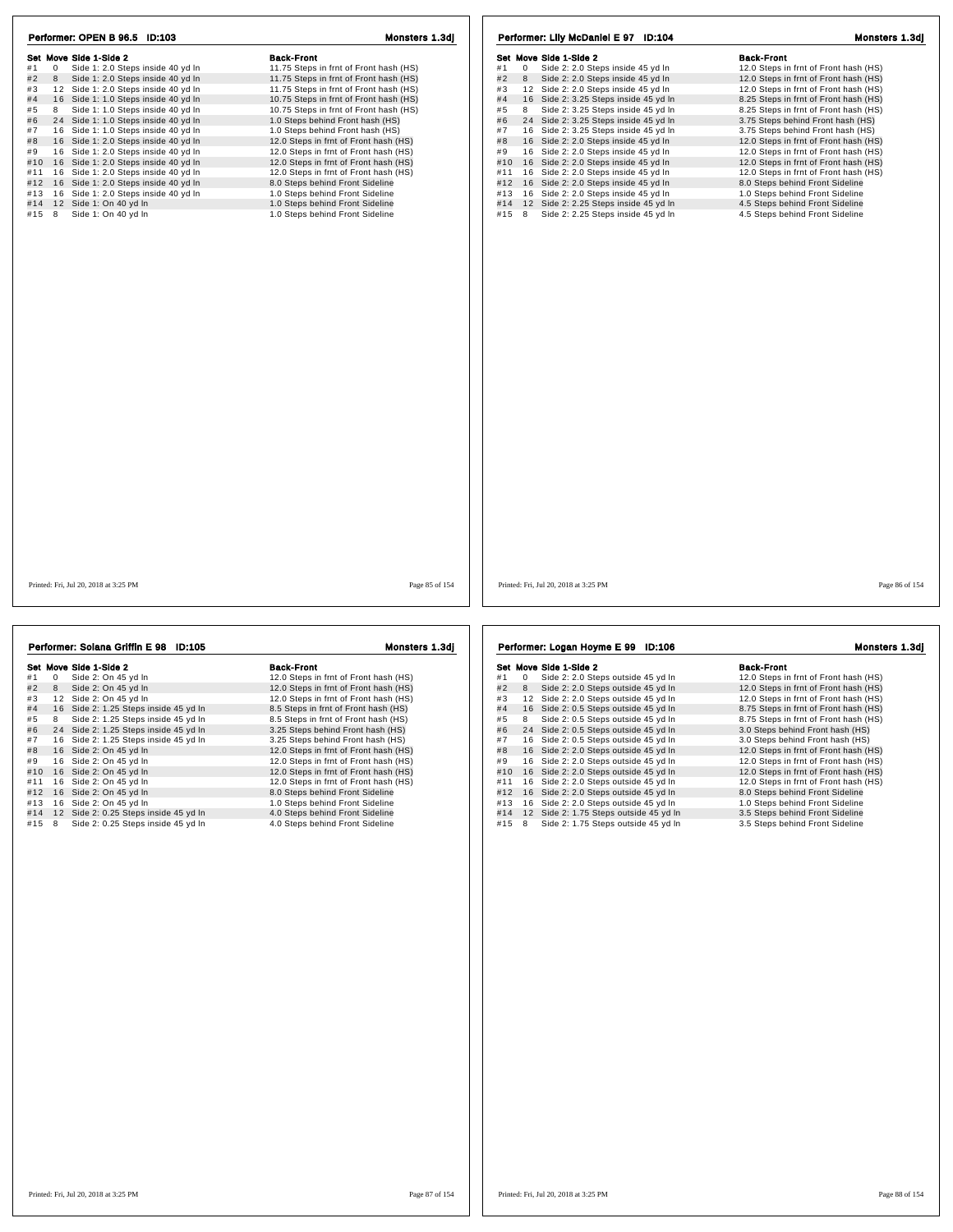| Set Move Side 1-Side 2<br>#1<br>$\overline{0}$<br>Side 1: 2.0 Steps inside 40 yd In<br>#2<br>Side 1: 2.0 Steps inside 40 yd In<br>8<br>#3<br>12 Side 1: 2.0 Steps inside 40 yd In<br>#4 16 Side 1: 1.0 Steps inside 40 yd In<br>Side 1: 1.0 Steps inside 40 yd In<br>#5<br>8<br>#6<br>24 Side 1: 1.0 Steps inside 40 yd In<br>#7<br>16 Side 1: 1.0 Steps inside 40 yd In<br>#8<br>16 Side 1: 2.0 Steps inside 40 yd In<br>#9<br>16 Side 1: 2.0 Steps inside 40 yd In | <b>Back-Front</b><br>11.75 Steps in frnt of Front hash (HS)<br>11.75 Steps in frnt of Front hash (HS)<br>11.75 Steps in frnt of Front hash (HS)<br>10.75 Steps in frnt of Front hash (HS)<br>10.75 Steps in frnt of Front hash (HS)<br>1.0 Steps behind Front hash (HS) | Set Move Side 1-Side 2<br>$\mathbf{0}$<br>Side 2: 2.0 Steps inside 45 yd In<br>#1<br>#2<br>Side 2: 2.0 Steps inside 45 yd In<br>8<br>#3<br>12 Side 2: 2.0 Steps inside 45 yd In<br>16 Side 2: 3.25 Steps inside 45 yd In<br>#4 | <b>Back-Front</b><br>12.0 Steps in frnt of Front hash (HS)<br>12.0 Steps in frnt of Front hash (HS)<br>12.0 Steps in frnt of Front hash (HS) |
|----------------------------------------------------------------------------------------------------------------------------------------------------------------------------------------------------------------------------------------------------------------------------------------------------------------------------------------------------------------------------------------------------------------------------------------------------------------------|-------------------------------------------------------------------------------------------------------------------------------------------------------------------------------------------------------------------------------------------------------------------------|--------------------------------------------------------------------------------------------------------------------------------------------------------------------------------------------------------------------------------|----------------------------------------------------------------------------------------------------------------------------------------------|
|                                                                                                                                                                                                                                                                                                                                                                                                                                                                      |                                                                                                                                                                                                                                                                         |                                                                                                                                                                                                                                |                                                                                                                                              |
|                                                                                                                                                                                                                                                                                                                                                                                                                                                                      |                                                                                                                                                                                                                                                                         |                                                                                                                                                                                                                                |                                                                                                                                              |
|                                                                                                                                                                                                                                                                                                                                                                                                                                                                      |                                                                                                                                                                                                                                                                         |                                                                                                                                                                                                                                |                                                                                                                                              |
|                                                                                                                                                                                                                                                                                                                                                                                                                                                                      |                                                                                                                                                                                                                                                                         |                                                                                                                                                                                                                                |                                                                                                                                              |
|                                                                                                                                                                                                                                                                                                                                                                                                                                                                      |                                                                                                                                                                                                                                                                         |                                                                                                                                                                                                                                | 8.25 Steps in frnt of Front hash (HS)                                                                                                        |
|                                                                                                                                                                                                                                                                                                                                                                                                                                                                      |                                                                                                                                                                                                                                                                         | Side 2: 3.25 Steps inside 45 yd In<br>#5<br>8                                                                                                                                                                                  | 8.25 Steps in frnt of Front hash (HS)                                                                                                        |
|                                                                                                                                                                                                                                                                                                                                                                                                                                                                      |                                                                                                                                                                                                                                                                         | #6<br>24 Side 2: 3.25 Steps inside 45 yd In                                                                                                                                                                                    | 3.75 Steps behind Front hash (HS)                                                                                                            |
|                                                                                                                                                                                                                                                                                                                                                                                                                                                                      | 1.0 Steps behind Front hash (HS)                                                                                                                                                                                                                                        | #7<br>16 Side 2: 3.25 Steps inside 45 yd In                                                                                                                                                                                    | 3.75 Steps behind Front hash (HS)                                                                                                            |
|                                                                                                                                                                                                                                                                                                                                                                                                                                                                      | 12.0 Steps in frnt of Front hash (HS)                                                                                                                                                                                                                                   | #8<br>16 Side 2: 2.0 Steps inside 45 yd In                                                                                                                                                                                     | 12.0 Steps in frnt of Front hash (HS)                                                                                                        |
|                                                                                                                                                                                                                                                                                                                                                                                                                                                                      | 12.0 Steps in frnt of Front hash (HS)                                                                                                                                                                                                                                   | #9<br>16 Side 2: 2.0 Steps inside 45 yd In                                                                                                                                                                                     | 12.0 Steps in frnt of Front hash (HS)                                                                                                        |
| #10 16 Side 1: 2.0 Steps inside 40 yd In                                                                                                                                                                                                                                                                                                                                                                                                                             | 12.0 Steps in frnt of Front hash (HS)                                                                                                                                                                                                                                   | #10<br>16 Side 2: 2.0 Steps inside 45 yd In                                                                                                                                                                                    | 12.0 Steps in frnt of Front hash (HS)                                                                                                        |
| #11 16 Side 1: 2.0 Steps inside 40 yd In                                                                                                                                                                                                                                                                                                                                                                                                                             | 12.0 Steps in frnt of Front hash (HS)                                                                                                                                                                                                                                   | #11<br>16 Side 2: 2.0 Steps inside 45 yd In                                                                                                                                                                                    | 12.0 Steps in frnt of Front hash (HS)                                                                                                        |
| #12 16 Side 1: 2.0 Steps inside 40 yd In                                                                                                                                                                                                                                                                                                                                                                                                                             | 8.0 Steps behind Front Sideline                                                                                                                                                                                                                                         | 16 Side 2: 2.0 Steps inside 45 yd In<br>#12                                                                                                                                                                                    | 8.0 Steps behind Front Sideline                                                                                                              |
|                                                                                                                                                                                                                                                                                                                                                                                                                                                                      |                                                                                                                                                                                                                                                                         | #13                                                                                                                                                                                                                            |                                                                                                                                              |
| 16 Side 1: 2.0 Steps inside 40 yd In<br>#13                                                                                                                                                                                                                                                                                                                                                                                                                          | 1.0 Steps behind Front Sideline                                                                                                                                                                                                                                         | 16 Side 2: 2.0 Steps inside 45 yd In                                                                                                                                                                                           | 1.0 Steps behind Front Sideline                                                                                                              |
| #14 12 Side 1: On 40 yd In                                                                                                                                                                                                                                                                                                                                                                                                                                           | 1.0 Steps behind Front Sideline                                                                                                                                                                                                                                         | #14<br>12 Side 2: 2.25 Steps inside 45 yd In                                                                                                                                                                                   | 4.5 Steps behind Front Sideline                                                                                                              |
| #15 8<br>Side 1: On 40 yd In                                                                                                                                                                                                                                                                                                                                                                                                                                         | 1.0 Steps behind Front Sideline                                                                                                                                                                                                                                         | Side 2: 2.25 Steps inside 45 yd In<br>#15 8                                                                                                                                                                                    | 4.5 Steps behind Front Sideline                                                                                                              |
|                                                                                                                                                                                                                                                                                                                                                                                                                                                                      |                                                                                                                                                                                                                                                                         |                                                                                                                                                                                                                                |                                                                                                                                              |
| Printed: Fri, Jul 20, 2018 at 3:25 PM                                                                                                                                                                                                                                                                                                                                                                                                                                | Page 85 of 154                                                                                                                                                                                                                                                          | Printed: Fri, Jul 20, 2018 at 3:25 PM                                                                                                                                                                                          | Page 86 of 154                                                                                                                               |

|     |    | Set Move Side 1-Side 2                | <b>Back-Front</b>                     |
|-----|----|---------------------------------------|---------------------------------------|
| #1  | 0  | Side 2: On 45 yd In                   | 12.0 Steps in frnt of Front hash (HS) |
| #2  | 8  | Side 2: On 45 yd In                   | 12.0 Steps in frnt of Front hash (HS) |
| #3  | 12 | Side 2: On 45 yd In                   | 12.0 Steps in frnt of Front hash (HS) |
| #4  |    | 16 Side 2: 1.25 Steps inside 45 yd In | 8.5 Steps in frnt of Front hash (HS)  |
| #5  | 8  | Side 2: 1.25 Steps inside 45 yd In    | 8.5 Steps in frnt of Front hash (HS)  |
| #6  |    | 24 Side 2: 1.25 Steps inside 45 yd In | 3.25 Steps behind Front hash (HS)     |
| #7  |    | 16 Side 2: 1.25 Steps inside 45 yd In | 3.25 Steps behind Front hash (HS)     |
| #8  |    | 16 Side 2: On 45 yd In                | 12.0 Steps in frnt of Front hash (HS) |
| #9  |    | 16 Side 2: On 45 yd In                | 12.0 Steps in frnt of Front hash (HS) |
| #10 |    | 16 Side 2: On 45 yd In                | 12.0 Steps in frnt of Front hash (HS) |
| #11 |    | 16 Side 2: On 45 yd In                | 12.0 Steps in frnt of Front hash (HS) |
| #12 |    | 16 Side 2: On 45 yd In                | 8.0 Steps behind Front Sideline       |
| #13 |    | 16 Side 2: On 45 yd In                | 1.0 Steps behind Front Sideline       |
| #14 |    | 12 Side 2: 0.25 Steps inside 45 yd In | 4.0 Steps behind Front Sideline       |
| #15 | 8  | Side 2: 0.25 Steps inside 45 yd In    | 4.0 Steps behind Front Sideline       |

Set Move Side 1-Side 2<br>
#1 0 Side 2: 2.0 Steps outside 45 yd In 12.0 Steps in frnt of Front hash (HS)<br>
#2 8 Side 2: 2.0 Steps outside 45 yd In 12.0 Steps in frnt of Front hash (HS) Set Move sheet - Set Movement Consumer Set Movement Consumer Set Movement Consumer Set Movement Consumer Set Mo<br>
#1 0 Side 2: 2.0 Steps outside 45 yd In 12.0 Steps in frnt of Front hash (HS)<br>
#3 12 Side 2: 2.0 Steps outsi # 4 1 6 Side 2: 0.5 Steps outside 45 yd ln 8.75 Steps in frnt of Front hash (HS) # 5 <sup>8</sup> Side 2: 0.5 Steps outside 45 yd ln 8.75 Steps in frnt of Front hash (HS) # 6 2 4 Side 2: 0.5 Steps outside 45 yd ln 3.0 Steps behind Front hash (HS) # 7 1 6 Side 2: 0.5 Steps outside 45 yd ln 3.0 Steps behind Front hash (HS) # 8 1 6 Side 2: 2.0 Steps outside 45 yd ln 12.0 Steps in frnt of Front hash (HS) # 9 1 6 Side 2: 2.0 Steps outside 45 yd ln 12.0 Steps in frnt of Front hash (HS) #10 16 Side 2: 2.0 Steps outside 45 yd ln 12.0 Steps in frnt of Front hash (HS)<br>
#9 16 Side 2: 2.0 Steps outside 45 yd ln 12.0 Steps in frnt of Front hash (HS)<br>
#10 16 Side 2: 2.0 Steps outside 45 yd ln 12.0 Steps in frnt #11 1 6 Side 2: 2.0 Steps outside 45 yd ln 12.0 Steps in frnt of Front hash (HS) #12 1 6 Side 2: 2.0 Steps outside 45 yd ln 8.0 Steps behind Front Sideline #13 1 6 Side 2: 2.0 Steps outside 45 yd ln 1.0 Steps behind Front Sideline #14 1 2 Side 2: 1.75 Steps outside 45 yd ln 3.5 Steps behind Front Sideline #15 8 Side 2: 1.75 Steps outside 45 yd ln 3.5 Steps behind Front Sideline Performer: Logan Hoyme E 99 ID:106 Monsters 1.3dj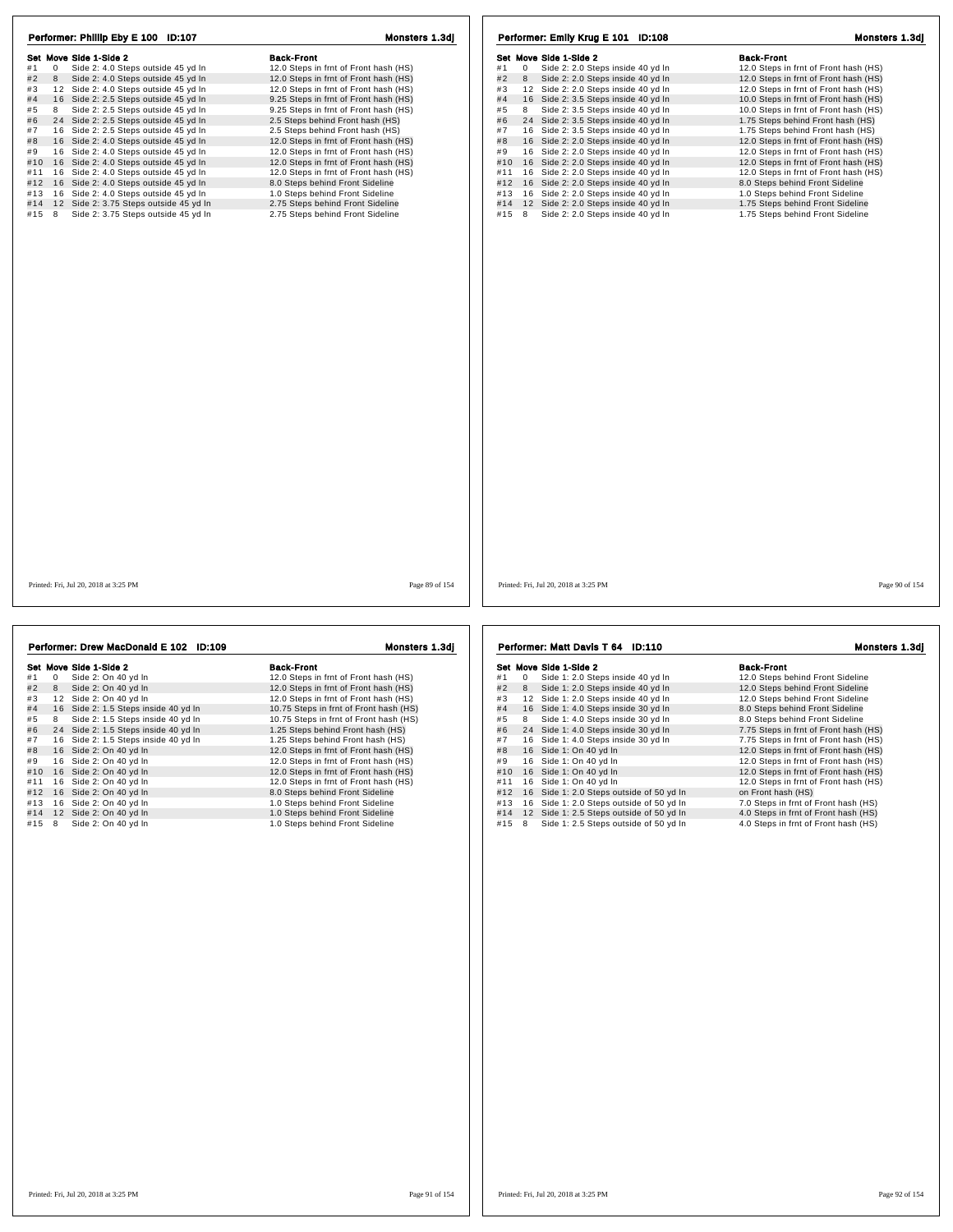| Performer: Phillip Eby E 100 ID:107                      | Monsters 1.3dj                        | Performer: Emily Krug E 101 ID:108                  | Monsters 1.3dj                        |
|----------------------------------------------------------|---------------------------------------|-----------------------------------------------------|---------------------------------------|
| Set Move Side 1-Side 2                                   | <b>Back-Front</b>                     | Set Move Side 1-Side 2                              | <b>Back-Front</b>                     |
| Side 2: 4.0 Steps outside 45 yd In<br>#1<br>$\mathbf{0}$ | 12.0 Steps in frnt of Front hash (HS) | #1<br>$\Omega$<br>Side 2: 2.0 Steps inside 40 yd In | 12.0 Steps in frnt of Front hash (HS) |
| #2<br>8 Side 2: 4.0 Steps outside 45 yd In               | 12.0 Steps in frnt of Front hash (HS) | #2<br>8 Side 2: 2.0 Steps inside 40 yd In           | 12.0 Steps in frnt of Front hash (HS) |
| 12 Side 2: 4.0 Steps outside 45 yd In<br>#3              | 12.0 Steps in frnt of Front hash (HS) | #3<br>12 Side 2: 2.0 Steps inside 40 yd In          | 12.0 Steps in frnt of Front hash (HS) |
| 16 Side 2: 2.5 Steps outside 45 yd In<br>#4              | 9.25 Steps in frnt of Front hash (HS) | #4<br>16 Side 2: 3.5 Steps inside 40 yd In          | 10.0 Steps in frnt of Front hash (HS) |
| Side 2: 2.5 Steps outside 45 yd In<br>#5<br>8            | 9.25 Steps in frnt of Front hash (HS) | #5<br>Side 2: 3.5 Steps inside 40 yd In<br>8        | 10.0 Steps in frnt of Front hash (HS) |
| #6<br>24 Side 2: 2.5 Steps outside 45 yd In              | 2.5 Steps behind Front hash (HS)      | #6<br>24 Side 2: 3.5 Steps inside 40 yd In          | 1.75 Steps behind Front hash (HS)     |
| 16 Side 2: 2.5 Steps outside 45 yd In<br>#7              | 2.5 Steps behind Front hash (HS)      | 16 Side 2: 3.5 Steps inside 40 yd In<br>#7          | 1.75 Steps behind Front hash (HS)     |
| #8<br>16 Side 2: 4.0 Steps outside 45 yd In              | 12.0 Steps in frnt of Front hash (HS) | #8<br>16 Side 2: 2.0 Steps inside 40 yd In          | 12.0 Steps in frnt of Front hash (HS) |
| 16 Side 2: 4.0 Steps outside 45 yd In<br>#9              | 12.0 Steps in frnt of Front hash (HS) | #9<br>16 Side 2: 2.0 Steps inside 40 yd In          | 12.0 Steps in frnt of Front hash (HS) |
| #10 16 Side 2: 4.0 Steps outside 45 yd In                | 12.0 Steps in frnt of Front hash (HS) | #10<br>16 Side 2: 2.0 Steps inside 40 yd In         | 12.0 Steps in frnt of Front hash (HS) |
| 16 Side 2: 4.0 Steps outside 45 yd In<br>#11             | 12.0 Steps in frnt of Front hash (HS) | 16 Side 2: 2.0 Steps inside 40 yd In<br>#11         | 12.0 Steps in frnt of Front hash (HS) |
| #12 16 Side 2: 4.0 Steps outside 45 yd In                | 8.0 Steps behind Front Sideline       | #12<br>16 Side 2: 2.0 Steps inside 40 yd In         | 8.0 Steps behind Front Sideline       |
| 16 Side 2: 4.0 Steps outside 45 yd In<br>#13             | 1.0 Steps behind Front Sideline       | 16 Side 2: 2.0 Steps inside 40 yd In<br>#13         | 1.0 Steps behind Front Sideline       |
| #14 12 Side 2: 3.75 Steps outside 45 yd In               | 2.75 Steps behind Front Sideline      | #14<br>12 Side 2: 2.0 Steps inside 40 yd In         | 1.75 Steps behind Front Sideline      |
| #15 8<br>Side 2: 3.75 Steps outside 45 yd In             | 2.75 Steps behind Front Sideline      | 8<br>#15<br>Side 2: 2.0 Steps inside 40 yd In       | 1.75 Steps behind Front Sideline      |
|                                                          |                                       |                                                     |                                       |
| Printed: Fri. Jul 20, 2018 at 3:25 PM                    | Page 89 of 154                        | Printed: Fri. Jul 20, 2018 at 3:25 PM               | Page 90 of 154                        |

|     |   | Performer: Drew MacDonald E 102 ID:109 | <b>Monsters 1.3di</b>                  |  |  |
|-----|---|----------------------------------------|----------------------------------------|--|--|
|     |   | Set Move Side 1-Side 2                 | <b>Back-Front</b>                      |  |  |
| #1  | 0 | Side 2: On 40 yd In                    | 12.0 Steps in frnt of Front hash (HS)  |  |  |
| #2  | 8 | Side 2: On 40 yd In                    | 12.0 Steps in frnt of Front hash (HS)  |  |  |
| #3  |   | 12 Side 2: On 40 yd In                 | 12.0 Steps in frnt of Front hash (HS)  |  |  |
| #4  |   | 16 Side 2: 1.5 Steps inside 40 yd In   | 10.75 Steps in frnt of Front hash (HS) |  |  |
| #5  | 8 | Side 2: 1.5 Steps inside 40 yd In      | 10.75 Steps in frnt of Front hash (HS) |  |  |
| #6  |   | 24 Side 2: 1.5 Steps inside 40 yd In   | 1.25 Steps behind Front hash (HS)      |  |  |
| #7  |   | 16 Side 2: 1.5 Steps inside 40 yd In   | 1.25 Steps behind Front hash (HS)      |  |  |
| #8  |   | 16 Side 2: On 40 yd In                 | 12.0 Steps in frnt of Front hash (HS)  |  |  |
| #9  |   | 16 Side 2: On 40 yd In                 | 12.0 Steps in frnt of Front hash (HS)  |  |  |
| #10 |   | 16 Side 2: On 40 yd In                 | 12.0 Steps in frnt of Front hash (HS)  |  |  |
| #11 |   | 16 Side 2: On 40 yd In                 | 12.0 Steps in frnt of Front hash (HS)  |  |  |
| #12 |   | 16 Side 2: On 40 yd In                 | 8.0 Steps behind Front Sideline        |  |  |
| #13 |   | 16 Side 2: On 40 yd In                 | 1.0 Steps behind Front Sideline        |  |  |
| #14 |   | 12 Side 2: On 40 yd In                 | 1.0 Steps behind Front Sideline        |  |  |
| #15 | 8 | Side 2: On 40 yd In                    | 1.0 Steps behind Front Sideline        |  |  |
|     |   |                                        |                                        |  |  |
|     |   |                                        |                                        |  |  |
|     |   |                                        |                                        |  |  |

## Set Move Side 1-Side 2<br>
#1 0 Side 1: 2.0 Steps inside 40 yd In 12.0 Steps behind Front Sideline<br>
#2 8 Side 1: 2.0 Steps inside 40 yd In 12.0 Steps behind Front Sideline # 1 <sup>0</sup> Side 1: 2.0 Steps inside 40 yd ln 12.0 Steps behind Front Sideline # 2 <sup>8</sup> Side 1: 2.0 Steps inside 40 yd ln 12.0 Steps behind Front Sideline # 3 1 2 Side 1: 2.0 Steps inside 40 yd ln 12.0 Steps behind Front Sideline # 4 1 6 Side 1: 4.0 Steps inside 30 yd ln 8.0 Steps behind Front Sideline # 5 <sup>8</sup> Side 1: 4.0 Steps inside 30 yd ln 8.0 Steps behind Front Sideline + 6 Side 1: 4.0 Steps inside 30 yd in a colour of South of Front had the 4 4 Side 1: 4.0 Steps inside 30 yd in 7.75 Steps in frnt of Front hash (HS)<br>#7 16 Side 1: 4.0 Steps inside 30 yd in 7.75 Steps in frnt of Front hash a external operations of the 11 of Side 1: A US depe in side 30 yd ln<br>
# 8 24 Side 1: 4.0 Steps in side 30 yd ln<br>
# 8 16 Side 1: On 40 yd ln<br>
# 9 16 Side 1: On 40 yd ln<br>
# 9 16 Side 1: On 40 yd ln<br>
12.0 Steps in frnt of F # 8 16 Side 1: On 40 yd ln 12.0 Steps in frnt of Front hash (HS)<br>
# 9 16 Side 1: On 40 yd ln 12.0 Steps in frnt of Front hash (HS)<br>
# 10 16 Side 1: On 40 yd ln 12.0 Steps in frnt of Front hash (HS) #11 1 6 Side 1: On 40 yd ln 12.0 Steps in frnt of Front hash (HS) #12 1 6 Side 1: 2.0 Steps outside of 50 yd ln on Front hash (HS) #13 1 6 Side 1: 2.0 Steps outside of 50 yd ln 7.0 Steps in frnt of Front hash (HS) #14 1 2 Side 1: 2.5 Steps outside of 50 yd ln 4.0 Steps in frnt of Front hash (HS)  $\frac{20}{15}$  and  $\frac{20}{15}$  Steps outside of 50 yd ln  $\frac{20}{15}$  7.0 Steps in frnt of Front hash (HS)<br>  $\frac{413}{15}$  8 Side 1: 2.5 Steps outside of 50 yd ln  $\frac{4.0 \text{ Steps in front of Front hash (HS)}}{4.0 \text{ Steps in front of Front hash (HS)}}$ <br>  $\frac{415}{15}$  8 Side 1: 2.5 Performer: Matt Davis T 64 ID:110 Monsters 1.3dj

## 12.0 Steps in frnt of Front hash (HS)<br>12.0 Steps in frnt of Front hash (HS)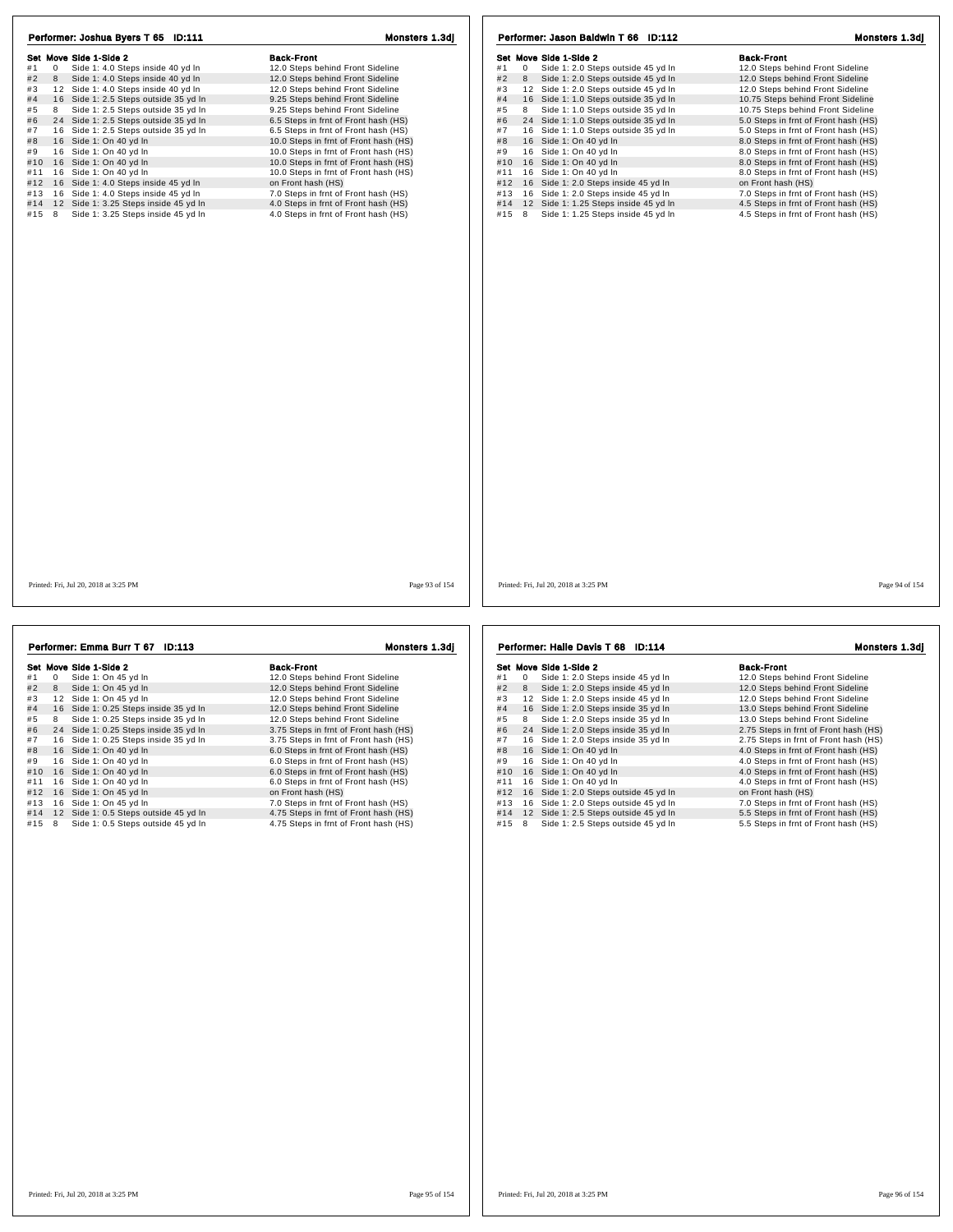| Performer: Joshua Byers T 65 ID:111                     | Monsters 1.3dj                        | Performer: Jason Baldwin T 66 ID:112                     | Monsters 1.3dj                       |
|---------------------------------------------------------|---------------------------------------|----------------------------------------------------------|--------------------------------------|
|                                                         |                                       |                                                          |                                      |
| Set Move Side 1-Side 2                                  | <b>Back-Front</b>                     | Set Move Side 1-Side 2                                   | <b>Back-Front</b>                    |
| Side 1: 4.0 Steps inside 40 yd In<br>#1<br>$\mathbf{0}$ | 12.0 Steps behind Front Sideline      | Side 1: 2.0 Steps outside 45 yd In<br>#1<br>$\mathbf{0}$ | 12.0 Steps behind Front Sideline     |
| #2<br>Side 1: 4.0 Steps inside 40 yd In<br>8            | 12.0 Steps behind Front Sideline      | #2<br>Side 1: 2.0 Steps outside 45 yd In<br>8            | 12.0 Steps behind Front Sideline     |
| 12 Side 1: 4.0 Steps inside 40 yd In<br>#3              | 12.0 Steps behind Front Sideline      | 12 Side 1: 2.0 Steps outside 45 yd In<br>#3              | 12.0 Steps behind Front Sideline     |
| #4<br>16 Side 1: 2.5 Steps outside 35 yd In             | 9.25 Steps behind Front Sideline      | 16 Side 1: 1.0 Steps outside 35 yd In<br>#4              | 10.75 Steps behind Front Sideline    |
| Side 1: 2.5 Steps outside 35 yd In<br>#5<br>8           | 9.25 Steps behind Front Sideline      | Side 1: 1.0 Steps outside 35 yd In<br>#5<br>8            | 10.75 Steps behind Front Sideline    |
| 24 Side 1: 2.5 Steps outside 35 yd In<br>#6             | 6.5 Steps in frnt of Front hash (HS)  | #6<br>24 Side 1: 1.0 Steps outside 35 yd In              | 5.0 Steps in frnt of Front hash (HS) |
| #7<br>16 Side 1: 2.5 Steps outside 35 yd In             | 6.5 Steps in frnt of Front hash (HS)  | 16 Side 1: 1.0 Steps outside 35 yd In<br>#7              | 5.0 Steps in frnt of Front hash (HS) |
| 16 Side 1: On 40 yd In<br>#8                            | 10.0 Steps in frnt of Front hash (HS) | 16 Side 1: On 40 yd In<br>#8                             | 8.0 Steps in frnt of Front hash (HS) |
| 16 Side 1: On 40 yd In<br>#9                            | 10.0 Steps in frnt of Front hash (HS) | 16 Side 1: On 40 yd In<br>#9                             | 8.0 Steps in frnt of Front hash (HS) |
| #10 16 Side 1: On 40 yd In                              | 10.0 Steps in frnt of Front hash (HS) | 16 Side 1: On 40 yd In<br>#10                            | 8.0 Steps in frnt of Front hash (HS) |
| #11 16 Side 1: On 40 yd In                              | 10.0 Steps in frnt of Front hash (HS) | 16 Side 1: On 40 yd In<br>#11                            | 8.0 Steps in frnt of Front hash (HS) |
| #12 16 Side 1: 4.0 Steps inside 45 yd In                | on Front hash (HS)                    | 16 Side 1: 2.0 Steps inside 45 yd In<br>#12              | on Front hash (HS)                   |
| #13 16 Side 1: 4.0 Steps inside 45 yd In                | 7.0 Steps in frnt of Front hash (HS)  | #13 16 Side 1: 2.0 Steps inside 45 yd In                 | 7.0 Steps in frnt of Front hash (HS) |
| 12 Side 1: 3.25 Steps inside 45 yd In<br>#14            | 4.0 Steps in frnt of Front hash (HS)  | 12 Side 1: 1.25 Steps inside 45 yd In<br>#14             | 4.5 Steps in frnt of Front hash (HS) |
| #15 8<br>Side 1: 3.25 Steps inside 45 yd In             | 4.0 Steps in frnt of Front hash (HS)  | Side 1: 1.25 Steps inside 45 yd In<br>#15 8              | 4.5 Steps in frnt of Front hash (HS) |
|                                                         |                                       |                                                          |                                      |
| Printed: Fri, Jul 20, 2018 at 3:25 PM                   | Page 93 of 154                        | Printed: Fri, Jul 20, 2018 at 3:25 PM                    | Page 94 of 154                       |
|                                                         |                                       |                                                          |                                      |

| Performer: Emma Burr T 67 ID:113 |   |                                       | Monsters 1.3dj                        |  |  |
|----------------------------------|---|---------------------------------------|---------------------------------------|--|--|
|                                  |   | Set Move Side 1-Side 2                | <b>Back-Front</b>                     |  |  |
| #1                               | 0 | Side 1: On 45 yd In                   | 12.0 Steps behind Front Sideline      |  |  |
| #2                               | 8 | Side 1: On 45 yd In                   | 12.0 Steps behind Front Sideline      |  |  |
| #3                               |   | 12 Side 1: On 45 vd In                | 12.0 Steps behind Front Sideline      |  |  |
| #4                               |   | 16 Side 1: 0.25 Steps inside 35 yd In | 12.0 Steps behind Front Sideline      |  |  |
| #5                               | 8 | Side 1: 0.25 Steps inside 35 yd In    | 12.0 Steps behind Front Sideline      |  |  |
| #6                               |   | 24 Side 1: 0.25 Steps inside 35 yd In | 3.75 Steps in frnt of Front hash (HS) |  |  |
| #7                               |   | 16 Side 1: 0.25 Steps inside 35 yd In | 3.75 Steps in frnt of Front hash (HS) |  |  |
| #8                               |   | 16 Side 1: On 40 yd In                | 6.0 Steps in frnt of Front hash (HS)  |  |  |
| #9                               |   | 16 Side 1: On 40 yd In                | 6.0 Steps in frnt of Front hash (HS)  |  |  |
| #10                              |   | 16 Side 1: On 40 yd In                | 6.0 Steps in frnt of Front hash (HS)  |  |  |
| #11                              |   | 16 Side 1: On 40 yd In                | 6.0 Steps in frnt of Front hash (HS)  |  |  |
| #12                              |   | 16 Side 1: On 45 yd In                | on Front hash (HS)                    |  |  |
| #13                              |   | 16 Side 1: On 45 yd In                | 7.0 Steps in frnt of Front hash (HS)  |  |  |
| #14                              |   | 12 Side 1: 0.5 Steps outside 45 yd In | 4.75 Steps in frnt of Front hash (HS) |  |  |
| #15                              | 8 | Side 1: 0.5 Steps outside 45 yd In    | 4.75 Steps in frnt of Front hash (HS) |  |  |
|                                  |   |                                       |                                       |  |  |
|                                  |   |                                       |                                       |  |  |
|                                  |   |                                       |                                       |  |  |
|                                  |   |                                       |                                       |  |  |

Set Move Side 1-Side 2<br>
#1 0 Side 1: 2.0 Steps inside 45 yd In 12.0 Steps behind Front Sideline<br>
#2 8 Side 1: 2.0 Steps inside 45 yd In 12.0 Steps behind Front Sideline # 1 <sup>0</sup> Side 1: 2.0 Steps inside 45 yd ln 12.0 Steps behind Front Sideline # 2 <sup>8</sup> Side 1: 2.0 Steps inside 45 yd ln 12.0 Steps behind Front Sideline # 3 1 2 Side 1: 2.0 Steps inside 45 yd ln 12.0 Steps behind Front Sideline # 4 1 6 Side 1: 2.0 Steps inside 35 yd ln 13.0 Steps behind Front Sideline # 5 <sup>8</sup> Side 1: 2.0 Steps inside 35 yd ln 13.0 Steps behind Front Sideline # 6 2 4 Side 1: 2.0 Steps inside 35 yd ln 2.75 Steps in frnt of Front hash (HS) # 7 1 6 Side 1: 2.0 Steps inside 35 yd ln 2.75 Steps in frnt of Front hash (HS) # 8 1 6 Side 1: On 40 yd ln 4.0 Steps in frnt of Front hash (HS) # 9 1 6 Side 1: On 40 yd ln 4.0 Steps in frnt of Front hash (HS) #10 16 Side 1: On 40 yd ln 4.0 Steps in frnt of Front hash (HS)<br>
#9 16 Side 1: On 40 yd ln 4.0 Steps in frnt of Front hash (HS)<br>
#10 16 Side 1: On 40 yd ln 4.0 Steps in frnt of Front hash (HS)<br>
#11 16 Side 1: On 40 yd ln #11 1 6 Side 1: On 40 yd ln 4.0 Steps in frnt of Front hash (HS) #12 1 6 Side 1: 2.0 Steps outside 45 yd ln on Front hash (HS) #12 1 to Side 1: 2.0 Steps outside 45 yd in Front on Front hash (HS)<br>#13 1 6 Side 1: 2.0 Steps outside 45 yd in Front S. Steps in frnt of Front hash (HS)<br>#14 12 Side 1: 2.5 Steps outside 45 yd in Front S.5 Steps in frnt of  $\frac{413}{16}$  16 Side 1: 2.0 Steps outside 45 yd ln  $\frac{413}{16}$  16 Side 1: 2.0 Steps outside 45 yd ln  $\frac{413}{16}$  5.5 Steps in frnt of Front hash (HS)  $\frac{414}{16}$  12 Side 1: 2.5 Steps outside 45 yd ln  $\frac{45}{16}$  5.5 St Performer: Halle Davis T 68 ID:114 Monsters 1.3dj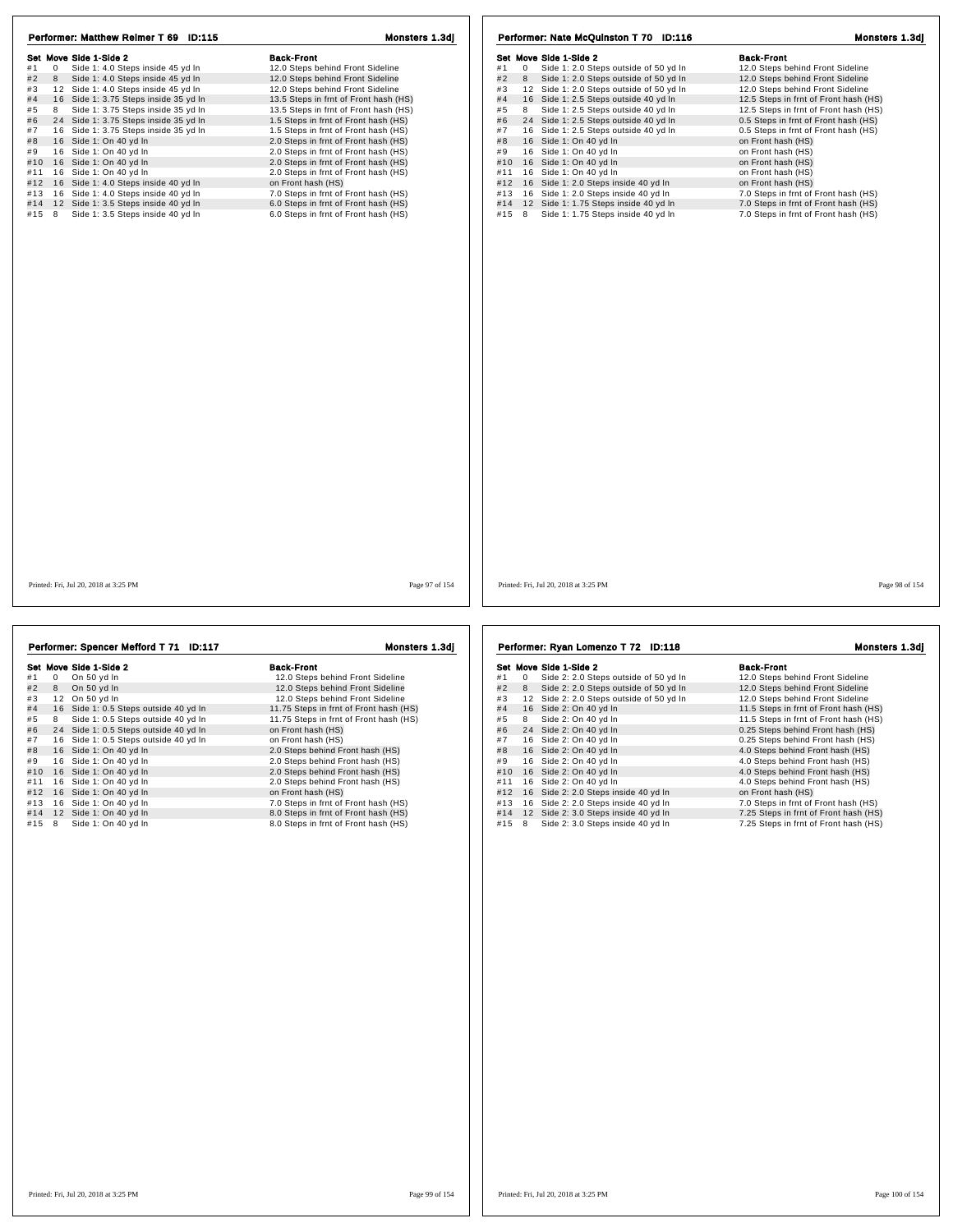| Set Move Side 1-Side 2                                                                 | <b>Back-Front</b>                                                            | Set Move Side 1-Side 2                                                                      | <b>Back-Front</b>                                                            |
|----------------------------------------------------------------------------------------|------------------------------------------------------------------------------|---------------------------------------------------------------------------------------------|------------------------------------------------------------------------------|
| $\mathbf{0}$<br>Side 1: 4.0 Steps inside 45 yd In<br>#1                                | 12.0 Steps behind Front Sideline                                             | Side 1: 2.0 Steps outside of 50 yd In<br>$\overline{0}$<br>#1                               | 12.0 Steps behind Front Sideline                                             |
| Side 1: 4.0 Steps inside 45 yd In<br>#2 8                                              | 12.0 Steps behind Front Sideline                                             | #2<br>Side 1: 2.0 Steps outside of 50 yd In<br>8                                            | 12.0 Steps behind Front Sideline                                             |
| 12 Side 1: 4.0 Steps inside 45 yd In<br>#3                                             | 12.0 Steps behind Front Sideline                                             | 12 Side 1: 2.0 Steps outside of 50 yd In<br>#3                                              | 12.0 Steps behind Front Sideline                                             |
| #4<br>16 Side 1: 3.75 Steps inside 35 yd In                                            | 13.5 Steps in frnt of Front hash (HS)                                        | #4<br>16 Side 1: 2.5 Steps outside 40 yd In                                                 | 12.5 Steps in frnt of Front hash (HS)                                        |
| #5<br>8 Side 1: 3.75 Steps inside 35 yd In                                             | 13.5 Steps in frnt of Front hash (HS)                                        | 8 Side 1: 2.5 Steps outside 40 yd In<br>#5                                                  | 12.5 Steps in frnt of Front hash (HS)                                        |
| #6 24 Side 1: 3.75 Steps inside 35 yd In                                               | 1.5 Steps in frnt of Front hash (HS)                                         | 24 Side 1: 2.5 Steps outside 40 yd In<br>#6                                                 | 0.5 Steps in frnt of Front hash (HS)                                         |
| #7 16 Side 1: 3.75 Steps inside 35 yd In                                               | 1.5 Steps in frnt of Front hash (HS)                                         | #7<br>16 Side 1: 2.5 Steps outside 40 yd In                                                 | 0.5 Steps in frnt of Front hash (HS)                                         |
| 16 Side 1: On 40 yd In                                                                 | 2.0 Steps in frnt of Front hash (HS)                                         | 16 Side 1: On 40 yd In<br>#8                                                                | on Front hash (HS)                                                           |
| 16 Side 1: On 40 yd In                                                                 | 2.0 Steps in frnt of Front hash (HS)                                         | 16 Side 1: On 40 yd In<br>#9                                                                | on Front hash (HS)                                                           |
| #10 16 Side 1: On 40 yd In                                                             | 2.0 Steps in frnt of Front hash (HS)                                         | 16 Side 1: On 40 yd In<br>#10                                                               | on Front hash (HS)                                                           |
| #11 16 Side 1: On 40 yd In                                                             | 2.0 Steps in frnt of Front hash (HS)                                         | #11<br>16 Side 1: On 40 yd In                                                               | on Front hash (HS)                                                           |
| #12 16 Side 1: 4.0 Steps inside 40 yd In                                               | on Front hash (HS)                                                           | #12 16 Side 1: 2.0 Steps inside 40 yd In                                                    | on Front hash (HS)                                                           |
| #13 16 Side 1: 4.0 Steps inside 40 yd In                                               | 7.0 Steps in frnt of Front hash (HS)                                         | 16 Side 1: 2.0 Steps inside 40 yd In<br>#13                                                 | 7.0 Steps in frnt of Front hash (HS)                                         |
|                                                                                        |                                                                              |                                                                                             |                                                                              |
| #14 12 Side 1: 3.5 Steps inside 40 yd In<br>#15 8<br>Side 1: 3.5 Steps inside 40 yd In | 6.0 Steps in frnt of Front hash (HS)<br>6.0 Steps in frnt of Front hash (HS) | 12 Side 1: 1.75 Steps inside 40 yd In<br>#14<br>Side 1: 1.75 Steps inside 40 yd In<br>#15 8 | 7.0 Steps in frnt of Front hash (HS)<br>7.0 Steps in frnt of Front hash (HS) |
|                                                                                        |                                                                              |                                                                                             |                                                                              |
| Printed: Fri, Jul 20, 2018 at 3:25 PM                                                  | Page 97 of 154                                                               | Printed: Fri. Jul 20, 2018 at 3:25 PM                                                       | Page 98 of 154                                                               |

|                | Set Move Side 1-Side 2                | <b>Back-Front</b>                      |
|----------------|---------------------------------------|----------------------------------------|
| #1<br>$\Omega$ | On 50 yd In                           | 12.0 Steps behind Front Sideline       |
| #2<br>8        | On 50 yd In                           | 12.0 Steps behind Front Sideline       |
| #3             | 12 On 50 vd In                        | 12.0 Steps behind Front Sideline       |
| #4             | 16 Side 1: 0.5 Steps outside 40 yd In | 11.75 Steps in frnt of Front hash (HS) |
| #5<br>8        | Side 1: 0.5 Steps outside 40 yd In    | 11.75 Steps in frnt of Front hash (HS) |
| #6             | 24 Side 1: 0.5 Steps outside 40 yd In | on Front hash (HS)                     |
| #7             | 16 Side 1: 0.5 Steps outside 40 yd In | on Front hash (HS)                     |
| #8             | 16 Side 1: On 40 yd In                | 2.0 Steps behind Front hash (HS)       |
| #9             | 16 Side 1: On 40 yd In                | 2.0 Steps behind Front hash (HS)       |
| #10            | 16 Side 1: On 40 yd In                | 2.0 Steps behind Front hash (HS)       |
| #11<br>16      | Side 1: On 40 yd In                   | 2.0 Steps behind Front hash (HS)       |
| #12<br>16      | Side 1: On 40 yd In                   | on Front hash (HS)                     |
| #13            | 16 Side 1: On 40 vd In                | 7.0 Steps in frnt of Front hash (HS)   |
| #14            | 12 Side 1: On 40 yd In                | 8.0 Steps in frnt of Front hash (HS)   |
| #15<br>8       | Side 1: On 40 yd In                   | 8.0 Steps in frnt of Front hash (HS)   |

4.0 Steps behind Front hash (HS)<br>
#11 16 Side 2: 2.0 Steps inside 40 yd In 4.0 Steps behind Front hash (HS)<br>
#12 16 Side 2: 2.0 Steps inside 40 yd In 5.0 Steps in front hash (HS)<br>
#13 16 Side 2: 2.0 Steps inside 40 yd In 7

Performer: Ryan Lomenzo T 72 ID:118 Monsters 1.3dj

|     |    | Set Move Side 1-Side 2                | <b>Back-Front</b>                     |
|-----|----|---------------------------------------|---------------------------------------|
| #1  | 0  | Side 2: 2.0 Steps outside of 50 yd In | 12.0 Steps behind Front Sideline      |
| #2  | 8  | Side 2: 2.0 Steps outside of 50 yd In | 12.0 Steps behind Front Sideline      |
| #3  | 12 | Side 2: 2.0 Steps outside of 50 yd In | 12.0 Steps behind Front Sideline      |
| #4  |    | 16 Side 2: On 40 yd In                | 11.5 Steps in frnt of Front hash (HS) |
| #5  | 8  | Side 2: On 40 yd In                   | 11.5 Steps in frnt of Front hash (HS) |
| #6  |    | 24 Side 2: On 40 yd In                | 0.25 Steps behind Front hash (HS)     |
| #7  |    | 16 Side 2: On 40 yd In                | 0.25 Steps behind Front hash (HS)     |
| #8  |    | 16 Side 2: On 40 yd In                | 4.0 Steps behind Front hash (HS)      |
| #9  |    | 16 Side 2: On 40 yd In                | 4.0 Steps behind Front hash (HS)      |
| #10 |    | 16 Side 2: On 40 vd In                | 4.0 Steps behind Front hash (HS)      |
| #11 |    | 16 Side 2: On 40 yd In                | 4.0 Steps behind Front hash (HS)      |
| #12 |    | 16 Side 2: 2.0 Steps inside 40 yd In  | on Front hash (HS)                    |
| #13 |    | 16 Side 2: 2.0 Steps inside 40 yd In  | 7.0 Steps in frnt of Front hash (HS)  |
| #14 |    | 12 Side 2: 3.0 Steps inside 40 yd In  | 7.25 Steps in frnt of Front hash (HS) |
| #15 | 8  | Side 2: 3.0 Steps inside 40 yd In     | 7.25 Steps in frnt of Front hash (HS) |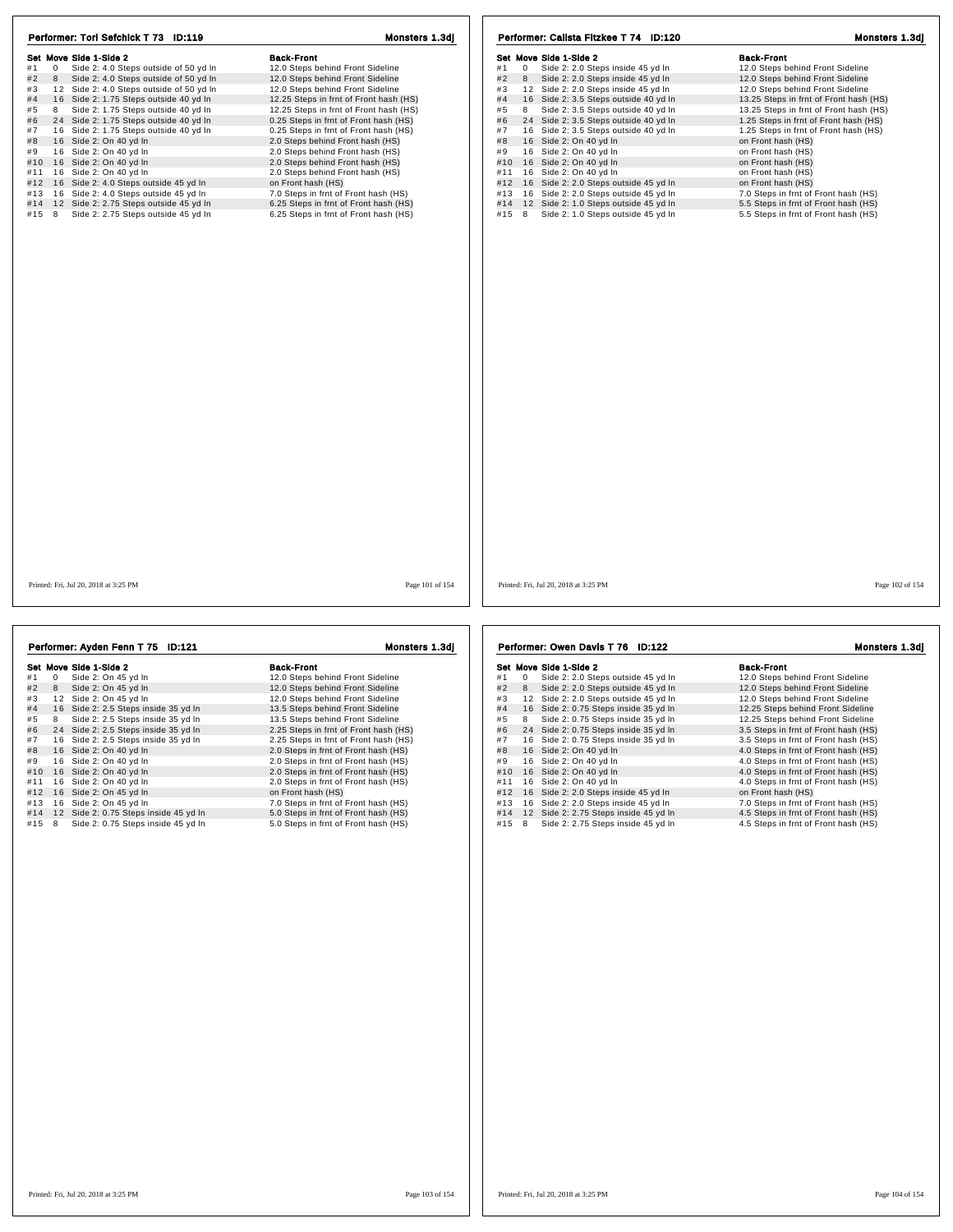| Performer: Tori Sefchick T 73 ID:119                                                  | Monsters 1.3dj                                        | Performer: Calista Fitzkee T 74 ID:120                                            | Monsters 1.3dj                                        |
|---------------------------------------------------------------------------------------|-------------------------------------------------------|-----------------------------------------------------------------------------------|-------------------------------------------------------|
|                                                                                       |                                                       |                                                                                   |                                                       |
| Set Move Side 1-Side 2<br>Side 2: 4.0 Steps outside of 50 yd In<br>#1<br>$\mathbf{0}$ | <b>Back-Front</b><br>12.0 Steps behind Front Sideline | Set Move Side 1-Side 2<br>Side 2: 2.0 Steps inside 45 yd In<br>#1<br>$\mathbf{0}$ | <b>Back-Front</b><br>12.0 Steps behind Front Sideline |
|                                                                                       |                                                       |                                                                                   |                                                       |
| Side 2: 4.0 Steps outside of 50 yd In<br>#2<br>8                                      | 12.0 Steps behind Front Sideline                      | #2<br>Side 2: 2.0 Steps inside 45 yd In<br>8                                      | 12.0 Steps behind Front Sideline                      |
| 12 Side 2: 4.0 Steps outside of 50 yd In<br>#3                                        | 12.0 Steps behind Front Sideline                      | 12 Side 2: 2.0 Steps inside 45 yd In<br>#3                                        | 12.0 Steps behind Front Sideline                      |
| #4<br>16 Side 2: 1.75 Steps outside 40 yd In                                          | 12.25 Steps in frnt of Front hash (HS)                | #4<br>16 Side 2: 3.5 Steps outside 40 yd In                                       | 13.25 Steps in frnt of Front hash (HS)                |
| Side 2: 1.75 Steps outside 40 yd In<br>8<br>#5                                        | 12.25 Steps in frnt of Front hash (HS)                | Side 2: 3.5 Steps outside 40 yd In<br>#5<br>8                                     | 13.25 Steps in frnt of Front hash (HS)                |
| #6<br>24 Side 2: 1.75 Steps outside 40 yd In                                          | 0.25 Steps in frnt of Front hash (HS)                 | 24 Side 2: 3.5 Steps outside 40 yd In<br>#6                                       | 1.25 Steps in frnt of Front hash (HS)                 |
| 16 Side 2: 1.75 Steps outside 40 yd In<br>#7                                          | 0.25 Steps in frnt of Front hash (HS)                 | 16 Side 2: 3.5 Steps outside 40 yd In<br>#7                                       | 1.25 Steps in frnt of Front hash (HS)                 |
| #8<br>16 Side 2: On 40 yd In                                                          | 2.0 Steps behind Front hash (HS)                      | #8<br>16 Side 2: On 40 yd In                                                      | on Front hash (HS)                                    |
| 16 Side 2: On 40 yd In<br>#9                                                          | 2.0 Steps behind Front hash (HS)                      | 16 Side 2: On 40 yd In<br>#9                                                      | on Front hash (HS)                                    |
| #10 16 Side 2: On 40 yd In                                                            | 2.0 Steps behind Front hash (HS)                      | 16 Side 2: On 40 yd In<br>#10                                                     | on Front hash (HS)                                    |
| 16 Side 2: On 40 yd In<br>#11                                                         | 2.0 Steps behind Front hash (HS)                      | 16 Side 2: On 40 yd In<br>#11                                                     | on Front hash (HS)                                    |
| #12 16 Side 2: 4.0 Steps outside 45 yd In                                             | on Front hash (HS)                                    | 16 Side 2: 2.0 Steps outside 45 yd In<br>#12                                      | on Front hash (HS)                                    |
| #13 16 Side 2: 4.0 Steps outside 45 yd In                                             | 7.0 Steps in frnt of Front hash (HS)                  | 16 Side 2: 2.0 Steps outside 45 yd In<br>#13                                      | 7.0 Steps in frnt of Front hash (HS)                  |
| #14 12 Side 2: 2.75 Steps outside 45 yd In                                            | 6.25 Steps in frnt of Front hash (HS)                 | 12 Side 2: 1.0 Steps outside 45 yd In<br>#14                                      | 5.5 Steps in frnt of Front hash (HS)                  |
| #15 8<br>Side 2: 2.75 Steps outside 45 yd In                                          | 6.25 Steps in frnt of Front hash (HS)                 | #15 8 Side 2: 1.0 Steps outside 45 yd In                                          | 5.5 Steps in frnt of Front hash (HS)                  |
|                                                                                       |                                                       |                                                                                   |                                                       |
| Printed: Fri. Jul 20, 2018 at 3:25 PM                                                 | Page 101 of 154                                       | Printed: Fri. Jul 20, 2018 at 3:25 PM                                             | Page 102 of 154                                       |

|     |    | Performer: Ayden Fenn T 75 ID:121     | Monsters 1.3dj                        |
|-----|----|---------------------------------------|---------------------------------------|
|     |    | Set Move Side 1-Side 2                | <b>Back-Front</b>                     |
| #1  | 0  | Side 2: On 45 yd In                   | 12.0 Steps behind Front Sideline      |
| #2  | 8  | Side 2: On 45 yd In                   | 12.0 Steps behind Front Sideline      |
| #3  | 12 | Side 2: On 45 yd In                   | 12.0 Steps behind Front Sideline      |
| #4  |    | 16 Side 2: 2.5 Steps inside 35 yd In  | 13.5 Steps behind Front Sideline      |
| #5  | 8  | Side 2: 2.5 Steps inside 35 yd In     | 13.5 Steps behind Front Sideline      |
| #6  | 24 | Side 2: 2.5 Steps inside 35 yd In     | 2.25 Steps in frnt of Front hash (HS) |
| #7  | 16 | Side 2: 2.5 Steps inside 35 yd In     | 2.25 Steps in frnt of Front hash (HS) |
| #8  | 16 | Side 2: On 40 yd In                   | 2.0 Steps in frnt of Front hash (HS)  |
| #9  | 16 | Side 2: On 40 yd In                   | 2.0 Steps in frnt of Front hash (HS)  |
| #10 | 16 | Side 2: On 40 yd In                   | 2.0 Steps in frnt of Front hash (HS)  |
| #11 | 16 | Side 2: On 40 yd In                   | 2.0 Steps in frnt of Front hash (HS)  |
| #12 |    | 16 Side 2: On 45 yd In                | on Front hash (HS)                    |
| #13 | 16 | Side 2: On 45 yd In                   | 7.0 Steps in frnt of Front hash (HS)  |
| #14 |    | 12 Side 2: 0.75 Steps inside 45 yd In | 5.0 Steps in frnt of Front hash (HS)  |
| #15 | 8  | Side 2: 0.75 Steps inside 45 yd In    | 5.0 Steps in frnt of Front hash (HS)  |
|     |    |                                       |                                       |
|     |    |                                       |                                       |
|     |    |                                       |                                       |
|     |    |                                       |                                       |
|     |    |                                       |                                       |
|     |    |                                       |                                       |
|     |    |                                       |                                       |

## Set Move Side 1-Side 2<br>
#1 0 Side 2: 2.0 Steps outside 45 yd In 12.0 Steps behind Front Sideline<br>
#2 8 Side 2: 2.0 Steps outside 45 yd In 12.0 Steps behind Front Sideline # 1 <sup>0</sup> Side 2: 2.0 Steps outside 45 yd ln 12.0 Steps behind Front Sideline # 2 <sup>8</sup> Side 2: 2.0 Steps outside 45 yd ln 12.0 Steps behind Front Sideline # 3 1 2 Side 2: 2.0 Steps outside 45 yd ln 12.0 Steps behind Front Sideline # 4 1 6 Side 2: 0.75 Steps inside 35 yd ln 12.25 Steps behind Front Sideline # 5 <sup>8</sup> Side 2: 0.75 Steps inside 35 yd ln 12.25 Steps behind Front Sideline # 6 2 4 Side 2: 0.75 Steps inside 35 yd ln 3.5 Steps in frnt of Front hash (HS) # 7 1 6 Side 2: 0.75 Steps inside 35 yd ln 3.5 Steps in frnt of Front hash (HS) # 8 1 6 Side 2: On 40 yd ln 4.0 Steps in frnt of Front hash (HS) # 9 1 6 Side 2: On 40 yd ln 4.0 Steps in frnt of Front hash (HS) #10 16 Side 2: On 40 yd ln 4.0 Steps in frnt of Front hash (HS)<br>
#9 16 Side 2: On 40 yd ln 4.0 Steps in frnt of Front hash (HS)<br>
#10 16 Side 2: On 40 yd ln 4.0 Steps in frnt of Front hash (HS)<br>
#11 16 Side 2: On 40 yd ln #11 1 6 Side 2: On 40 yd ln 4.0 Steps in frnt of Front hash (HS) #12 1 6 Side 2: 2.0 Steps inside 45 yd ln on Front hash (HS) #13 1 6 Side 2: 2.0 Steps inside 45 yd ln 7.0 Steps in frnt of Front hash (HS) #14 1 2 Side 2: 2.75 Steps inside 45 yd ln 4.5 Steps in frnt of Front hash (HS)  $\frac{413}{413}$  16 Side 2: 2.0 Steps inside 45 yd ln  $\frac{413}{415}$  16 Side 2: 2.0 Steps inside 45 yd ln  $\frac{45}{415}$  12 Side 2: 2.75 Steps inside 45 yd ln  $\frac{45}{415}$  15 8 Side 2: 2.75 Steps inside 45 yd ln  $\frac{45}{415}$  15 Performer: Owen Davis T 76 ID:122 Monsters 1.3dj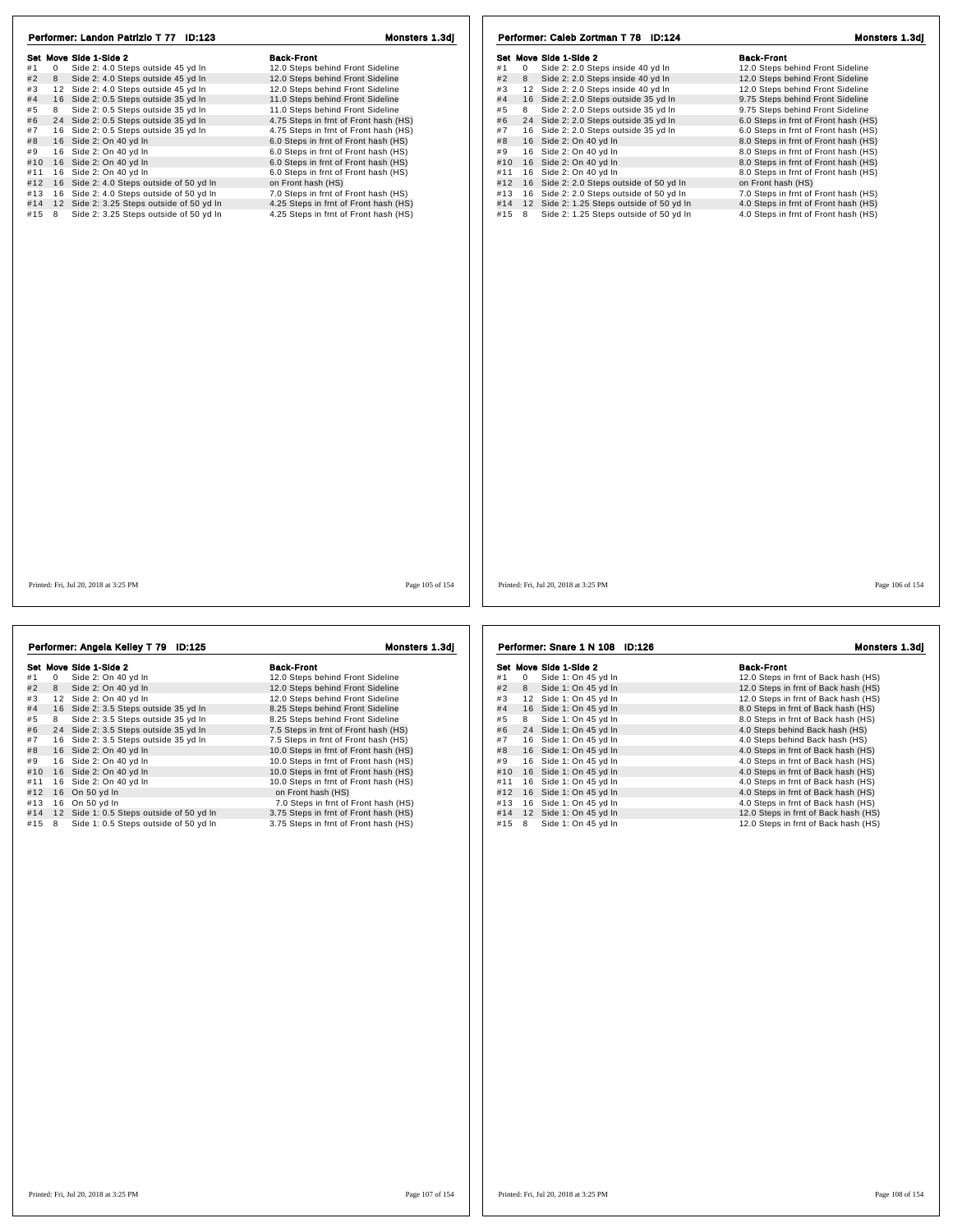| Performer: Landon Patrizio T 77 ID:123                                                                                                                                                                                                                                                                                                                                                                                                                                                                                                                                                                                                                                                                                | Monsters 1.3di                                                                                                                                                                                                                                                                                                                                                                                                                                                                                                                                                                                          | Performer: Caleb Zortman T 78 ID:124                                                                                                                                                                                                                                                                                                                                                                                                                                                                                                                                                                                                                                                                                | Monsters 1.3dj                                                                                                                                                                                                                                                                                                                                                                                                                                                                                                                                                                                      |
|-----------------------------------------------------------------------------------------------------------------------------------------------------------------------------------------------------------------------------------------------------------------------------------------------------------------------------------------------------------------------------------------------------------------------------------------------------------------------------------------------------------------------------------------------------------------------------------------------------------------------------------------------------------------------------------------------------------------------|---------------------------------------------------------------------------------------------------------------------------------------------------------------------------------------------------------------------------------------------------------------------------------------------------------------------------------------------------------------------------------------------------------------------------------------------------------------------------------------------------------------------------------------------------------------------------------------------------------|---------------------------------------------------------------------------------------------------------------------------------------------------------------------------------------------------------------------------------------------------------------------------------------------------------------------------------------------------------------------------------------------------------------------------------------------------------------------------------------------------------------------------------------------------------------------------------------------------------------------------------------------------------------------------------------------------------------------|-----------------------------------------------------------------------------------------------------------------------------------------------------------------------------------------------------------------------------------------------------------------------------------------------------------------------------------------------------------------------------------------------------------------------------------------------------------------------------------------------------------------------------------------------------------------------------------------------------|
| Set Move Side 1-Side 2<br>Side 2: 4.0 Steps outside 45 yd In<br>#1<br>$\mathbf 0$<br>#2<br>8<br>Side 2: 4.0 Steps outside 45 yd In<br>#3<br>12 Side 2: 4.0 Steps outside 45 yd In<br>#4<br>16 Side 2: 0.5 Steps outside 35 yd In<br>8 Side 2: 0.5 Steps outside 35 yd In<br>#5<br>24 Side 2: 0.5 Steps outside 35 yd In<br>#6<br>#7<br>16 Side 2: 0.5 Steps outside 35 yd In<br>#8<br>16 Side 2: On 40 yd In<br>16 Side 2: On 40 yd In<br>#9<br>#10 16 Side 2: On 40 yd In<br>16 Side 2: On 40 yd In<br>#11<br>#12 16 Side 2: 4.0 Steps outside of 50 yd In<br>16 Side 2: 4.0 Steps outside of 50 yd In<br>#13<br>12 Side 2: 3.25 Steps outside of 50 yd In<br>#14<br>Side 2: 3.25 Steps outside of 50 yd In<br>#15 8 | <b>Back-Front</b><br>12.0 Steps behind Front Sideline<br>12.0 Steps behind Front Sideline<br>12.0 Steps behind Front Sideline<br>11.0 Steps behind Front Sideline<br>11.0 Steps behind Front Sideline<br>4.75 Steps in frnt of Front hash (HS)<br>4.75 Steps in frnt of Front hash (HS)<br>6.0 Steps in frnt of Front hash (HS)<br>6.0 Steps in frnt of Front hash (HS)<br>6.0 Steps in frnt of Front hash (HS)<br>6.0 Steps in frnt of Front hash (HS)<br>on Front hash (HS)<br>7.0 Steps in frnt of Front hash (HS)<br>4.25 Steps in frnt of Front hash (HS)<br>4.25 Steps in frnt of Front hash (HS) | Set Move Side 1-Side 2<br>Side 2: 2.0 Steps inside 40 yd In<br>#1<br>$\mathbf{0}$<br>Side 2: 2.0 Steps inside 40 yd In<br>#2<br>8<br>#3<br>12 Side 2: 2.0 Steps inside 40 yd In<br>16 Side 2: 2.0 Steps outside 35 yd In<br>#4<br>8 Side 2: 2.0 Steps outside 35 yd In<br>#5<br>#6<br>24 Side 2: 2.0 Steps outside 35 yd In<br>#7<br>16 Side 2: 2.0 Steps outside 35 yd In<br>#8<br>16 Side 2: On 40 yd In<br>16 Side 2: On 40 yd In<br>#9<br>#10 16 Side 2: On 40 yd In<br>16 Side 2: On 40 yd In<br>#11<br>16 Side 2: 2.0 Steps outside of 50 yd In<br>#12<br>#13 16 Side 2: 2.0 Steps outside of 50 yd In<br>12 Side 2: 1.25 Steps outside of 50 yd In<br>#14<br>Side 2: 1.25 Steps outside of 50 yd In<br>#15 8 | <b>Back-Front</b><br>12.0 Steps behind Front Sideline<br>12.0 Steps behind Front Sideline<br>12.0 Steps behind Front Sideline<br>9.75 Steps behind Front Sideline<br>9.75 Steps behind Front Sideline<br>6.0 Steps in frnt of Front hash (HS)<br>6.0 Steps in frnt of Front hash (HS)<br>8.0 Steps in frnt of Front hash (HS)<br>8.0 Steps in frnt of Front hash (HS)<br>8.0 Steps in frnt of Front hash (HS)<br>8.0 Steps in frnt of Front hash (HS)<br>on Front hash (HS)<br>7.0 Steps in frnt of Front hash (HS)<br>4.0 Steps in frnt of Front hash (HS)<br>4.0 Steps in frnt of Front hash (HS) |
| Printed: Fri. Jul 20, 2018 at 3:25 PM                                                                                                                                                                                                                                                                                                                                                                                                                                                                                                                                                                                                                                                                                 | Page 105 of 154                                                                                                                                                                                                                                                                                                                                                                                                                                                                                                                                                                                         | Printed: Fri. Jul 20, 2018 at 3:25 PM                                                                                                                                                                                                                                                                                                                                                                                                                                                                                                                                                                                                                                                                               | Page 106 of 154                                                                                                                                                                                                                                                                                                                                                                                                                                                                                                                                                                                     |

| Performer: Angela Kelley T 79 ID:125 |          |                                          | Monsters 1.3di                        |  |
|--------------------------------------|----------|------------------------------------------|---------------------------------------|--|
|                                      |          | Set Move Side 1-Side 2                   | <b>Back-Front</b>                     |  |
| #1                                   | $\Omega$ | Side 2: On 40 yd In                      | 12.0 Steps behind Front Sideline      |  |
| #2                                   | 8        | Side 2: On 40 yd In                      | 12.0 Steps behind Front Sideline      |  |
| #3                                   | 12       | Side 2: On 40 yd In                      | 12.0 Steps behind Front Sideline      |  |
| #4                                   |          | 16 Side 2: 3.5 Steps outside 35 yd In    | 8.25 Steps behind Front Sideline      |  |
| #5                                   | 8        | Side 2: 3.5 Steps outside 35 yd In       | 8.25 Steps behind Front Sideline      |  |
| #6                                   | 24       | Side 2: 3.5 Steps outside 35 yd In       | 7.5 Steps in frnt of Front hash (HS)  |  |
| #7                                   | 16       | Side 2: 3.5 Steps outside 35 yd In       | 7.5 Steps in frnt of Front hash (HS)  |  |
| #8                                   | 16       | Side 2: On 40 yd In                      | 10.0 Steps in frnt of Front hash (HS) |  |
| #9                                   | 16       | Side 2: On 40 yd In                      | 10.0 Steps in frnt of Front hash (HS) |  |
| #10                                  | 16       | Side 2: On 40 yd In                      | 10.0 Steps in frnt of Front hash (HS) |  |
| #11                                  | 16       | Side 2: On 40 yd In                      | 10.0 Steps in frnt of Front hash (HS) |  |
| #12                                  | 16       | On 50 yd In                              | on Front hash (HS)                    |  |
| #13                                  | 16       | On 50 yd In                              | 7.0 Steps in frnt of Front hash (HS)  |  |
| #14                                  |          | 12 Side 1: 0.5 Steps outside of 50 yd In | 3.75 Steps in frnt of Front hash (HS) |  |
| #15                                  | 8        | Side 1: 0.5 Steps outside of 50 yd In    | 3.75 Steps in frnt of Front hash (HS) |  |
|                                      |          |                                          |                                       |  |

|     | Performer: Snare 1 N 108 ID:126 |                        | Monsters 1.3dj                       |
|-----|---------------------------------|------------------------|--------------------------------------|
|     |                                 | Set Move Side 1-Side 2 | <b>Back-Front</b>                    |
| #1  | 0                               | Side 1: On 45 yd In    | 12.0 Steps in frnt of Back hash (HS) |
| #2  | 8                               | Side 1: On 45 yd In    | 12.0 Steps in frnt of Back hash (HS) |
| #3  |                                 | 12 Side 1: On 45 vd In | 12.0 Steps in frnt of Back hash (HS) |
| #4  | 16                              | Side 1: On 45 yd In    | 8.0 Steps in frnt of Back hash (HS)  |
| #5  | 8                               | Side 1: On 45 yd In    | 8.0 Steps in frnt of Back hash (HS)  |
| #6  |                                 | 24 Side 1: On 45 yd In | 4.0 Steps behind Back hash (HS)      |
| #7  | 16                              | Side 1: On 45 yd In    | 4.0 Steps behind Back hash (HS)      |
| #8  |                                 | 16 Side 1: On 45 yd In | 4.0 Steps in frnt of Back hash (HS)  |
| #9  |                                 | 16 Side 1: On 45 yd In | 4.0 Steps in frnt of Back hash (HS)  |
| #10 |                                 | 16 Side 1: On 45 yd In | 4.0 Steps in frnt of Back hash (HS)  |
| #11 | 16                              | Side 1: On 45 yd In    | 4.0 Steps in frnt of Back hash (HS)  |
| #12 |                                 | 16 Side 1: On 45 yd In | 4.0 Steps in frnt of Back hash (HS)  |
| #13 |                                 | 16 Side 1: On 45 yd In | 4.0 Steps in frnt of Back hash (HS)  |
| #14 |                                 | 12 Side 1: On 45 yd In | 12.0 Steps in frnt of Back hash (HS) |
| #15 | 8                               | Side 1: On 45 yd In    | 12.0 Steps in frnt of Back hash (HS) |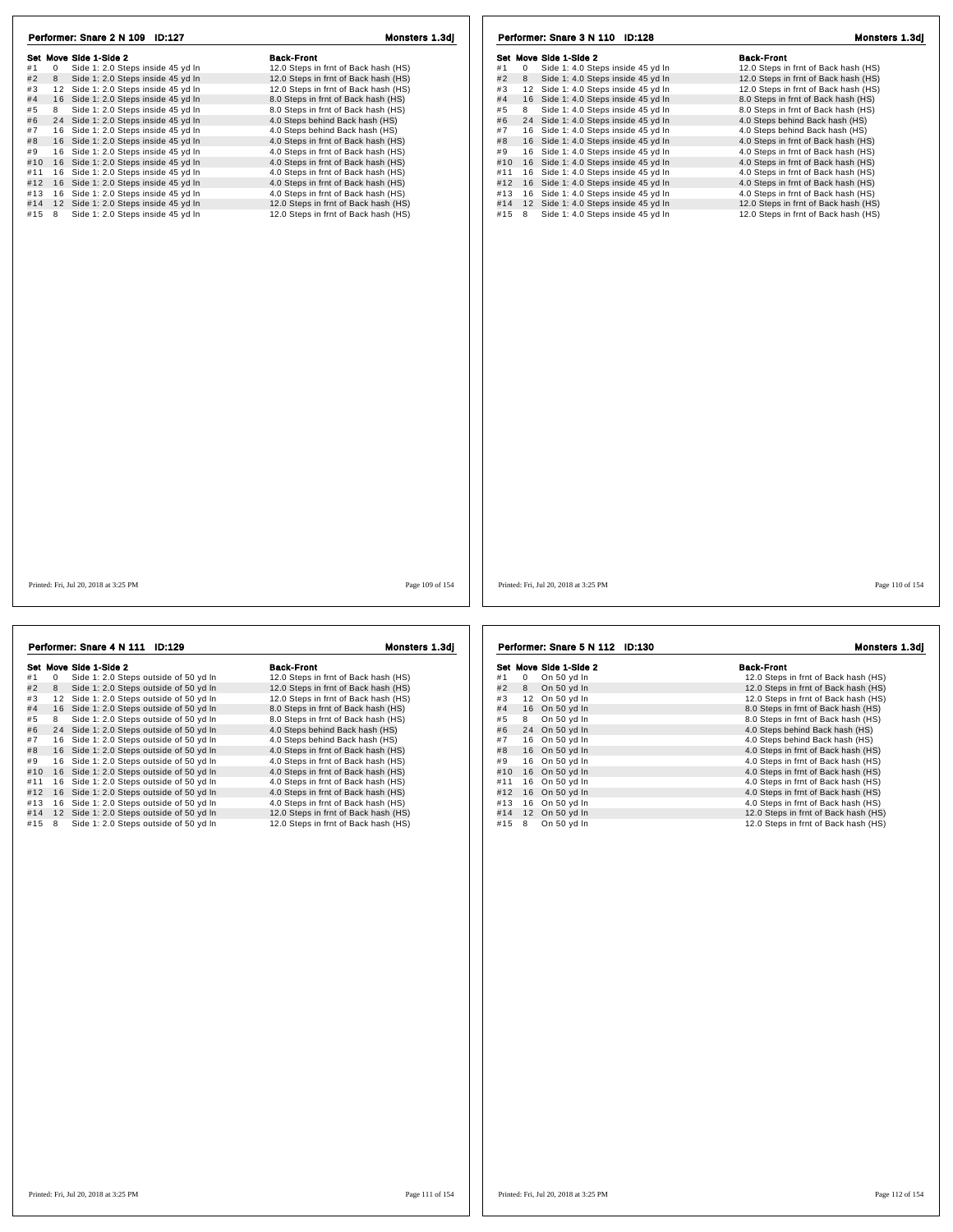| Set Move Side 1-Side 2<br><b>Back-Front</b><br>Set Move Side 1-Side 2<br><b>Back-Front</b><br>#1<br>$\mathbf 0$<br>Side 1: 2.0 Steps inside 45 yd In<br>12.0 Steps in frnt of Back hash (HS)<br>$\mathbf 0$<br>Side 1: 4.0 Steps inside 45 yd In<br>12.0 Steps in frnt of Back hash (HS)<br>#1<br>#2<br>Side 1: 2.0 Steps inside 45 yd In<br>12.0 Steps in frnt of Back hash (HS)<br>#2<br>Side 1: 4.0 Steps inside 45 yd In<br>8<br>8<br>12.0 Steps in frnt of Back hash (HS)<br>#3<br>12 Side 1: 2.0 Steps inside 45 yd In<br>12.0 Steps in frnt of Back hash (HS)<br>#3<br>12 Side 1: 4.0 Steps inside 45 yd In<br>12.0 Steps in frnt of Back hash (HS)<br>8.0 Steps in frnt of Back hash (HS)<br>#4<br>16 Side 1: 4.0 Steps inside 45 yd In<br>8.0 Steps in frnt of Back hash (HS)<br>#4<br>16 Side 1: 2.0 Steps inside 45 yd In<br>#5<br>8<br>Side 1: 2.0 Steps inside 45 yd In<br>8.0 Steps in frnt of Back hash (HS)<br>#5<br>Side 1: 4.0 Steps inside 45 yd In<br>8.0 Steps in frnt of Back hash (HS)<br>8<br>#6<br>#6<br>24 Side 1: 2.0 Steps inside 45 yd In<br>4.0 Steps behind Back hash (HS)<br>24 Side 1: 4.0 Steps inside 45 yd In<br>4.0 Steps behind Back hash (HS)<br>#7<br>16 Side 1: 2.0 Steps inside 45 yd In<br>4.0 Steps behind Back hash (HS)<br>#7<br>16 Side 1: 4.0 Steps inside 45 yd In<br>4.0 Steps behind Back hash (HS)<br>16 Side 1: 2.0 Steps inside 45 yd In<br>4.0 Steps in frnt of Back hash (HS)<br>16 Side 1: 4.0 Steps inside 45 yd In<br>4.0 Steps in frnt of Back hash (HS)<br>#8<br>#8<br>16 Side 1: 4.0 Steps inside 45 yd In<br>#9<br>16 Side 1: 2.0 Steps inside 45 yd In<br>4.0 Steps in frnt of Back hash (HS)<br>#9<br>4.0 Steps in frnt of Back hash (HS)<br>16 Side 1: 2.0 Steps inside 45 yd In<br>4.0 Steps in frnt of Back hash (HS)<br>#10<br>16 Side 1: 4.0 Steps inside 45 yd In<br>4.0 Steps in frnt of Back hash (HS)<br>#10<br>16 Side 1: 4.0 Steps inside 45 yd In<br>16 Side 1: 2.0 Steps inside 45 yd In<br>4.0 Steps in frnt of Back hash (HS)<br>4.0 Steps in frnt of Back hash (HS)<br>#11<br>#11<br>Side 1: 2.0 Steps inside 45 yd In<br>4.0 Steps in frnt of Back hash (HS)<br>16 Side 1: 4.0 Steps inside 45 yd In<br>4.0 Steps in frnt of Back hash (HS)<br>#12 16<br>#12<br>4.0 Steps in frnt of Back hash (HS)<br>16 Side 1: 4.0 Steps inside 45 yd In<br>#13 16 Side 1: 2.0 Steps inside 45 yd In<br>4.0 Steps in frnt of Back hash (HS)<br>#13<br>#14 12 Side 1: 2.0 Steps inside 45 yd In<br>12.0 Steps in frnt of Back hash (HS)<br>#14<br>12 Side 1: 4.0 Steps inside 45 yd In<br>12.0 Steps in frnt of Back hash (HS)<br>Side 1: 4.0 Steps inside 45 yd In<br>$#15$ 8<br>Side 1: 2.0 Steps inside 45 yd In<br>12.0 Steps in frnt of Back hash (HS)<br>#15<br>8<br>12.0 Steps in frnt of Back hash (HS)<br>Page 109 of 154<br>Printed: Fri, Jul 20, 2018 at 3:25 PM<br>Printed: Fri, Jul 20, 2018 at 3:25 PM | Performer: Snare 2 N 109 ID:127 | Monsters 1.3dj | Performer: Snare 3 N 110 ID:128 | Monsters 1.3dj  |
|------------------------------------------------------------------------------------------------------------------------------------------------------------------------------------------------------------------------------------------------------------------------------------------------------------------------------------------------------------------------------------------------------------------------------------------------------------------------------------------------------------------------------------------------------------------------------------------------------------------------------------------------------------------------------------------------------------------------------------------------------------------------------------------------------------------------------------------------------------------------------------------------------------------------------------------------------------------------------------------------------------------------------------------------------------------------------------------------------------------------------------------------------------------------------------------------------------------------------------------------------------------------------------------------------------------------------------------------------------------------------------------------------------------------------------------------------------------------------------------------------------------------------------------------------------------------------------------------------------------------------------------------------------------------------------------------------------------------------------------------------------------------------------------------------------------------------------------------------------------------------------------------------------------------------------------------------------------------------------------------------------------------------------------------------------------------------------------------------------------------------------------------------------------------------------------------------------------------------------------------------------------------------------------------------------------------------------------------------------------------------------------------------------------------------------------------------------------------------------------------------------------------------------------------------------------------------------------------------------------------------------------------------------------------------------------------------------------------------------------------------------------------------------------------------------------------------------------------------------------------------------------|---------------------------------|----------------|---------------------------------|-----------------|
|                                                                                                                                                                                                                                                                                                                                                                                                                                                                                                                                                                                                                                                                                                                                                                                                                                                                                                                                                                                                                                                                                                                                                                                                                                                                                                                                                                                                                                                                                                                                                                                                                                                                                                                                                                                                                                                                                                                                                                                                                                                                                                                                                                                                                                                                                                                                                                                                                                                                                                                                                                                                                                                                                                                                                                                                                                                                                          |                                 |                |                                 |                 |
|                                                                                                                                                                                                                                                                                                                                                                                                                                                                                                                                                                                                                                                                                                                                                                                                                                                                                                                                                                                                                                                                                                                                                                                                                                                                                                                                                                                                                                                                                                                                                                                                                                                                                                                                                                                                                                                                                                                                                                                                                                                                                                                                                                                                                                                                                                                                                                                                                                                                                                                                                                                                                                                                                                                                                                                                                                                                                          |                                 |                |                                 |                 |
|                                                                                                                                                                                                                                                                                                                                                                                                                                                                                                                                                                                                                                                                                                                                                                                                                                                                                                                                                                                                                                                                                                                                                                                                                                                                                                                                                                                                                                                                                                                                                                                                                                                                                                                                                                                                                                                                                                                                                                                                                                                                                                                                                                                                                                                                                                                                                                                                                                                                                                                                                                                                                                                                                                                                                                                                                                                                                          |                                 |                |                                 |                 |
|                                                                                                                                                                                                                                                                                                                                                                                                                                                                                                                                                                                                                                                                                                                                                                                                                                                                                                                                                                                                                                                                                                                                                                                                                                                                                                                                                                                                                                                                                                                                                                                                                                                                                                                                                                                                                                                                                                                                                                                                                                                                                                                                                                                                                                                                                                                                                                                                                                                                                                                                                                                                                                                                                                                                                                                                                                                                                          |                                 |                |                                 |                 |
|                                                                                                                                                                                                                                                                                                                                                                                                                                                                                                                                                                                                                                                                                                                                                                                                                                                                                                                                                                                                                                                                                                                                                                                                                                                                                                                                                                                                                                                                                                                                                                                                                                                                                                                                                                                                                                                                                                                                                                                                                                                                                                                                                                                                                                                                                                                                                                                                                                                                                                                                                                                                                                                                                                                                                                                                                                                                                          |                                 |                |                                 |                 |
|                                                                                                                                                                                                                                                                                                                                                                                                                                                                                                                                                                                                                                                                                                                                                                                                                                                                                                                                                                                                                                                                                                                                                                                                                                                                                                                                                                                                                                                                                                                                                                                                                                                                                                                                                                                                                                                                                                                                                                                                                                                                                                                                                                                                                                                                                                                                                                                                                                                                                                                                                                                                                                                                                                                                                                                                                                                                                          |                                 |                |                                 |                 |
|                                                                                                                                                                                                                                                                                                                                                                                                                                                                                                                                                                                                                                                                                                                                                                                                                                                                                                                                                                                                                                                                                                                                                                                                                                                                                                                                                                                                                                                                                                                                                                                                                                                                                                                                                                                                                                                                                                                                                                                                                                                                                                                                                                                                                                                                                                                                                                                                                                                                                                                                                                                                                                                                                                                                                                                                                                                                                          |                                 |                |                                 |                 |
|                                                                                                                                                                                                                                                                                                                                                                                                                                                                                                                                                                                                                                                                                                                                                                                                                                                                                                                                                                                                                                                                                                                                                                                                                                                                                                                                                                                                                                                                                                                                                                                                                                                                                                                                                                                                                                                                                                                                                                                                                                                                                                                                                                                                                                                                                                                                                                                                                                                                                                                                                                                                                                                                                                                                                                                                                                                                                          |                                 |                |                                 |                 |
|                                                                                                                                                                                                                                                                                                                                                                                                                                                                                                                                                                                                                                                                                                                                                                                                                                                                                                                                                                                                                                                                                                                                                                                                                                                                                                                                                                                                                                                                                                                                                                                                                                                                                                                                                                                                                                                                                                                                                                                                                                                                                                                                                                                                                                                                                                                                                                                                                                                                                                                                                                                                                                                                                                                                                                                                                                                                                          |                                 |                |                                 |                 |
|                                                                                                                                                                                                                                                                                                                                                                                                                                                                                                                                                                                                                                                                                                                                                                                                                                                                                                                                                                                                                                                                                                                                                                                                                                                                                                                                                                                                                                                                                                                                                                                                                                                                                                                                                                                                                                                                                                                                                                                                                                                                                                                                                                                                                                                                                                                                                                                                                                                                                                                                                                                                                                                                                                                                                                                                                                                                                          |                                 |                |                                 |                 |
|                                                                                                                                                                                                                                                                                                                                                                                                                                                                                                                                                                                                                                                                                                                                                                                                                                                                                                                                                                                                                                                                                                                                                                                                                                                                                                                                                                                                                                                                                                                                                                                                                                                                                                                                                                                                                                                                                                                                                                                                                                                                                                                                                                                                                                                                                                                                                                                                                                                                                                                                                                                                                                                                                                                                                                                                                                                                                          |                                 |                |                                 |                 |
|                                                                                                                                                                                                                                                                                                                                                                                                                                                                                                                                                                                                                                                                                                                                                                                                                                                                                                                                                                                                                                                                                                                                                                                                                                                                                                                                                                                                                                                                                                                                                                                                                                                                                                                                                                                                                                                                                                                                                                                                                                                                                                                                                                                                                                                                                                                                                                                                                                                                                                                                                                                                                                                                                                                                                                                                                                                                                          |                                 |                |                                 |                 |
|                                                                                                                                                                                                                                                                                                                                                                                                                                                                                                                                                                                                                                                                                                                                                                                                                                                                                                                                                                                                                                                                                                                                                                                                                                                                                                                                                                                                                                                                                                                                                                                                                                                                                                                                                                                                                                                                                                                                                                                                                                                                                                                                                                                                                                                                                                                                                                                                                                                                                                                                                                                                                                                                                                                                                                                                                                                                                          |                                 |                |                                 |                 |
|                                                                                                                                                                                                                                                                                                                                                                                                                                                                                                                                                                                                                                                                                                                                                                                                                                                                                                                                                                                                                                                                                                                                                                                                                                                                                                                                                                                                                                                                                                                                                                                                                                                                                                                                                                                                                                                                                                                                                                                                                                                                                                                                                                                                                                                                                                                                                                                                                                                                                                                                                                                                                                                                                                                                                                                                                                                                                          |                                 |                |                                 |                 |
|                                                                                                                                                                                                                                                                                                                                                                                                                                                                                                                                                                                                                                                                                                                                                                                                                                                                                                                                                                                                                                                                                                                                                                                                                                                                                                                                                                                                                                                                                                                                                                                                                                                                                                                                                                                                                                                                                                                                                                                                                                                                                                                                                                                                                                                                                                                                                                                                                                                                                                                                                                                                                                                                                                                                                                                                                                                                                          |                                 |                |                                 |                 |
|                                                                                                                                                                                                                                                                                                                                                                                                                                                                                                                                                                                                                                                                                                                                                                                                                                                                                                                                                                                                                                                                                                                                                                                                                                                                                                                                                                                                                                                                                                                                                                                                                                                                                                                                                                                                                                                                                                                                                                                                                                                                                                                                                                                                                                                                                                                                                                                                                                                                                                                                                                                                                                                                                                                                                                                                                                                                                          |                                 |                |                                 |                 |
|                                                                                                                                                                                                                                                                                                                                                                                                                                                                                                                                                                                                                                                                                                                                                                                                                                                                                                                                                                                                                                                                                                                                                                                                                                                                                                                                                                                                                                                                                                                                                                                                                                                                                                                                                                                                                                                                                                                                                                                                                                                                                                                                                                                                                                                                                                                                                                                                                                                                                                                                                                                                                                                                                                                                                                                                                                                                                          |                                 |                |                                 |                 |
|                                                                                                                                                                                                                                                                                                                                                                                                                                                                                                                                                                                                                                                                                                                                                                                                                                                                                                                                                                                                                                                                                                                                                                                                                                                                                                                                                                                                                                                                                                                                                                                                                                                                                                                                                                                                                                                                                                                                                                                                                                                                                                                                                                                                                                                                                                                                                                                                                                                                                                                                                                                                                                                                                                                                                                                                                                                                                          |                                 |                |                                 | Page 110 of 154 |
|                                                                                                                                                                                                                                                                                                                                                                                                                                                                                                                                                                                                                                                                                                                                                                                                                                                                                                                                                                                                                                                                                                                                                                                                                                                                                                                                                                                                                                                                                                                                                                                                                                                                                                                                                                                                                                                                                                                                                                                                                                                                                                                                                                                                                                                                                                                                                                                                                                                                                                                                                                                                                                                                                                                                                                                                                                                                                          |                                 |                |                                 |                 |

| Performer: Snare 4 N 111<br><b>ID:129</b> |    |                                          | Monsters 1.3dj                       |
|-------------------------------------------|----|------------------------------------------|--------------------------------------|
|                                           |    | Set Move Side 1-Side 2                   | <b>Back-Front</b>                    |
| #1                                        | 0  | Side 1: 2.0 Steps outside of 50 yd In    | 12.0 Steps in frnt of Back hash (HS) |
| #2                                        | 8  | Side 1: 2.0 Steps outside of 50 yd In    | 12.0 Steps in frnt of Back hash (HS) |
| #3                                        |    | 12 Side 1: 2.0 Steps outside of 50 yd In | 12.0 Steps in frnt of Back hash (HS) |
| #4                                        |    | 16 Side 1: 2.0 Steps outside of 50 yd In | 8.0 Steps in frnt of Back hash (HS)  |
| #5                                        | 8  | Side 1: 2.0 Steps outside of 50 yd In    | 8.0 Steps in frnt of Back hash (HS)  |
| #6                                        |    | 24 Side 1: 2.0 Steps outside of 50 yd In | 4.0 Steps behind Back hash (HS)      |
| #7                                        |    | 16 Side 1: 2.0 Steps outside of 50 yd In | 4.0 Steps behind Back hash (HS)      |
| #8                                        |    | 16 Side 1: 2.0 Steps outside of 50 yd In | 4.0 Steps in frnt of Back hash (HS)  |
| #9                                        |    | 16 Side 1: 2.0 Steps outside of 50 yd In | 4.0 Steps in frnt of Back hash (HS)  |
| #10                                       |    | 16 Side 1: 2.0 Steps outside of 50 yd In | 4.0 Steps in frnt of Back hash (HS)  |
| #11                                       | 16 | Side 1: 2.0 Steps outside of 50 yd In    | 4.0 Steps in frnt of Back hash (HS)  |
| #12                                       |    | 16 Side 1: 2.0 Steps outside of 50 yd In | 4.0 Steps in frnt of Back hash (HS)  |
| #13                                       |    | 16 Side 1: 2.0 Steps outside of 50 yd In | 4.0 Steps in frnt of Back hash (HS)  |
| #14                                       |    | 12 Side 1: 2.0 Steps outside of 50 yd In | 12.0 Steps in frnt of Back hash (HS) |
| #15                                       | 8  | Side 1: 2.0 Steps outside of 50 yd In    | 12.0 Steps in frnt of Back hash (HS) |

|     |    | Performer: Snare 5 N 112 ID:130 | <b>Monsters 1.3di</b>                |
|-----|----|---------------------------------|--------------------------------------|
|     |    | Set Move Side 1-Side 2          | <b>Back-Front</b>                    |
| #1  | 0  | On 50 yd In                     | 12.0 Steps in frnt of Back hash (HS) |
| #2  | 8  | On 50 yd In                     | 12.0 Steps in frnt of Back hash (HS) |
| #3  | 12 | On 50 yd In                     | 12.0 Steps in frnt of Back hash (HS) |
| #4  |    | 16 On 50 yd In                  | 8.0 Steps in frnt of Back hash (HS)  |
| #5  | 8  | On 50 yd In                     | 8.0 Steps in frnt of Back hash (HS)  |
| #6  |    | 24 On 50 yd In                  | 4.0 Steps behind Back hash (HS)      |
| #7  | 16 | On 50 yd In                     | 4.0 Steps behind Back hash (HS)      |
| #8  |    | 16 On 50 yd In                  | 4.0 Steps in frnt of Back hash (HS)  |
| #9  | 16 | On 50 yd In                     | 4.0 Steps in frnt of Back hash (HS)  |
| #10 |    | 16 On 50 yd In                  | 4.0 Steps in frnt of Back hash (HS)  |
| #11 | 16 | On 50 yd In                     | 4.0 Steps in frnt of Back hash (HS)  |
| #12 | 16 | On 50 yd In                     | 4.0 Steps in frnt of Back hash (HS)  |
| #13 | 16 | On 50 yd In                     | 4.0 Steps in frnt of Back hash (HS)  |
| #14 | 12 | On 50 yd In                     | 12.0 Steps in frnt of Back hash (HS) |
| #15 | 8  | On 50 yd In                     | 12.0 Steps in frnt of Back hash (HS) |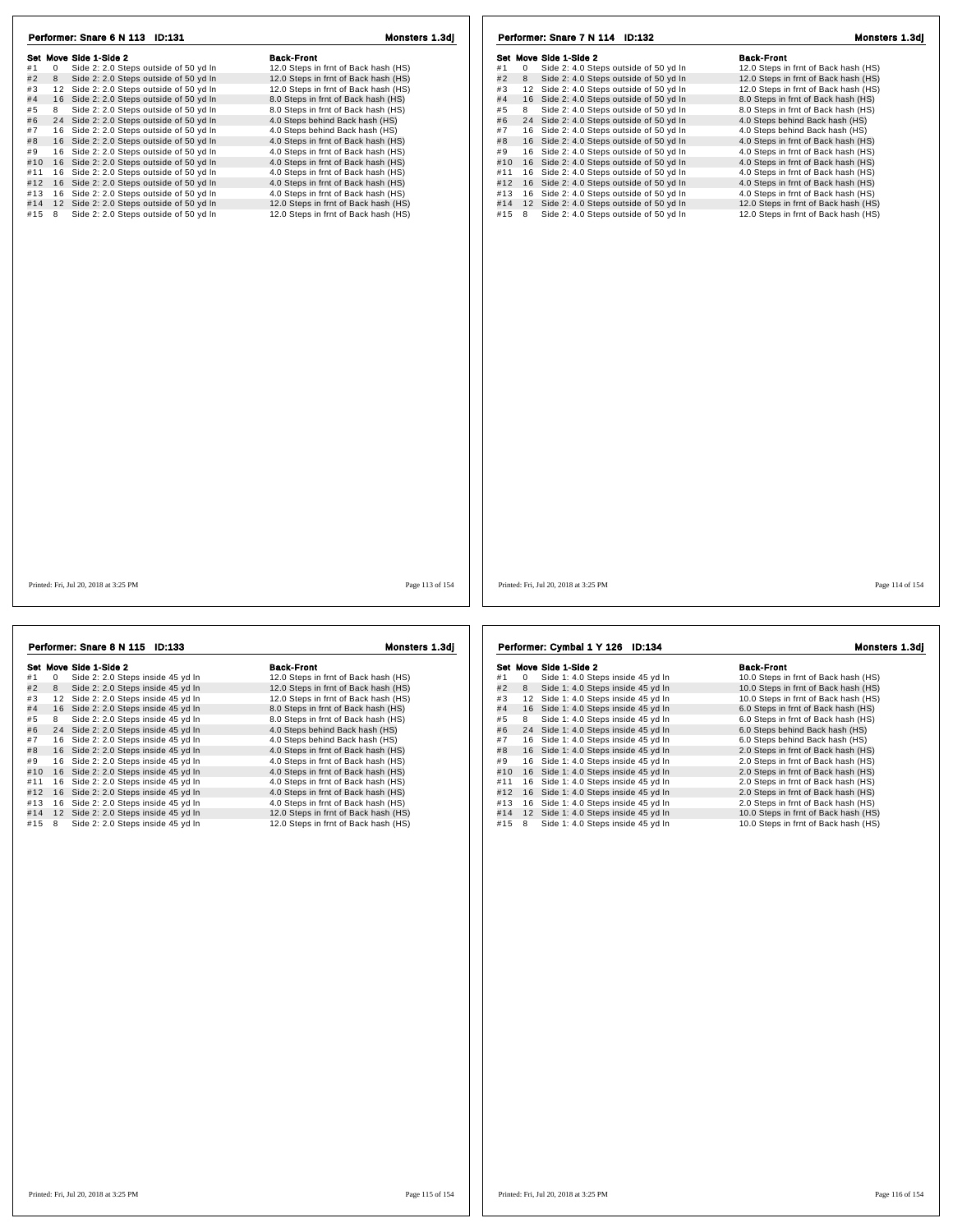| Performer: Snare 6 N 113 ID:131                  | Monsters 1.3dj                       | Performer: Snare 7 N 114 ID:132                  | Monsters 1.3dj                       |
|--------------------------------------------------|--------------------------------------|--------------------------------------------------|--------------------------------------|
| Set Move Side 1-Side 2                           | <b>Back-Front</b>                    | Set Move Side 1-Side 2                           | <b>Back-Front</b>                    |
| #1<br>0<br>Side 2: 2.0 Steps outside of 50 yd In | 12.0 Steps in frnt of Back hash (HS) | #1<br>0<br>Side 2: 4.0 Steps outside of 50 yd In | 12.0 Steps in frnt of Back hash (HS) |
| #2<br>Side 2: 2.0 Steps outside of 50 yd In<br>8 | 12.0 Steps in frnt of Back hash (HS) | #2<br>Side 2: 4.0 Steps outside of 50 yd In<br>8 | 12.0 Steps in frnt of Back hash (HS) |
| 12 Side 2: 2.0 Steps outside of 50 yd In<br>#3   | 12.0 Steps in frnt of Back hash (HS) | 12 Side 2: 4.0 Steps outside of 50 yd In<br>#3   | 12.0 Steps in frnt of Back hash (HS) |
| #4<br>16 Side 2: 2.0 Steps outside of 50 yd In   | 8.0 Steps in frnt of Back hash (HS)  | 16 Side 2: 4.0 Steps outside of 50 yd In<br>#4   | 8.0 Steps in frnt of Back hash (HS)  |
| Side 2: 2.0 Steps outside of 50 yd In<br>#5<br>8 | 8.0 Steps in frnt of Back hash (HS)  | Side 2: 4.0 Steps outside of 50 yd In<br>#5<br>8 | 8.0 Steps in frnt of Back hash (HS)  |
| #6<br>24 Side 2: 2.0 Steps outside of 50 yd In   | 4.0 Steps behind Back hash (HS)      | #6<br>24 Side 2: 4.0 Steps outside of 50 yd In   | 4.0 Steps behind Back hash (HS)      |
| 16 Side 2: 2.0 Steps outside of 50 yd In<br>#7   | 4.0 Steps behind Back hash (HS)      | 16 Side 2: 4.0 Steps outside of 50 yd In<br>#7   | 4.0 Steps behind Back hash (HS)      |
| #8<br>16 Side 2: 2.0 Steps outside of 50 yd In   | 4.0 Steps in frnt of Back hash (HS)  | 16 Side 2: 4.0 Steps outside of 50 yd In<br>#8   | 4.0 Steps in frnt of Back hash (HS)  |
| #9<br>16 Side 2: 2.0 Steps outside of 50 yd In   | 4.0 Steps in frnt of Back hash (HS)  | 16 Side 2: 4.0 Steps outside of 50 yd In<br>#9   | 4.0 Steps in frnt of Back hash (HS)  |
| 16 Side 2: 2.0 Steps outside of 50 yd In<br>#10  | 4.0 Steps in frnt of Back hash (HS)  | 16 Side 2: 4.0 Steps outside of 50 yd In<br>#10  | 4.0 Steps in frnt of Back hash (HS)  |
| 16 Side 2: 2.0 Steps outside of 50 yd In<br>#11  | 4.0 Steps in frnt of Back hash (HS)  | 16 Side 2: 4.0 Steps outside of 50 yd In<br>#11  | 4.0 Steps in frnt of Back hash (HS)  |
| 16 Side 2: 2.0 Steps outside of 50 yd In<br>#12  | 4.0 Steps in frnt of Back hash (HS)  | #12 16 Side 2: 4.0 Steps outside of 50 yd In     | 4.0 Steps in frnt of Back hash (HS)  |
| 16 Side 2: 2.0 Steps outside of 50 yd In<br>#13  | 4.0 Steps in frnt of Back hash (HS)  | 16 Side 2: 4.0 Steps outside of 50 yd In<br>#13  | 4.0 Steps in frnt of Back hash (HS)  |
| 12 Side 2: 2.0 Steps outside of 50 yd In<br>#14  | 12.0 Steps in frnt of Back hash (HS) | 12 Side 2: 4.0 Steps outside of 50 yd In<br>#14  | 12.0 Steps in frnt of Back hash (HS) |
| Side 2: 2.0 Steps outside of 50 yd In<br>#15 8   | 12.0 Steps in frnt of Back hash (HS) | Side 2: 4.0 Steps outside of 50 yd In<br>#15 8   | 12.0 Steps in frnt of Back hash (HS) |
| Printed: Fri, Jul 20, 2018 at 3:25 PM            | Page 113 of 154                      | Printed: Fri, Jul 20, 2018 at 3:25 PM            | Page 114 of 154                      |
|                                                  |                                      |                                                  |                                      |
| Performer: Snare 8 N 115 ID:133                  | Monsters 1.3dj                       | Performer: Cymbal 1 Y 126 ID:134                 | Monsters 1.3dj                       |
| Set Move Side 1-Side 2                           | <b>Back-Front</b>                    | Set Move Side 1-Side 2                           | <b>Back-Front</b>                    |

|     |    | Set Move Side 1-Side 2               | <b>Back-Front</b>                    |
|-----|----|--------------------------------------|--------------------------------------|
| #1  | 0  | Side 2: 2.0 Steps inside 45 yd In    | 12.0 Steps in frnt of Back hash (HS) |
| #2  | 8  | Side 2: 2.0 Steps inside 45 yd In    | 12.0 Steps in frnt of Back hash (HS) |
| #3  | 12 | Side 2: 2.0 Steps inside 45 yd In    | 12.0 Steps in frnt of Back hash (HS) |
| #4  | 16 | Side 2: 2.0 Steps inside 45 yd In    | 8.0 Steps in frnt of Back hash (HS)  |
| #5  | 8  | Side 2: 2.0 Steps inside 45 yd In    | 8.0 Steps in frnt of Back hash (HS)  |
| #6  | 24 | Side 2: 2.0 Steps inside 45 yd In    | 4.0 Steps behind Back hash (HS)      |
| #7  |    | 16 Side 2: 2.0 Steps inside 45 yd In | 4.0 Steps behind Back hash (HS)      |
| #8  |    | 16 Side 2: 2.0 Steps inside 45 yd In | 4.0 Steps in frnt of Back hash (HS)  |
| #9  |    | 16 Side 2: 2.0 Steps inside 45 yd In | 4.0 Steps in frnt of Back hash (HS)  |
| #10 | 16 | Side 2: 2.0 Steps inside 45 yd In    | 4.0 Steps in frnt of Back hash (HS)  |
| #11 |    | 16 Side 2: 2.0 Steps inside 45 yd In | 4.0 Steps in frnt of Back hash (HS)  |
| #12 | 16 | Side 2: 2.0 Steps inside 45 yd In    | 4.0 Steps in frnt of Back hash (HS)  |
| #13 | 16 | Side 2: 2.0 Steps inside 45 yd In    | 4.0 Steps in frnt of Back hash (HS)  |
| #14 |    | 12 Side 2: 2.0 Steps inside 45 yd In | 12.0 Steps in frnt of Back hash (HS) |
| #15 | 8  | Side 2: 2.0 Steps inside 45 yd In    | 12.0 Steps in frnt of Back hash (HS) |
|     |    |                                      |                                      |

**Set Move Side 1-Side 2**<br>
#1 0 Side 1:4.0 Steps inside 45 yd In 4.0 Steps in Imp 1 0.0 Steps in Imp 1 6 Side 1:4.0 Steps inside 45 yd In<br>
#2 8 Side 1:4.0 Steps inside 45 yd In 4.0 Steps in Imp 1 0.0 Steps in Imp 1 0.0 Step # 6 2 4 Side 1: 4.0 Steps inside 45 yd ln 6.0 Steps behind Back hash (HS) # 7 1 6 Side 1: 4.0 Steps inside 45 yd ln 6.0 Steps behind Back hash (HS) # 8 1 6 Side 1: 4.0 Steps inside 45 yd ln 2.0 Steps in frnt of Back hash (HS) # 9 1 6 Side 1: 4.0 Steps inside 45 yd ln 2.0 Steps in frnt of Back hash (HS) #10 16 Side 1: 4.0 Steps inside 45 yd ln 2.0 Steps in frnt of Back hash (HS)<br>
#9 16 Side 1: 4.0 Steps inside 45 yd ln 2.0 Steps in frnt of Back hash (HS)<br>
#10 16 Side 1: 4.0 Steps inside 45 yd ln 2.0 Steps in frnt of Back #11 1 6 Side 1: 4.0 Steps inside 45 yd ln 2.0 Steps in frnt of Back hash (HS) #12 1 6 Side 1: 4.0 Steps inside 45 yd ln 2.0 Steps in frnt of Back hash (HS) #13 1 6 Side 1: 4.0 Steps inside 45 yd ln 2.0 Steps in frnt of Back hash (HS) #14 1 2 Side 1: 4.0 Steps inside 45 yd ln 10.0 Steps in frnt of Back hash (HS)  $\frac{20}{20}$  Steps in frnt of Back hash (HS)<br>  $\frac{413}{16}$  16 Side 1: 4.0 Steps inside 45 yd ln<br>  $\frac{414}{15}$  8 Side 1: 4.0 Steps inside 45 yd ln<br>  $\frac{415}{100}$  10.0 Steps in frnt of Back hash (HS)<br>  $\frac{415}{100}$  10.0 Step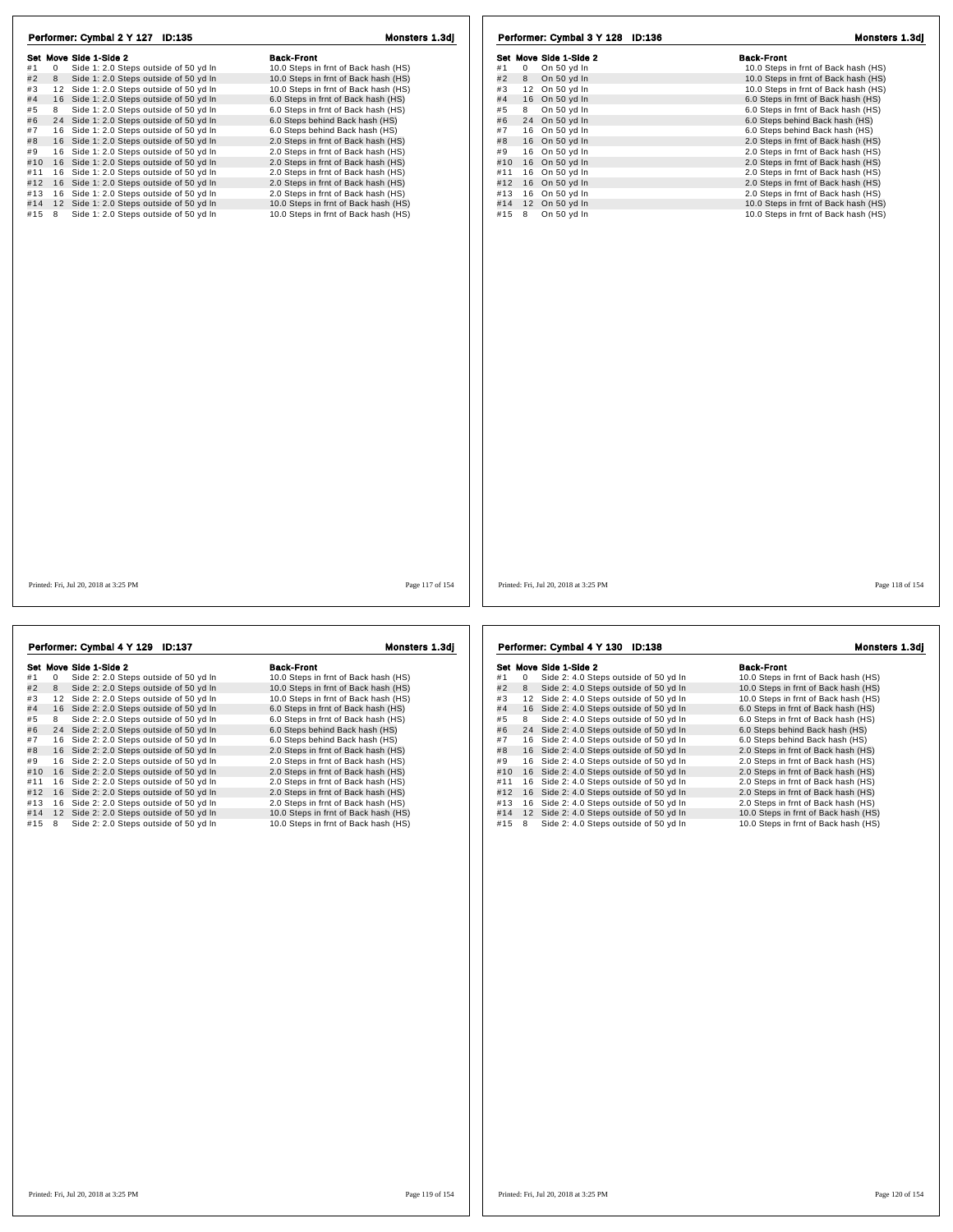|     |    | Set Move Side 1-Side 2                   | <b>Back-Front</b>                    |
|-----|----|------------------------------------------|--------------------------------------|
| #1  | 0  | Side 1: 2.0 Steps outside of 50 yd In    | 10.0 Steps in frnt of Back hash (HS) |
| #2  | 8  | Side 1: 2.0 Steps outside of 50 yd In    | 10.0 Steps in frnt of Back hash (HS) |
| #3  |    | 12 Side 1: 2.0 Steps outside of 50 yd In | 10.0 Steps in frnt of Back hash (HS) |
| #4  |    | 16 Side 1: 2.0 Steps outside of 50 yd In | 6.0 Steps in frnt of Back hash (HS)  |
| #5  | 8  | Side 1: 2.0 Steps outside of 50 yd In    | 6.0 Steps in frnt of Back hash (HS)  |
| #6  |    | 24 Side 1: 2.0 Steps outside of 50 yd In | 6.0 Steps behind Back hash (HS)      |
| #7  |    | 16 Side 1: 2.0 Steps outside of 50 yd In | 6.0 Steps behind Back hash (HS)      |
| #8  |    | 16 Side 1: 2.0 Steps outside of 50 yd In | 2.0 Steps in frnt of Back hash (HS)  |
| #9  | 16 | Side 1: 2.0 Steps outside of 50 yd In    | 2.0 Steps in frnt of Back hash (HS)  |
| #10 |    | 16 Side 1: 2.0 Steps outside of 50 yd In | 2.0 Steps in frnt of Back hash (HS)  |
| #11 |    | 16 Side 1: 2.0 Steps outside of 50 yd In | 2.0 Steps in frnt of Back hash (HS)  |
| #12 |    | 16 Side 1: 2.0 Steps outside of 50 yd In | 2.0 Steps in frnt of Back hash (HS)  |
| #13 |    | 16 Side 1: 2.0 Steps outside of 50 yd In | 2.0 Steps in frnt of Back hash (HS)  |
| #14 |    | 12 Side 1: 2.0 Steps outside of 50 yd In | 10.0 Steps in frnt of Back hash (HS) |
| #15 | 8  | Side 1: 2.0 Steps outside of 50 yd In    | 10.0 Steps in frnt of Back hash (HS) |
|     |    |                                          |                                      |
|     |    |                                          |                                      |

|     |            | Performer: Cymbal 3 Y 128 ID:136 | <b>Monsters 1.3di</b>                |
|-----|------------|----------------------------------|--------------------------------------|
|     |            | Set Move Side 1-Side 2           | <b>Back-Front</b>                    |
| #1  | $^{\circ}$ | On 50 yd In                      | 10.0 Steps in frnt of Back hash (HS) |
| #2  | 8          | On 50 yd In                      | 10.0 Steps in frnt of Back hash (HS) |
| #3  | 12         | On 50 yd In                      | 10.0 Steps in frnt of Back hash (HS) |
| #4  |            | 16 On 50 yd In                   | 6.0 Steps in frnt of Back hash (HS)  |
| #5  | 8          | On 50 yd In                      | 6.0 Steps in frnt of Back hash (HS)  |
| #6  |            | 24 On 50 yd In                   | 6.0 Steps behind Back hash (HS)      |
| #7  |            | 16 On 50 yd In                   | 6.0 Steps behind Back hash (HS)      |
| #8  |            | 16 On 50 yd In                   | 2.0 Steps in frnt of Back hash (HS)  |
| #9  |            | 16 On 50 yd In                   | 2.0 Steps in frnt of Back hash (HS)  |
| #10 |            | 16 On 50 yd In                   | 2.0 Steps in frnt of Back hash (HS)  |
| #11 |            | 16 On 50 yd In                   | 2.0 Steps in frnt of Back hash (HS)  |
| #12 |            | 16 On 50 yd In                   | 2.0 Steps in frnt of Back hash (HS)  |
| #13 |            | 16 On 50 yd In                   | 2.0 Steps in frnt of Back hash (HS)  |
| #14 |            | 12 On 50 yd In                   | 10.0 Steps in frnt of Back hash (HS) |
| #15 | 8          | On 50 vd In                      | 10.0 Steps in frnt of Back hash (HS) |

Printed: Fri, Jul 20, 2018 at 3:25 PM Page 117 of 154

Printed: Fri, Jul 20, 2018 at 3:25 PM Page 118 of 154

|     |    | Performer: Cymbal 4 Y 129 ID:137         | Monsters 1.3di                       |
|-----|----|------------------------------------------|--------------------------------------|
|     |    | Set Move Side 1-Side 2                   | Back-Front                           |
| #1  | 0  | Side 2: 2.0 Steps outside of 50 yd In    | 10.0 Steps in frnt of Back hash (HS) |
| #2  | 8  | Side 2: 2.0 Steps outside of 50 yd In    | 10.0 Steps in frnt of Back hash (HS) |
| #3  | 12 | Side 2: 2.0 Steps outside of 50 vd In    | 10.0 Steps in frnt of Back hash (HS) |
| #4  |    | 16 Side 2: 2.0 Steps outside of 50 yd In | 6.0 Steps in frnt of Back hash (HS)  |
| #5  | 8  | Side 2: 2.0 Steps outside of 50 yd In    | 6.0 Steps in frnt of Back hash (HS)  |
| #6  |    | 24 Side 2: 2.0 Steps outside of 50 yd In | 6.0 Steps behind Back hash (HS)      |
| #7  |    | 16 Side 2: 2.0 Steps outside of 50 yd In | 6.0 Steps behind Back hash (HS)      |
| #8  |    | 16 Side 2: 2.0 Steps outside of 50 yd In | 2.0 Steps in frnt of Back hash (HS)  |
| #9  | 16 | Side 2: 2.0 Steps outside of 50 yd In    | 2.0 Steps in frnt of Back hash (HS)  |
| #10 |    | 16 Side 2: 2.0 Steps outside of 50 yd In | 2.0 Steps in frnt of Back hash (HS)  |
| #11 | 16 | Side 2: 2.0 Steps outside of 50 yd In    | 2.0 Steps in frnt of Back hash (HS)  |
| #12 |    | 16 Side 2: 2.0 Steps outside of 50 yd In | 2.0 Steps in frnt of Back hash (HS)  |
| #13 | 16 | Side 2: 2.0 Steps outside of 50 yd In    | 2.0 Steps in frnt of Back hash (HS)  |
| #14 |    | 12 Side 2: 2.0 Steps outside of 50 yd In | 10.0 Steps in frnt of Back hash (HS) |
| #15 | 8  | Side 2: 2.0 Steps outside of 50 yd In    | 10.0 Steps in frnt of Back hash (HS) |

## Performer: Cymbal 4 Y 130 ID:138 Monsters 1.3dj

|     |          | Set Move Side 1-Side 2                | <b>Back-Front</b>                    |
|-----|----------|---------------------------------------|--------------------------------------|
| #1  | $\Omega$ | Side 2: 4.0 Steps outside of 50 yd In | 10.0 Steps in frnt of Back hash (HS) |
| #2  | 8        | Side 2: 4.0 Steps outside of 50 yd In | 10.0 Steps in frnt of Back hash (HS) |
| #3  | 12       | Side 2: 4.0 Steps outside of 50 yd In | 10.0 Steps in frnt of Back hash (HS) |
| #4  | 16       | Side 2: 4.0 Steps outside of 50 yd In | 6.0 Steps in frnt of Back hash (HS)  |
| #5  | 8        | Side 2: 4.0 Steps outside of 50 yd In | 6.0 Steps in frnt of Back hash (HS)  |
| #6  | 24       | Side 2: 4.0 Steps outside of 50 yd In | 6.0 Steps behind Back hash (HS)      |
| #7  | 16       | Side 2: 4.0 Steps outside of 50 yd In | 6.0 Steps behind Back hash (HS)      |
| #8  | 16       | Side 2: 4.0 Steps outside of 50 yd In | 2.0 Steps in frnt of Back hash (HS)  |
| #9  | 16       | Side 2: 4.0 Steps outside of 50 yd In | 2.0 Steps in frnt of Back hash (HS)  |
| #10 | 16       | Side 2: 4.0 Steps outside of 50 yd In | 2.0 Steps in frnt of Back hash (HS)  |
| #11 | 16       | Side 2: 4.0 Steps outside of 50 yd In | 2.0 Steps in frnt of Back hash (HS)  |
| #12 | 16       | Side 2: 4.0 Steps outside of 50 yd In | 2.0 Steps in frnt of Back hash (HS)  |
| #13 | 16       | Side 2: 4.0 Steps outside of 50 yd In | 2.0 Steps in frnt of Back hash (HS)  |
| #14 | 12       | Side 2: 4.0 Steps outside of 50 yd In | 10.0 Steps in frnt of Back hash (HS) |
| #15 | 8        | Side 2: 4.0 Steps outside of 50 yd In | 10.0 Steps in frnt of Back hash (HS) |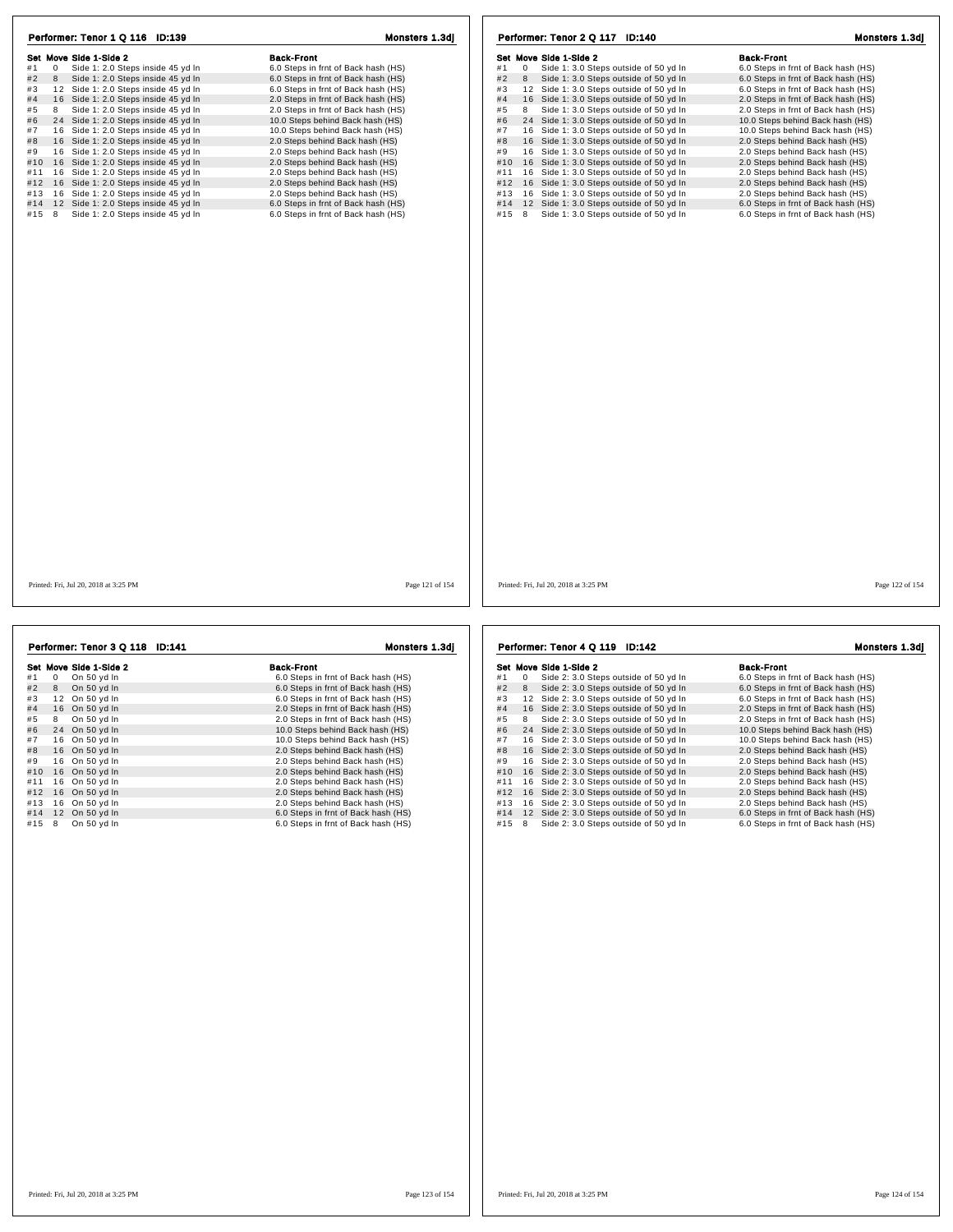| Performer: Tenor 1 Q 116 ID:139              | Monsters 1.3dj                      | Performer: Tenor 2 Q 117 ID:140                  | Monsters 1.3dj                      |
|----------------------------------------------|-------------------------------------|--------------------------------------------------|-------------------------------------|
| Set Move Side 1-Side 2                       | <b>Back-Front</b>                   | Set Move Side 1-Side 2                           | <b>Back-Front</b>                   |
| #1<br>0<br>Side 1: 2.0 Steps inside 45 yd In | 6.0 Steps in frnt of Back hash (HS) | #1<br>0<br>Side 1: 3.0 Steps outside of 50 yd In | 6.0 Steps in frnt of Back hash (HS) |
| #2<br>Side 1: 2.0 Steps inside 45 yd In<br>8 | 6.0 Steps in frnt of Back hash (HS) | #2<br>Side 1: 3.0 Steps outside of 50 yd In<br>8 | 6.0 Steps in frnt of Back hash (HS) |
| #3<br>12 Side 1: 2.0 Steps inside 45 yd In   | 6.0 Steps in frnt of Back hash (HS) | #3<br>12 Side 1: 3.0 Steps outside of 50 yd In   | 6.0 Steps in frnt of Back hash (HS) |
| #4<br>16 Side 1: 2.0 Steps inside 45 yd In   | 2.0 Steps in frnt of Back hash (HS) | 16 Side 1: 3.0 Steps outside of 50 yd In<br>#4   | 2.0 Steps in frnt of Back hash (HS) |
| #5<br>8<br>Side 1: 2.0 Steps inside 45 yd In | 2.0 Steps in frnt of Back hash (HS) | #5<br>8<br>Side 1: 3.0 Steps outside of 50 yd In | 2.0 Steps in frnt of Back hash (HS) |
| #6<br>24 Side 1: 2.0 Steps inside 45 yd In   | 10.0 Steps behind Back hash (HS)    | 24 Side 1: 3.0 Steps outside of 50 yd In<br>#6   | 10.0 Steps behind Back hash (HS)    |
| #7<br>16 Side 1: 2.0 Steps inside 45 yd In   | 10.0 Steps behind Back hash (HS)    | #7<br>16 Side 1: 3.0 Steps outside of 50 yd In   | 10.0 Steps behind Back hash (HS)    |
| #8<br>16 Side 1: 2.0 Steps inside 45 yd In   | 2.0 Steps behind Back hash (HS)     | 16 Side 1: 3.0 Steps outside of 50 yd In<br>#8   | 2.0 Steps behind Back hash (HS)     |
| #9<br>16 Side 1: 2.0 Steps inside 45 yd In   | 2.0 Steps behind Back hash (HS)     | 16 Side 1: 3.0 Steps outside of 50 yd In<br>#9   | 2.0 Steps behind Back hash (HS)     |
| #10<br>16 Side 1: 2.0 Steps inside 45 yd In  | 2.0 Steps behind Back hash (HS)     | 16 Side 1: 3.0 Steps outside of 50 yd In<br>#10  | 2.0 Steps behind Back hash (HS)     |
| 16 Side 1: 2.0 Steps inside 45 yd In<br>#11  | 2.0 Steps behind Back hash (HS)     | 16 Side 1: 3.0 Steps outside of 50 yd In<br>#11  | 2.0 Steps behind Back hash (HS)     |
| 16 Side 1: 2.0 Steps inside 45 yd In<br>#12  | 2.0 Steps behind Back hash (HS)     | 16 Side 1: 3.0 Steps outside of 50 yd In<br>#12  | 2.0 Steps behind Back hash (HS)     |
| 16 Side 1: 2.0 Steps inside 45 yd In<br>#13  | 2.0 Steps behind Back hash (HS)     | 16 Side 1: 3.0 Steps outside of 50 yd In<br>#13  | 2.0 Steps behind Back hash (HS)     |
| 12 Side 1: 2.0 Steps inside 45 yd In<br>#14  | 6.0 Steps in frnt of Back hash (HS) | 12 Side 1: 3.0 Steps outside of 50 yd In<br>#14  | 6.0 Steps in frnt of Back hash (HS) |
| Side 1: 2.0 Steps inside 45 yd In<br>#15 8   | 6.0 Steps in frnt of Back hash (HS) | Side 1: 3.0 Steps outside of 50 yd In<br>#15 8   | 6.0 Steps in frnt of Back hash (HS) |
|                                              |                                     |                                                  |                                     |
| Printed: Fri, Jul 20, 2018 at 3:25 PM        | Page 121 of 154                     | Printed: Fri, Jul 20, 2018 at 3:25 PM            | Page 122 of 154                     |
|                                              |                                     |                                                  |                                     |
| Performer: Tenor 3 Q 118 ID:141              | Monsters 1.3di                      | Performer: Tenor 4 Q 119 ID:142                  | Monsters 1.3dj                      |
|                                              |                                     |                                                  |                                     |

|     |              | Set Move Side 1-Side 2 | <b>Back-Front</b>                   |
|-----|--------------|------------------------|-------------------------------------|
| #1  | $\mathbf{0}$ | On 50 yd In            | 6.0 Steps in frnt of Back hash (HS) |
| #2  | 8            | On 50 yd In            | 6.0 Steps in frnt of Back hash (HS) |
| #3  | 12           | On 50 yd In            | 6.0 Steps in frnt of Back hash (HS) |
| #4  |              | 16 On 50 yd In         | 2.0 Steps in frnt of Back hash (HS) |
| #5  | 8            | On 50 yd In            | 2.0 Steps in frnt of Back hash (HS) |
| #6  |              | 24 On 50 yd In         | 10.0 Steps behind Back hash (HS)    |
| #7  |              | 16 On 50 yd In         | 10.0 Steps behind Back hash (HS)    |
| #8  |              | 16 On 50 yd In         | 2.0 Steps behind Back hash (HS)     |
| #9  |              | 16 On 50 yd In         | 2.0 Steps behind Back hash (HS)     |
| #10 |              | 16 On 50 yd In         | 2.0 Steps behind Back hash (HS)     |
| #11 | 16           | On 50 yd In            | 2.0 Steps behind Back hash (HS)     |
| #12 |              | 16 On 50 yd In         | 2.0 Steps behind Back hash (HS)     |
| #13 |              | 16 On 50 yd In         | 2.0 Steps behind Back hash (HS)     |
| #14 |              | 12 On 50 yd In         | 6.0 Steps in frnt of Back hash (HS) |
| #15 | 8            | On 50 yd In            | 6.0 Steps in frnt of Back hash (HS) |

Set Move Side 1-Side 2<br>
#1 0 Side 2: 3.0 Steps outside of 50 yd In 6.0 Steps in frnt of Back hash (HS)<br>
#2 8 Side 2: 3.0 Steps outside of 50 yd In 6.0 Steps in frnt of Back hash (HS) Superficient and the Controller of Superficient Controller and Superficient Controller and Superficient Controller<br>
#1 0 Side 2: 3.0 Steps outside of 50 yd In 6.0 Steps in frnt of Back hash (HS)<br>
#3 12 Side 2: 3.0 Steps ou # 4 1 6 Side 2: 3.0 Steps outside of 50 yd ln 2.0 Steps in frnt of Back hash (HS) # 5 <sup>8</sup> Side 2: 3.0 Steps outside of 50 yd ln 2.0 Steps in frnt of Back hash (HS) # 6 2 4 Side 2: 3.0 Steps outside of 50 yd ln 10.0 Steps behind Back hash (HS) # 7 1 6 Side 2: 3.0 Steps outside of 50 yd ln 10.0 Steps behind Back hash (HS) # 8 1 6 Side 2: 3.0 Steps outside of 50 yd ln 2.0 Steps behind Back hash (HS) # 9 1 6 Side 2: 3.0 Steps outside of 50 yd ln 2.0 Steps behind Back hash (HS) #10 16 Side 2: 3.0 Steps outside of 50 yd ln 2.0 Steps behind Back hash (HS)<br>#9 16 Side 2: 3.0 Steps outside of 50 yd ln 2.0 Steps behind Back hash (HS)<br>#11 16 Side 2: 3.0 Steps outside of 50 yd ln 2.0 Steps behind Back ha #11 1 6 Side 2: 3.0 Steps outside of 50 yd ln 2.0 Steps behind Back hash (HS) #12 1 6 Side 2: 3.0 Steps outside of 50 yd ln 2.0 Steps behind Back hash (HS) #13 1 6 Side 2: 3.0 Steps outside of 50 yd ln 2.0 Steps behind Back hash (HS) #14 1 2 Side 2: 3.0 Steps outside of 50 yd ln 6.0 Steps in frnt of Back hash (HS)  $\frac{413}{16}$  16 Side 2: 3.0 Steps outside of 50 yd ln  $\frac{20 \text{ Steps behind Back hash (HS)}}{6.0 \text{ Steps in front of Back hash (HS)}}$ <br>  $\frac{414}{16}$  12 Side 2: 3.0 Steps outside of 50 yd ln  $\frac{6.0 \text{ Steps in front of Back hash (HS)}}{6.0 \text{ Steps in front of Back hash (HS)}}$ Performer: Tenor 4 Q 119 ID:142 Monsters 1.3dj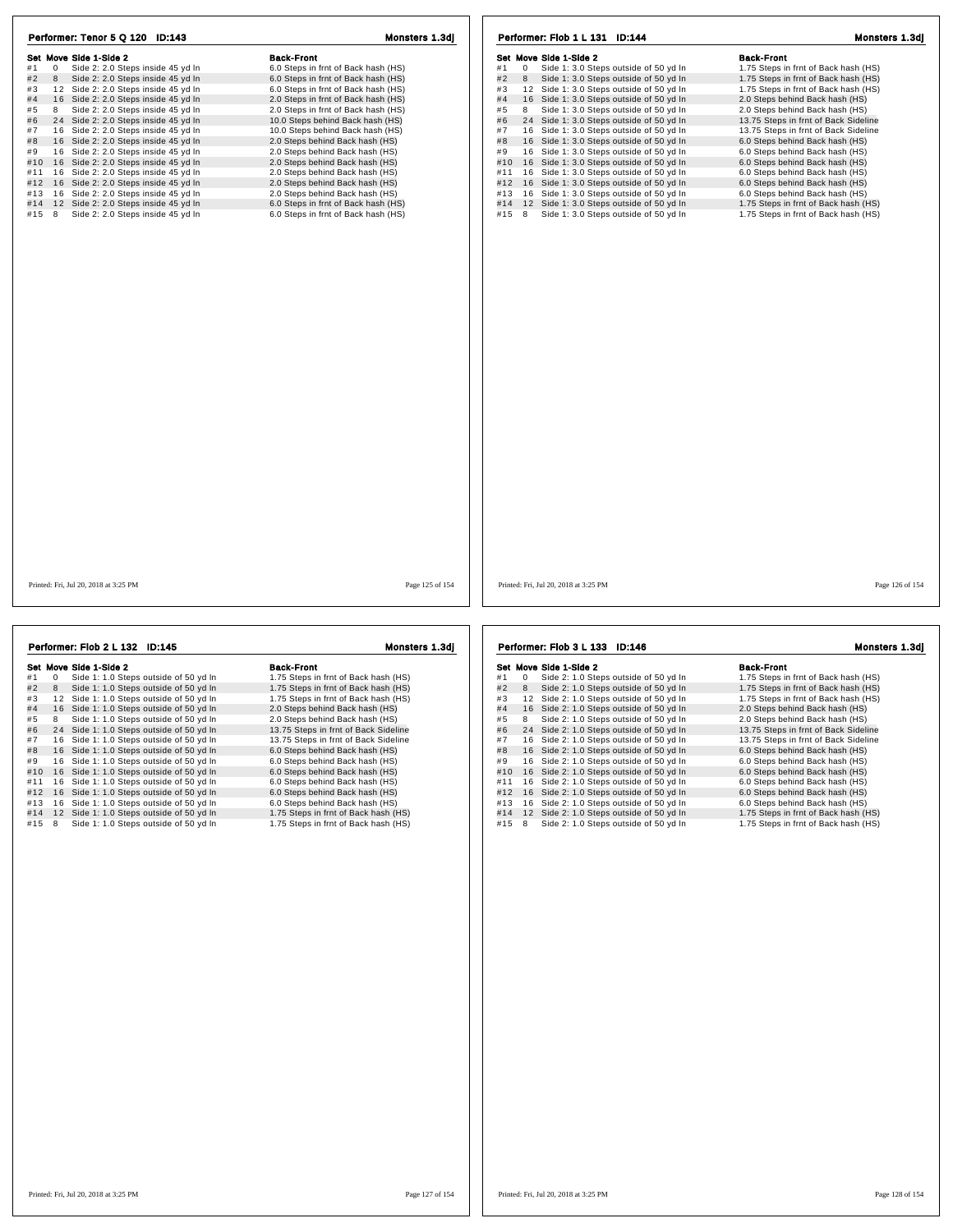| Performer: Tenor 5 Q 120 ID:143                                                        | Monsters 1.3dj                                                             | Performer: Flob 1 L 131 ID:144                                                                       | Monsters 1.3di                                                               |
|----------------------------------------------------------------------------------------|----------------------------------------------------------------------------|------------------------------------------------------------------------------------------------------|------------------------------------------------------------------------------|
| Set Move Side 1-Side 2                                                                 | <b>Back-Front</b>                                                          | Set Move Side 1-Side 2                                                                               | <b>Back-Front</b>                                                            |
| Side 2: 2.0 Steps inside 45 yd In<br>#1<br>$\overline{0}$                              | 6.0 Steps in frnt of Back hash (HS)                                        | Side 1: 3.0 Steps outside of 50 yd In<br>#1<br>$\mathbf 0$                                           | 1.75 Steps in frnt of Back hash (HS)                                         |
| #2<br>Side 2: 2.0 Steps inside 45 yd In<br>8                                           | 6.0 Steps in frnt of Back hash (HS)                                        | #2<br>Side 1: 3.0 Steps outside of 50 yd In<br>8                                                     | 1.75 Steps in frnt of Back hash (HS)                                         |
| #3<br>12 Side 2: 2.0 Steps inside 45 yd In                                             | 6.0 Steps in frnt of Back hash (HS)                                        | 12 Side 1: 3.0 Steps outside of 50 yd In<br>#3                                                       | 1.75 Steps in frnt of Back hash (HS)                                         |
| 16 Side 2: 2.0 Steps inside 45 yd In<br>#4                                             | 2.0 Steps in frnt of Back hash (HS)                                        | #4<br>16 Side 1: 3.0 Steps outside of 50 yd In                                                       | 2.0 Steps behind Back hash (HS)                                              |
| #5<br>Side 2: 2.0 Steps inside 45 yd In<br>8                                           | 2.0 Steps in frnt of Back hash (HS)                                        | #5<br>8<br>Side 1: 3.0 Steps outside of 50 yd In                                                     | 2.0 Steps behind Back hash (HS)                                              |
| #6<br>24 Side 2: 2.0 Steps inside 45 yd In                                             | 10.0 Steps behind Back hash (HS)                                           | #6<br>24 Side 1: 3.0 Steps outside of 50 yd In                                                       | 13.75 Steps in frnt of Back Sideline                                         |
| #7 16 Side 2: 2.0 Steps inside 45 yd In                                                | 10.0 Steps behind Back hash (HS)                                           | 16 Side 1: 3.0 Steps outside of 50 yd In<br>#7                                                       | 13.75 Steps in frnt of Back Sideline                                         |
| 16 Side 2: 2.0 Steps inside 45 yd In<br>#8                                             | 2.0 Steps behind Back hash (HS)                                            | #8<br>16 Side 1: 3.0 Steps outside of 50 yd In                                                       | 6.0 Steps behind Back hash (HS)                                              |
| 16 Side 2: 2.0 Steps inside 45 yd In<br>#9                                             | 2.0 Steps behind Back hash (HS)                                            | #9<br>16 Side 1: 3.0 Steps outside of 50 yd In                                                       | 6.0 Steps behind Back hash (HS)                                              |
| #10 16 Side 2: 2.0 Steps inside 45 yd In                                               | 2.0 Steps behind Back hash (HS)                                            | 16 Side 1: 3.0 Steps outside of 50 yd In<br>#10                                                      | 6.0 Steps behind Back hash (HS)                                              |
| Side 2: 2.0 Steps inside 45 yd In<br>#11 16                                            | 2.0 Steps behind Back hash (HS)                                            | 16 Side 1: 3.0 Steps outside of 50 yd In<br>#11                                                      | 6.0 Steps behind Back hash (HS)                                              |
| #12 16 Side 2: 2.0 Steps inside 45 yd In                                               | 2.0 Steps behind Back hash (HS)                                            | 16 Side 1: 3.0 Steps outside of 50 yd In<br>#12                                                      | 6.0 Steps behind Back hash (HS)                                              |
| #13 16 Side 2: 2.0 Steps inside 45 yd In                                               | 2.0 Steps behind Back hash (HS)                                            | 16 Side 1: 3.0 Steps outside of 50 yd In<br>#13                                                      | 6.0 Steps behind Back hash (HS)                                              |
|                                                                                        |                                                                            |                                                                                                      |                                                                              |
| #14 12 Side 2: 2.0 Steps inside 45 yd In<br>#15 8<br>Side 2: 2.0 Steps inside 45 yd In | 6.0 Steps in frnt of Back hash (HS)<br>6.0 Steps in frnt of Back hash (HS) | 12 Side 1: 3.0 Steps outside of 50 yd In<br>#14<br>8<br>Side 1: 3.0 Steps outside of 50 yd In<br>#15 | 1.75 Steps in frnt of Back hash (HS)<br>1.75 Steps in frnt of Back hash (HS) |
|                                                                                        |                                                                            |                                                                                                      |                                                                              |
| Printed: Fri. Jul 20, 2018 at 3:25 PM                                                  | Page 125 of 154                                                            | Printed: Fri. Jul 20, 2018 at 3:25 PM                                                                | Page 126 of 154                                                              |

|     |   | Performer: Flob 2 L 132 ID:145           | Monsters 1.3dj                       |
|-----|---|------------------------------------------|--------------------------------------|
|     |   | Set Move Side 1-Side 2                   | <b>Back-Front</b>                    |
| #1  | 0 | Side 1: 1.0 Steps outside of 50 yd In    | 1.75 Steps in frnt of Back hash (HS) |
| #2  | 8 | Side 1: 1.0 Steps outside of 50 yd In    | 1.75 Steps in frnt of Back hash (HS) |
| #3  |   | 12 Side 1: 1.0 Steps outside of 50 yd In | 1.75 Steps in frnt of Back hash (HS) |
| #4  |   | 16 Side 1: 1.0 Steps outside of 50 yd In | 2.0 Steps behind Back hash (HS)      |
| #5  | 8 | Side 1: 1.0 Steps outside of 50 yd In    | 2.0 Steps behind Back hash (HS)      |
| #6  |   | 24 Side 1: 1.0 Steps outside of 50 yd In | 13.75 Steps in frnt of Back Sideline |
| #7  |   | 16 Side 1: 1.0 Steps outside of 50 yd In | 13.75 Steps in frnt of Back Sideline |
| #8  |   | 16 Side 1: 1.0 Steps outside of 50 yd In | 6.0 Steps behind Back hash (HS)      |
| #9  |   | 16 Side 1: 1.0 Steps outside of 50 yd In | 6.0 Steps behind Back hash (HS)      |
| #10 |   | 16 Side 1: 1.0 Steps outside of 50 yd In | 6.0 Steps behind Back hash (HS)      |
| #11 |   | 16 Side 1: 1.0 Steps outside of 50 yd In | 6.0 Steps behind Back hash (HS)      |
| #12 |   | 16 Side 1: 1.0 Steps outside of 50 yd In | 6.0 Steps behind Back hash (HS)      |
| #13 |   | 16 Side 1: 1.0 Steps outside of 50 yd In | 6.0 Steps behind Back hash (HS)      |
| #14 |   | 12 Side 1: 1.0 Steps outside of 50 yd In | 1.75 Steps in frnt of Back hash (HS) |
| #15 | 8 | Side 1: 1.0 Steps outside of 50 yd In    | 1.75 Steps in frnt of Back hash (HS) |

Set Move Side 1-Side 2<br>
#1 0 Side 2: 1.0 Steps outside of 50 yd In<br>
#2 8 Side 2: 1.0 Steps outside of 50 yd In 1.75 Steps in frnt of Back hash (HS) Set where some that the state of the state of the state of the state of the state of the state of the state of the state of the state of the state of the state of the state of the state of the state of the state of the sta # 4 1 6 Side 2: 1.0 Steps outside of 50 yd ln 2.0 Steps behind Back hash (HS) # 5 <sup>8</sup> Side 2: 1.0 Steps outside of 50 yd ln 2.0 Steps behind Back hash (HS) # 6 2 4 Side 2: 1.0 Steps outside of 50 yd ln 13.75 Steps in frnt of Back Sideline # 7 1 6 Side 2: 1.0 Steps outside of 50 yd ln 13.75 Steps in frnt of Back Sideline # 8 1 6 Side 2: 1.0 Steps outside of 50 yd ln 6.0 Steps behind Back hash (HS) # 9 1 6 Side 2: 1.0 Steps outside of 50 yd ln 6.0 Steps behind Back hash (HS) #10 16 Side 2: 1.0 Steps outside of 50 yd ln 6.0 Steps behind Back hash (HS)<br>#9 16 Side 2: 1.0 Steps outside of 50 yd ln 6.0 Steps behind Back hash (HS)<br>#11 16 Side 2: 1.0 Steps outside of 50 yd ln 6.0 Steps behind Back ha #11 1 6 Side 2: 1.0 Steps outside of 50 yd ln 6.0 Steps behind Back hash (HS) #12 1 6 Side 2: 1.0 Steps outside of 50 yd ln 6.0 Steps behind Back hash (HS) #13 1 6 Side 2: 1.0 Steps outside of 50 yd ln 6.0 Steps behind Back hash (HS) #14 1 2 Side 2: 1.0 Steps outside of 50 yd ln 1.75 Steps in frnt of Back hash (HS) #13 16 Side 2: 1.0 Steps outside of 50 yd in  $\frac{1}{2}$  6.0 Steps outside of 50 yd in  $\frac{1}{2}$  1.15 Steps in frnt of Back hash (HS)  $\frac{1}{2}$  1.15 Steps in frnt of Back hash (HS)  $\frac{1}{2}$  1.15 Steps in frnt of Back hash Performer: Flob 3 L 133 ID:146 Monsters 1.3dj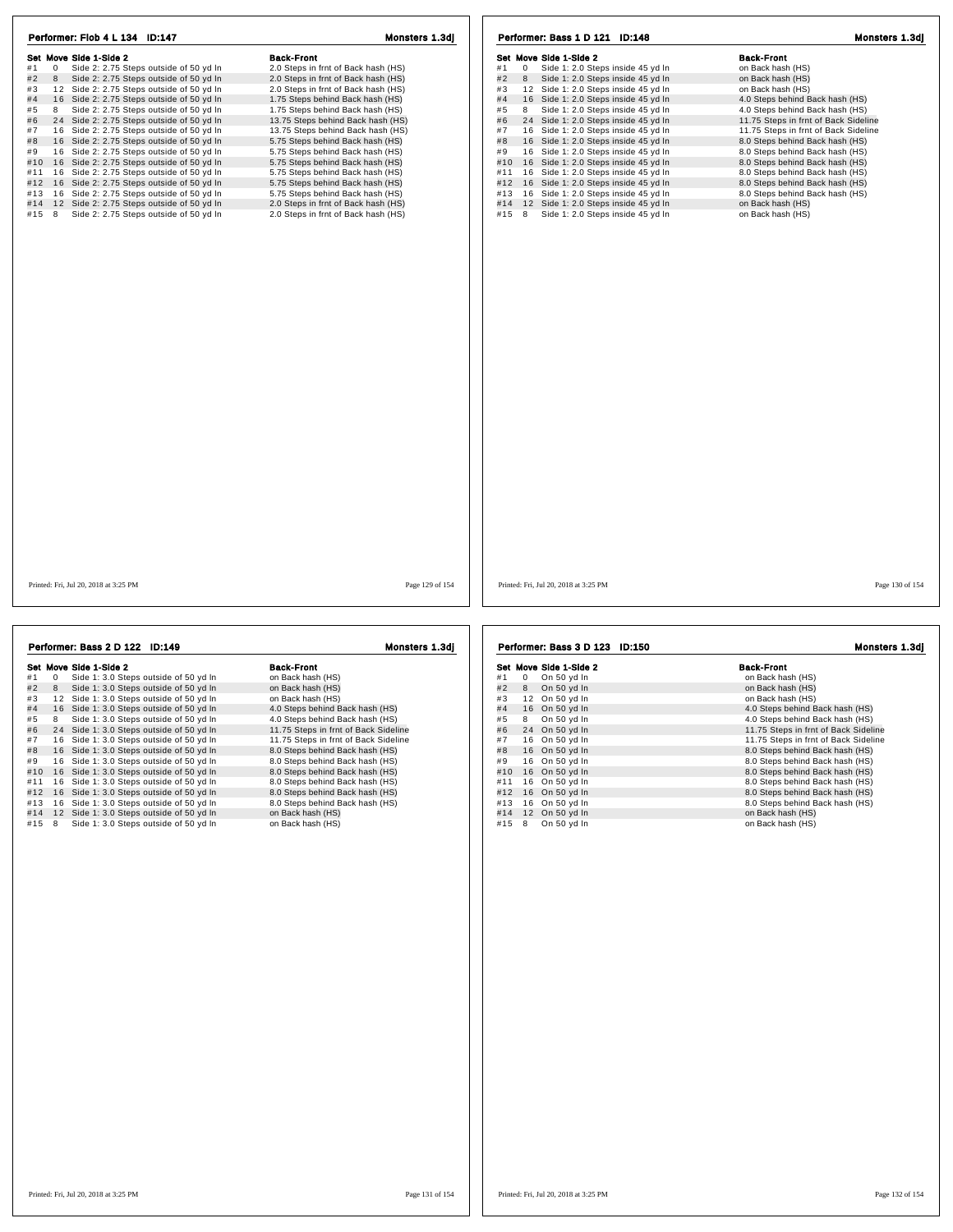| Performer: Flob 4 L 134 ID:147                                 | Monsters 1.3dj                      | Performer: Bass 1 D 121 ID:148<br>Monsters 1.3dj       |                                      |  |
|----------------------------------------------------------------|-------------------------------------|--------------------------------------------------------|--------------------------------------|--|
| Set Move Side 1-Side 2                                         | <b>Back-Front</b>                   | Set Move Side 1-Side 2                                 | <b>Back-Front</b>                    |  |
| #1<br>0<br>Side 2: 2.75 Steps outside of 50 yd In              | 2.0 Steps in frnt of Back hash (HS) | $\mathbf 0$<br>Side 1: 2.0 Steps inside 45 yd In<br>#1 | on Back hash (HS)                    |  |
| #2<br>$8\phantom{1}$<br>Side 2: 2.75 Steps outside of 50 yd In | 2.0 Steps in frnt of Back hash (HS) | #2<br>8 Side 1: 2.0 Steps inside 45 yd In              | on Back hash (HS)                    |  |
| #3<br>12 Side 2: 2.75 Steps outside of 50 yd In                | 2.0 Steps in frnt of Back hash (HS) | 12 Side 1: 2.0 Steps inside 45 yd In<br>#3             | on Back hash (HS)                    |  |
| 16 Side 2: 2.75 Steps outside of 50 yd In<br>#4                | 1.75 Steps behind Back hash (HS)    | 16 Side 1: 2.0 Steps inside 45 yd In<br>#4             | 4.0 Steps behind Back hash (HS)      |  |
| Side 2: 2.75 Steps outside of 50 yd In<br>#5<br>8              | 1.75 Steps behind Back hash (HS)    | Side 1: 2.0 Steps inside 45 yd In<br>#5<br>8           | 4.0 Steps behind Back hash (HS)      |  |
| #6<br>24 Side 2: 2.75 Steps outside of 50 yd In                | 13.75 Steps behind Back hash (HS)   | 24 Side 1: 2.0 Steps inside 45 yd In<br>#6             | 11.75 Steps in frnt of Back Sideline |  |
| #7<br>16 Side 2: 2.75 Steps outside of 50 yd In                | 13.75 Steps behind Back hash (HS)   | 16 Side 1: 2.0 Steps inside 45 yd In<br>#7             | 11.75 Steps in frnt of Back Sideline |  |
| #8<br>16 Side 2: 2.75 Steps outside of 50 yd In                | 5.75 Steps behind Back hash (HS)    | 16 Side 1: 2.0 Steps inside 45 yd In<br>#8             | 8.0 Steps behind Back hash (HS)      |  |
| 16 Side 2: 2.75 Steps outside of 50 yd In<br>#9                | 5.75 Steps behind Back hash (HS)    | 16 Side 1: 2.0 Steps inside 45 yd In<br>#9             | 8.0 Steps behind Back hash (HS)      |  |
| 16 Side 2: 2.75 Steps outside of 50 yd In<br>#10               | 5.75 Steps behind Back hash (HS)    | 16 Side 1: 2.0 Steps inside 45 yd In<br>#10            | 8.0 Steps behind Back hash (HS)      |  |
| #11<br>16 Side 2: 2.75 Steps outside of 50 yd In               | 5.75 Steps behind Back hash (HS)    | 16 Side 1: 2.0 Steps inside 45 yd In<br>#11            | 8.0 Steps behind Back hash (HS)      |  |
| #12 16 Side 2: 2.75 Steps outside of 50 yd In                  | 5.75 Steps behind Back hash (HS)    | #12 16 Side 1: 2.0 Steps inside 45 yd In               | 8.0 Steps behind Back hash (HS)      |  |
| 16 Side 2: 2.75 Steps outside of 50 yd In<br>#13               | 5.75 Steps behind Back hash (HS)    | 16 Side 1: 2.0 Steps inside 45 yd In<br>#13            | 8.0 Steps behind Back hash (HS)      |  |
| 12 Side 2: 2.75 Steps outside of 50 yd In<br>#14               | 2.0 Steps in frnt of Back hash (HS) | 12 Side 1: 2.0 Steps inside 45 yd In<br>#14            | on Back hash (HS)                    |  |
| #15 8<br>Side 2: 2.75 Steps outside of 50 yd In                | 2.0 Steps in frnt of Back hash (HS) | #15 8<br>Side 1: 2.0 Steps inside 45 yd In             | on Back hash (HS)                    |  |
|                                                                |                                     |                                                        |                                      |  |
|                                                                |                                     |                                                        |                                      |  |
| Printed: Fri, Jul 20, 2018 at 3:25 PM                          | Page 129 of 154                     | Printed: Fri, Jul 20, 2018 at 3:25 PM                  | Page 130 of 154                      |  |
| Performer: Bass 2 D 122 ID:149                                 | Monsters 1.3dj                      | Performer: Bass 3 D 123 ID:150                         | Monsters 1.3dj                       |  |
| Set Move Side 1-Side 2                                         | <b>Back-Front</b>                   | Set Move Side 1-Side 2                                 | <b>Rack-Front</b>                    |  |

|     |   | Set Move Side 1-Side 2                   | <b>Back-Front</b>                    |
|-----|---|------------------------------------------|--------------------------------------|
| #1  | 0 | Side 1: 3.0 Steps outside of 50 yd In    | on Back hash (HS)                    |
| #2  | 8 | Side 1: 3.0 Steps outside of 50 yd In    | on Back hash (HS)                    |
| #3  |   | 12 Side 1: 3.0 Steps outside of 50 vd In | on Back hash (HS)                    |
| #4  |   | 16 Side 1: 3.0 Steps outside of 50 yd In | 4.0 Steps behind Back hash (HS)      |
| #5  | 8 | Side 1: 3.0 Steps outside of 50 yd In    | 4.0 Steps behind Back hash (HS)      |
| #6  |   | 24 Side 1: 3.0 Steps outside of 50 yd In | 11.75 Steps in frnt of Back Sideline |
| #7  |   | 16 Side 1: 3.0 Steps outside of 50 yd In | 11.75 Steps in frnt of Back Sideline |
| #8  |   | 16 Side 1: 3.0 Steps outside of 50 yd In | 8.0 Steps behind Back hash (HS)      |
| #9  |   | 16 Side 1: 3.0 Steps outside of 50 yd In | 8.0 Steps behind Back hash (HS)      |
| #10 |   | 16 Side 1: 3.0 Steps outside of 50 yd In | 8.0 Steps behind Back hash (HS)      |
| #11 |   | 16 Side 1: 3.0 Steps outside of 50 yd In | 8.0 Steps behind Back hash (HS)      |
| #12 |   | 16 Side 1: 3.0 Steps outside of 50 yd In | 8.0 Steps behind Back hash (HS)      |
| #13 |   | 16 Side 1: 3.0 Steps outside of 50 yd In | 8.0 Steps behind Back hash (HS)      |
| #14 |   | 12 Side 1: 3.0 Steps outside of 50 yd In | on Back hash (HS)                    |
| #15 | 8 | Side 1: 3.0 Steps outside of 50 yd In    | on Back hash (HS)                    |

## $\begin{array}{llll} \textbf{Set} & \textbf{Move} & \textbf{Side 2} & \textbf{Back-Front} \ + 0 & \textbf{On} \textbf{ Back hash} \ (\text{HS}) & \textbf{A} & \textbf{On} \ \textbf{Back hash} \ (\text{HS}) & \textbf{On} \ \textbf{Back hash} \ (\text{HS}) & \textbf{On} \ \textbf{Back hash} \ (\text{HS}) & \textbf{On} \ \textbf{Back hash} \ (\text{HS}) & \textbf{On} \ \textbf{Back hash} \ (\text{HS}) & \textbf{On} \ \textbf{Back hash} \ (\text{HS}) & \textbf{On} \ \textbf{Back hash} \ (\text$ #4 16 On 50 yd in a sack nash (HS)<br>
#4 16 On 50 yd in 4.0 Steps behind Back hash (HS)<br>
#6 24 On 50 yd in 4.0 Steps behind Back hash (HS)<br>
#7 16 On 50 yd in 11.75 Steps in fm of Back Sideline<br>
#7 16 On 50 yd in 8.0 Steps #11 1 6 On 50 yd ln 8.0 Steps behind Back hash (HS) #12 1 6 On 50 yd ln 8.0 Steps behind Back hash (HS) #13 1 6 On 50 yd ln 8.0 Steps behind Back hash (HS)  $#12$  16 0n 50 yd ln<br> $#14$  12 0n 50 yd ln<br> $#14$  12 0n 50 yd ln #15 8 On 50 yd In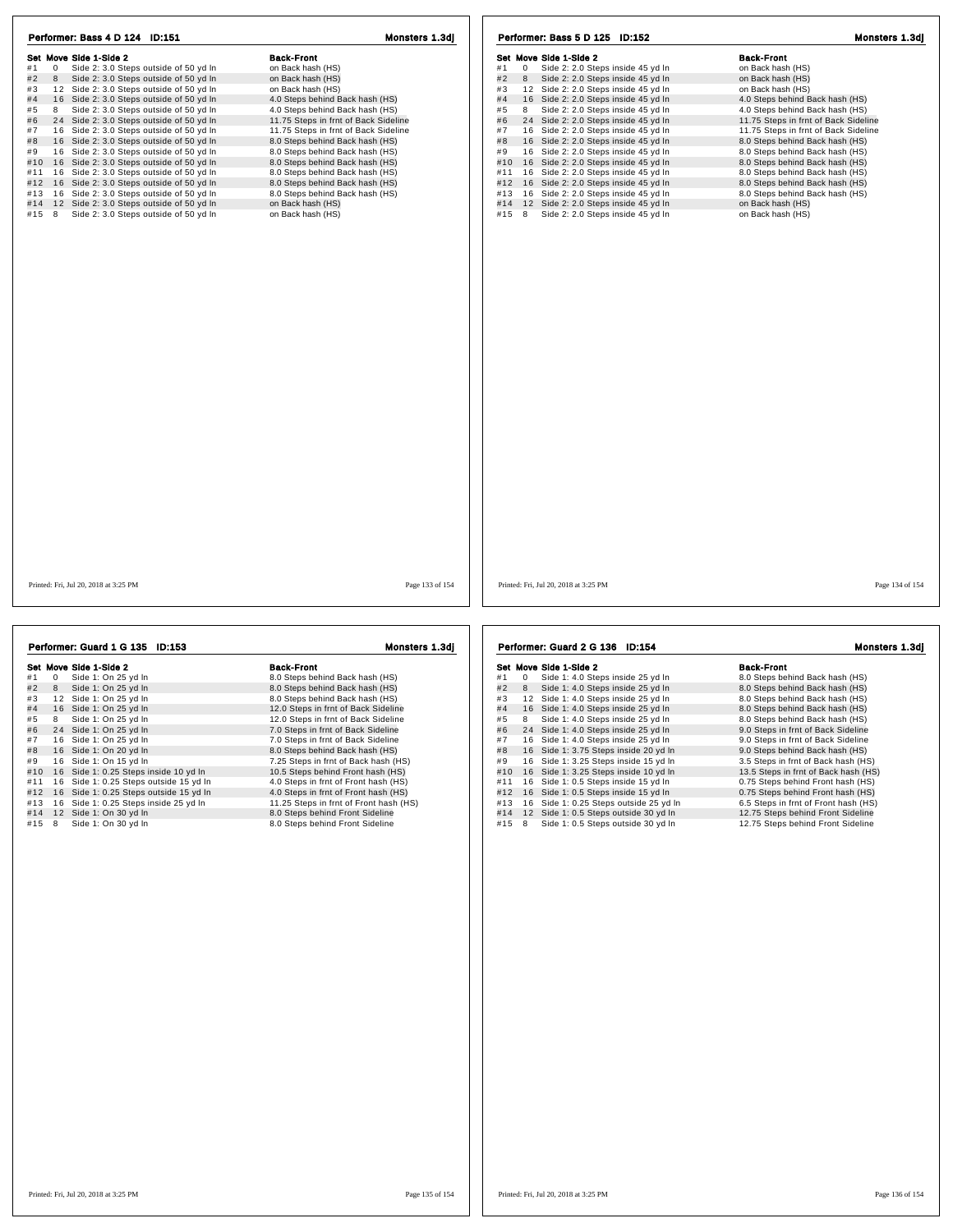| Performer: Bass 4 D 124 ID:151                                | Monsters 1.3dj                       | Performer: Bass 5 D 125 ID:152                         | Monsters 1.3dj                       |
|---------------------------------------------------------------|--------------------------------------|--------------------------------------------------------|--------------------------------------|
| Set Move Side 1-Side 2                                        | <b>Back-Front</b>                    | Set Move Side 1-Side 2                                 | <b>Back-Front</b>                    |
| Side 2: 3.0 Steps outside of 50 yd In<br>#1<br>$\overline{0}$ | on Back hash (HS)                    | Side 2: 2.0 Steps inside 45 yd In<br>#1<br>$\mathbf 0$ | on Back hash (HS)                    |
| #2<br>8<br>Side 2: 3.0 Steps outside of 50 yd In              | on Back hash (HS)                    | Side 2: 2.0 Steps inside 45 yd In<br>#2<br>8           | on Back hash (HS)                    |
| #3 12 Side 2: 3.0 Steps outside of 50 yd In                   | on Back hash (HS)                    | 12 Side 2: 2.0 Steps inside 45 yd In<br>#3             | on Back hash (HS)                    |
| #4 16 Side 2: 3.0 Steps outside of 50 yd In                   | 4.0 Steps behind Back hash (HS)      | 16 Side 2: 2.0 Steps inside 45 yd In<br>#4             | 4.0 Steps behind Back hash (HS)      |
| Side 2: 3.0 Steps outside of 50 yd In<br>8<br>#5              | 4.0 Steps behind Back hash (HS)      | Side 2: 2.0 Steps inside 45 yd In<br>#5<br>8           | 4.0 Steps behind Back hash (HS)      |
| #6 24 Side 2: 3.0 Steps outside of 50 yd In                   | 11.75 Steps in frnt of Back Sideline | 24 Side 2: 2.0 Steps inside 45 yd In<br>#6             | 11.75 Steps in frnt of Back Sideline |
| #7 16 Side 2: 3.0 Steps outside of 50 yd In                   | 11.75 Steps in frnt of Back Sideline | #7<br>16 Side 2: 2.0 Steps inside 45 yd In             | 11.75 Steps in frnt of Back Sideline |
| #8 16 Side 2: 3.0 Steps outside of 50 yd In                   | 8.0 Steps behind Back hash (HS)      | 16 Side 2: 2.0 Steps inside 45 yd In<br>#8             | 8.0 Steps behind Back hash (HS)      |
| 16 Side 2: 3.0 Steps outside of 50 yd In<br>#9                | 8.0 Steps behind Back hash (HS)      | 16 Side 2: 2.0 Steps inside 45 yd In<br>#9             | 8.0 Steps behind Back hash (HS)      |
| #10 16 Side 2: 3.0 Steps outside of 50 yd In                  | 8.0 Steps behind Back hash (HS)      | #10<br>16 Side 2: 2.0 Steps inside 45 yd In            | 8.0 Steps behind Back hash (HS)      |
| #11 16 Side 2: 3.0 Steps outside of 50 yd In                  | 8.0 Steps behind Back hash (HS)      | 16 Side 2: 2.0 Steps inside 45 yd In<br>#11            | 8.0 Steps behind Back hash (HS)      |
| #12 16 Side 2: 3.0 Steps outside of 50 yd In                  | 8.0 Steps behind Back hash (HS)      | 16 Side 2: 2.0 Steps inside 45 yd In<br>#12            | 8.0 Steps behind Back hash (HS)      |
| #13 16 Side 2: 3.0 Steps outside of 50 yd In                  | 8.0 Steps behind Back hash (HS)      | 16 Side 2: 2.0 Steps inside 45 yd In<br>#13            | 8.0 Steps behind Back hash (HS)      |
| #14 12 Side 2: 3.0 Steps outside of 50 yd In                  | on Back hash (HS)                    | #14 12 Side 2: 2.0 Steps inside 45 yd In               | on Back hash (HS)                    |
| Side 2: 3.0 Steps outside of 50 yd In<br>#15 8                | on Back hash (HS)                    | Side 2: 2.0 Steps inside 45 yd In<br>#15 8             | on Back hash (HS)                    |
|                                                               |                                      |                                                        |                                      |
|                                                               |                                      |                                                        |                                      |
|                                                               | Page 133 of 154                      | Printed: Fri, Jul 20, 2018 at 3:25 PM                  | Page 134 of 154                      |

|     |              | Performer: Guard 1 G 135 ID:153        | Monsters 1.3dj                         |
|-----|--------------|----------------------------------------|----------------------------------------|
|     |              | Set Move Side 1-Side 2                 | <b>Back-Front</b>                      |
| #1  | $\mathbf{0}$ | Side 1: On 25 yd In                    | 8.0 Steps behind Back hash (HS)        |
| #2  | 8            | Side 1: On 25 yd In                    | 8.0 Steps behind Back hash (HS)        |
| #3  |              | 12 Side 1: On 25 vd In                 | 8.0 Steps behind Back hash (HS)        |
| #4  |              | 16 Side 1: On 25 yd In                 | 12.0 Steps in frnt of Back Sideline    |
| #5  | 8            | Side 1: On 25 yd In                    | 12.0 Steps in frnt of Back Sideline    |
| #6  |              | 24 Side 1: On 25 yd In                 | 7.0 Steps in frnt of Back Sideline     |
| #7  |              | 16 Side 1: On 25 yd In                 | 7.0 Steps in frnt of Back Sideline     |
| #8  |              | 16 Side 1: On 20 yd In                 | 8.0 Steps behind Back hash (HS)        |
| #9  |              | 16 Side 1: On 15 yd In                 | 7.25 Steps in frnt of Back hash (HS)   |
| #10 |              | 16 Side 1: 0.25 Steps inside 10 yd In  | 10.5 Steps behind Front hash (HS)      |
| #11 |              | 16 Side 1: 0.25 Steps outside 15 yd In | 4.0 Steps in frnt of Front hash (HS)   |
| #12 |              | 16 Side 1: 0.25 Steps outside 15 yd In | 4.0 Steps in frnt of Front hash (HS)   |
| #13 |              | 16 Side 1: 0.25 Steps inside 25 yd In  | 11.25 Steps in frnt of Front hash (HS) |
| #14 |              | 12 Side 1: On 30 yd In                 | 8.0 Steps behind Front Sideline        |
| #15 | 8            | Side 1: On 30 yd In                    | 8.0 Steps behind Front Sideline        |

Set Move Side 1-Side 2<br>
#1 0 Side 1: 4.0 Steps inside 25 yd In<br>
#2 8 Side 1: 4.0 Steps inside 25 yd In 8.0 Steps behind Back hash (HS) Her mover show and a steps hash content to the steps of the mover showed that a steps behind Back hash (HS)<br>
# 2 8 Side 1: 4.0 Steps inside 25 yd ln 8.0 Steps behind Back hash (HS)<br>
# 3 1 2 Side 1: 4.0 Steps inside 25 yd # 4 1 6 Side 1: 4.0 Steps inside 25 yd ln 8.0 Steps behind Back hash (HS) # 5 <sup>8</sup> Side 1: 4.0 Steps inside 25 yd ln 8.0 Steps behind Back hash (HS) # 6 2 4 Side 1: 4.0 Steps inside 25 yd ln 9.0 Steps in frnt of Back Sideline # 7 1 6 Side 1: 4.0 Steps inside 25 yd ln 9.0 Steps in frnt of Back Sideline # 8 24 Side 1: 4.0 Steps inside 25 yd ln 47 16 Side 1: 4.0 Steps inside 25 yd ln 9.0 Steps in frnt of Back Sideline<br># 8 16 Side 1: 3.75 Steps inside 25 yd ln 9.0 Steps behind Back hash (HS)<br># 9 16 Side 1: 3.25 Steps inside 9.0 Steps behind Back hash (HS)<br>3.5 Steps in frnt of Back hash (HS)<br>13.5 Steps in frnt of Back hash (HS) #10 16 Side 1: 3.25 Steps inside 10 yd ln 13.5 Steps in frnt of Back hash (HS)<br>#11 16 Side 1: 0.5 Steps inside 15 yd ln 10.75 Steps behind Front hash (HS) #11 1 6 Side 1: 0.5 Steps inside 15 yd ln 0.75 Steps behind Front hash (HS) #12 1 6 Side 1: 0.5 Steps inside 15 yd ln 0.75 Steps behind Front hash (HS) #13 1 6 Side 1: 0.25 Steps outside 25 yd ln 6.5 Steps in frnt of Front hash (HS) #14 1 2 Side 1: 0.5 Steps outside 30 yd ln 12.75 Steps behind Front Sideline #15 8 Side 1: 0.5 Steps outside 30 yd ln 12.75 Steps behind Front Sideline Performer: Guard 2 G 136 ID:154 Monsters 1.3dj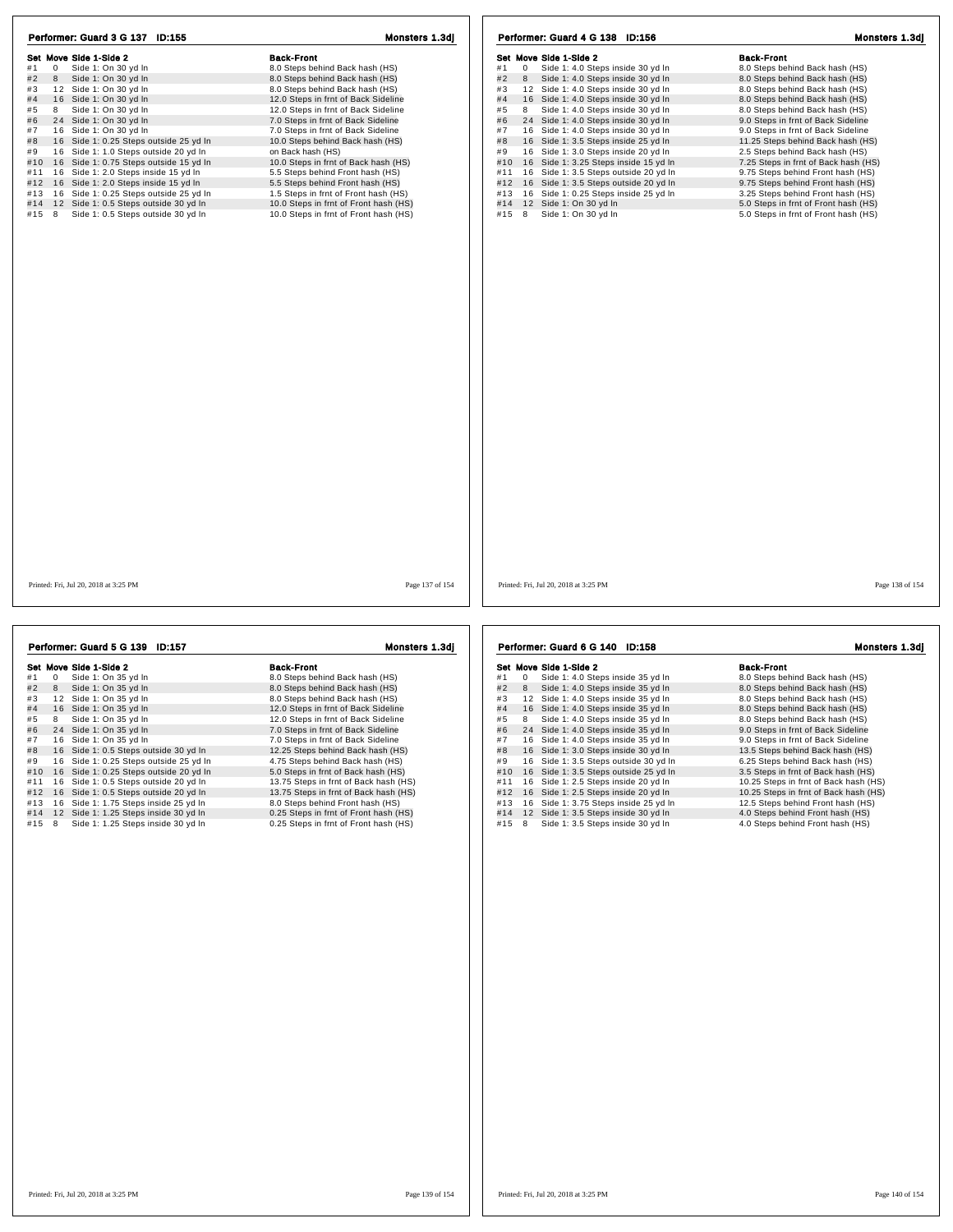| Set Move Side 1-Side 2<br><b>Back-Front</b><br><b>Back-Front</b><br>Set Move Side 1-Side 2<br>8.0 Steps behind Back hash (HS)<br>Side 1: 4.0 Steps inside 30 yd In<br>8.0 Steps behind Back hash (HS)<br>#1<br>$\mathbf{0}$<br>Side 1: On 30 yd In<br>#1<br>0<br>#2<br>8<br>Side 1: On 30 yd In<br>8.0 Steps behind Back hash (HS)<br>Side 1: 4.0 Steps inside 30 yd In<br>8.0 Steps behind Back hash (HS)<br>#2<br>8<br>#3<br>12 Side 1: On 30 yd In<br>8.0 Steps behind Back hash (HS)<br>12 Side 1: 4.0 Steps inside 30 yd In<br>8.0 Steps behind Back hash (HS)<br>#3<br>#4<br>16 Side 1: On 30 yd In<br>12.0 Steps in frnt of Back Sideline<br>#4<br>16 Side 1: 4.0 Steps inside 30 yd In<br>8.0 Steps behind Back hash (HS)<br>Side 1: On 30 vd In<br>Side 1: 4.0 Steps inside 30 vd In<br>#5<br>8<br>12.0 Steps in frnt of Back Sideline<br>8<br>8.0 Steps behind Back hash (HS)<br>#5<br>24 Side 1: 4.0 Steps inside 30 yd In<br>#6<br>24 Side 1: On 30 yd In<br>7.0 Steps in frnt of Back Sideline<br>#6<br>9.0 Steps in frnt of Back Sideline<br>#7<br>16 Side 1: On 30 yd In<br>16 Side 1: 4.0 Steps inside 30 yd In<br>7.0 Steps in frnt of Back Sideline<br>#7<br>9.0 Steps in frnt of Back Sideline<br>16 Side 1: 0.25 Steps outside 25 yd In<br>16 Side 1: 3.5 Steps inside 25 yd In<br>#8<br>10.0 Steps behind Back hash (HS)<br>#8<br>11.25 Steps behind Back hash (HS)<br>16 Side 1: 1.0 Steps outside 20 yd In<br>on Back hash (HS)<br>16 Side 1: 3.0 Steps inside 20 yd In<br>2.5 Steps behind Back hash (HS)<br>#9<br>#9<br>#10<br>16 Side 1: 0.75 Steps outside 15 yd In<br>10.0 Steps in frnt of Back hash (HS)<br>#10 16 Side 1: 3.25 Steps inside 15 yd In<br>7.25 Steps in frnt of Back hash (HS)<br>16 Side 1: 3.5 Steps outside 20 yd In<br>16 Side 1: 2.0 Steps inside 15 yd In<br>5.5 Steps behind Front hash (HS)<br>9.75 Steps behind Front hash (HS)<br>#11<br>#11<br>16 Side 1: 3.5 Steps outside 20 yd In<br>16 Side 1: 2.0 Steps inside 15 yd In<br>5.5 Steps behind Front hash (HS)<br>9.75 Steps behind Front hash (HS)<br>#12<br>#12<br>#13<br>16 Side 1: 0.25 Steps outside 25 yd In<br>1.5 Steps in frnt of Front hash (HS)<br>#13 16 Side 1: 0.25 Steps inside 25 yd In<br>3.25 Steps behind Front hash (HS)<br>12 Side 1: 0.5 Steps outside 30 yd In<br>10.0 Steps in frnt of Front hash (HS)<br>12 Side 1: On 30 yd In<br>5.0 Steps in frnt of Front hash (HS)<br>#14<br>#14<br>Side 1: 0.5 Steps outside 30 yd In<br>10.0 Steps in frnt of Front hash (HS)<br>#15 8<br>Side 1: On 30 yd In<br>5.0 Steps in frnt of Front hash (HS)<br>#15<br>8<br>Page 138 of 154<br>Printed: Fri, Jul 20, 2018 at 3:25 PM<br>Page 137 of 154<br>Printed: Fri, Jul 20, 2018 at 3:25 PM |                                 |                |                                 |                |
|---------------------------------------------------------------------------------------------------------------------------------------------------------------------------------------------------------------------------------------------------------------------------------------------------------------------------------------------------------------------------------------------------------------------------------------------------------------------------------------------------------------------------------------------------------------------------------------------------------------------------------------------------------------------------------------------------------------------------------------------------------------------------------------------------------------------------------------------------------------------------------------------------------------------------------------------------------------------------------------------------------------------------------------------------------------------------------------------------------------------------------------------------------------------------------------------------------------------------------------------------------------------------------------------------------------------------------------------------------------------------------------------------------------------------------------------------------------------------------------------------------------------------------------------------------------------------------------------------------------------------------------------------------------------------------------------------------------------------------------------------------------------------------------------------------------------------------------------------------------------------------------------------------------------------------------------------------------------------------------------------------------------------------------------------------------------------------------------------------------------------------------------------------------------------------------------------------------------------------------------------------------------------------------------------------------------------------------------------------------------------------------------------------------------------------------------------------------------------------------------------------------------------------------------------------------------------------------------------------------------------------------------------------------------------------------------------------------------|---------------------------------|----------------|---------------------------------|----------------|
|                                                                                                                                                                                                                                                                                                                                                                                                                                                                                                                                                                                                                                                                                                                                                                                                                                                                                                                                                                                                                                                                                                                                                                                                                                                                                                                                                                                                                                                                                                                                                                                                                                                                                                                                                                                                                                                                                                                                                                                                                                                                                                                                                                                                                                                                                                                                                                                                                                                                                                                                                                                                                                                                                                                     | Performer: Guard 3 G 137 ID:155 | Monsters 1.3dj | Performer: Guard 4 G 138 ID:156 | Monsters 1.3dj |
|                                                                                                                                                                                                                                                                                                                                                                                                                                                                                                                                                                                                                                                                                                                                                                                                                                                                                                                                                                                                                                                                                                                                                                                                                                                                                                                                                                                                                                                                                                                                                                                                                                                                                                                                                                                                                                                                                                                                                                                                                                                                                                                                                                                                                                                                                                                                                                                                                                                                                                                                                                                                                                                                                                                     |                                 |                |                                 |                |
|                                                                                                                                                                                                                                                                                                                                                                                                                                                                                                                                                                                                                                                                                                                                                                                                                                                                                                                                                                                                                                                                                                                                                                                                                                                                                                                                                                                                                                                                                                                                                                                                                                                                                                                                                                                                                                                                                                                                                                                                                                                                                                                                                                                                                                                                                                                                                                                                                                                                                                                                                                                                                                                                                                                     |                                 |                |                                 |                |
|                                                                                                                                                                                                                                                                                                                                                                                                                                                                                                                                                                                                                                                                                                                                                                                                                                                                                                                                                                                                                                                                                                                                                                                                                                                                                                                                                                                                                                                                                                                                                                                                                                                                                                                                                                                                                                                                                                                                                                                                                                                                                                                                                                                                                                                                                                                                                                                                                                                                                                                                                                                                                                                                                                                     |                                 |                |                                 |                |
|                                                                                                                                                                                                                                                                                                                                                                                                                                                                                                                                                                                                                                                                                                                                                                                                                                                                                                                                                                                                                                                                                                                                                                                                                                                                                                                                                                                                                                                                                                                                                                                                                                                                                                                                                                                                                                                                                                                                                                                                                                                                                                                                                                                                                                                                                                                                                                                                                                                                                                                                                                                                                                                                                                                     |                                 |                |                                 |                |
|                                                                                                                                                                                                                                                                                                                                                                                                                                                                                                                                                                                                                                                                                                                                                                                                                                                                                                                                                                                                                                                                                                                                                                                                                                                                                                                                                                                                                                                                                                                                                                                                                                                                                                                                                                                                                                                                                                                                                                                                                                                                                                                                                                                                                                                                                                                                                                                                                                                                                                                                                                                                                                                                                                                     |                                 |                |                                 |                |
|                                                                                                                                                                                                                                                                                                                                                                                                                                                                                                                                                                                                                                                                                                                                                                                                                                                                                                                                                                                                                                                                                                                                                                                                                                                                                                                                                                                                                                                                                                                                                                                                                                                                                                                                                                                                                                                                                                                                                                                                                                                                                                                                                                                                                                                                                                                                                                                                                                                                                                                                                                                                                                                                                                                     |                                 |                |                                 |                |
|                                                                                                                                                                                                                                                                                                                                                                                                                                                                                                                                                                                                                                                                                                                                                                                                                                                                                                                                                                                                                                                                                                                                                                                                                                                                                                                                                                                                                                                                                                                                                                                                                                                                                                                                                                                                                                                                                                                                                                                                                                                                                                                                                                                                                                                                                                                                                                                                                                                                                                                                                                                                                                                                                                                     |                                 |                |                                 |                |
|                                                                                                                                                                                                                                                                                                                                                                                                                                                                                                                                                                                                                                                                                                                                                                                                                                                                                                                                                                                                                                                                                                                                                                                                                                                                                                                                                                                                                                                                                                                                                                                                                                                                                                                                                                                                                                                                                                                                                                                                                                                                                                                                                                                                                                                                                                                                                                                                                                                                                                                                                                                                                                                                                                                     |                                 |                |                                 |                |
|                                                                                                                                                                                                                                                                                                                                                                                                                                                                                                                                                                                                                                                                                                                                                                                                                                                                                                                                                                                                                                                                                                                                                                                                                                                                                                                                                                                                                                                                                                                                                                                                                                                                                                                                                                                                                                                                                                                                                                                                                                                                                                                                                                                                                                                                                                                                                                                                                                                                                                                                                                                                                                                                                                                     |                                 |                |                                 |                |
|                                                                                                                                                                                                                                                                                                                                                                                                                                                                                                                                                                                                                                                                                                                                                                                                                                                                                                                                                                                                                                                                                                                                                                                                                                                                                                                                                                                                                                                                                                                                                                                                                                                                                                                                                                                                                                                                                                                                                                                                                                                                                                                                                                                                                                                                                                                                                                                                                                                                                                                                                                                                                                                                                                                     |                                 |                |                                 |                |
|                                                                                                                                                                                                                                                                                                                                                                                                                                                                                                                                                                                                                                                                                                                                                                                                                                                                                                                                                                                                                                                                                                                                                                                                                                                                                                                                                                                                                                                                                                                                                                                                                                                                                                                                                                                                                                                                                                                                                                                                                                                                                                                                                                                                                                                                                                                                                                                                                                                                                                                                                                                                                                                                                                                     |                                 |                |                                 |                |
|                                                                                                                                                                                                                                                                                                                                                                                                                                                                                                                                                                                                                                                                                                                                                                                                                                                                                                                                                                                                                                                                                                                                                                                                                                                                                                                                                                                                                                                                                                                                                                                                                                                                                                                                                                                                                                                                                                                                                                                                                                                                                                                                                                                                                                                                                                                                                                                                                                                                                                                                                                                                                                                                                                                     |                                 |                |                                 |                |
|                                                                                                                                                                                                                                                                                                                                                                                                                                                                                                                                                                                                                                                                                                                                                                                                                                                                                                                                                                                                                                                                                                                                                                                                                                                                                                                                                                                                                                                                                                                                                                                                                                                                                                                                                                                                                                                                                                                                                                                                                                                                                                                                                                                                                                                                                                                                                                                                                                                                                                                                                                                                                                                                                                                     |                                 |                |                                 |                |
|                                                                                                                                                                                                                                                                                                                                                                                                                                                                                                                                                                                                                                                                                                                                                                                                                                                                                                                                                                                                                                                                                                                                                                                                                                                                                                                                                                                                                                                                                                                                                                                                                                                                                                                                                                                                                                                                                                                                                                                                                                                                                                                                                                                                                                                                                                                                                                                                                                                                                                                                                                                                                                                                                                                     |                                 |                |                                 |                |
|                                                                                                                                                                                                                                                                                                                                                                                                                                                                                                                                                                                                                                                                                                                                                                                                                                                                                                                                                                                                                                                                                                                                                                                                                                                                                                                                                                                                                                                                                                                                                                                                                                                                                                                                                                                                                                                                                                                                                                                                                                                                                                                                                                                                                                                                                                                                                                                                                                                                                                                                                                                                                                                                                                                     |                                 |                |                                 |                |
|                                                                                                                                                                                                                                                                                                                                                                                                                                                                                                                                                                                                                                                                                                                                                                                                                                                                                                                                                                                                                                                                                                                                                                                                                                                                                                                                                                                                                                                                                                                                                                                                                                                                                                                                                                                                                                                                                                                                                                                                                                                                                                                                                                                                                                                                                                                                                                                                                                                                                                                                                                                                                                                                                                                     |                                 |                |                                 |                |
|                                                                                                                                                                                                                                                                                                                                                                                                                                                                                                                                                                                                                                                                                                                                                                                                                                                                                                                                                                                                                                                                                                                                                                                                                                                                                                                                                                                                                                                                                                                                                                                                                                                                                                                                                                                                                                                                                                                                                                                                                                                                                                                                                                                                                                                                                                                                                                                                                                                                                                                                                                                                                                                                                                                     |                                 |                |                                 |                |
|                                                                                                                                                                                                                                                                                                                                                                                                                                                                                                                                                                                                                                                                                                                                                                                                                                                                                                                                                                                                                                                                                                                                                                                                                                                                                                                                                                                                                                                                                                                                                                                                                                                                                                                                                                                                                                                                                                                                                                                                                                                                                                                                                                                                                                                                                                                                                                                                                                                                                                                                                                                                                                                                                                                     |                                 |                |                                 |                |

|     |              | Performer: Guard 5 G 139 ID:157        | Monsters 1.3dj                        |
|-----|--------------|----------------------------------------|---------------------------------------|
|     |              | Set Move Side 1-Side 2                 | <b>Back-Front</b>                     |
| #1  | $\mathbf{0}$ | Side 1: On 35 yd In                    | 8.0 Steps behind Back hash (HS)       |
| #2  | 8            | Side 1: On 35 yd In                    | 8.0 Steps behind Back hash (HS)       |
| #3  |              | 12 Side 1: On 35 yd In                 | 8.0 Steps behind Back hash (HS)       |
| #4  |              | 16 Side 1: On 35 yd In                 | 12.0 Steps in frnt of Back Sideline   |
| #5  | 8            | Side 1: On 35 yd In                    | 12.0 Steps in frnt of Back Sideline   |
| #6  |              | 24 Side 1: On 35 yd In                 | 7.0 Steps in frnt of Back Sideline    |
| #7  |              | 16 Side 1: On 35 vd In                 | 7.0 Steps in frnt of Back Sideline    |
| #8  |              | 16 Side 1: 0.5 Steps outside 30 yd In  | 12.25 Steps behind Back hash (HS)     |
| #9  |              | 16 Side 1: 0.25 Steps outside 25 yd In | 4.75 Steps behind Back hash (HS)      |
| #10 |              | 16 Side 1: 0.25 Steps outside 20 yd In | 5.0 Steps in frnt of Back hash (HS)   |
| #11 |              | 16 Side 1: 0.5 Steps outside 20 yd In  | 13.75 Steps in frnt of Back hash (HS) |
| #12 |              | 16 Side 1: 0.5 Steps outside 20 yd In  | 13.75 Steps in frnt of Back hash (HS) |
| #13 |              | 16 Side 1: 1.75 Steps inside 25 yd In  | 8.0 Steps behind Front hash (HS)      |
| #14 |              | 12 Side 1: 1.25 Steps inside 30 yd In  | 0.25 Steps in frnt of Front hash (HS) |
| #15 | 8            | Side 1: 1.25 Steps inside 30 yd In     | 0.25 Steps in frnt of Front hash (HS) |

Set Move Side 1-Side 2<br>
#1 0 Side 1: 4.0 Steps inside 35 yd In<br>
#2 8 Side 1: 4.0 Steps inside 35 yd In 8.0 Steps behind Back hash (HS) **Survey Show I Texture 2.0**<br>
# 1 0 Side 1: 4.0 Steps inside 35 yd ln 8.0 Steps behind Back hash (HS)<br>
# 3 3 Side 1: 4.0 Steps inside 35 yd ln 8.0 Steps behind Back hash (HS)<br>
# 3 1 2 Side 1: 4.0 Steps inside 35 yd ln 8.0 # 4 1 6 Side 1: 4.0 Steps inside 35 yd ln 8.0 Steps behind Back hash (HS) # 5 <sup>8</sup> Side 1: 4.0 Steps inside 35 yd ln 8.0 Steps behind Back hash (HS) # 6 2 4 Side 1: 4.0 Steps inside 35 yd ln 9.0 Steps in frnt of Back Sideline # 7 1 6 Side 1: 4.0 Steps inside 35 yd ln 9.0 Steps in frnt of Back Sideline # 8 1 6 Side 1: 3.0 Steps inside 30 yd ln 13.5 Steps behind Back hash (HS) # 9 1 6 Side 1: 3.5 Steps outside 30 yd ln 6.25 Steps behind Back hash (HS) #10 16 Side 1: 3.0 Steps inside 30 yd ln 13.5 Steps behind Back hash (HS)<br>
#9 16 Side 1: 3.5 Steps outside 25 yd ln 16 Side 1: 3.5 Steps in frnt of Back hash (HS)<br>
#11 16 Side 1: 2.5 Steps in side 20 yd ln 10.25 Steps in f #11 1 6 Side 1: 2.5 Steps inside 20 yd ln 10.25 Steps in frnt of Back hash (HS) #12 1 6 Side 1: 2.5 Steps inside 20 yd ln 10.25 Steps in frnt of Back hash (HS) #13 1 6 Side 1: 3.75 Steps inside 25 yd ln 12.5 Steps behind Front hash (HS) #14 1 2 Side 1: 3.5 Steps inside 30 yd ln 4.0 Steps behind Front hash (HS) #15 8 Side 1: 3.5 Steps inside 30 yd ln 4.0 Steps behind Front hash (HS) Performer: Guard 6 G 140 ID:158 Monsters 1.3dj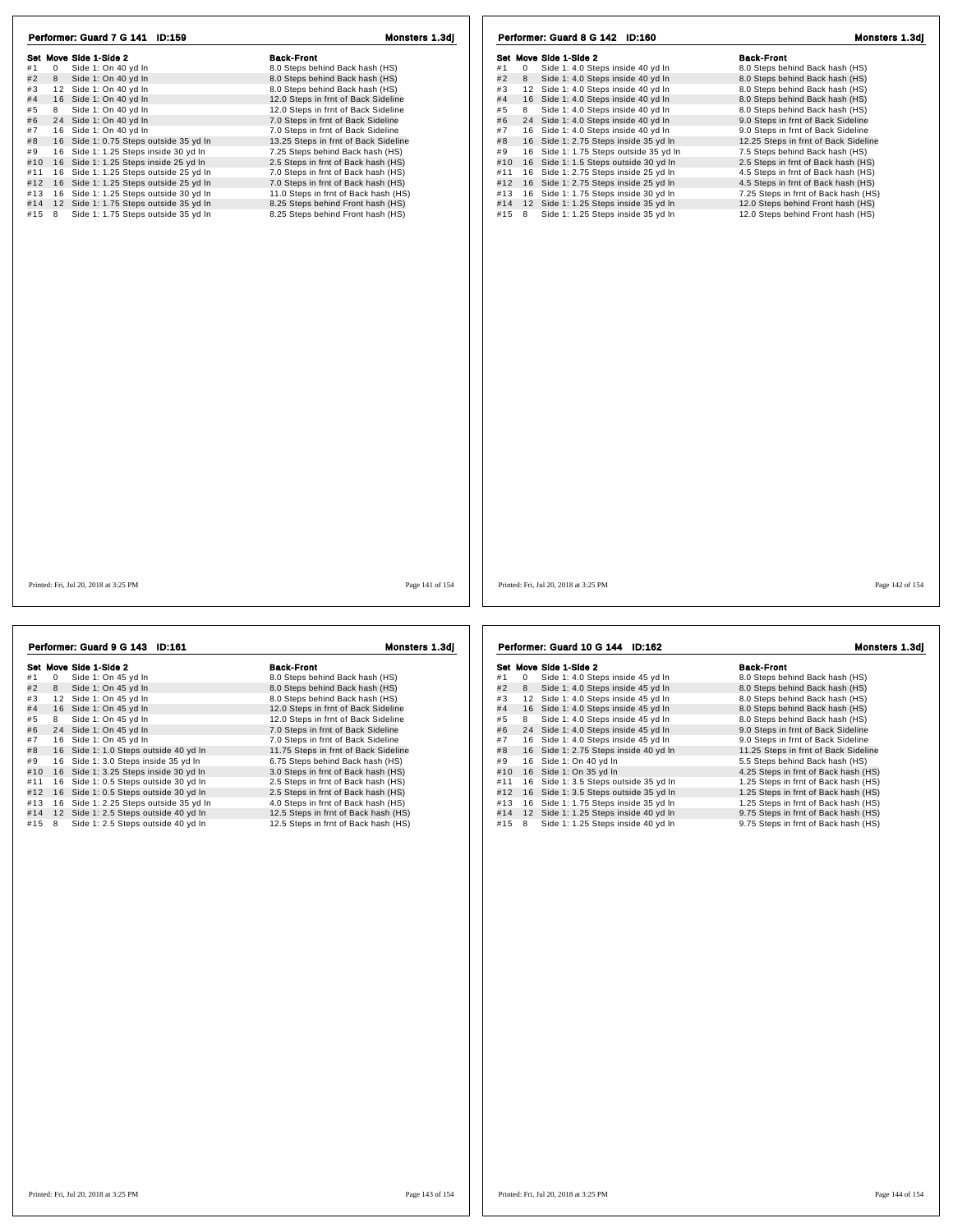| Performer: Guard 7 G 141 ID:159                                                            | Monsters 1.3dj                                                         | Performer: Guard 8 G 142 ID:160                                                             | Monsters 1.3dj                                                         |
|--------------------------------------------------------------------------------------------|------------------------------------------------------------------------|---------------------------------------------------------------------------------------------|------------------------------------------------------------------------|
| Set Move Side 1-Side 2                                                                     | <b>Back-Front</b>                                                      | Set Move Side 1-Side 2                                                                      | <b>Back-Front</b>                                                      |
| #1<br>$\overline{0}$<br>Side 1: On 40 yd In                                                | 8.0 Steps behind Back hash (HS)                                        | Side 1: 4.0 Steps inside 40 yd In<br>#1<br>$^{\circ}$                                       | 8.0 Steps behind Back hash (HS)                                        |
| #2<br>Side 1: On 40 yd In<br>8                                                             | 8.0 Steps behind Back hash (HS)                                        | #2<br>Side 1: 4.0 Steps inside 40 yd In<br>8                                                | 8.0 Steps behind Back hash (HS)                                        |
| 12 Side 1: On 40 yd In<br>#3                                                               | 8.0 Steps behind Back hash (HS)                                        | 12 Side 1: 4.0 Steps inside 40 yd In<br>#3                                                  | 8.0 Steps behind Back hash (HS)                                        |
| 16 Side 1: On 40 yd In<br>#4                                                               | 12.0 Steps in frnt of Back Sideline                                    | 16 Side 1: 4.0 Steps inside 40 yd In<br>#4                                                  | 8.0 Steps behind Back hash (HS)                                        |
| 8<br>Side 1: On 40 yd In<br>#5                                                             | 12.0 Steps in frnt of Back Sideline                                    | #5<br>Side 1: 4.0 Steps inside 40 yd In<br>8                                                | 8.0 Steps behind Back hash (HS)                                        |
| #6<br>24 Side 1: On 40 yd In                                                               | 7.0 Steps in frnt of Back Sideline                                     | #6<br>24 Side 1: 4.0 Steps inside 40 yd In                                                  | 9.0 Steps in frnt of Back Sideline                                     |
| #7<br>16 Side 1: On 40 yd In                                                               | 7.0 Steps in frnt of Back Sideline                                     | #7<br>16 Side 1: 4.0 Steps inside 40 yd In                                                  | 9.0 Steps in frnt of Back Sideline                                     |
| 16 Side 1: 0.75 Steps outside 35 yd In<br>#8                                               | 13.25 Steps in frnt of Back Sideline                                   | #8<br>16 Side 1: 2.75 Steps inside 35 yd In                                                 | 12.25 Steps in frnt of Back Sideline                                   |
| 16 Side 1: 1.25 Steps inside 30 yd In<br>#9                                                | 7.25 Steps behind Back hash (HS)                                       | #9<br>16 Side 1: 1.75 Steps outside 35 yd In                                                | 7.5 Steps behind Back hash (HS)                                        |
| #10 16 Side 1: 1.25 Steps inside 25 yd In                                                  | 2.5 Steps in frnt of Back hash (HS)                                    | #10<br>16 Side 1: 1.5 Steps outside 30 yd In                                                | 2.5 Steps in frnt of Back hash (HS)                                    |
| #11 16 Side 1: 1.25 Steps outside 25 yd In                                                 | 7.0 Steps in frnt of Back hash (HS)                                    | 16 Side 1: 2.75 Steps inside 25 yd In<br>#11                                                | 4.5 Steps in frnt of Back hash (HS)                                    |
| #12 16 Side 1: 1.25 Steps outside 25 yd In                                                 | 7.0 Steps in frnt of Back hash (HS)                                    | 16 Side 1: 2.75 Steps inside 25 yd In<br>#12                                                | 4.5 Steps in frnt of Back hash (HS)                                    |
| 16 Side 1: 1.25 Steps outside 30 yd In<br>#13                                              | 11.0 Steps in frnt of Back hash (HS)                                   | 16 Side 1: 1.75 Steps inside 30 yd In<br>#13                                                | 7.25 Steps in frnt of Back hash (HS)                                   |
|                                                                                            |                                                                        |                                                                                             |                                                                        |
| #14 12 Side 1: 1.75 Steps outside 35 yd In<br>#15 8<br>Side 1: 1.75 Steps outside 35 yd In | 8.25 Steps behind Front hash (HS)<br>8.25 Steps behind Front hash (HS) | 12 Side 1: 1.25 Steps inside 35 yd In<br>#14<br>Side 1: 1.25 Steps inside 35 yd In<br>#15 8 | 12.0 Steps behind Front hash (HS)<br>12.0 Steps behind Front hash (HS) |
|                                                                                            |                                                                        |                                                                                             |                                                                        |
| Printed: Fri, Jul 20, 2018 at 3:25 PM                                                      | Page 141 of 154                                                        | Printed: Fri, Jul 20, 2018 at 3:25 PM                                                       | Page 142 of 154                                                        |

|     |          | Performer: Guard 9 G 143 ID:161        | Monstors 1.3dj                       |
|-----|----------|----------------------------------------|--------------------------------------|
|     |          | Set Move Side 1-Side 2                 | <b>Back-Front</b>                    |
| #1  | $\Omega$ | Side 1: On 45 yd In                    | 8.0 Steps behind Back hash (HS)      |
| #2  | 8        | Side 1: On 45 yd In                    | 8.0 Steps behind Back hash (HS)      |
| #3  | 12       | Side 1: On 45 vd In                    | 8.0 Steps behind Back hash (HS)      |
| #4  |          | 16 Side 1: On 45 yd In                 | 12.0 Steps in frnt of Back Sideline  |
| #5  | 8        | Side 1: On 45 yd In                    | 12.0 Steps in frnt of Back Sideline  |
| #6  |          | 24 Side 1: On 45 yd In                 | 7.0 Steps in frnt of Back Sideline   |
| #7  |          | 16 Side 1: On 45 yd In                 | 7.0 Steps in frnt of Back Sideline   |
| #8  |          | 16 Side 1: 1.0 Steps outside 40 yd In  | 11.75 Steps in frnt of Back Sideline |
| #9  |          | 16 Side 1: 3.0 Steps inside 35 yd In   | 6.75 Steps behind Back hash (HS)     |
| #10 |          | 16 Side 1: 3.25 Steps inside 30 yd In  | 3.0 Steps in frnt of Back hash (HS)  |
| #11 |          | 16 Side 1: 0.5 Steps outside 30 yd In  | 2.5 Steps in frnt of Back hash (HS)  |
| #12 |          | 16 Side 1: 0.5 Steps outside 30 yd In  | 2.5 Steps in frnt of Back hash (HS)  |
| #13 |          | 16 Side 1: 2.25 Steps outside 35 yd In | 4.0 Steps in frnt of Back hash (HS)  |
| #14 |          | 12 Side 1: 2.5 Steps outside 40 yd In  | 12.5 Steps in frnt of Back hash (HS) |
| #15 | 8        | Side 1: 2.5 Steps outside 40 yd In     | 12.5 Steps in frnt of Back hash (HS) |
|     |          |                                        |                                      |
|     |          |                                        |                                      |

Set Move Side 1-Side 2<br>
#1 0 Side 1: 4.0 Steps inside 45 yd In 8.0 Steps behind Back hash (HS)<br>
#2 8 Side 1: 4.0 Steps inside 45 yd In 8.0 Steps behind Back hash (HS) Her mover show and a steps hash content to the steps of the steps behind Back hash (HS)<br>
# 2 8 Side 1: 4.0 Steps inside 45 yd ln 8.0 Steps behind Back hash (HS)<br>
# 3 1 2 Side 1: 4.0 Steps inside 45 yd ln 8.0 Steps behind # 4 1 6 Side 1: 4.0 Steps inside 45 yd ln 8.0 Steps behind Back hash (HS) # 5 <sup>8</sup> Side 1: 4.0 Steps inside 45 yd ln 8.0 Steps behind Back hash (HS) # 6 2 4 Side 1: 4.0 Steps inside 45 yd ln 9.0 Steps in frnt of Back Sideline # 7 1 6 Side 1: 4.0 Steps inside 45 yd ln 9.0 Steps in frnt of Back Sideline # 8 1 6 Side 1: 2.75 Steps inside 40 yd ln 11.25 Steps in frnt of Back Sideline # 9 1 6 Side 1: On 40 yd ln 5.5 Steps behind Back hash (HS) #10 1 6 Side 1: On 35 yd ln 4.25 Steps in frnt of Back hash (HS) #11 1 6 Side 1: 3.5 Steps outside 35 yd ln 1.25 Steps in frnt of Back hash (HS) #12 1 6 Side 1: 3.5 Steps outside 35 yd ln 1.25 Steps in frnt of Back hash (HS) #13 1 6 Side 1: 1.75 Steps inside 35 yd ln 1.25 Steps in frnt of Back hash (HS) #14 1 2 Side 1: 1.25 Steps inside 40 yd ln 9.75 Steps in frnt of Back hash (HS) #15 8 Side 1: 1.25 Steps inside 40 yd ln 9.75 Steps in frnt of Back hash (HS) Performer: Guard 10 G 144 ID:162 Monsters 1.3dj

Printed: Fri, Jul 20, 2018 at 3:25 PM Page 143 of 154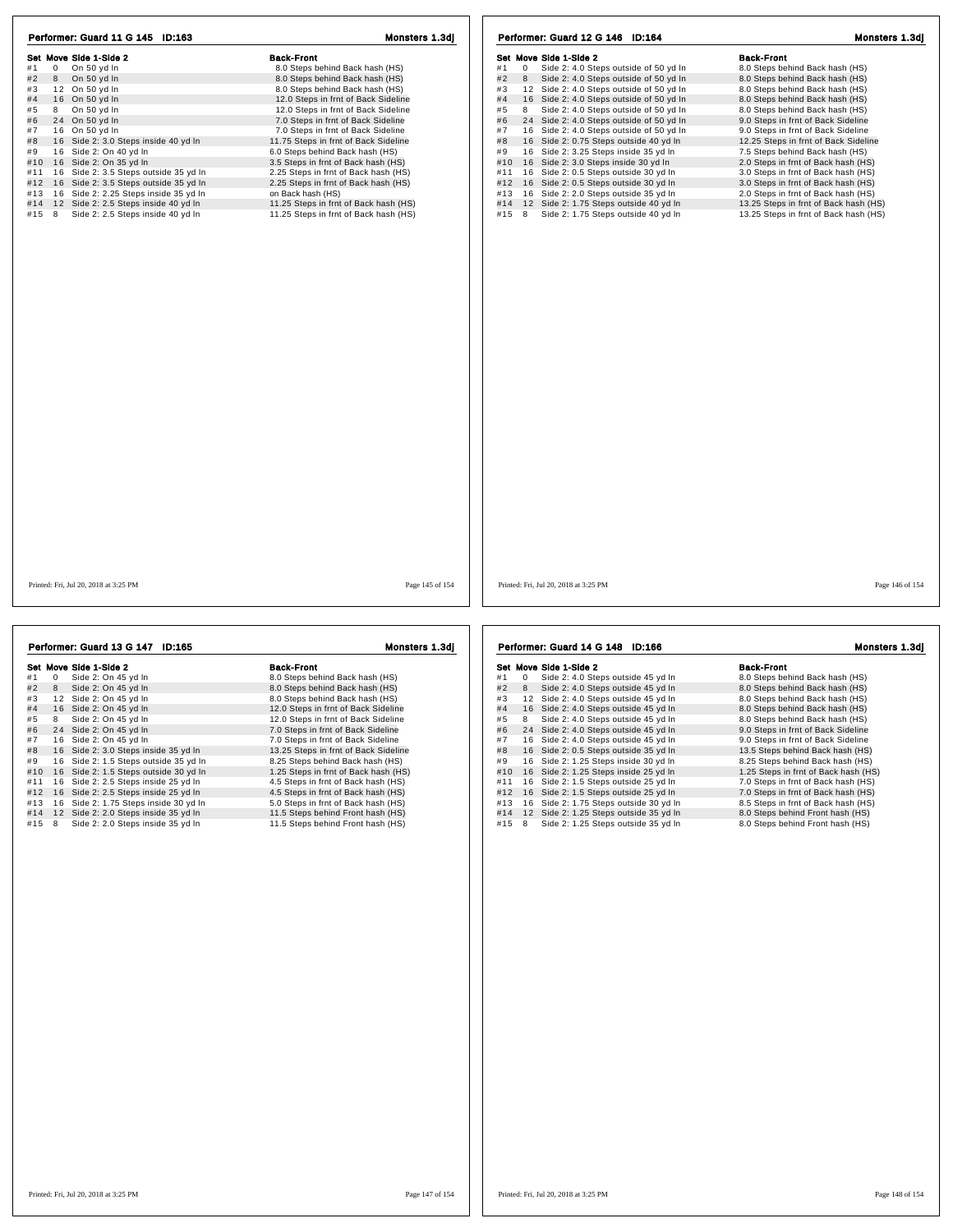| Set Move Side 1-Side 2                       | <b>Back-Front</b>                     | Set Move Side 1-Side 2                                     | <b>Back-Front</b>                     |
|----------------------------------------------|---------------------------------------|------------------------------------------------------------|---------------------------------------|
| #1<br>$\mathbf{0}$<br>On 50 yd In<br>#2      | 8.0 Steps behind Back hash (HS)       | Side 2: 4.0 Steps outside of 50 yd In<br>#1<br>$\mathbf 0$ | 8.0 Steps behind Back hash (HS)       |
| 8<br>On 50 yd In<br>#3                       | 8.0 Steps behind Back hash (HS)       | #2<br>Side 2: 4.0 Steps outside of 50 yd In<br>8           | 8.0 Steps behind Back hash (HS)       |
| 12 On 50 yd In                               | 8.0 Steps behind Back hash (HS)       | #3<br>12 Side 2: 4.0 Steps outside of 50 yd In             | 8.0 Steps behind Back hash (HS)       |
| 16 On 50 yd In                               | 12.0 Steps in frnt of Back Sideline   | #4<br>16 Side 2: 4.0 Steps outside of 50 yd In             | 8.0 Steps behind Back hash (HS)       |
| 8 On 50 yd In<br>#5                          | 12.0 Steps in frnt of Back Sideline   | Side 2: 4.0 Steps outside of 50 yd In<br>#5<br>8           | 8.0 Steps behind Back hash (HS)       |
| 24 On 50 yd In                               | 7.0 Steps in frnt of Back Sideline    | 24 Side 2: 4.0 Steps outside of 50 yd In<br>#6             | 9.0 Steps in frnt of Back Sideline    |
| 16 On 50 yd In                               | 7.0 Steps in frnt of Back Sideline    | #7<br>16 Side 2: 4.0 Steps outside of 50 yd In             | 9.0 Steps in frnt of Back Sideline    |
| 16 Side 2: 3.0 Steps inside 40 yd In         | 11.75 Steps in frnt of Back Sideline  | #8<br>16 Side 2: 0.75 Steps outside 40 yd In               | 12.25 Steps in frnt of Back Sideline  |
| 16 Side 2: On 40 yd In                       | 6.0 Steps behind Back hash (HS)       | 16 Side 2: 3.25 Steps inside 35 yd In<br>#9                | 7.5 Steps behind Back hash (HS)       |
| 16 Side 2: On 35 yd In<br>#10                | 3.5 Steps in frnt of Back hash (HS)   | 16 Side 2: 3.0 Steps inside 30 yd In<br>#10                | 2.0 Steps in frnt of Back hash (HS)   |
| 16 Side 2: 3.5 Steps outside 35 yd In<br>#11 | 2.25 Steps in frnt of Back hash (HS)  | 16 Side 2: 0.5 Steps outside 30 yd In<br>#11               | 3.0 Steps in frnt of Back hash (HS)   |
| #12 16 Side 2: 3.5 Steps outside 35 yd In    | 2.25 Steps in frnt of Back hash (HS)  | #12 16 Side 2: 0.5 Steps outside 30 yd In                  | 3.0 Steps in frnt of Back hash (HS)   |
| 16 Side 2: 2.25 Steps inside 35 yd In<br>#13 | on Back hash (HS)                     | 16 Side 2: 2.0 Steps outside 35 yd In<br>#13               | 2.0 Steps in frnt of Back hash (HS)   |
| #14<br>12 Side 2: 2.5 Steps inside 40 yd In  | 11.25 Steps in frnt of Back hash (HS) | 12 Side 2: 1.75 Steps outside 40 yd In<br>#14              | 13.25 Steps in frnt of Back hash (HS) |
| Side 2: 2.5 Steps inside 40 yd In<br>#15 8   | 11.25 Steps in frnt of Back hash (HS) | Side 2: 1.75 Steps outside 40 yd In<br>#15 8               | 13.25 Steps in frnt of Back hash (HS) |
|                                              |                                       |                                                            |                                       |
|                                              |                                       |                                                            |                                       |
|                                              |                                       |                                                            |                                       |
|                                              |                                       |                                                            |                                       |
|                                              |                                       |                                                            |                                       |

|     |            | Performer: Guard 13 G 147 ID:165      | Monsters 1.3dj                       |
|-----|------------|---------------------------------------|--------------------------------------|
|     |            | Set Move Side 1-Side 2                | <b>Back-Front</b>                    |
| #1  | $^{\circ}$ | Side 2: On 45 yd In                   | 8.0 Steps behind Back hash (HS)      |
| #2  | 8          | Side 2: On 45 yd In                   | 8.0 Steps behind Back hash (HS)      |
| #3  |            | 12 Side 2: On 45 vd In                | 8.0 Steps behind Back hash (HS)      |
| #4  |            | 16 Side 2: On 45 yd In                | 12.0 Steps in frnt of Back Sideline  |
| #5  | 8          | Side 2: On 45 yd In                   | 12.0 Steps in frnt of Back Sideline  |
| #6  |            | 24 Side 2: On 45 yd In                | 7.0 Steps in frnt of Back Sideline   |
| #7  |            | 16 Side 2: On 45 vd In                | 7.0 Steps in frnt of Back Sideline   |
| #8  |            | 16 Side 2: 3.0 Steps inside 35 yd In  | 13.25 Steps in frnt of Back Sideline |
| #9  |            | 16 Side 2: 1.5 Steps outside 35 yd In | 8.25 Steps behind Back hash (HS)     |
| #10 |            | 16 Side 2: 1.5 Steps outside 30 yd In | 1.25 Steps in frnt of Back hash (HS) |
| #11 |            | 16 Side 2: 2.5 Steps inside 25 yd In  | 4.5 Steps in frnt of Back hash (HS)  |
| #12 |            | 16 Side 2: 2.5 Steps inside 25 yd In  | 4.5 Steps in frnt of Back hash (HS)  |
| #13 |            | 16 Side 2: 1.75 Steps inside 30 yd In | 5.0 Steps in frnt of Back hash (HS)  |
| #14 |            | 12 Side 2: 2.0 Steps inside 35 yd In  | 11.5 Steps behind Front hash (HS)    |
| #15 | 8          | Side 2: 2.0 Steps inside 35 yd In     | 11.5 Steps behind Front hash (HS)    |

991 Move Side 1-Side 2<br>
#1 0 Side 2: 4.0 Steps outside 45 yd In 8.0 Steps behind Back hash (HS)<br>
#2 8 Side 2: 4.0 Steps outside 45 yd In 8.0 Steps behind Back hash (HS)<br>#3 12 Side 2: 4.0 Steps outside 45 yd In 8.0 Steps be # 4 1 6 Side 2: 4.0 Steps outside 45 yd ln 8.0 Steps behind Back hash (HS) # 5 <sup>8</sup> Side 2: 4.0 Steps outside 45 yd ln 8.0 Steps behind Back hash (HS) # 6 2 4 Side 2: 4.0 Steps outside 45 yd ln 9.0 Steps in frnt of Back Sideline # 7 1 6 Side 2: 4.0 Steps outside 45 yd ln 9.0 Steps in frnt of Back Sideline # 8 1 6 Side 2: 0.5 Steps outside 35 yd ln 13.5 Steps behind Back hash (HS) # 9 1 6 Side 2: 1.25 Steps inside 30 yd ln 8.25 Steps behind Back hash (HS) #10 16 Side 2: 1.25 Steps inside 25 yd ln 1.25 Steps in frnt of Back hash (HS) #11 1 6 Side 2: 1.5 Steps outside 25 yd ln 7.0 Steps in frnt of Back hash (HS) #12 1 6 Side 2: 1.5 Steps outside 25 yd ln 7.0 Steps in frnt of Back hash (HS) Performer: Guard 14 G 148 ID:166 Monsters 1.3dj

|     |    | Set Move Side 1-Side 2              | <b>Back-Front</b>                   |
|-----|----|-------------------------------------|-------------------------------------|
| #1  | 0  | Side 2: 4.0 Steps outside 45 yd In  | 8.0 Steps behind Back hash (HS)     |
| #2  | 8  | Side 2: 4.0 Steps outside 45 yd In  | 8.0 Steps behind Back hash (HS)     |
| #3  | 12 | Side 2: 4.0 Steps outside 45 vd In  | 8.0 Steps behind Back hash (HS)     |
| #4  | 16 | Side 2: 4.0 Steps outside 45 yd In  | 8.0 Steps behind Back hash (HS)     |
| #5  | 8  | Side 2: 4.0 Steps outside 45 yd In  | 8.0 Steps behind Back hash (HS)     |
| #6  | 24 | Side 2: 4.0 Steps outside 45 yd In  | 9.0 Steps in frnt of Back Sideline  |
| #7  | 16 | Side 2: 4.0 Steps outside 45 yd In  | 9.0 Steps in frnt of Back Sideline  |
| #8  | 16 | Side 2: 0.5 Steps outside 35 yd In  | 13.5 Steps behind Back hash (HS)    |
| #9  | 16 | Side 2: 1.25 Steps inside 30 yd In  | 8.25 Steps behind Back hash (HS)    |
| #10 | 16 | Side 2: 1.25 Steps inside 25 yd In  | 1.25 Steps in frnt of Back hash (HS |
| #11 | 16 | Side 2: 1.5 Steps outside 25 yd In  | 7.0 Steps in frnt of Back hash (HS) |
| #12 | 16 | Side 2: 1.5 Steps outside 25 yd In  | 7.0 Steps in frnt of Back hash (HS) |
| #13 | 16 | Side 2: 1.75 Steps outside 30 yd In | 8.5 Steps in frnt of Back hash (HS) |
| #14 | 12 | Side 2: 1.25 Steps outside 35 yd In | 8.0 Steps behind Front hash (HS)    |
| #15 | 8  | Side 2: 1.25 Steps outside 35 yd In | 8.0 Steps behind Front hash (HS)    |